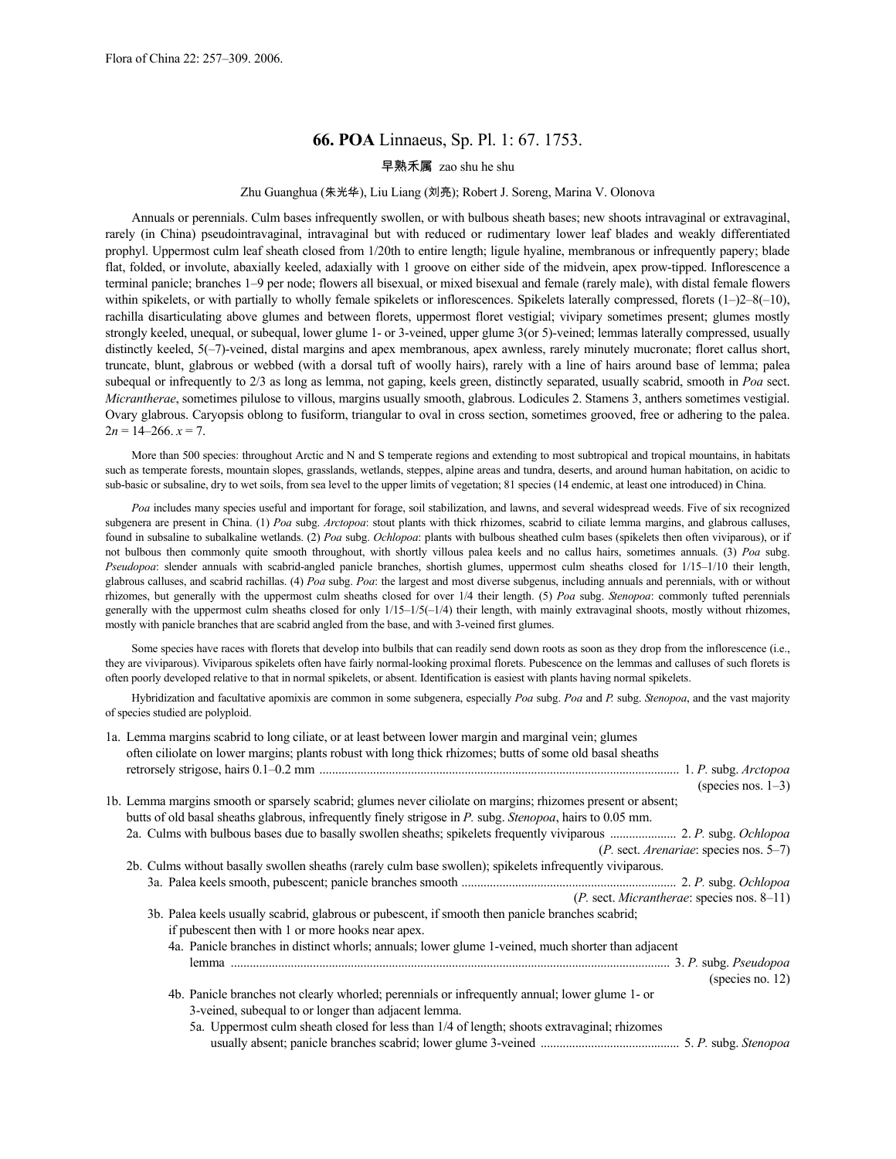# **66. POA** Linnaeus, Sp. Pl. 1: 67. 1753.

# 早熟禾属 zao shu he shu

# Zhu Guanghua (朱光华), Liu Liang (刘亮); Robert J. Soreng, Marina V. Olonova

Annuals or perennials. Culm bases infrequently swollen, or with bulbous sheath bases; new shoots intravaginal or extravaginal, rarely (in China) pseudointravaginal, intravaginal but with reduced or rudimentary lower leaf blades and weakly differentiated prophyl. Uppermost culm leaf sheath closed from 1/20th to entire length; ligule hyaline, membranous or infrequently papery; blade flat, folded, or involute, abaxially keeled, adaxially with 1 groove on either side of the midvein, apex prow-tipped. Inflorescence a terminal panicle; branches 1–9 per node; flowers all bisexual, or mixed bisexual and female (rarely male), with distal female flowers within spikelets, or with partially to wholly female spikelets or inflorescences. Spikelets laterally compressed, florets  $(1-2-8(-10))$ , rachilla disarticulating above glumes and between florets, uppermost floret vestigial; vivipary sometimes present; glumes mostly strongly keeled, unequal, or subequal, lower glume 1- or 3-veined, upper glume 3(or 5)-veined; lemmas laterally compressed, usually distinctly keeled, 5(-7)-veined, distal margins and apex membranous, apex awnless, rarely minutely mucronate; floret callus short, truncate, blunt, glabrous or webbed (with a dorsal tuft of woolly hairs), rarely with a line of hairs around base of lemma; palea subequal or infrequently to 2/3 as long as lemma, not gaping, keels green, distinctly separated, usually scabrid, smooth in *Poa* sect. *Micrantherae*, sometimes pilulose to villous, margins usually smooth, glabrous. Lodicules 2. Stamens 3, anthers sometimes vestigial. Ovary glabrous. Caryopsis oblong to fusiform, triangular to oval in cross section, sometimes grooved, free or adhering to the palea.  $2n = 14 - 266$ .  $x = 7$ .

More than 500 species: throughout Arctic and N and S temperate regions and extending to most subtropical and tropical mountains, in habitats such as temperate forests, mountain slopes, grasslands, wetlands, steppes, alpine areas and tundra, deserts, and around human habitation, on acidic to sub-basic or subsaline, dry to wet soils, from sea level to the upper limits of vegetation; 81 species (14 endemic, at least one introduced) in China.

*Poa* includes many species useful and important for forage, soil stabilization, and lawns, and several widespread weeds. Five of six recognized subgenera are present in China. (1) *Poa* subg. *Arctopoa*: stout plants with thick rhizomes, scabrid to ciliate lemma margins, and glabrous calluses, found in subsaline to subalkaline wetlands. (2) *Poa* subg. *Ochlopoa*: plants with bulbous sheathed culm bases (spikelets then often viviparous), or if not bulbous then commonly quite smooth throughout, with shortly villous palea keels and no callus hairs, sometimes annuals. (3) *Poa* subg. *Pseudopoa*: slender annuals with scabrid-angled panicle branches, shortish glumes, uppermost culm sheaths closed for 1/15–1/10 their length, glabrous calluses, and scabrid rachillas. (4) *Poa* subg. *Poa*: the largest and most diverse subgenus, including annuals and perennials, with or without rhizomes, but generally with the uppermost culm sheaths closed for over 1/4 their length. (5) *Poa* subg. *Stenopoa*: commonly tufted perennials generally with the uppermost culm sheaths closed for only 1/15–1/5(–1/4) their length, with mainly extravaginal shoots, mostly without rhizomes, mostly with panicle branches that are scabrid angled from the base, and with 3-veined first glumes.

Some species have races with florets that develop into bulbils that can readily send down roots as soon as they drop from the inflorescence (i.e., they are viviparous). Viviparous spikelets often have fairly normal-looking proximal florets. Pubescence on the lemmas and calluses of such florets is often poorly developed relative to that in normal spikelets, or absent. Identification is easiest with plants having normal spikelets.

Hybridization and facultative apomixis are common in some subgenera, especially *Poa* subg. *Poa* and *P.* subg. *Stenopoa*, and the vast majority of species studied are polyploid.

| 1a. Lemma margins scabrid to long ciliate, or at least between lower margin and marginal vein; glumes<br>often ciliolate on lower margins; plants robust with long thick rhizomes; butts of some old basal sheaths |
|--------------------------------------------------------------------------------------------------------------------------------------------------------------------------------------------------------------------|
|                                                                                                                                                                                                                    |
|                                                                                                                                                                                                                    |
| (species nos. $1-3$ )                                                                                                                                                                                              |
| 1b. Lemma margins smooth or sparsely scabrid; glumes never ciliolate on margins; rhizomes present or absent;                                                                                                       |
| butts of old basal sheaths glabrous, infrequently finely strigose in P. subg. Stenopoa, hairs to 0.05 mm.                                                                                                          |
|                                                                                                                                                                                                                    |
| $(P.$ sect. <i>Arenariae</i> : species nos. 5–7)                                                                                                                                                                   |
| 2b. Culms without basally swollen sheaths (rarely culm base swollen); spikelets infrequently viviparous.                                                                                                           |
|                                                                                                                                                                                                                    |
| $(P.$ sect. <i>Micrantherae</i> : species nos. 8–11)                                                                                                                                                               |
| 3b. Palea keels usually scabrid, glabrous or pubescent, if smooth then panicle branches scabrid;                                                                                                                   |
| if pubescent then with 1 or more hooks near apex.                                                                                                                                                                  |
| 4a. Panicle branches in distinct whorls; annuals; lower glume 1-veined, much shorter than adjacent                                                                                                                 |
|                                                                                                                                                                                                                    |
|                                                                                                                                                                                                                    |
| (species no. 12)                                                                                                                                                                                                   |
| 4b. Panicle branches not clearly whorled; perennials or infrequently annual; lower glume 1- or                                                                                                                     |
| 3-veined, subequal to or longer than adjacent lemma.                                                                                                                                                               |
| 5a. Uppermost culm sheath closed for less than 1/4 of length; shoots extravaginal; rhizomes                                                                                                                        |
|                                                                                                                                                                                                                    |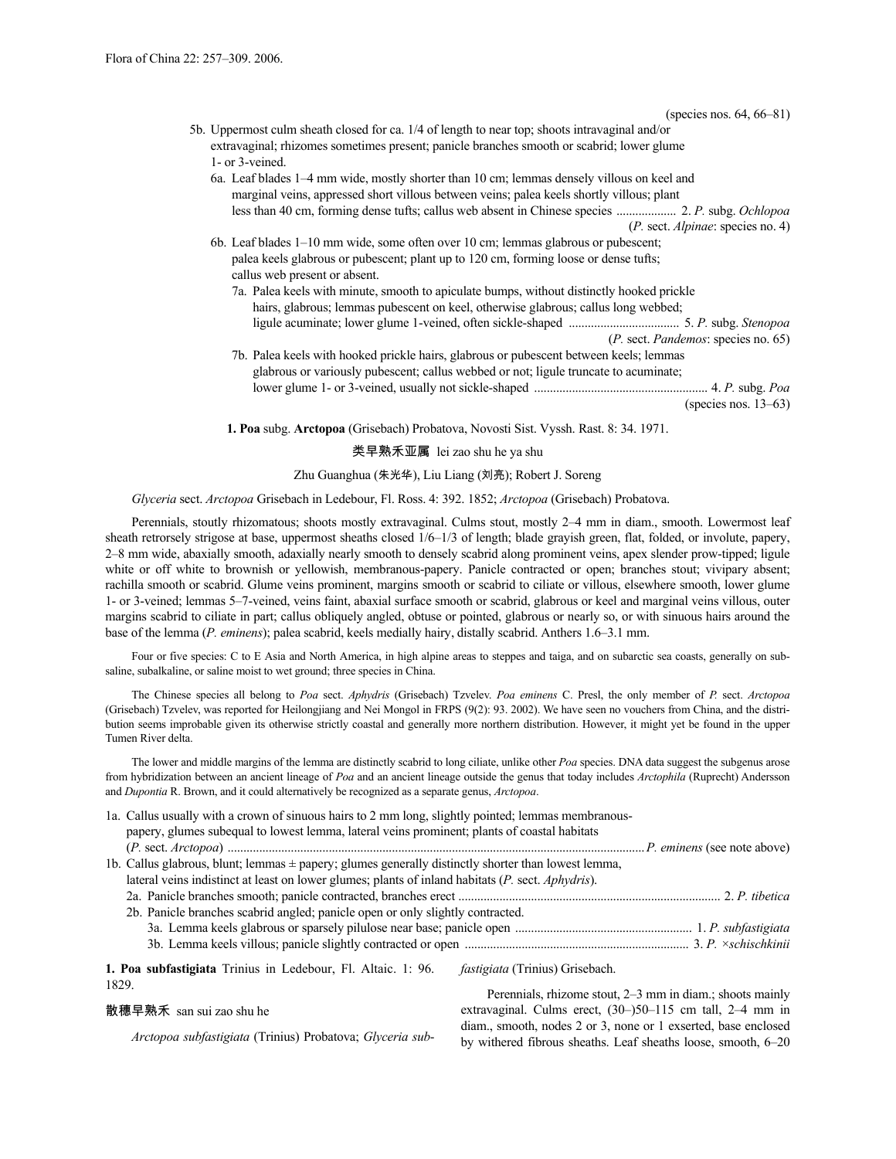| (species nos. $64, 66 - 81$ )                                                                  |
|------------------------------------------------------------------------------------------------|
| 5b. Uppermost culm sheath closed for ca. 1/4 of length to near top; shoots intravaginal and/or |
| extravaginal; rhizomes sometimes present; panicle branches smooth or scabrid; lower glume      |
| 1- or 3-veined.                                                                                |
| 6a. Leaf blades 1–4 mm wide, mostly shorter than 10 cm; lemmas densely villous on keel and     |
|                                                                                                |
| marginal veins, appressed short villous between veins; palea keels shortly villous; plant      |
|                                                                                                |
| $(P.$ sect. <i>Alpinae</i> : species no. 4)                                                    |
| 6b. Leaf blades 1–10 mm wide, some often over 10 cm; lemmas glabrous or pubescent;             |
| palea keels glabrous or pubescent; plant up to 120 cm, forming loose or dense tufts;           |
| callus web present or absent.                                                                  |
| 7a. Palea keels with minute, smooth to apiculate bumps, without distinctly hooked prickle      |
| hairs, glabrous; lemmas pubescent on keel, otherwise glabrous; callus long webbed;             |
|                                                                                                |
|                                                                                                |
| ( <i>P.</i> sect. <i>Pandemos</i> : species no. 65)                                            |
| 7b. Palea keels with hooked prickle hairs, glabrous or pubescent between keels; lemmas         |
| glabrous or variously pubescent; callus webbed or not; ligule truncate to acuminate;           |
|                                                                                                |
| (species nos. $13-63$ )                                                                        |
| <b>1. Poa</b> subg. Arctopoa (Grisebach) Probatova, Novosti Sist. Vyssh. Rast. 8: 34. 1971.    |
| 类早熟禾亚属 lei zao shu he ya shu                                                                   |

# Zhu Guanghua (朱光华), Liu Liang (刘亮); Robert J. Soreng

*Glyceria* sect. *Arctopoa* Grisebach in Ledebour, Fl. Ross. 4: 392. 1852; *Arctopoa* (Grisebach) Probatova.

Perennials, stoutly rhizomatous; shoots mostly extravaginal. Culms stout, mostly 2–4 mm in diam., smooth. Lowermost leaf sheath retrorsely strigose at base, uppermost sheaths closed 1/6–1/3 of length; blade grayish green, flat, folded, or involute, papery, 2–8 mm wide, abaxially smooth, adaxially nearly smooth to densely scabrid along prominent veins, apex slender prow-tipped; ligule white or off white to brownish or yellowish, membranous-papery. Panicle contracted or open; branches stout; vivipary absent; rachilla smooth or scabrid. Glume veins prominent, margins smooth or scabrid to ciliate or villous, elsewhere smooth, lower glume 1- or 3-veined; lemmas 5–7-veined, veins faint, abaxial surface smooth or scabrid, glabrous or keel and marginal veins villous, outer margins scabrid to ciliate in part; callus obliquely angled, obtuse or pointed, glabrous or nearly so, or with sinuous hairs around the base of the lemma (*P. eminens*); palea scabrid, keels medially hairy, distally scabrid. Anthers 1.6–3.1 mm.

Four or five species: C to E Asia and North America, in high alpine areas to steppes and taiga, and on subarctic sea coasts, generally on subsaline, subalkaline, or saline moist to wet ground; three species in China.

The Chinese species all belong to *Poa* sect. *Aphydris* (Grisebach) Tzvelev. *Poa eminens* C. Presl, the only member of *P.* sect. *Arctopoa* (Grisebach) Tzvelev, was reported for Heilongjiang and Nei Mongol in FRPS (9(2): 93. 2002). We have seen no vouchers from China, and the distribution seems improbable given its otherwise strictly coastal and generally more northern distribution. However, it might yet be found in the upper Tumen River delta.

The lower and middle margins of the lemma are distinctly scabrid to long ciliate, unlike other *Poa* species. DNA data suggest the subgenus arose from hybridization between an ancient lineage of *Poa* and an ancient lineage outside the genus that today includes *Arctophila* (Ruprecht) Andersson and *Dupontia* R. Brown, and it could alternatively be recognized as a separate genus, *Arctopoa*.

|       | 1a. Callus usually with a crown of sinuous hairs to 2 mm long, slightly pointed; lemmas membranous-     |                                        |
|-------|---------------------------------------------------------------------------------------------------------|----------------------------------------|
|       | papery, glumes subequal to lowest lemma, lateral veins prominent; plants of coastal habitats            |                                        |
|       |                                                                                                         |                                        |
|       | 1b. Callus glabrous, blunt; lemmas $\pm$ papery; glumes generally distinctly shorter than lowest lemma, |                                        |
|       | lateral veins indistinct at least on lower glumes; plants of inland habitats (P. sect. Aphydris).       |                                        |
|       |                                                                                                         |                                        |
|       | 2b. Panicle branches scabrid angled; panicle open or only slightly contracted.                          |                                        |
|       |                                                                                                         |                                        |
|       |                                                                                                         |                                        |
| 1829. | 1. Poa subfastigiata Trinius in Ledebour, Fl. Altaic. 1: 96.                                            | <i>fastigiata</i> (Trinius) Grisebach. |
|       |                                                                                                         |                                        |

# 散穗早熟禾 san sui zao shu he

*Arctopoa subfastigiata* (Trinius) Probatova; *Glyceria sub*-

Perennials, rhizome stout, 2–3 mm in diam.; shoots mainly extravaginal. Culms erect, (30–)50–115 cm tall, 2–4 mm in diam., smooth, nodes 2 or 3, none or 1 exserted, base enclosed by withered fibrous sheaths. Leaf sheaths loose, smooth, 6–20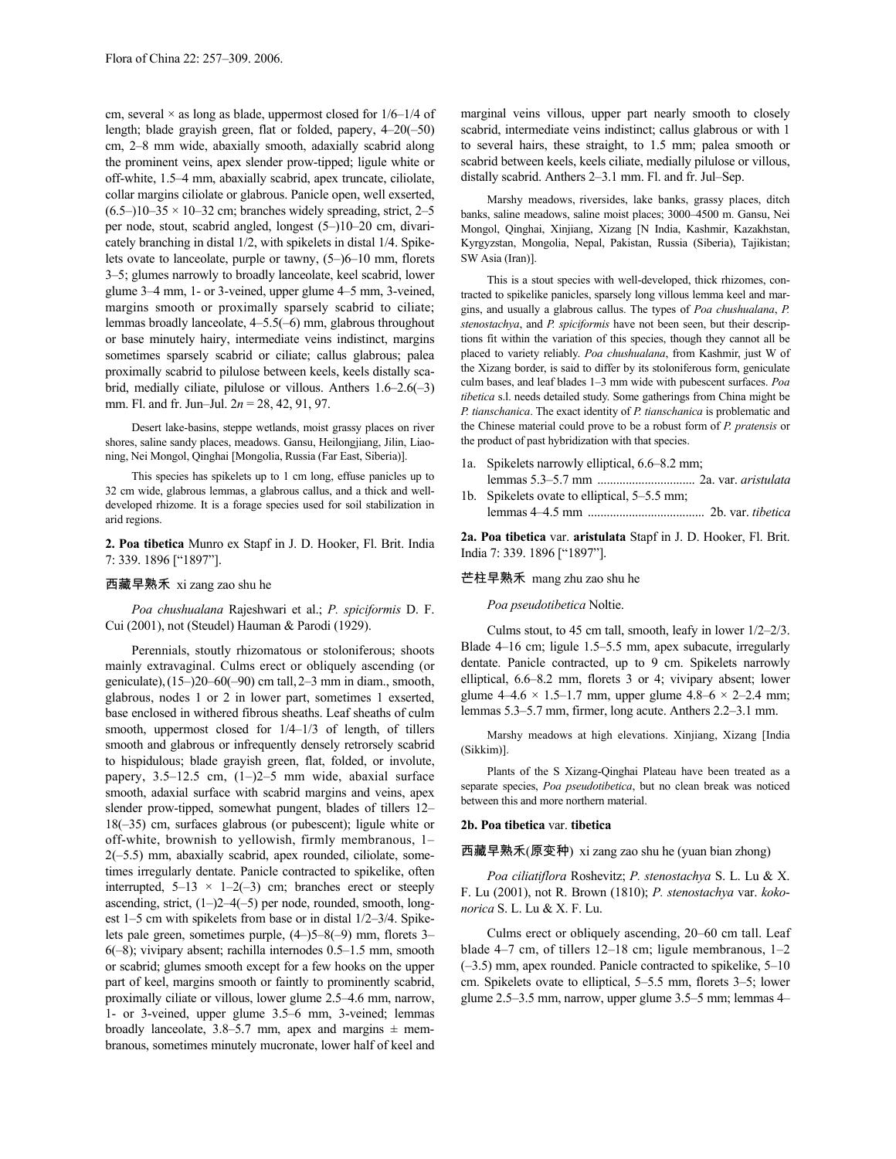cm, several  $\times$  as long as blade, uppermost closed for  $1/6-1/4$  of length; blade grayish green, flat or folded, papery, 4–20(–50) cm, 2–8 mm wide, abaxially smooth, adaxially scabrid along the prominent veins, apex slender prow-tipped; ligule white or off-white, 1.5–4 mm, abaxially scabrid, apex truncate, ciliolate, collar margins ciliolate or glabrous. Panicle open, well exserted,  $(6.5-)10-35 \times 10-32$  cm; branches widely spreading, strict, 2-5 per node, stout, scabrid angled, longest (5–)10–20 cm, divaricately branching in distal 1/2, with spikelets in distal 1/4. Spikelets ovate to lanceolate, purple or tawny, (5–)6–10 mm, florets 3–5; glumes narrowly to broadly lanceolate, keel scabrid, lower glume 3–4 mm, 1- or 3-veined, upper glume 4–5 mm, 3-veined, margins smooth or proximally sparsely scabrid to ciliate; lemmas broadly lanceolate, 4–5.5(–6) mm, glabrous throughout or base minutely hairy, intermediate veins indistinct, margins sometimes sparsely scabrid or ciliate; callus glabrous; palea proximally scabrid to pilulose between keels, keels distally scabrid, medially ciliate, pilulose or villous. Anthers 1.6–2.6(–3) mm. Fl. and fr. Jun–Jul. 2*n* = 28, 42, 91, 97.

Desert lake-basins, steppe wetlands, moist grassy places on river shores, saline sandy places, meadows. Gansu, Heilongjiang, Jilin, Liaoning, Nei Mongol, Qinghai [Mongolia, Russia (Far East, Siberia)].

This species has spikelets up to 1 cm long, effuse panicles up to 32 cm wide, glabrous lemmas, a glabrous callus, and a thick and welldeveloped rhizome. It is a forage species used for soil stabilization in arid regions.

# **2. Poa tibetica** Munro ex Stapf in J. D. Hooker, Fl. Brit. India 7: 339. 1896 ["1897"].

# 西藏早熟禾 xi zang zao shu he

*Poa chushualana* Rajeshwari et al.; *P. spiciformis* D. F. Cui (2001), not (Steudel) Hauman & Parodi (1929).

Perennials, stoutly rhizomatous or stoloniferous; shoots mainly extravaginal. Culms erect or obliquely ascending (or geniculate),(15–)20–60(–90) cm tall,2–3 mm in diam., smooth, glabrous, nodes 1 or 2 in lower part, sometimes 1 exserted, base enclosed in withered fibrous sheaths. Leaf sheaths of culm smooth, uppermost closed for 1/4–1/3 of length, of tillers smooth and glabrous or infrequently densely retrorsely scabrid to hispidulous; blade grayish green, flat, folded, or involute, papery, 3.5–12.5 cm, (1–)2–5 mm wide, abaxial surface smooth, adaxial surface with scabrid margins and veins, apex slender prow-tipped, somewhat pungent, blades of tillers 12– 18(–35) cm, surfaces glabrous (or pubescent); ligule white or off-white, brownish to yellowish, firmly membranous, 1– 2(–5.5) mm, abaxially scabrid, apex rounded, ciliolate, sometimes irregularly dentate. Panicle contracted to spikelike, often interrupted,  $5-13 \times 1-2(-3)$  cm; branches erect or steeply ascending, strict, (1–)2–4(–5) per node, rounded, smooth, longest 1–5 cm with spikelets from base or in distal 1/2–3/4. Spikelets pale green, sometimes purple, (4–)5–8(–9) mm, florets 3– 6(–8); vivipary absent; rachilla internodes 0.5–1.5 mm, smooth or scabrid; glumes smooth except for a few hooks on the upper part of keel, margins smooth or faintly to prominently scabrid, proximally ciliate or villous, lower glume 2.5–4.6 mm, narrow, 1- or 3-veined, upper glume 3.5–6 mm, 3-veined; lemmas broadly lanceolate, 3.8–5.7 mm, apex and margins  $\pm$  membranous, sometimes minutely mucronate, lower half of keel and

marginal veins villous, upper part nearly smooth to closely scabrid, intermediate veins indistinct; callus glabrous or with 1 to several hairs, these straight, to 1.5 mm; palea smooth or scabrid between keels, keels ciliate, medially pilulose or villous, distally scabrid. Anthers 2–3.1 mm. Fl. and fr. Jul–Sep.

Marshy meadows, riversides, lake banks, grassy places, ditch banks, saline meadows, saline moist places; 3000–4500 m. Gansu, Nei Mongol, Qinghai, Xinjiang, Xizang [N India, Kashmir, Kazakhstan, Kyrgyzstan, Mongolia, Nepal, Pakistan, Russia (Siberia), Tajikistan; SW Asia (Iran)].

This is a stout species with well-developed, thick rhizomes, contracted to spikelike panicles, sparsely long villous lemma keel and margins, and usually a glabrous callus. The types of *Poa chushualana*, *P. stenostachya*, and *P. spiciformis* have not been seen, but their descriptions fit within the variation of this species, though they cannot all be placed to variety reliably. *Poa chushualana*, from Kashmir, just W of the Xizang border, is said to differ by its stoloniferous form, geniculate culm bases, and leaf blades 1–3 mm wide with pubescent surfaces. *Poa tibetica* s.l. needs detailed study. Some gatherings from China might be *P. tianschanica*. The exact identity of *P. tianschanica* is problematic and the Chinese material could prove to be a robust form of *P. pratensis* or the product of past hybridization with that species.

- 1a. Spikelets narrowly elliptical, 6.6–8.2 mm;
- lemmas 5.3–5.7 mm ............................... 2a. var. *aristulata* 1b. Spikelets ovate to elliptical, 5–5.5 mm;
- lemmas 4–4.5 mm ..................................... 2b. var. *tibetica*

**2a. Poa tibetica** var. **aristulata** Stapf in J. D. Hooker, Fl. Brit. India 7: 339. 1896 ["1897"].

# 芒柱早熟禾 mang zhu zao shu he

*Poa pseudotibetica* Noltie.

Culms stout, to 45 cm tall, smooth, leafy in lower 1/2–2/3. Blade 4–16 cm; ligule 1.5–5.5 mm, apex subacute, irregularly dentate. Panicle contracted, up to 9 cm. Spikelets narrowly elliptical, 6.6–8.2 mm, florets 3 or 4; vivipary absent; lower glume  $4-4.6 \times 1.5-1.7$  mm, upper glume  $4.8-6 \times 2-2.4$  mm; lemmas 5.3–5.7 mm, firmer, long acute. Anthers 2.2–3.1 mm.

Marshy meadows at high elevations. Xinjiang, Xizang [India (Sikkim)].

Plants of the S Xizang-Qinghai Plateau have been treated as a separate species, *Poa pseudotibetica*, but no clean break was noticed between this and more northern material.

### **2b. Poa tibetica** var. **tibetica**

西藏早熟禾(原变种) xi zang zao shu he (yuan bian zhong)

*Poa ciliatiflora* Roshevitz; *P. stenostachya* S. L. Lu & X. F. Lu (2001), not R. Brown (1810); *P. stenostachya* var. *kokonorica* S. L. Lu & X. F. Lu.

Culms erect or obliquely ascending, 20–60 cm tall. Leaf blade 4–7 cm, of tillers 12–18 cm; ligule membranous, 1–2 (–3.5) mm, apex rounded. Panicle contracted to spikelike, 5–10 cm. Spikelets ovate to elliptical, 5–5.5 mm, florets 3–5; lower glume 2.5–3.5 mm, narrow, upper glume 3.5–5 mm; lemmas 4–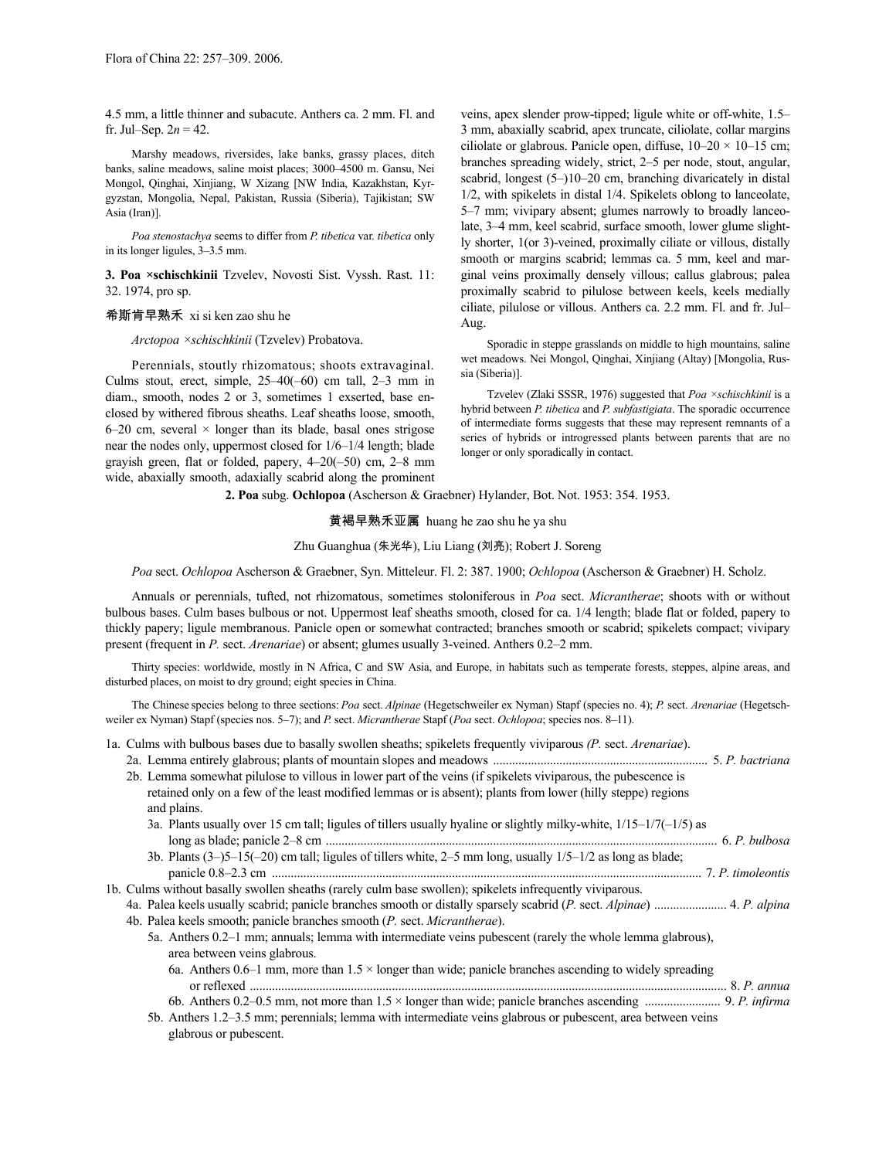4.5 mm, a little thinner and subacute. Anthers ca. 2 mm. Fl. and fr. Jul–Sep.  $2n = 42$ .

Marshy meadows, riversides, lake banks, grassy places, ditch banks, saline meadows, saline moist places; 3000–4500 m. Gansu, Nei Mongol, Qinghai, Xinjiang, W Xizang [NW India, Kazakhstan, Kyrgyzstan, Mongolia, Nepal, Pakistan, Russia (Siberia), Tajikistan; SW Asia (Iran)].

*Poa stenostachya* seems to differ from *P. tibetica* var. *tibetica* only in its longer ligules, 3–3.5 mm.

**3. Poa ×schischkinii** Tzvelev, Novosti Sist. Vyssh. Rast. 11: 32. 1974, pro sp.

# 希斯肯早熟禾 xi si ken zao shu he

*Arctopoa ×schischkinii* (Tzvelev) Probatova.

Perennials, stoutly rhizomatous; shoots extravaginal. Culms stout, erect, simple, 25–40(–60) cm tall, 2–3 mm in diam., smooth, nodes 2 or 3, sometimes 1 exserted, base enclosed by withered fibrous sheaths. Leaf sheaths loose, smooth,  $6-20$  cm, several  $\times$  longer than its blade, basal ones strigose near the nodes only, uppermost closed for 1/6–1/4 length; blade grayish green, flat or folded, papery, 4–20(–50) cm, 2–8 mm wide, abaxially smooth, adaxially scabrid along the prominent veins, apex slender prow-tipped; ligule white or off-white, 1.5– 3 mm, abaxially scabrid, apex truncate, ciliolate, collar margins ciliolate or glabrous. Panicle open, diffuse,  $10-20 \times 10-15$  cm; branches spreading widely, strict, 2–5 per node, stout, angular, scabrid, longest (5–)10–20 cm, branching divaricately in distal 1/2, with spikelets in distal 1/4. Spikelets oblong to lanceolate, 5–7 mm; vivipary absent; glumes narrowly to broadly lanceolate, 3–4 mm, keel scabrid, surface smooth, lower glume slightly shorter, 1(or 3)-veined, proximally ciliate or villous, distally smooth or margins scabrid; lemmas ca. 5 mm, keel and marginal veins proximally densely villous; callus glabrous; palea proximally scabrid to pilulose between keels, keels medially ciliate, pilulose or villous. Anthers ca. 2.2 mm. Fl. and fr. Jul– Aug.

Sporadic in steppe grasslands on middle to high mountains, saline wet meadows. Nei Mongol, Qinghai, Xinjiang (Altay) [Mongolia, Russia (Siberia)].

Tzvelev (Zlaki SSSR, 1976) suggested that *Poa ×schischkinii* is a hybrid between *P. tibetica* and *P. subfastigiata*. The sporadic occurrence of intermediate forms suggests that these may represent remnants of a series of hybrids or introgressed plants between parents that are no longer or only sporadically in contact.

### **2. Poa** subg. **Ochlopoa** (Ascherson & Graebner) Hylander, Bot. Not. 1953: 354. 1953.

黄褐早熟禾亚属 huang he zao shu he ya shu

# Zhu Guanghua (朱光华), Liu Liang (刘亮); Robert J. Soreng

*Poa* sect. *Ochlopoa* Ascherson & Graebner, Syn. Mitteleur. Fl. 2: 387. 1900; *Ochlopoa* (Ascherson & Graebner) H. Scholz.

Annuals or perennials, tufted, not rhizomatous, sometimes stoloniferous in *Poa* sect. *Micrantherae*; shoots with or without bulbous bases. Culm bases bulbous or not. Uppermost leaf sheaths smooth, closed for ca. 1/4 length; blade flat or folded, papery to thickly papery; ligule membranous. Panicle open or somewhat contracted; branches smooth or scabrid; spikelets compact; vivipary present (frequent in *P.* sect. *Arenariae*) or absent; glumes usually 3-veined. Anthers 0.2–2 mm.

Thirty species: worldwide, mostly in N Africa, C and SW Asia, and Europe, in habitats such as temperate forests, steppes, alpine areas, and disturbed places, on moist to dry ground; eight species in China.

The Chinese species belong to three sections: *Poa* sect. *Alpinae* (Hegetschweiler ex Nyman) Stapf (species no. 4); *P.* sect. *Arenariae* (Hegetschweiler ex Nyman) Stapf (species nos. 5–7); and *P.* sect. *Micrantherae* Stapf (*Poa* sect. *Ochlopoa*; species nos. 8–11).

| 1a. Culms with bulbous bases due to basally swollen sheaths; spikelets frequently viviparous (P. sect. Arenariae).  |  |
|---------------------------------------------------------------------------------------------------------------------|--|
|                                                                                                                     |  |
| 2b. Lemma somewhat pilulose to villous in lower part of the veins (if spikelets viviparous, the pubescence is       |  |
| retained only on a few of the least modified lemmas or is absent); plants from lower (hilly steppe) regions         |  |
| and plains.                                                                                                         |  |
| 3a. Plants usually over 15 cm tall; ligules of tillers usually hyaline or slightly milky-white, $1/15-1/7(-1/5)$ as |  |
|                                                                                                                     |  |
| 3b. Plants $(3-5-15(-20)$ cm tall; ligules of tillers white, $2-5$ mm long, usually $1/5-1/2$ as long as blade;     |  |
|                                                                                                                     |  |
| 1b. Culms without basally swollen sheaths (rarely culm base swollen); spikelets infrequently viviparous.            |  |
|                                                                                                                     |  |
| 4b. Palea keels smooth; panicle branches smooth (P. sect. Micrantherae).                                            |  |
| 5a. Anthers 0.2–1 mm; annuals; lemma with intermediate veins pubescent (rarely the whole lemma glabrous),           |  |
| area between veins glabrous.                                                                                        |  |
| 6a. Anthers 0.6–1 mm, more than $1.5 \times$ longer than wide; panicle branches ascending to widely spreading       |  |
|                                                                                                                     |  |
|                                                                                                                     |  |
| 5b. Anthers 1.2–3.5 mm; perennials; lemma with intermediate veins glabrous or pubescent, area between veins         |  |
| glabrous or pubescent.                                                                                              |  |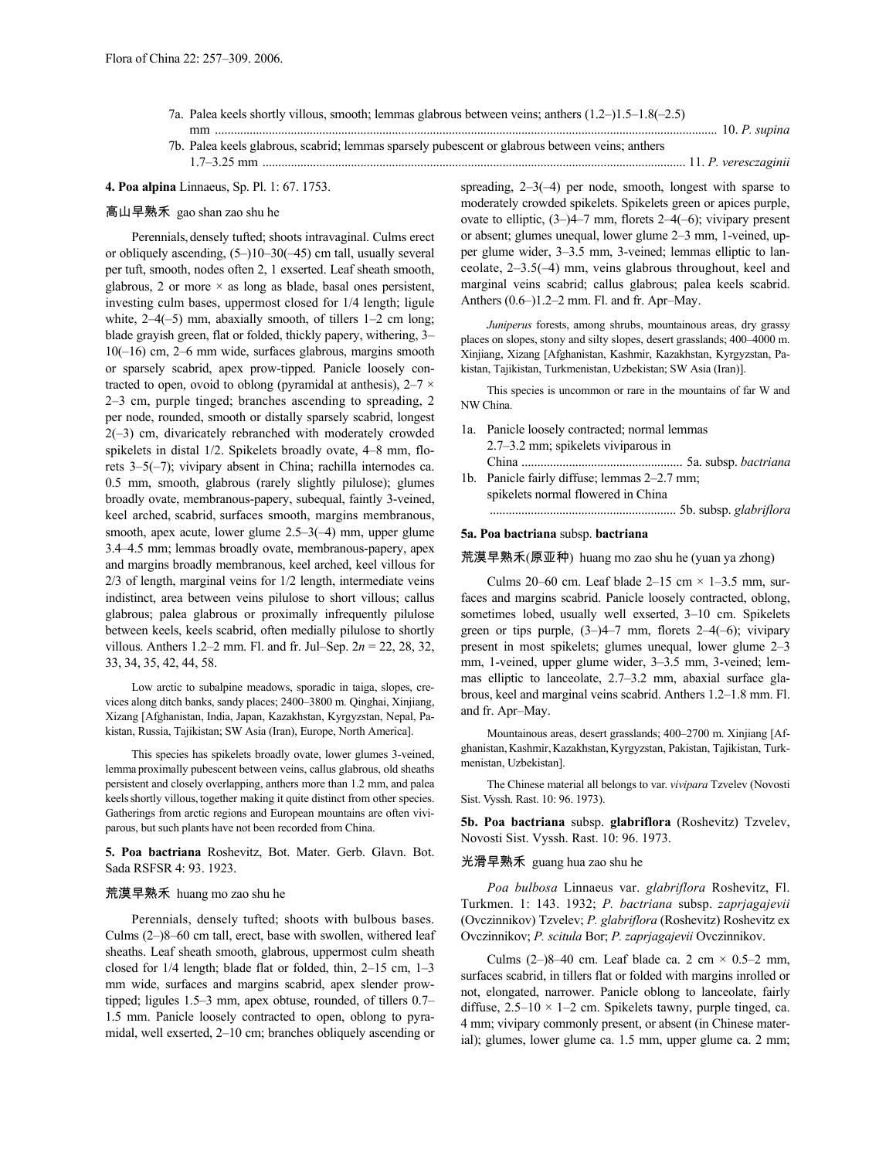- 7a. Palea keels shortly villous, smooth; lemmas glabrous between veins; anthers (1.2–)1.5–1.8(–2.5) mm ............................................................................................................................................................... 10. *P. supina*
- 7b. Palea keels glabrous, scabrid; lemmas sparsely pubescent or glabrous between veins; anthers 1.7–3.25 mm ...................................................................................................................................... 11. *P. veresczaginii*

# **4. Poa alpina** Linnaeus, Sp. Pl. 1: 67. 1753.

# 高山早熟禾 gao shan zao shu he

Perennials, densely tufted; shoots intravaginal. Culms erect or obliquely ascending, (5–)10–30(–45) cm tall, usually several per tuft, smooth, nodes often 2, 1 exserted. Leaf sheath smooth, glabrous, 2 or more  $\times$  as long as blade, basal ones persistent, investing culm bases, uppermost closed for 1/4 length; ligule white,  $2-4(-5)$  mm, abaxially smooth, of tillers  $1-2$  cm long; blade grayish green, flat or folded, thickly papery, withering, 3– 10(–16) cm, 2–6 mm wide, surfaces glabrous, margins smooth or sparsely scabrid, apex prow-tipped. Panicle loosely contracted to open, ovoid to oblong (pyramidal at anthesis),  $2-7 \times$ 2–3 cm, purple tinged; branches ascending to spreading, 2 per node, rounded, smooth or distally sparsely scabrid, longest 2(–3) cm, divaricately rebranched with moderately crowded spikelets in distal 1/2. Spikelets broadly ovate, 4–8 mm, florets 3–5(–7); vivipary absent in China; rachilla internodes ca. 0.5 mm, smooth, glabrous (rarely slightly pilulose); glumes broadly ovate, membranous-papery, subequal, faintly 3-veined, keel arched, scabrid, surfaces smooth, margins membranous, smooth, apex acute, lower glume 2.5–3(–4) mm, upper glume 3.4–4.5 mm; lemmas broadly ovate, membranous-papery, apex and margins broadly membranous, keel arched, keel villous for 2/3 of length, marginal veins for 1/2 length, intermediate veins indistinct, area between veins pilulose to short villous; callus glabrous; palea glabrous or proximally infrequently pilulose between keels, keels scabrid, often medially pilulose to shortly villous. Anthers 1.2–2 mm. Fl. and fr. Jul–Sep. 2*n* = 22, 28, 32, 33, 34, 35, 42, 44, 58.

Low arctic to subalpine meadows, sporadic in taiga, slopes, crevices along ditch banks, sandy places; 2400–3800 m. Qinghai, Xinjiang, Xizang [Afghanistan, India, Japan, Kazakhstan, Kyrgyzstan, Nepal, Pakistan, Russia, Tajikistan; SW Asia (Iran), Europe, North America].

This species has spikelets broadly ovate, lower glumes 3-veined, lemma proximally pubescent between veins, callus glabrous, old sheaths persistent and closely overlapping, anthers more than 1.2 mm, and palea keels shortly villous, together making it quite distinct from other species. Gatherings from arctic regions and European mountains are often viviparous, but such plants have not been recorded from China.

**5. Poa bactriana** Roshevitz, Bot. Mater. Gerb. Glavn. Bot. Sada RSFSR 4: 93. 1923.

# 荒漠早熟禾 huang mo zao shu he

Perennials, densely tufted; shoots with bulbous bases. Culms (2–)8–60 cm tall, erect, base with swollen, withered leaf sheaths. Leaf sheath smooth, glabrous, uppermost culm sheath closed for 1/4 length; blade flat or folded, thin, 2–15 cm, 1–3 mm wide, surfaces and margins scabrid, apex slender prowtipped; ligules 1.5–3 mm, apex obtuse, rounded, of tillers 0.7– 1.5 mm. Panicle loosely contracted to open, oblong to pyramidal, well exserted, 2–10 cm; branches obliquely ascending or

spreading, 2–3(–4) per node, smooth, longest with sparse to moderately crowded spikelets. Spikelets green or apices purple, ovate to elliptic, (3–)4–7 mm, florets 2–4(–6); vivipary present or absent; glumes unequal, lower glume 2–3 mm, 1-veined, upper glume wider, 3–3.5 mm, 3-veined; lemmas elliptic to lanceolate, 2–3.5(–4) mm, veins glabrous throughout, keel and marginal veins scabrid; callus glabrous; palea keels scabrid. Anthers (0.6–)1.2–2 mm. Fl. and fr. Apr–May.

*Juniperus* forests, among shrubs, mountainous areas, dry grassy places on slopes, stony and silty slopes, desert grasslands; 400–4000 m. Xinjiang, Xizang [Afghanistan, Kashmir, Kazakhstan, Kyrgyzstan, Pakistan, Tajikistan, Turkmenistan, Uzbekistan; SW Asia (Iran)].

This species is uncommon or rare in the mountains of far W and NW China.

- 1a. Panicle loosely contracted; normal lemmas 2.7–3.2 mm; spikelets viviparous in China ................................................... 5a. subsp. *bactriana*
- 1b. Panicle fairly diffuse; lemmas 2–2.7 mm; spikelets normal flowered in China
	- ........................................................... 5b. subsp. *glabriflora*

# **5a. Poa bactriana** subsp. **bactriana**

荒漠早熟禾(原亚种) huang mo zao shu he (yuan ya zhong)

Culms 20–60 cm. Leaf blade  $2-15$  cm  $\times$  1–3.5 mm, surfaces and margins scabrid. Panicle loosely contracted, oblong, sometimes lobed, usually well exserted, 3–10 cm. Spikelets green or tips purple,  $(3-)4-7$  mm, florets  $2-4(-6)$ ; vivipary present in most spikelets; glumes unequal, lower glume 2–3 mm, 1-veined, upper glume wider, 3–3.5 mm, 3-veined; lemmas elliptic to lanceolate, 2.7–3.2 mm, abaxial surface glabrous, keel and marginal veins scabrid. Anthers 1.2–1.8 mm. Fl. and fr. Apr–May.

Mountainous areas, desert grasslands; 400–2700 m. Xinjiang [Afghanistan, Kashmir, Kazakhstan, Kyrgyzstan, Pakistan, Tajikistan, Turkmenistan, Uzbekistan].

The Chinese material all belongs to var. *vivipara* Tzvelev (Novosti Sist. Vyssh. Rast. 10: 96. 1973).

**5b. Poa bactriana** subsp. **glabriflora** (Roshevitz) Tzvelev, Novosti Sist. Vyssh. Rast. 10: 96. 1973.

# 光滑早熟禾 guang hua zao shu he

*Poa bulbosa* Linnaeus var. *glabriflora* Roshevitz, Fl. Turkmen. 1: 143. 1932; *P. bactriana* subsp. *zaprjagajevii* (Ovczinnikov) Tzvelev; *P. glabriflora* (Roshevitz) Roshevitz ex Ovczinnikov; *P. scitula* Bor; *P. zaprjagajevii* Ovczinnikov.

Culms (2–)8–40 cm. Leaf blade ca. 2 cm  $\times$  0.5–2 mm, surfaces scabrid, in tillers flat or folded with margins inrolled or not, elongated, narrower. Panicle oblong to lanceolate, fairly diffuse,  $2.5-10 \times 1-2$  cm. Spikelets tawny, purple tinged, ca. 4 mm; vivipary commonly present, or absent (in Chinese material); glumes, lower glume ca. 1.5 mm, upper glume ca. 2 mm;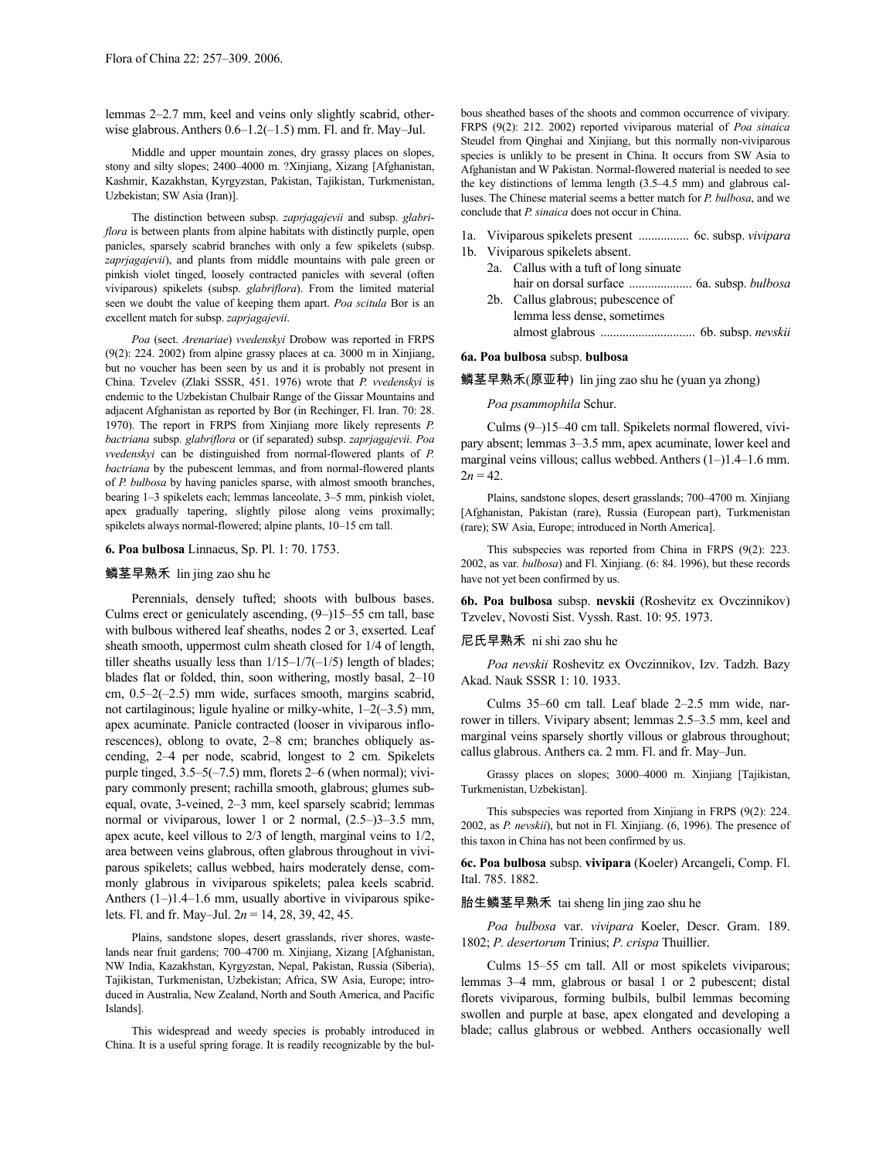lemmas 2–2.7 mm, keel and veins only slightly scabrid, otherwise glabrous.Anthers 0.6–1.2(–1.5) mm. Fl. and fr. May–Jul.

Middle and upper mountain zones, dry grassy places on slopes, stony and silty slopes; 2400–4000 m. ?Xinjiang, Xizang [Afghanistan, Kashmir, Kazakhstan, Kyrgyzstan, Pakistan, Tajikistan, Turkmenistan, Uzbekistan; SW Asia (Iran)].

The distinction between subsp. *zaprjagajevii* and subsp. *glabriflora* is between plants from alpine habitats with distinctly purple, open panicles, sparsely scabrid branches with only a few spikelets (subsp. *zaprjagajevii*), and plants from middle mountains with pale green or pinkish violet tinged, loosely contracted panicles with several (often viviparous) spikelets (subsp. *glabriflora*). From the limited material seen we doubt the value of keeping them apart. *Poa scitula* Bor is an excellent match for subsp. *zaprjagajevii*.

*Poa* (sect. *Arenariae*) *vvedenskyi* Drobow was reported in FRPS (9(2): 224. 2002) from alpine grassy places at ca. 3000 m in Xinjiang, but no voucher has been seen by us and it is probably not present in China. Tzvelev (Zlaki SSSR, 451. 1976) wrote that *P. vvedenskyi* is endemic to the Uzbekistan Chulbair Range of the Gissar Mountains and adjacent Afghanistan as reported by Bor (in Rechinger, Fl. Iran. 70: 28. 1970). The report in FRPS from Xinjiang more likely represents *P. bactriana* subsp. *glabriflora* or (if separated) subsp. *zaprjagajevii*. *Poa vvedenskyi* can be distinguished from normal-flowered plants of *P. bactriana* by the pubescent lemmas, and from normal-flowered plants of *P. bulbosa* by having panicles sparse, with almost smooth branches, bearing 1–3 spikelets each; lemmas lanceolate, 3–5 mm, pinkish violet, apex gradually tapering, slightly pilose along veins proximally; spikelets always normal-flowered; alpine plants, 10–15 cm tall.

## **6. Poa bulbosa** Linnaeus, Sp. Pl. 1: 70. 1753.

# 鳞茎早熟禾 lin jing zao shu he

Perennials, densely tufted; shoots with bulbous bases. Culms erect or geniculately ascending, (9–)15–55 cm tall, base with bulbous withered leaf sheaths, nodes 2 or 3, exserted. Leaf sheath smooth, uppermost culm sheath closed for 1/4 of length, tiller sheaths usually less than  $1/15-1/7(-1/5)$  length of blades; blades flat or folded, thin, soon withering, mostly basal, 2–10 cm, 0.5–2(–2.5) mm wide, surfaces smooth, margins scabrid, not cartilaginous; ligule hyaline or milky-white, 1–2(–3.5) mm, apex acuminate. Panicle contracted (looser in viviparous inflorescences), oblong to ovate, 2–8 cm; branches obliquely ascending, 2–4 per node, scabrid, longest to 2 cm. Spikelets purple tinged, 3.5–5(–7.5) mm, florets 2–6 (when normal); vivipary commonly present; rachilla smooth, glabrous; glumes subequal, ovate, 3-veined, 2–3 mm, keel sparsely scabrid; lemmas normal or viviparous, lower 1 or 2 normal, (2.5–)3–3.5 mm, apex acute, keel villous to 2/3 of length, marginal veins to 1/2, area between veins glabrous, often glabrous throughout in viviparous spikelets; callus webbed, hairs moderately dense, commonly glabrous in viviparous spikelets; palea keels scabrid. Anthers (1–)1.4–1.6 mm, usually abortive in viviparous spikelets. Fl. and fr. May–Jul. 2*n* = 14, 28, 39, 42, 45.

Plains, sandstone slopes, desert grasslands, river shores, wastelands near fruit gardens; 700–4700 m. Xinjiang, Xizang [Afghanistan, NW India, Kazakhstan, Kyrgyzstan, Nepal, Pakistan, Russia (Siberia), Tajikistan, Turkmenistan, Uzbekistan; Africa, SW Asia, Europe; introduced in Australia, New Zealand, North and South America, and Pacific Islands].

This widespread and weedy species is probably introduced in China. It is a useful spring forage. It is readily recognizable by the bulbous sheathed bases of the shoots and common occurrence of vivipary. FRPS (9(2): 212. 2002) reported viviparous material of *Poa sinaica* Steudel from Qinghai and Xinjiang, but this normally non-viviparous species is unlikly to be present in China. It occurs from SW Asia to Afghanistan and W Pakistan. Normal-flowered material is needed to see the key distinctions of lemma length (3.5–4.5 mm) and glabrous calluses. The Chinese material seems a better match for *P. bulbosa*, and we conclude that *P. sinaica* does not occur in China.

- 1a. Viviparous spikelets present ................ 6c. subsp. *vivipara*
- 1b. Viviparous spikelets absent.
	- 2a. Callus with a tuft of long sinuate hair on dorsal surface .................... 6a. subsp. *bulbosa* 2b. Callus glabrous; pubescence of
	- lemma less dense, sometimes almost glabrous .............................. 6b. subsp. *nevskii*

# **6a. Poa bulbosa** subsp. **bulbosa**

鳞茎早熟禾(原亚种) lin jing zao shu he (yuan ya zhong)

### *Poa psammophila* Schur.

Culms (9–)15–40 cm tall. Spikelets normal flowered, vivipary absent; lemmas 3–3.5 mm, apex acuminate, lower keel and marginal veins villous; callus webbed.Anthers (1–)1.4–1.6 mm.  $2n = 42$ .

Plains, sandstone slopes, desert grasslands; 700–4700 m. Xinjiang [Afghanistan, Pakistan (rare), Russia (European part), Turkmenistan (rare); SW Asia, Europe; introduced in North America].

This subspecies was reported from China in FRPS (9(2): 223. 2002, as var. *bulbosa*) and Fl. Xinjiang. (6: 84. 1996), but these records have not yet been confirmed by us.

**6b. Poa bulbosa** subsp. **nevskii** (Roshevitz ex Ovczinnikov) Tzvelev, Novosti Sist. Vyssh. Rast. 10: 95. 1973.

### 尼氏早熟禾 ni shi zao shu he

*Poa nevskii* Roshevitz ex Ovczinnikov, Izv. Tadzh. Bazy Akad. Nauk SSSR 1: 10. 1933.

Culms 35–60 cm tall. Leaf blade 2–2.5 mm wide, narrower in tillers. Vivipary absent; lemmas 2.5–3.5 mm, keel and marginal veins sparsely shortly villous or glabrous throughout; callus glabrous. Anthers ca. 2 mm. Fl. and fr. May–Jun.

Grassy places on slopes; 3000–4000 m. Xinjiang [Tajikistan, Turkmenistan, Uzbekistan].

This subspecies was reported from Xinjiang in FRPS (9(2): 224. 2002, as *P. nevskii*), but not in Fl. Xinjiang. (6, 1996). The presence of this taxon in China has not been confirmed by us.

**6c. Poa bulbosa** subsp. **vivipara** (Koeler) Arcangeli, Comp. Fl. Ital. 785. 1882.

## 胎生鳞茎早熟禾 tai sheng lin jing zao shu he

*Poa bulbosa* var. *vivipara* Koeler, Descr. Gram. 189. 1802; *P. desertorum* Trinius; *P. crispa* Thuillier.

Culms 15–55 cm tall. All or most spikelets viviparous; lemmas 3–4 mm, glabrous or basal 1 or 2 pubescent; distal florets viviparous, forming bulbils, bulbil lemmas becoming swollen and purple at base, apex elongated and developing a blade; callus glabrous or webbed. Anthers occasionally well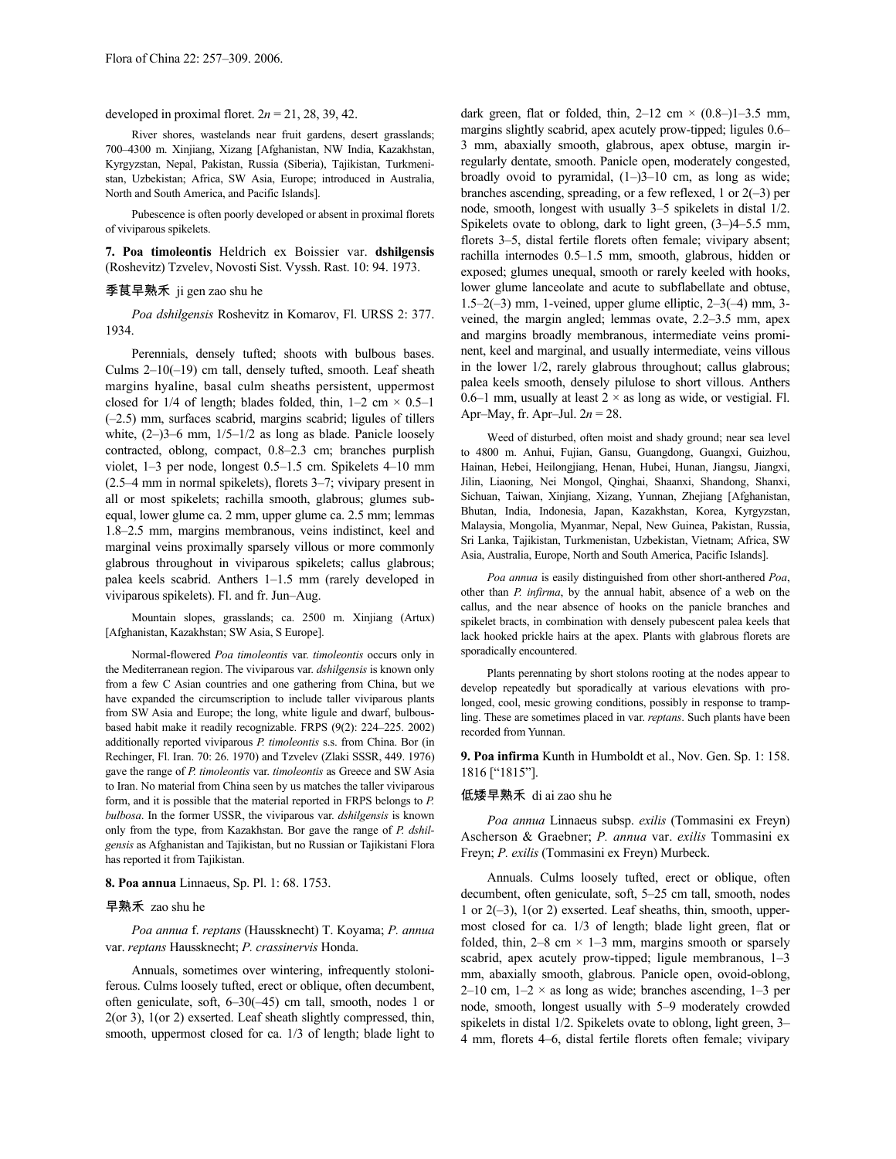developed in proximal floret.  $2n = 21, 28, 39, 42$ .

River shores, wastelands near fruit gardens, desert grasslands; 700–4300 m. Xinjiang, Xizang [Afghanistan, NW India, Kazakhstan, Kyrgyzstan, Nepal, Pakistan, Russia (Siberia), Tajikistan, Turkmenistan, Uzbekistan; Africa, SW Asia, Europe; introduced in Australia, North and South America, and Pacific Islands].

Pubescence is often poorly developed or absent in proximal florets of viviparous spikelets.

**7. Poa timoleontis** Heldrich ex Boissier var. **dshilgensis** (Roshevitz) Tzvelev, Novosti Sist. Vyssh. Rast. 10: 94. 1973.

# 季茛早熟禾 ji gen zao shu he

*Poa dshilgensis* Roshevitz in Komarov, Fl. URSS 2: 377. 1934.

Perennials, densely tufted; shoots with bulbous bases. Culms 2–10(–19) cm tall, densely tufted, smooth. Leaf sheath margins hyaline, basal culm sheaths persistent, uppermost closed for 1/4 of length; blades folded, thin,  $1-2$  cm  $\times$  0.5–1 (–2.5) mm, surfaces scabrid, margins scabrid; ligules of tillers white,  $(2-)3-6$  mm,  $1/5-1/2$  as long as blade. Panicle loosely contracted, oblong, compact, 0.8–2.3 cm; branches purplish violet, 1–3 per node, longest 0.5–1.5 cm. Spikelets 4–10 mm (2.5–4 mm in normal spikelets), florets 3–7; vivipary present in all or most spikelets; rachilla smooth, glabrous; glumes subequal, lower glume ca. 2 mm, upper glume ca. 2.5 mm; lemmas 1.8–2.5 mm, margins membranous, veins indistinct, keel and marginal veins proximally sparsely villous or more commonly glabrous throughout in viviparous spikelets; callus glabrous; palea keels scabrid. Anthers 1–1.5 mm (rarely developed in viviparous spikelets). Fl. and fr. Jun–Aug.

Mountain slopes, grasslands; ca. 2500 m. Xinjiang (Artux) [Afghanistan, Kazakhstan; SW Asia, S Europe].

Normal-flowered *Poa timoleontis* var. *timoleontis* occurs only in the Mediterranean region. The viviparous var. *dshilgensis* is known only from a few C Asian countries and one gathering from China, but we have expanded the circumscription to include taller viviparous plants from SW Asia and Europe; the long, white ligule and dwarf, bulbousbased habit make it readily recognizable. FRPS (9(2): 224–225. 2002) additionally reported viviparous *P. timoleontis* s.s. from China. Bor (in Rechinger, Fl. Iran. 70: 26. 1970) and Tzvelev (Zlaki SSSR, 449. 1976) gave the range of *P. timoleontis* var. *timoleontis* as Greece and SW Asia to Iran. No material from China seen by us matches the taller viviparous form, and it is possible that the material reported in FRPS belongs to *P. bulbosa*. In the former USSR, the viviparous var. *dshilgensis* is known only from the type, from Kazakhstan. Bor gave the range of *P. dshilgensis* as Afghanistan and Tajikistan, but no Russian or Tajikistani Flora has reported it from Tajikistan.

# **8. Poa annua** Linnaeus, Sp. Pl. 1: 68. 1753.

### 早熟禾 zao shu he

*Poa annua* f. *reptans* (Haussknecht) T. Koyama; *P. annua* var. *reptans* Haussknecht; *P. crassinervis* Honda.

Annuals, sometimes over wintering, infrequently stoloniferous. Culms loosely tufted, erect or oblique, often decumbent, often geniculate, soft, 6–30(–45) cm tall, smooth, nodes 1 or 2(or 3), 1(or 2) exserted. Leaf sheath slightly compressed, thin, smooth, uppermost closed for ca.  $1/3$  of length; blade light to dark green, flat or folded, thin,  $2-12$  cm  $\times$  (0.8–)1–3.5 mm, margins slightly scabrid, apex acutely prow-tipped; ligules 0.6– 3 mm, abaxially smooth, glabrous, apex obtuse, margin irregularly dentate, smooth. Panicle open, moderately congested, broadly ovoid to pyramidal, (1–)3–10 cm, as long as wide; branches ascending, spreading, or a few reflexed, 1 or  $2(-3)$  per node, smooth, longest with usually 3–5 spikelets in distal 1/2. Spikelets ovate to oblong, dark to light green, (3–)4–5.5 mm, florets 3–5, distal fertile florets often female; vivipary absent; rachilla internodes 0.5–1.5 mm, smooth, glabrous, hidden or exposed; glumes unequal, smooth or rarely keeled with hooks, lower glume lanceolate and acute to subflabellate and obtuse,  $1.5-2(-3)$  mm, 1-veined, upper glume elliptic,  $2-3(-4)$  mm, 3veined, the margin angled; lemmas ovate, 2.2–3.5 mm, apex and margins broadly membranous, intermediate veins prominent, keel and marginal, and usually intermediate, veins villous in the lower 1/2, rarely glabrous throughout; callus glabrous; palea keels smooth, densely pilulose to short villous. Anthers 0.6–1 mm, usually at least  $2 \times$  as long as wide, or vestigial. Fl. Apr–May, fr. Apr–Jul. 2*n* = 28.

Weed of disturbed, often moist and shady ground; near sea level to 4800 m. Anhui, Fujian, Gansu, Guangdong, Guangxi, Guizhou, Hainan, Hebei, Heilongjiang, Henan, Hubei, Hunan, Jiangsu, Jiangxi, Jilin, Liaoning, Nei Mongol, Qinghai, Shaanxi, Shandong, Shanxi, Sichuan, Taiwan, Xinjiang, Xizang, Yunnan, Zhejiang [Afghanistan, Bhutan, India, Indonesia, Japan, Kazakhstan, Korea, Kyrgyzstan, Malaysia, Mongolia, Myanmar, Nepal, New Guinea, Pakistan, Russia, Sri Lanka, Tajikistan, Turkmenistan, Uzbekistan, Vietnam; Africa, SW Asia, Australia, Europe, North and South America, Pacific Islands].

*Poa annua* is easily distinguished from other short-anthered *Poa*, other than *P. infirma*, by the annual habit, absence of a web on the callus, and the near absence of hooks on the panicle branches and spikelet bracts, in combination with densely pubescent palea keels that lack hooked prickle hairs at the apex. Plants with glabrous florets are sporadically encountered.

Plants perennating by short stolons rooting at the nodes appear to develop repeatedly but sporadically at various elevations with prolonged, cool, mesic growing conditions, possibly in response to trampling. These are sometimes placed in var. *reptans*. Such plants have been recorded from Yunnan.

**9. Poa infirma** Kunth in Humboldt et al., Nov. Gen. Sp. 1: 158. 1816 ["1815"].

## 低矮早熟禾 di ai zao shu he

*Poa annua* Linnaeus subsp. *exilis* (Tommasini ex Freyn) Ascherson & Graebner; *P. annua* var. *exilis* Tommasini ex Freyn; *P. exilis* (Tommasini ex Freyn) Murbeck.

Annuals. Culms loosely tufted, erect or oblique, often decumbent, often geniculate, soft, 5–25 cm tall, smooth, nodes 1 or 2(–3), 1(or 2) exserted. Leaf sheaths, thin, smooth, uppermost closed for ca. 1/3 of length; blade light green, flat or folded, thin,  $2-8$  cm  $\times$  1-3 mm, margins smooth or sparsely scabrid, apex acutely prow-tipped; ligule membranous, 1–3 mm, abaxially smooth, glabrous. Panicle open, ovoid-oblong, 2–10 cm,  $1-2 \times$  as long as wide; branches ascending,  $1-3$  per node, smooth, longest usually with 5–9 moderately crowded spikelets in distal 1/2. Spikelets ovate to oblong, light green, 3– 4 mm, florets 4–6, distal fertile florets often female; vivipary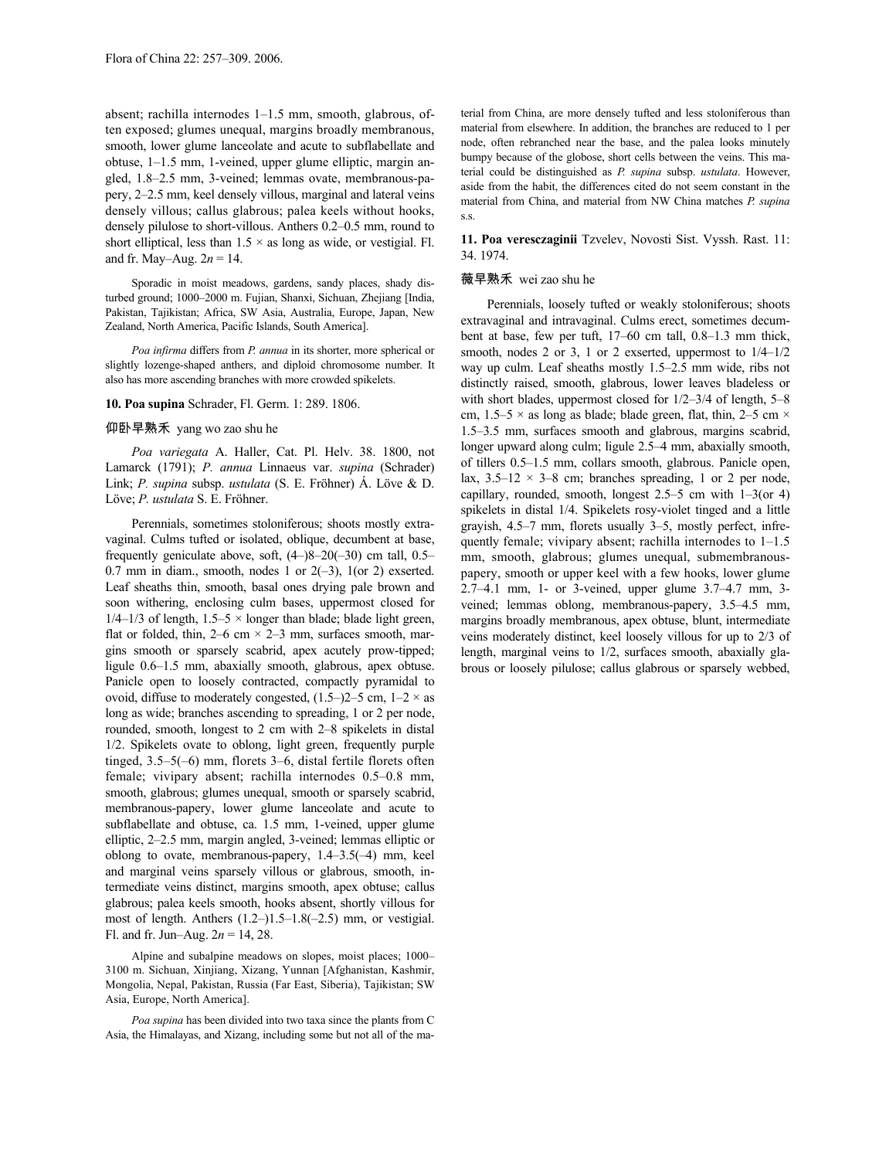absent; rachilla internodes 1–1.5 mm, smooth, glabrous, often exposed; glumes unequal, margins broadly membranous, smooth, lower glume lanceolate and acute to subflabellate and obtuse, 1–1.5 mm, 1-veined, upper glume elliptic, margin angled, 1.8–2.5 mm, 3-veined; lemmas ovate, membranous-papery, 2–2.5 mm, keel densely villous, marginal and lateral veins densely villous; callus glabrous; palea keels without hooks, densely pilulose to short-villous. Anthers 0.2–0.5 mm, round to short elliptical, less than  $1.5 \times$  as long as wide, or vestigial. Fl. and fr. May–Aug. 2*n* = 14.

Sporadic in moist meadows, gardens, sandy places, shady disturbed ground; 1000–2000 m. Fujian, Shanxi, Sichuan, Zhejiang [India, Pakistan, Tajikistan; Africa, SW Asia, Australia, Europe, Japan, New Zealand, North America, Pacific Islands, South America].

*Poa infirma* differs from *P. annua* in its shorter, more spherical or slightly lozenge-shaped anthers, and diploid chromosome number. It also has more ascending branches with more crowded spikelets.

### **10. Poa supina** Schrader, Fl. Germ. 1: 289. 1806.

# 仰卧早熟禾 yang wo zao shu he

*Poa variegata* A. Haller, Cat. Pl. Helv. 38. 1800, not Lamarck (1791); *P. annua* Linnaeus var. *supina* (Schrader) Link; *P. supina* subsp. *ustulata* (S. E. Fröhner) Á. Löve & D. Löve; *P. ustulata* S. E. Fröhner.

Perennials, sometimes stoloniferous; shoots mostly extravaginal. Culms tufted or isolated, oblique, decumbent at base, frequently geniculate above, soft, (4–)8–20(–30) cm tall, 0.5– 0.7 mm in diam., smooth, nodes 1 or  $2(-3)$ ,  $1$ (or 2) exserted. Leaf sheaths thin, smooth, basal ones drying pale brown and soon withering, enclosing culm bases, uppermost closed for  $1/4-1/3$  of length,  $1.5-5 \times$  longer than blade; blade light green, flat or folded, thin,  $2-6$  cm  $\times$   $2-3$  mm, surfaces smooth, margins smooth or sparsely scabrid, apex acutely prow-tipped; ligule 0.6–1.5 mm, abaxially smooth, glabrous, apex obtuse. Panicle open to loosely contracted, compactly pyramidal to ovoid, diffuse to moderately congested,  $(1.5-2)$  cm,  $1-2 \times$  as long as wide; branches ascending to spreading, 1 or 2 per node, rounded, smooth, longest to 2 cm with 2–8 spikelets in distal 1/2. Spikelets ovate to oblong, light green, frequently purple tinged, 3.5–5(–6) mm, florets 3–6, distal fertile florets often female; vivipary absent; rachilla internodes 0.5–0.8 mm, smooth, glabrous; glumes unequal, smooth or sparsely scabrid, membranous-papery, lower glume lanceolate and acute to subflabellate and obtuse, ca. 1.5 mm, 1-veined, upper glume elliptic, 2–2.5 mm, margin angled, 3-veined; lemmas elliptic or oblong to ovate, membranous-papery, 1.4–3.5(–4) mm, keel and marginal veins sparsely villous or glabrous, smooth, intermediate veins distinct, margins smooth, apex obtuse; callus glabrous; palea keels smooth, hooks absent, shortly villous for most of length. Anthers (1.2–)1.5–1.8(–2.5) mm, or vestigial. Fl. and fr. Jun–Aug. 2*n* = 14, 28.

Alpine and subalpine meadows on slopes, moist places; 1000– 3100 m. Sichuan, Xinjiang, Xizang, Yunnan [Afghanistan, Kashmir, Mongolia, Nepal, Pakistan, Russia (Far East, Siberia), Tajikistan; SW Asia, Europe, North America].

*Poa supina* has been divided into two taxa since the plants from C Asia, the Himalayas, and Xizang, including some but not all of the material from China, are more densely tufted and less stoloniferous than material from elsewhere. In addition, the branches are reduced to 1 per node, often rebranched near the base, and the palea looks minutely bumpy because of the globose, short cells between the veins. This material could be distinguished as *P. supina* subsp. *ustulata*. However, aside from the habit, the differences cited do not seem constant in the material from China, and material from NW China matches *P. supina* s.s.

**11. Poa veresczaginii** Tzvelev, Novosti Sist. Vyssh. Rast. 11: 34. 1974.

# 薇早熟禾 wei zao shu he

Perennials, loosely tufted or weakly stoloniferous; shoots extravaginal and intravaginal. Culms erect, sometimes decumbent at base, few per tuft, 17–60 cm tall, 0.8–1.3 mm thick, smooth, nodes 2 or 3, 1 or 2 exserted, uppermost to 1/4–1/2 way up culm. Leaf sheaths mostly 1.5–2.5 mm wide, ribs not distinctly raised, smooth, glabrous, lower leaves bladeless or with short blades, uppermost closed for 1/2–3/4 of length, 5–8 cm, 1.5–5  $\times$  as long as blade; blade green, flat, thin, 2–5 cm  $\times$ 1.5–3.5 mm, surfaces smooth and glabrous, margins scabrid, longer upward along culm; ligule 2.5–4 mm, abaxially smooth, of tillers 0.5–1.5 mm, collars smooth, glabrous. Panicle open, lax,  $3.5-12 \times 3-8$  cm; branches spreading, 1 or 2 per node, capillary, rounded, smooth, longest  $2.5-5$  cm with  $1-3$  (or 4) spikelets in distal 1/4. Spikelets rosy-violet tinged and a little grayish, 4.5–7 mm, florets usually 3–5, mostly perfect, infrequently female; vivipary absent; rachilla internodes to 1–1.5 mm, smooth, glabrous; glumes unequal, submembranouspapery, smooth or upper keel with a few hooks, lower glume 2.7–4.1 mm, 1- or 3-veined, upper glume 3.7–4.7 mm, 3 veined; lemmas oblong, membranous-papery, 3.5–4.5 mm, margins broadly membranous, apex obtuse, blunt, intermediate veins moderately distinct, keel loosely villous for up to 2/3 of length, marginal veins to 1/2, surfaces smooth, abaxially glabrous or loosely pilulose; callus glabrous or sparsely webbed,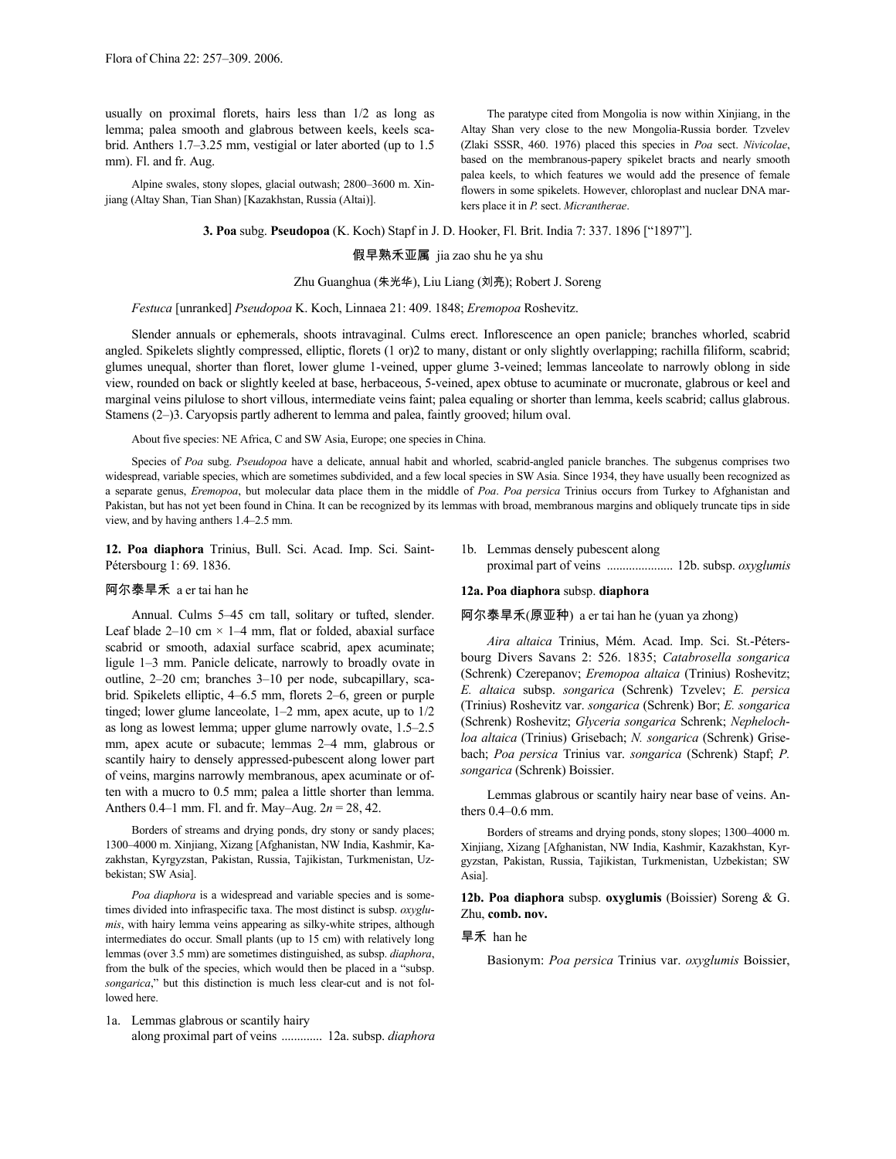usually on proximal florets, hairs less than 1/2 as long as lemma; palea smooth and glabrous between keels, keels scabrid. Anthers 1.7–3.25 mm, vestigial or later aborted (up to 1.5 mm). Fl. and fr. Aug.

Alpine swales, stony slopes, glacial outwash; 2800–3600 m. Xinjiang (Altay Shan, Tian Shan) [Kazakhstan, Russia (Altai)].

The paratype cited from Mongolia is now within Xinjiang, in the Altay Shan very close to the new Mongolia-Russia border. Tzvelev (Zlaki SSSR, 460. 1976) placed this species in *Poa* sect. *Nivicolae*, based on the membranous-papery spikelet bracts and nearly smooth palea keels, to which features we would add the presence of female flowers in some spikelets. However, chloroplast and nuclear DNA markers place it in *P.* sect. *Micrantherae*.

# **3. Poa** subg. **Pseudopoa** (K. Koch) Stapf in J. D. Hooker, Fl. Brit. India 7: 337. 1896 ["1897"].

假早熟禾亚属 jia zao shu he ya shu

# Zhu Guanghua (朱光华), Liu Liang (刘亮); Robert J. Soreng

### *Festuca* [unranked] *Pseudopoa* K. Koch, Linnaea 21: 409. 1848; *Eremopoa* Roshevitz.

Slender annuals or ephemerals, shoots intravaginal. Culms erect. Inflorescence an open panicle; branches whorled, scabrid angled. Spikelets slightly compressed, elliptic, florets (1 or)2 to many, distant or only slightly overlapping; rachilla filiform, scabrid; glumes unequal, shorter than floret, lower glume 1-veined, upper glume 3-veined; lemmas lanceolate to narrowly oblong in side view, rounded on back or slightly keeled at base, herbaceous, 5-veined, apex obtuse to acuminate or mucronate, glabrous or keel and marginal veins pilulose to short villous, intermediate veins faint; palea equaling or shorter than lemma, keels scabrid; callus glabrous. Stamens (2–)3. Caryopsis partly adherent to lemma and palea, faintly grooved; hilum oval.

About five species: NE Africa, C and SW Asia, Europe; one species in China.

Species of *Poa* subg. *Pseudopoa* have a delicate, annual habit and whorled, scabrid-angled panicle branches. The subgenus comprises two widespread, variable species, which are sometimes subdivided, and a few local species in SW Asia. Since 1934, they have usually been recognized as a separate genus, *Eremopoa*, but molecular data place them in the middle of *Poa*. *Poa persica* Trinius occurs from Turkey to Afghanistan and Pakistan, but has not yet been found in China. It can be recognized by its lemmas with broad, membranous margins and obliquely truncate tips in side view, and by having anthers 1.4–2.5 mm.

**12. Poa diaphora** Trinius, Bull. Sci. Acad. Imp. Sci. Saint-Pétersbourg 1: 69. 1836.

# 阿尔泰旱禾 a er tai han he

Annual. Culms 5–45 cm tall, solitary or tufted, slender. Leaf blade 2–10 cm  $\times$  1–4 mm, flat or folded, abaxial surface scabrid or smooth, adaxial surface scabrid, apex acuminate; ligule 1–3 mm. Panicle delicate, narrowly to broadly ovate in outline, 2–20 cm; branches 3–10 per node, subcapillary, scabrid. Spikelets elliptic, 4–6.5 mm, florets 2–6, green or purple tinged; lower glume lanceolate, 1–2 mm, apex acute, up to 1/2 as long as lowest lemma; upper glume narrowly ovate, 1.5–2.5 mm, apex acute or subacute; lemmas 2–4 mm, glabrous or scantily hairy to densely appressed-pubescent along lower part of veins, margins narrowly membranous, apex acuminate or often with a mucro to 0.5 mm; palea a little shorter than lemma. Anthers 0.4–1 mm. Fl. and fr. May–Aug. 2*n* = 28, 42.

Borders of streams and drying ponds, dry stony or sandy places; 1300–4000 m. Xinjiang, Xizang [Afghanistan, NW India, Kashmir, Kazakhstan, Kyrgyzstan, Pakistan, Russia, Tajikistan, Turkmenistan, Uzbekistan; SW Asia].

*Poa diaphora* is a widespread and variable species and is sometimes divided into infraspecific taxa. The most distinct is subsp. *oxyglumis*, with hairy lemma veins appearing as silky-white stripes, although intermediates do occur. Small plants (up to 15 cm) with relatively long lemmas (over 3.5 mm) are sometimes distinguished, as subsp. *diaphora*, from the bulk of the species, which would then be placed in a "subsp. *songarica*," but this distinction is much less clear-cut and is not followed here.

1a. Lemmas glabrous or scantily hairy along proximal part of veins ............. 12a. subsp. *diaphora* 1b. Lemmas densely pubescent along proximal part of veins ..................... 12b. subsp. *oxyglumis*

## **12a. Poa diaphora** subsp. **diaphora**

# 阿尔泰旱禾(原亚种) a er tai han he (yuan ya zhong)

*Aira altaica* Trinius, Mém. Acad. Imp. Sci. St.-Pétersbourg Divers Savans 2: 526. 1835; *Catabrosella songarica* (Schrenk) Czerepanov; *Eremopoa altaica* (Trinius) Roshevitz; *E. altaica* subsp. *songarica* (Schrenk) Tzvelev; *E. persica* (Trinius) Roshevitz var. *songarica* (Schrenk) Bor; *E. songarica* (Schrenk) Roshevitz; *Glyceria songarica* Schrenk; *Nephelochloa altaica* (Trinius) Grisebach; *N. songarica* (Schrenk) Grisebach; *Poa persica* Trinius var. *songarica* (Schrenk) Stapf; *P. songarica* (Schrenk) Boissier.

Lemmas glabrous or scantily hairy near base of veins. Anthers 0.4–0.6 mm.

Borders of streams and drying ponds, stony slopes; 1300–4000 m. Xinjiang, Xizang [Afghanistan, NW India, Kashmir, Kazakhstan, Kyrgyzstan, Pakistan, Russia, Tajikistan, Turkmenistan, Uzbekistan; SW Asia].

**12b. Poa diaphora** subsp. **oxyglumis** (Boissier) Soreng & G. Zhu, **comb. nov.**

# 旱禾 han he

Basionym: *Poa persica* Trinius var. *oxyglumis* Boissier,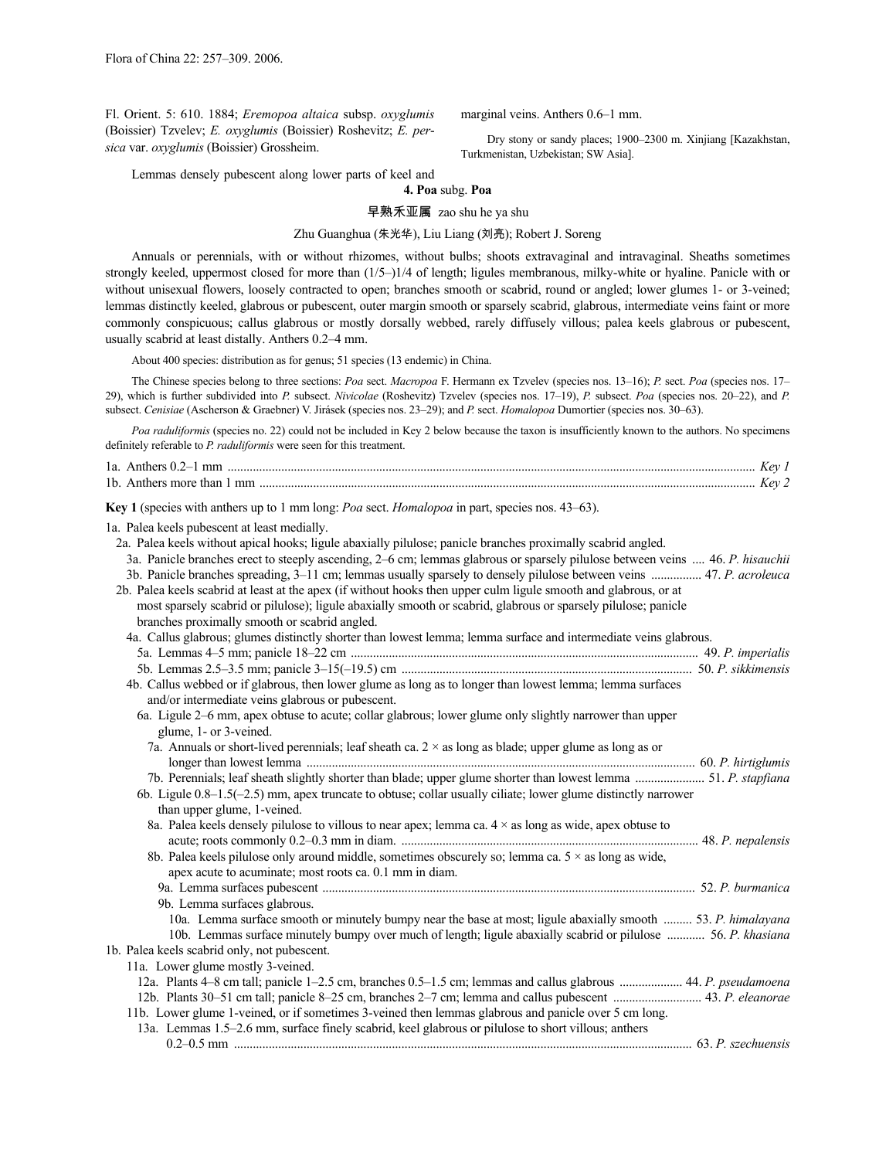Fl. Orient. 5: 610. 1884; *Eremopoa altaica* subsp. *oxyglumis* (Boissier) Tzvelev; *E. oxyglumis* (Boissier) Roshevitz; *E. persica* var. *oxyglumis* (Boissier) Grossheim.

marginal veins. Anthers 0.6–1 mm.

Dry stony or sandy places; 1900–2300 m. Xinjiang [Kazakhstan, Turkmenistan, Uzbekistan; SW Asia].

Lemmas densely pubescent along lower parts of keel and

**4. Poa** subg. **Poa**

早熟禾亚属 zao shu he ya shu

# Zhu Guanghua (朱光华), Liu Liang (刘亮); Robert J. Soreng

Annuals or perennials, with or without rhizomes, without bulbs; shoots extravaginal and intravaginal. Sheaths sometimes strongly keeled, uppermost closed for more than (1/5–)1/4 of length; ligules membranous, milky-white or hyaline. Panicle with or without unisexual flowers, loosely contracted to open; branches smooth or scabrid, round or angled; lower glumes 1- or 3-veined; lemmas distinctly keeled, glabrous or pubescent, outer margin smooth or sparsely scabrid, glabrous, intermediate veins faint or more commonly conspicuous; callus glabrous or mostly dorsally webbed, rarely diffusely villous; palea keels glabrous or pubescent, usually scabrid at least distally. Anthers 0.2–4 mm.

About 400 species: distribution as for genus; 51 species (13 endemic) in China.

The Chinese species belong to three sections: *Poa* sect. *Macropoa* F. Hermann ex Tzvelev (species nos. 13–16); *P.* sect. *Poa* (species nos. 17– 29), which is further subdivided into *P.* subsect. *Nivicolae* (Roshevitz) Tzvelev (species nos. 17–19), *P.* subsect. *Poa* (species nos. 20–22), and *P.* subsect. *Cenisiae* (Ascherson & Graebner) V. Jirásek (species nos. 23–29); and *P.* sect. *Homalopoa* Dumortier (species nos. 30–63).

*Poa raduliformis* (species no. 22) could not be included in Key 2 below because the taxon is insufficiently known to the authors. No specimens definitely referable to *P. raduliformis* were seen for this treatment.

| 1a. Anthers $0.2-1$ mm     |  |
|----------------------------|--|
| 1b. Anthers more than 1 mm |  |

**Key 1** (species with anthers up to 1 mm long: *Poa* sect. *Homalopoa* in part, species nos. 43–63).

1a. Palea keels pubescent at least medially.

2a. Palea keels without apical hooks; ligule abaxially pilulose; panicle branches proximally scabrid angled.

| 3a. Panicle branches erect to steeply ascending, 2–6 cm; lemmas glabrous or sparsely pilulose between veins  46. P. hisauchii<br>3b. Panicle branches spreading, 3-11 cm; lemmas usually sparsely to densely pilulose between veins  47. P. acroleuca<br>2b. Palea keels scabrid at least at the apex (if without hooks then upper culm ligule smooth and glabrous, or at<br>most sparsely scabrid or pilulose); ligule abaxially smooth or scabrid, glabrous or sparsely pilulose; panicle<br>branches proximally smooth or scabrid angled. |  |
|----------------------------------------------------------------------------------------------------------------------------------------------------------------------------------------------------------------------------------------------------------------------------------------------------------------------------------------------------------------------------------------------------------------------------------------------------------------------------------------------------------------------------------------------|--|
| 4a. Callus glabrous; glumes distinctly shorter than lowest lemma; lemma surface and intermediate veins glabrous.                                                                                                                                                                                                                                                                                                                                                                                                                             |  |
|                                                                                                                                                                                                                                                                                                                                                                                                                                                                                                                                              |  |
|                                                                                                                                                                                                                                                                                                                                                                                                                                                                                                                                              |  |
| 4b. Callus webbed or if glabrous, then lower glume as long as to longer than lowest lemma; lemma surfaces<br>and/or intermediate veins glabrous or pubescent.                                                                                                                                                                                                                                                                                                                                                                                |  |
| 6a. Ligule 2–6 mm, apex obtuse to acute; collar glabrous; lower glume only slightly narrower than upper<br>glume, 1- or 3-veined.                                                                                                                                                                                                                                                                                                                                                                                                            |  |
| 7a. Annuals or short-lived perennials; leaf sheath ca. $2 \times$ as long as blade; upper glume as long as or                                                                                                                                                                                                                                                                                                                                                                                                                                |  |
| 7b. Perennials; leaf sheath slightly shorter than blade; upper glume shorter than lowest lemma  51. P. stapfiana                                                                                                                                                                                                                                                                                                                                                                                                                             |  |
| 6b. Ligule $0.8-1.5(-2.5)$ mm, apex truncate to obtuse; collar usually ciliate; lower glume distinctly narrower                                                                                                                                                                                                                                                                                                                                                                                                                              |  |
| than upper glume, 1-veined.                                                                                                                                                                                                                                                                                                                                                                                                                                                                                                                  |  |
| 8a. Palea keels densely pilulose to villous to near apex; lemma ca. $4 \times$ as long as wide, apex obtuse to                                                                                                                                                                                                                                                                                                                                                                                                                               |  |
|                                                                                                                                                                                                                                                                                                                                                                                                                                                                                                                                              |  |
| 8b. Palea keels pilulose only around middle, sometimes obscurely so; lemma ca. $5 \times$ as long as wide,                                                                                                                                                                                                                                                                                                                                                                                                                                   |  |
| apex acute to acuminate; most roots ca. 0.1 mm in diam.                                                                                                                                                                                                                                                                                                                                                                                                                                                                                      |  |
|                                                                                                                                                                                                                                                                                                                                                                                                                                                                                                                                              |  |
| 9b. Lemma surfaces glabrous.                                                                                                                                                                                                                                                                                                                                                                                                                                                                                                                 |  |
| 10a. Lemma surface smooth or minutely bumpy near the base at most; ligule abaxially smooth  53. P. himalayana                                                                                                                                                                                                                                                                                                                                                                                                                                |  |
| 10b. Lemmas surface minutely bumpy over much of length; ligule abaxially scabrid or pilulose  56. P. khasiana                                                                                                                                                                                                                                                                                                                                                                                                                                |  |
| 1b. Palea keels scabrid only, not pubescent.                                                                                                                                                                                                                                                                                                                                                                                                                                                                                                 |  |
| 11a. Lower glume mostly 3-veined.                                                                                                                                                                                                                                                                                                                                                                                                                                                                                                            |  |
| 12a. Plants 4–8 cm tall; panicle 1–2.5 cm, branches 0.5–1.5 cm; lemmas and callus glabrous  44. P. pseudamoena                                                                                                                                                                                                                                                                                                                                                                                                                               |  |
| 12b. Plants 30-51 cm tall; panicle 8-25 cm, branches 2-7 cm; lemma and callus pubescent  43. P. eleanorae                                                                                                                                                                                                                                                                                                                                                                                                                                    |  |
| 11b. Lower glume 1-veined, or if sometimes 3-veined then lemmas glabrous and panicle over 5 cm long.                                                                                                                                                                                                                                                                                                                                                                                                                                         |  |
| 13a. Lemmas 1.5–2.6 mm, surface finely scabrid, keel glabrous or pilulose to short villous; anthers                                                                                                                                                                                                                                                                                                                                                                                                                                          |  |
|                                                                                                                                                                                                                                                                                                                                                                                                                                                                                                                                              |  |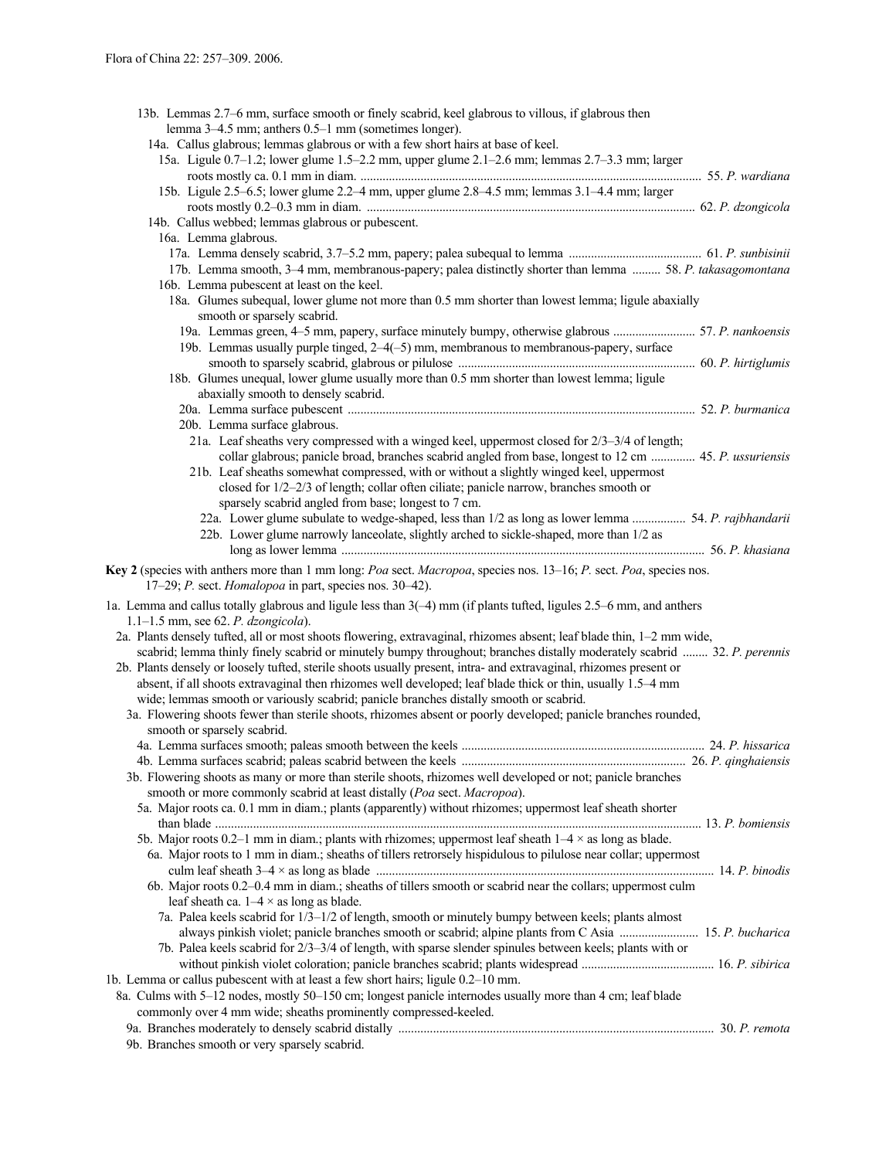| lemma 3–4.5 mm; anthers 0.5–1 mm (sometimes longer).<br>14a. Callus glabrous; lemmas glabrous or with a few short hairs at base of keel. |  |
|------------------------------------------------------------------------------------------------------------------------------------------|--|
| 15a. Ligule 0.7–1.2; lower glume 1.5–2.2 mm, upper glume 2.1–2.6 mm; lemmas 2.7–3.3 mm; larger                                           |  |
|                                                                                                                                          |  |
| 15b. Ligule 2.5-6.5; lower glume 2.2-4 mm, upper glume 2.8-4.5 mm; lemmas 3.1-4.4 mm; larger                                             |  |
|                                                                                                                                          |  |
| 14b. Callus webbed; lemmas glabrous or pubescent.                                                                                        |  |
| 16a. Lemma glabrous.                                                                                                                     |  |
|                                                                                                                                          |  |
| 17b. Lemma smooth, 3-4 mm, membranous-papery; palea distinctly shorter than lemma  58. P. takasagomontana                                |  |
| 16b. Lemma pubescent at least on the keel.                                                                                               |  |
| 18a. Glumes subequal, lower glume not more than 0.5 mm shorter than lowest lemma; ligule abaxially                                       |  |
| smooth or sparsely scabrid.                                                                                                              |  |
| 19a. Lemmas green, 4-5 mm, papery, surface minutely bumpy, otherwise glabrous  57. P. nankoensis                                         |  |
| 19b. Lemmas usually purple tinged, 2-4(-5) mm, membranous to membranous-papery, surface                                                  |  |
|                                                                                                                                          |  |
| 18b. Glumes unequal, lower glume usually more than 0.5 mm shorter than lowest lemma; ligule                                              |  |
| abaxially smooth to densely scabrid.                                                                                                     |  |
|                                                                                                                                          |  |
| 20b. Lemma surface glabrous.                                                                                                             |  |
| 21a. Leaf sheaths very compressed with a winged keel, uppermost closed for 2/3-3/4 of length;                                            |  |
| collar glabrous; panicle broad, branches scabrid angled from base, longest to 12 cm  45. P. ussuriensis                                  |  |
| 21b. Leaf sheaths somewhat compressed, with or without a slightly winged keel, uppermost                                                 |  |
| closed for 1/2-2/3 of length; collar often ciliate; panicle narrow, branches smooth or                                                   |  |
| sparsely scabrid angled from base; longest to 7 cm.                                                                                      |  |
| 22a. Lower glume subulate to wedge-shaped, less than 1/2 as long as lower lemma  54. P. rajbhandarii                                     |  |
| 22b. Lower glume narrowly lanceolate, slightly arched to sickle-shaped, more than 1/2 as                                                 |  |
|                                                                                                                                          |  |
|                                                                                                                                          |  |
| Key 2 (species with anthers more than 1 mm long: Poa sect. Macropoa, species nos. 13-16; P. sect. Poa, species nos.                      |  |
| 17-29; P. sect. Homalopoa in part, species nos. 30-42).                                                                                  |  |
| 1a. Lemma and callus totally glabrous and ligule less than 3(-4) mm (if plants tufted, ligules 2.5–6 mm, and anthers                     |  |
| $1.1-1.5$ mm, see 62. P. dzongicola).                                                                                                    |  |
| 2a. Plants densely tufted, all or most shoots flowering, extravaginal, rhizomes absent; leaf blade thin, 1-2 mm wide,                    |  |
|                                                                                                                                          |  |
| scabrid; lemma thinly finely scabrid or minutely bumpy throughout; branches distally moderately scabrid  32. P. perennis                 |  |
| 2b. Plants densely or loosely tufted, sterile shoots usually present, intra- and extravaginal, rhizomes present or                       |  |
| absent, if all shoots extravaginal then rhizomes well developed; leaf blade thick or thin, usually 1.5-4 mm                              |  |
| wide; lemmas smooth or variously scabrid; panicle branches distally smooth or scabrid.                                                   |  |
| 3a. Flowering shoots fewer than sterile shoots, rhizomes absent or poorly developed; panicle branches rounded,                           |  |
| smooth or sparsely scabrid.                                                                                                              |  |
|                                                                                                                                          |  |
|                                                                                                                                          |  |
| 3b. Flowering shoots as many or more than sterile shoots, rhizomes well developed or not; panicle branches                               |  |
| smooth or more commonly scabrid at least distally (Poa sect. Macropoa).                                                                  |  |
| 5a. Major roots ca. 0.1 mm in diam.; plants (apparently) without rhizomes; uppermost leaf sheath shorter                                 |  |
|                                                                                                                                          |  |
| 5b. Major roots 0.2–1 mm in diam.; plants with rhizomes; uppermost leaf sheath $1-4 \times$ as long as blade.                            |  |
| 6a. Major roots to 1 mm in diam.; sheaths of tillers retrorsely hispidulous to pilulose near collar; uppermost                           |  |
|                                                                                                                                          |  |
| 6b. Major roots 0.2-0.4 mm in diam.; sheaths of tillers smooth or scabrid near the collars; uppermost culm                               |  |
| leaf sheath ca. $1-4 \times$ as long as blade.                                                                                           |  |
| 7a. Palea keels scabrid for 1/3-1/2 of length, smooth or minutely bumpy between keels; plants almost                                     |  |
| always pinkish violet; panicle branches smooth or scabrid; alpine plants from C Asia  15. P. bucharica                                   |  |
| 7b. Palea keels scabrid for $2/3-3/4$ of length, with sparse slender spinules between keels; plants with or                              |  |
|                                                                                                                                          |  |
| 1b. Lemma or callus pubescent with at least a few short hairs; ligule 0.2-10 mm.                                                         |  |
| 8a. Culms with 5-12 nodes, mostly 50-150 cm; longest panicle internodes usually more than 4 cm; leaf blade                               |  |
| commonly over 4 mm wide; sheaths prominently compressed-keeled.                                                                          |  |
| 9b. Branches smooth or very sparsely scabrid.                                                                                            |  |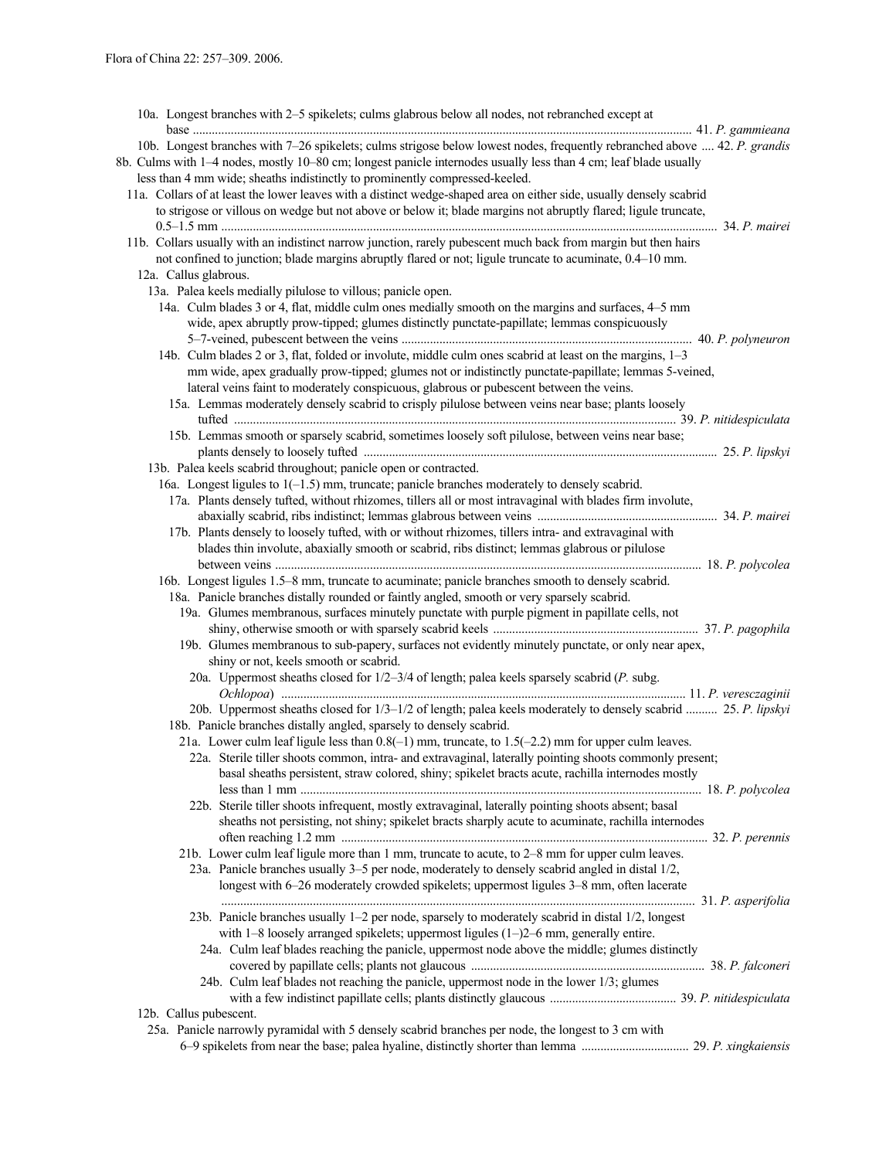| 10a. Longest branches with 2-5 spikelets; culms glabrous below all nodes, not rebranched except at                        |
|---------------------------------------------------------------------------------------------------------------------------|
| 10b. Longest branches with 7-26 spikelets; culms strigose below lowest nodes, frequently rebranched above  42. P. grandis |
| 8b. Culms with 1-4 nodes, mostly 10-80 cm; longest panicle internodes usually less than 4 cm; leaf blade usually          |
| less than 4 mm wide; sheaths indistinctly to prominently compressed-keeled.                                               |
| 11a. Collars of at least the lower leaves with a distinct wedge-shaped area on either side, usually densely scabrid       |
| to strigose or villous on wedge but not above or below it; blade margins not abruptly flared; ligule truncate,            |
|                                                                                                                           |
|                                                                                                                           |
| 11b. Collars usually with an indistinct narrow junction, rarely pubescent much back from margin but then hairs            |
| not confined to junction; blade margins abruptly flared or not; ligule truncate to acuminate, 0.4–10 mm.                  |
| 12a. Callus glabrous.                                                                                                     |
| 13a. Palea keels medially pilulose to villous; panicle open.                                                              |
| 14a. Culm blades 3 or 4, flat, middle culm ones medially smooth on the margins and surfaces, 4–5 mm                       |
| wide, apex abruptly prow-tipped; glumes distinctly punctate-papillate; lemmas conspicuously                               |
|                                                                                                                           |
| 14b. Culm blades 2 or 3, flat, folded or involute, middle culm ones scabrid at least on the margins, 1-3                  |
| mm wide, apex gradually prow-tipped; glumes not or indistinctly punctate-papillate; lemmas 5-veined,                      |
| lateral veins faint to moderately conspicuous, glabrous or pubescent between the veins.                                   |
| 15a. Lemmas moderately densely scabrid to crisply pilulose between veins near base; plants loosely                        |
|                                                                                                                           |
| 15b. Lemmas smooth or sparsely scabrid, sometimes loosely soft pilulose, between veins near base;                         |
|                                                                                                                           |
| 13b. Palea keels scabrid throughout; panicle open or contracted.                                                          |
| 16a. Longest ligules to $1(-1.5)$ mm, truncate; panicle branches moderately to densely scabrid.                           |
| 17a. Plants densely tufted, without rhizomes, tillers all or most intravaginal with blades firm involute,                 |
|                                                                                                                           |
| 17b. Plants densely to loosely tufted, with or without rhizomes, tillers intra- and extravaginal with                     |
| blades thin involute, abaxially smooth or scabrid, ribs distinct; lemmas glabrous or pilulose                             |
|                                                                                                                           |
| 16b. Longest ligules 1.5–8 mm, truncate to acuminate; panicle branches smooth to densely scabrid.                         |
| 18a. Panicle branches distally rounded or faintly angled, smooth or very sparsely scabrid.                                |
| 19a. Glumes membranous, surfaces minutely punctate with purple pigment in papillate cells, not                            |
|                                                                                                                           |
|                                                                                                                           |
| 19b. Glumes membranous to sub-papery, surfaces not evidently minutely punctate, or only near apex,                        |
| shiny or not, keels smooth or scabrid.                                                                                    |
| 20a. Uppermost sheaths closed for 1/2-3/4 of length; palea keels sparsely scabrid (P. subg.                               |
|                                                                                                                           |
| 20b. Uppermost sheaths closed for 1/3-1/2 of length; palea keels moderately to densely scabrid  25. P. lipskyi            |
| 18b. Panicle branches distally angled, sparsely to densely scabrid.                                                       |
| 21a. Lower culm leaf ligule less than $0.8(-1)$ mm, truncate, to $1.5(-2.2)$ mm for upper culm leaves.                    |
| 22a. Sterile tiller shoots common, intra- and extravaginal, laterally pointing shoots commonly present;                   |
| basal sheaths persistent, straw colored, shiny; spikelet bracts acute, rachilla internodes mostly                         |
|                                                                                                                           |
| 22b. Sterile tiller shoots infrequent, mostly extravaginal, laterally pointing shoots absent; basal                       |
| sheaths not persisting, not shiny; spikelet bracts sharply acute to acuminate, rachilla internodes                        |
|                                                                                                                           |
| 21b. Lower culm leaf ligule more than 1 mm, truncate to acute, to 2–8 mm for upper culm leaves.                           |
| 23a. Panicle branches usually 3–5 per node, moderately to densely scabrid angled in distal 1/2,                           |
| longest with 6-26 moderately crowded spikelets; uppermost ligules 3-8 mm, often lacerate                                  |
|                                                                                                                           |
| 23b. Panicle branches usually 1-2 per node, sparsely to moderately scabrid in distal 1/2, longest                         |
| with $1-8$ loosely arranged spikelets; uppermost ligules $(1-)2-6$ mm, generally entire.                                  |
| 24a. Culm leaf blades reaching the panicle, uppermost node above the middle; glumes distinctly                            |
|                                                                                                                           |
| 24b. Culm leaf blades not reaching the panicle, uppermost node in the lower 1/3; glumes                                   |
|                                                                                                                           |
| 12b. Callus pubescent.                                                                                                    |
| 25a. Panicle narrowly pyramidal with 5 densely scabrid branches per node, the longest to 3 cm with                        |
|                                                                                                                           |
|                                                                                                                           |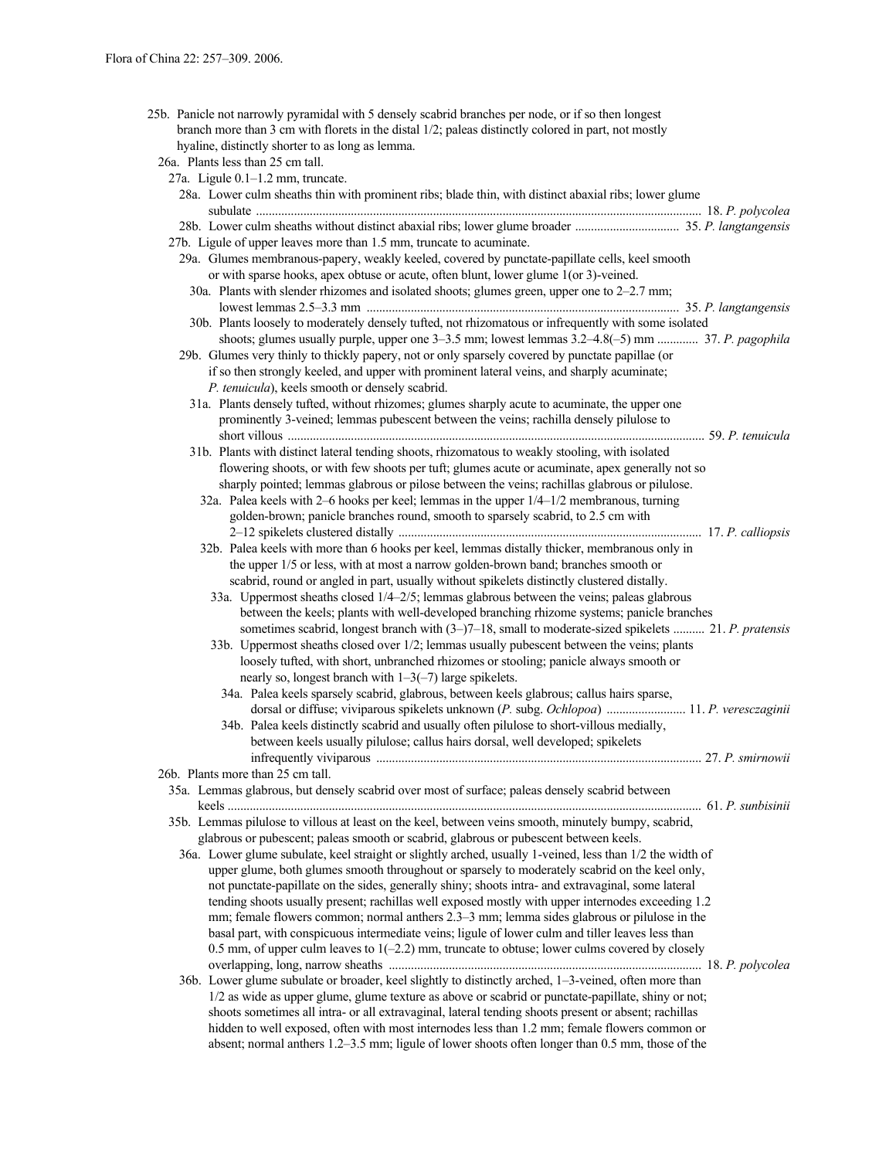25b. Panicle not narrowly pyramidal with 5 densely scabrid branches per node, or if so then longest branch more than 3 cm with florets in the distal 1/2; paleas distinctly colored in part, not mostly hyaline, distinctly shorter to as long as lemma.

| 26a. Plants less than 25 cm tall. |  |  |  |
|-----------------------------------|--|--|--|
|                                   |  |  |  |

| 27a. Ligule 0.1-1.2 mm, truncate.                                                                         |  |
|-----------------------------------------------------------------------------------------------------------|--|
| 28a. Lower culm sheaths thin with prominent ribs; blade thin, with distinct abaxial ribs; lower glume     |  |
|                                                                                                           |  |
|                                                                                                           |  |
| 27b. Ligule of upper leaves more than 1.5 mm, truncate to acuminate.                                      |  |
| 29a. Glumes membranous-papery, weakly keeled, covered by punctate-papillate cells, keel smooth            |  |
| or with sparse hooks, apex obtuse or acute, often blunt, lower glume 1(or 3)-veined.                      |  |
| 30a. Plants with slender rhizomes and isolated shoots; glumes green, upper one to 2–2.7 mm;               |  |
|                                                                                                           |  |
| 30b. Plants loosely to moderately densely tufted, not rhizomatous or infrequently with some isolated      |  |
| shoots; glumes usually purple, upper one 3–3.5 mm; lowest lemmas 3.2–4.8(-5) mm  37. P. pagophila         |  |
| 29b. Glumes very thinly to thickly papery, not or only sparsely covered by punctate papillae (or          |  |
| if so then strongly keeled, and upper with prominent lateral veins, and sharply acuminate;                |  |
| P. tenuicula), keels smooth or densely scabrid.                                                           |  |
| 31a. Plants densely tufted, without rhizomes; glumes sharply acute to acuminate, the upper one            |  |
| prominently 3-veined; lemmas pubescent between the veins; rachilla densely pilulose to                    |  |
|                                                                                                           |  |
| 31b. Plants with distinct lateral tending shoots, rhizomatous to weakly stooling, with isolated           |  |
| flowering shoots, or with few shoots per tuft; glumes acute or acuminate, apex generally not so           |  |
| sharply pointed; lemmas glabrous or pilose between the veins; rachillas glabrous or pilulose.             |  |
| 32a. Palea keels with 2-6 hooks per keel; lemmas in the upper 1/4-1/2 membranous, turning                 |  |
| golden-brown; panicle branches round, smooth to sparsely scabrid, to 2.5 cm with                          |  |
|                                                                                                           |  |
| 32b. Palea keels with more than 6 hooks per keel, lemmas distally thicker, membranous only in             |  |
| the upper 1/5 or less, with at most a narrow golden-brown band; branches smooth or                        |  |
|                                                                                                           |  |
| scabrid, round or angled in part, usually without spikelets distinctly clustered distally.                |  |
| 33a. Uppermost sheaths closed 1/4-2/5; lemmas glabrous between the veins; paleas glabrous                 |  |
| between the keels; plants with well-developed branching rhizome systems; panicle branches                 |  |
| sometimes scabrid, longest branch with (3-)7-18, small to moderate-sized spikelets  21. P. pratensis      |  |
| 33b. Uppermost sheaths closed over 1/2; lemmas usually pubescent between the veins; plants                |  |
| loosely tufted, with short, unbranched rhizomes or stooling; panicle always smooth or                     |  |
| nearly so, longest branch with $1-3(-7)$ large spikelets.                                                 |  |
| 34a. Palea keels sparsely scabrid, glabrous, between keels glabrous; callus hairs sparse,                 |  |
| dorsal or diffuse; viviparous spikelets unknown (P. subg. Ochlopoa)  11. P. veresczaginii                 |  |
| 34b. Palea keels distinctly scabrid and usually often pilulose to short-villous medially,                 |  |
| between keels usually pilulose; callus hairs dorsal, well developed; spikelets                            |  |
|                                                                                                           |  |
| 26b. Plants more than 25 cm tall.                                                                         |  |
| 35a. Lemmas glabrous, but densely scabrid over most of surface; paleas densely scabrid between            |  |
|                                                                                                           |  |
| 35b. Lemmas pilulose to villous at least on the keel, between veins smooth, minutely bumpy, scabrid,      |  |
| glabrous or pubescent; paleas smooth or scabrid, glabrous or pubescent between keels.                     |  |
| 36a. Lower glume subulate, keel straight or slightly arched, usually 1-veined, less than 1/2 the width of |  |
| upper glume, both glumes smooth throughout or sparsely to moderately scabrid on the keel only,            |  |
| not punctate-papillate on the sides, generally shiny; shoots intra- and extravaginal, some lateral        |  |
| tending shoots usually present; rachillas well exposed mostly with upper internodes exceeding 1.2         |  |
| mm; female flowers common; normal anthers 2.3–3 mm; lemma sides glabrous or pilulose in the               |  |
| basal part, with conspicuous intermediate veins; ligule of lower culm and tiller leaves less than         |  |
| 0.5 mm, of upper culm leaves to $1(-2.2)$ mm, truncate to obtuse; lower culms covered by closely          |  |
|                                                                                                           |  |
| 36b. Lower glume subulate or broader, keel slightly to distinctly arched, 1-3-veined, often more than     |  |
| 1/2 as wide as upper glume, glume texture as above or scabrid or punctate-papillate, shiny or not;        |  |
| shoots sometimes all intra- or all extravaginal, lateral tending shoots present or absent; rachillas      |  |
| hidden to well exposed, often with most internodes less than 1.2 mm; female flowers common or             |  |
| absent; normal anthers 1.2–3.5 mm; ligule of lower shoots often longer than 0.5 mm, those of the          |  |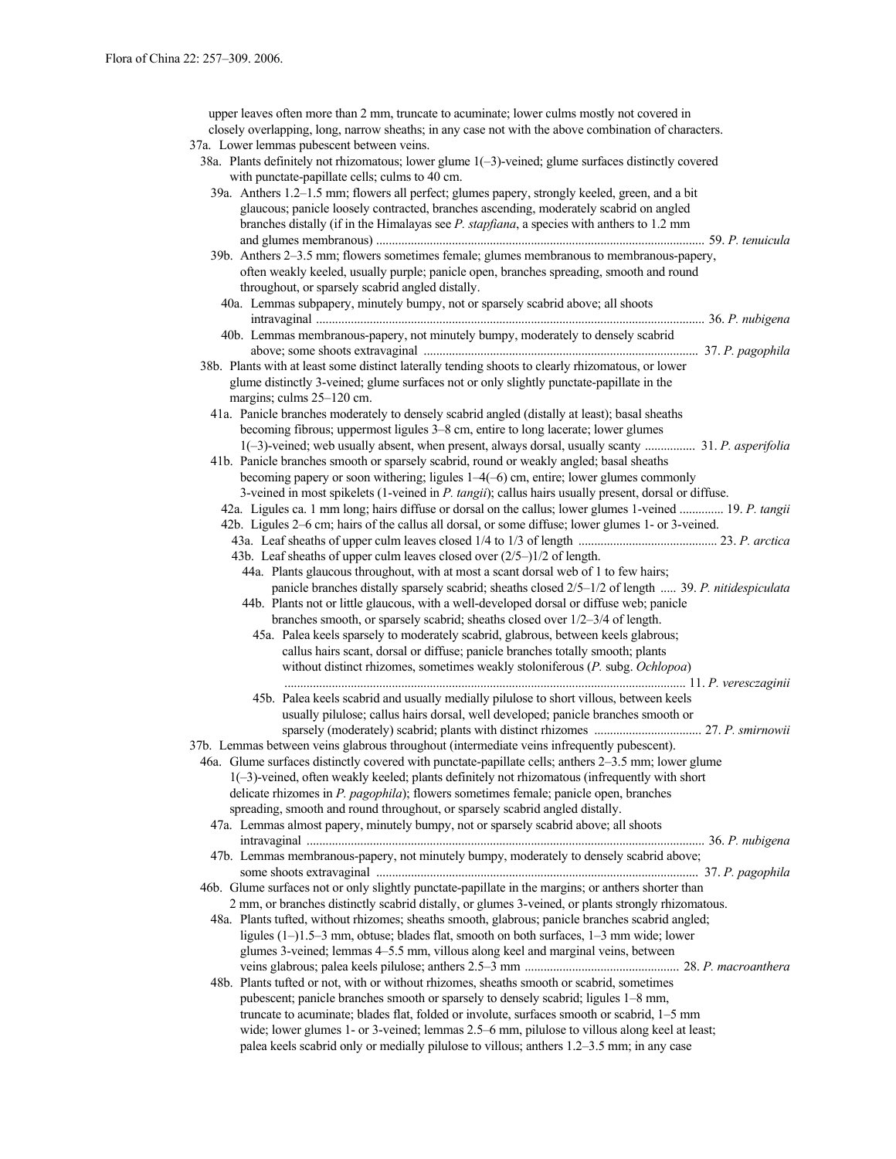upper leaves often more than 2 mm, truncate to acuminate; lower culms mostly not covered in closely overlapping, long, narrow sheaths; in any case not with the above combination of characters. 37a. Lower lemmas pubescent between veins. 38a. Plants definitely not rhizomatous; lower glume 1(–3)-veined; glume surfaces distinctly covered with punctate-papillate cells; culms to 40 cm. 39a. Anthers 1.2–1.5 mm; flowers all perfect; glumes papery, strongly keeled, green, and a bit glaucous; panicle loosely contracted, branches ascending, moderately scabrid on angled branches distally (if in the Himalayas see *P. stapfiana*, a species with anthers to 1.2 mm and glumes membranous) ........................................................................................................ 59. *P. tenuicula* 39b. Anthers 2–3.5 mm; flowers sometimes female; glumes membranous to membranous-papery, often weakly keeled, usually purple; panicle open, branches spreading, smooth and round throughout, or sparsely scabrid angled distally. 40a. Lemmas subpapery, minutely bumpy, not or sparsely scabrid above; all shoots intravaginal ........................................................................................................................... 36. *P. nubigena* 40b. Lemmas membranous-papery, not minutely bumpy, moderately to densely scabrid above; some shoots extravaginal ....................................................................................... 37. *P. pagophila* 38b. Plants with at least some distinct laterally tending shoots to clearly rhizomatous, or lower glume distinctly 3-veined; glume surfaces not or only slightly punctate-papillate in the margins; culms 25–120 cm. 41a. Panicle branches moderately to densely scabrid angled (distally at least); basal sheaths becoming fibrous; uppermost ligules 3–8 cm, entire to long lacerate; lower glumes 1(–3)-veined; web usually absent, when present, always dorsal, usually scanty ................ 31. *P. asperifolia* 41b. Panicle branches smooth or sparsely scabrid, round or weakly angled; basal sheaths becoming papery or soon withering; ligules 1–4(–6) cm, entire; lower glumes commonly 3-veined in most spikelets (1-veined in *P. tangii*); callus hairs usually present, dorsal or diffuse. 42a. Ligules ca. 1 mm long; hairs diffuse or dorsal on the callus; lower glumes 1-veined .............. 19. *P. tangii* 42b. Ligules 2–6 cm; hairs of the callus all dorsal, or some diffuse; lower glumes 1- or 3-veined. 43a. Leaf sheaths of upper culm leaves closed 1/4 to 1/3 of length ............................................ 23. *P. arctica* 43b. Leaf sheaths of upper culm leaves closed over (2/5–)1/2 of length. 44a. Plants glaucous throughout, with at most a scant dorsal web of 1 to few hairs; panicle branches distally sparsely scabrid; sheaths closed 2/5–1/2 of length ..... 39. *P. nitidespiculata* 44b. Plants not or little glaucous, with a well-developed dorsal or diffuse web; panicle branches smooth, or sparsely scabrid; sheaths closed over 1/2–3/4 of length. 45a. Palea keels sparsely to moderately scabrid, glabrous, between keels glabrous; callus hairs scant, dorsal or diffuse; panicle branches totally smooth; plants without distinct rhizomes, sometimes weakly stoloniferous (*P.* subg. *Ochlopoa*) ............................................................................................................................... 11. *P. veresczaginii* 45b. Palea keels scabrid and usually medially pilulose to short villous, between keels usually pilulose; callus hairs dorsal, well developed; panicle branches smooth or sparsely (moderately) scabrid; plants with distinct rhizomes .................................. 27. *P. smirnowii* 37b. Lemmas between veins glabrous throughout (intermediate veins infrequently pubescent). 46a. Glume surfaces distinctly covered with punctate-papillate cells; anthers 2–3.5 mm; lower glume 1(–3)-veined, often weakly keeled; plants definitely not rhizomatous (infrequently with short delicate rhizomes in *P. pagophila*); flowers sometimes female; panicle open, branches spreading, smooth and round throughout, or sparsely scabrid angled distally. 47a. Lemmas almost papery, minutely bumpy, not or sparsely scabrid above; all shoots intravaginal .............................................................................................................................. 36. *P. nubigena* 47b. Lemmas membranous-papery, not minutely bumpy, moderately to densely scabrid above; some shoots extravaginal ...................................................................................................... 37. *P. pagophila* 46b. Glume surfaces not or only slightly punctate-papillate in the margins; or anthers shorter than 2 mm, or branches distinctly scabrid distally, or glumes 3-veined, or plants strongly rhizomatous. 48a. Plants tufted, without rhizomes; sheaths smooth, glabrous; panicle branches scabrid angled; ligules (1–)1.5–3 mm, obtuse; blades flat, smooth on both surfaces, 1–3 mm wide; lower glumes 3-veined; lemmas 4–5.5 mm, villous along keel and marginal veins, between veins glabrous; palea keels pilulose; anthers 2.5–3 mm ................................................. 28. *P. macroanthera* 48b. Plants tufted or not, with or without rhizomes, sheaths smooth or scabrid, sometimes pubescent; panicle branches smooth or sparsely to densely scabrid; ligules 1–8 mm, truncate to acuminate; blades flat, folded or involute, surfaces smooth or scabrid, 1–5 mm wide; lower glumes 1- or 3-veined; lemmas 2.5–6 mm, pilulose to villous along keel at least; palea keels scabrid only or medially pilulose to villous; anthers 1.2–3.5 mm; in any case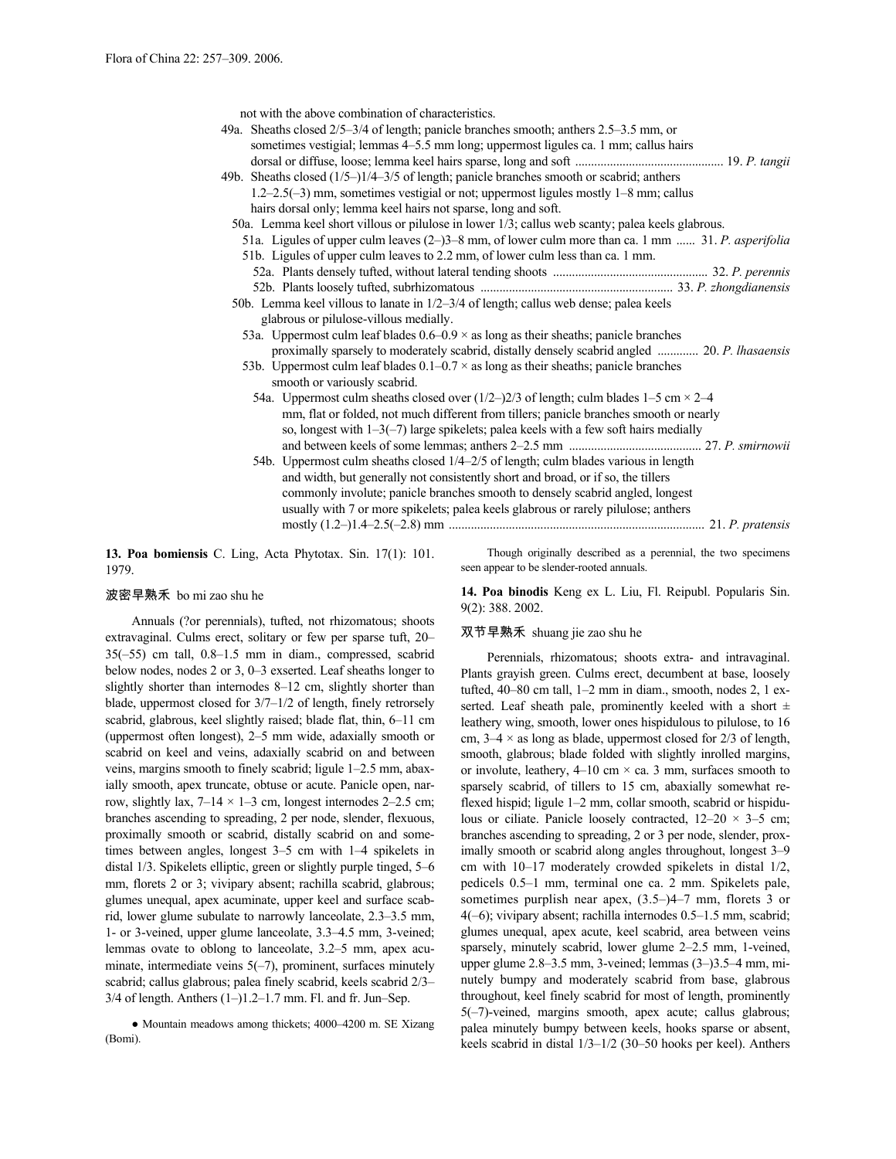not with the above combination of characteristics.

| 49a. Sheaths closed 2/5-3/4 of length; panicle branches smooth; anthers 2.5-3.5 mm, or<br>sometimes vestigial; lemmas 4–5.5 mm long; uppermost ligules ca. 1 mm; callus hairs<br>49b. Sheaths closed (1/5–)1/4–3/5 of length; panicle branches smooth or scabrid; anthers<br>$1.2-2.5(-3)$ mm, sometimes vestigial or not; uppermost ligules mostly $1-8$ mm; callus                                                                                                                                                                                                                                                                 |  |
|--------------------------------------------------------------------------------------------------------------------------------------------------------------------------------------------------------------------------------------------------------------------------------------------------------------------------------------------------------------------------------------------------------------------------------------------------------------------------------------------------------------------------------------------------------------------------------------------------------------------------------------|--|
| hairs dorsal only; lemma keel hairs not sparse, long and soft.<br>50a. Lemma keel short villous or pilulose in lower 1/3; callus web scanty; palea keels glabrous.                                                                                                                                                                                                                                                                                                                                                                                                                                                                   |  |
| 51a. Ligules of upper culm leaves (2–)3–8 mm, of lower culm more than ca. 1 mm  31. P. asperifolia                                                                                                                                                                                                                                                                                                                                                                                                                                                                                                                                   |  |
| 51b. Ligules of upper culm leaves to 2.2 mm, of lower culm less than ca. 1 mm.                                                                                                                                                                                                                                                                                                                                                                                                                                                                                                                                                       |  |
|                                                                                                                                                                                                                                                                                                                                                                                                                                                                                                                                                                                                                                      |  |
|                                                                                                                                                                                                                                                                                                                                                                                                                                                                                                                                                                                                                                      |  |
| 50b. Lemma keel villous to lanate in 1/2-3/4 of length; callus web dense; palea keels                                                                                                                                                                                                                                                                                                                                                                                                                                                                                                                                                |  |
| glabrous or pilulose-villous medially.                                                                                                                                                                                                                                                                                                                                                                                                                                                                                                                                                                                               |  |
| 53a. Uppermost culm leaf blades $0.6-0.9 \times$ as long as their sheaths; panicle branches<br>proximally sparsely to moderately scabrid, distally densely scabrid angled  20. P. lhasaensis<br>53b. Uppermost culm leaf blades $0.1-0.7 \times$ as long as their sheaths; panicle branches<br>smooth or variously scabrid.                                                                                                                                                                                                                                                                                                          |  |
| 54a. Uppermost culm sheaths closed over $(1/2-2/3)$ of length; culm blades 1–5 cm $\times$ 2–4<br>mm, flat or folded, not much different from tillers; panicle branches smooth or nearly<br>so, longest with $1-3(-7)$ large spikelets; palea keels with a few soft hairs medially<br>54b. Uppermost culm sheaths closed 1/4–2/5 of length; culm blades various in length<br>and width, but generally not consistently short and broad, or if so, the tillers<br>commonly involute; panicle branches smooth to densely scabrid angled, longest<br>usually with 7 or more spikelets; palea keels glabrous or rarely pilulose; anthers |  |
|                                                                                                                                                                                                                                                                                                                                                                                                                                                                                                                                                                                                                                      |  |

**13. Poa bomiensis** C. Ling, Acta Phytotax. Sin. 17(1): 101. 1979.

Though originally described as a perennial, the two specimens seen appear to be slender-rooted annuals.

# 波密早熟禾 bo mi zao shu he

Annuals (?or perennials), tufted, not rhizomatous; shoots extravaginal. Culms erect, solitary or few per sparse tuft, 20– 35(–55) cm tall, 0.8–1.5 mm in diam., compressed, scabrid below nodes, nodes 2 or 3, 0–3 exserted. Leaf sheaths longer to slightly shorter than internodes 8–12 cm, slightly shorter than blade, uppermost closed for 3/7–1/2 of length, finely retrorsely scabrid, glabrous, keel slightly raised; blade flat, thin, 6–11 cm (uppermost often longest), 2–5 mm wide, adaxially smooth or scabrid on keel and veins, adaxially scabrid on and between veins, margins smooth to finely scabrid; ligule 1–2.5 mm, abaxially smooth, apex truncate, obtuse or acute. Panicle open, narrow, slightly lax,  $7-14 \times 1-3$  cm, longest internodes 2-2.5 cm; branches ascending to spreading, 2 per node, slender, flexuous, proximally smooth or scabrid, distally scabrid on and sometimes between angles, longest 3–5 cm with 1–4 spikelets in distal 1/3. Spikelets elliptic, green or slightly purple tinged, 5–6 mm, florets 2 or 3; vivipary absent; rachilla scabrid, glabrous; glumes unequal, apex acuminate, upper keel and surface scabrid, lower glume subulate to narrowly lanceolate, 2.3–3.5 mm, 1- or 3-veined, upper glume lanceolate, 3.3–4.5 mm, 3-veined; lemmas ovate to oblong to lanceolate, 3.2–5 mm, apex acuminate, intermediate veins 5(-7), prominent, surfaces minutely scabrid; callus glabrous; palea finely scabrid, keels scabrid 2/3– 3/4 of length. Anthers (1–)1.2–1.7 mm. Fl. and fr. Jun–Sep.

● Mountain meadows among thickets; 4000–4200 m. SE Xizang (Bomi).

**14. Poa binodis** Keng ex L. Liu, Fl. Reipubl. Popularis Sin. 9(2): 388. 2002.

# 双节早熟禾 shuang jie zao shu he

Perennials, rhizomatous; shoots extra- and intravaginal. Plants grayish green. Culms erect, decumbent at base, loosely tufted, 40–80 cm tall, 1–2 mm in diam., smooth, nodes 2, 1 exserted. Leaf sheath pale, prominently keeled with a short  $\pm$ leathery wing, smooth, lower ones hispidulous to pilulose, to 16 cm,  $3-4 \times$  as long as blade, uppermost closed for  $2/3$  of length, smooth, glabrous; blade folded with slightly inrolled margins, or involute, leathery,  $4-10$  cm  $\times$  ca. 3 mm, surfaces smooth to sparsely scabrid, of tillers to 15 cm, abaxially somewhat reflexed hispid; ligule 1–2 mm, collar smooth, scabrid or hispidulous or ciliate. Panicle loosely contracted,  $12-20 \times 3-5$  cm; branches ascending to spreading, 2 or 3 per node, slender, proximally smooth or scabrid along angles throughout, longest 3–9 cm with 10–17 moderately crowded spikelets in distal 1/2, pedicels 0.5–1 mm, terminal one ca. 2 mm. Spikelets pale, sometimes purplish near apex, (3.5–)4–7 mm, florets 3 or 4(–6); vivipary absent; rachilla internodes 0.5–1.5 mm, scabrid; glumes unequal, apex acute, keel scabrid, area between veins sparsely, minutely scabrid, lower glume 2–2.5 mm, 1-veined, upper glume 2.8–3.5 mm, 3-veined; lemmas (3–)3.5–4 mm, minutely bumpy and moderately scabrid from base, glabrous throughout, keel finely scabrid for most of length, prominently 5(–7)-veined, margins smooth, apex acute; callus glabrous; palea minutely bumpy between keels, hooks sparse or absent, keels scabrid in distal 1/3–1/2 (30–50 hooks per keel). Anthers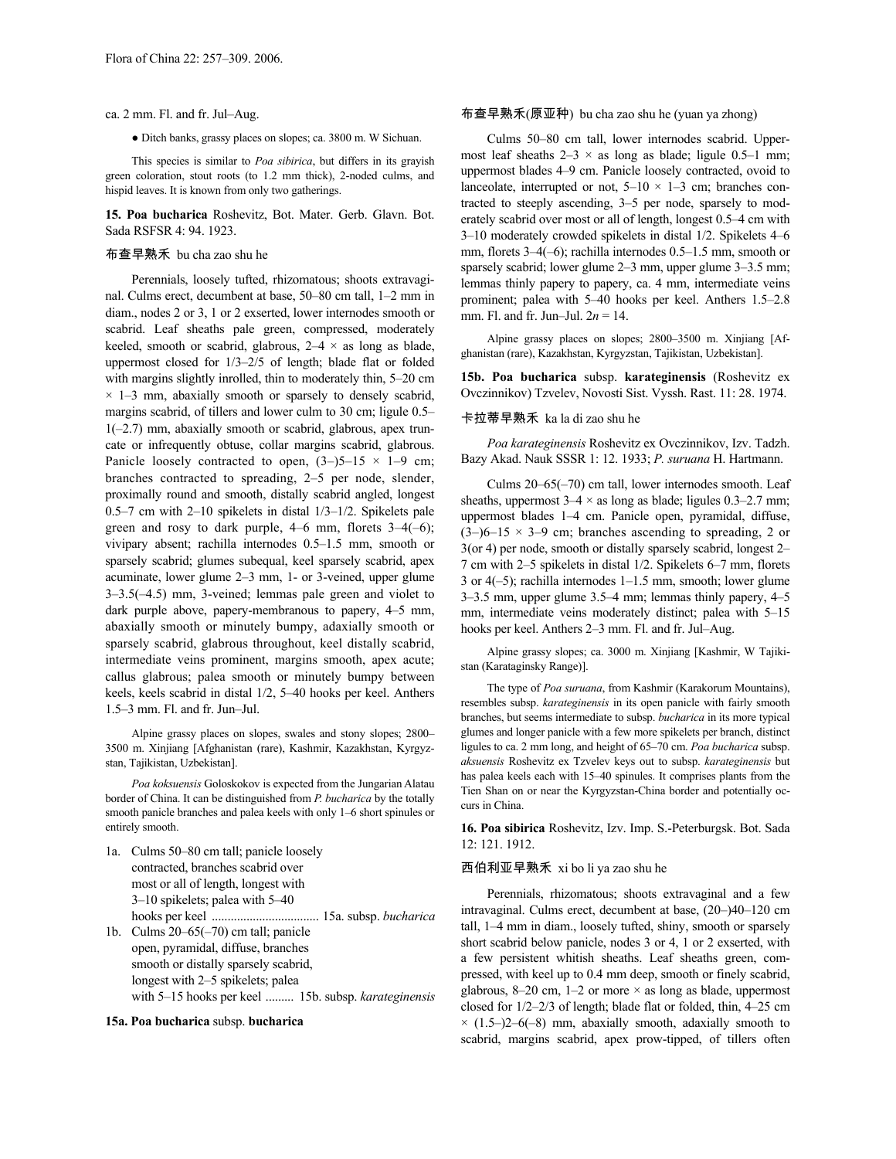### ca. 2 mm. Fl. and fr. Jul–Aug.

● Ditch banks, grassy places on slopes; ca. 3800 m. W Sichuan.

This species is similar to *Poa sibirica*, but differs in its grayish green coloration, stout roots (to 1.2 mm thick), 2-noded culms, and hispid leaves. It is known from only two gatherings.

**15. Poa bucharica** Roshevitz, Bot. Mater. Gerb. Glavn. Bot. Sada RSFSR 4: 94. 1923.

## 布查早熟禾 bu cha zao shu he

Perennials, loosely tufted, rhizomatous; shoots extravaginal. Culms erect, decumbent at base, 50–80 cm tall, 1–2 mm in diam., nodes 2 or 3, 1 or 2 exserted, lower internodes smooth or scabrid. Leaf sheaths pale green, compressed, moderately keeled, smooth or scabrid, glabrous,  $2-4 \times$  as long as blade, uppermost closed for 1/3–2/5 of length; blade flat or folded with margins slightly inrolled, thin to moderately thin, 5–20 cm  $\times$  1–3 mm, abaxially smooth or sparsely to densely scabrid, margins scabrid, of tillers and lower culm to 30 cm; ligule 0.5–  $1(-2.7)$  mm, abaxially smooth or scabrid, glabrous, apex truncate or infrequently obtuse, collar margins scabrid, glabrous. Panicle loosely contracted to open,  $(3-)5-15 \times 1-9$  cm; branches contracted to spreading, 2–5 per node, slender, proximally round and smooth, distally scabrid angled, longest 0.5–7 cm with 2–10 spikelets in distal 1/3–1/2. Spikelets pale green and rosy to dark purple,  $4-6$  mm, florets  $3-4(-6)$ ; vivipary absent; rachilla internodes 0.5–1.5 mm, smooth or sparsely scabrid; glumes subequal, keel sparsely scabrid, apex acuminate, lower glume 2–3 mm, 1- or 3-veined, upper glume 3–3.5(–4.5) mm, 3-veined; lemmas pale green and violet to dark purple above, papery-membranous to papery, 4–5 mm, abaxially smooth or minutely bumpy, adaxially smooth or sparsely scabrid, glabrous throughout, keel distally scabrid, intermediate veins prominent, margins smooth, apex acute; callus glabrous; palea smooth or minutely bumpy between keels, keels scabrid in distal 1/2, 5–40 hooks per keel. Anthers 1.5–3 mm. Fl. and fr. Jun–Jul.

Alpine grassy places on slopes, swales and stony slopes; 2800– 3500 m. Xinjiang [Afghanistan (rare), Kashmir, Kazakhstan, Kyrgyzstan, Tajikistan, Uzbekistan].

*Poa koksuensis* Goloskokov is expected from the Jungarian Alatau border of China. It can be distinguished from *P. bucharica* by the totally smooth panicle branches and palea keels with only 1–6 short spinules or entirely smooth.

1a. Culms 50–80 cm tall; panicle loosely contracted, branches scabrid over most or all of length, longest with 3–10 spikelets; palea with 5–40 hooks per keel .................................. 15a. subsp. *bucharica* 1b. Culms 20–65(–70) cm tall; panicle open, pyramidal, diffuse, branches smooth or distally sparsely scabrid,

longest with 2–5 spikelets; palea

with 5–15 hooks per keel ......... 15b. subsp. *karateginensis*

### **15a. Poa bucharica** subsp. **bucharica**

# 布查早熟禾(原亚种) bu cha zao shu he (yuan ya zhong)

Culms 50–80 cm tall, lower internodes scabrid. Uppermost leaf sheaths  $2-3 \times$  as long as blade; ligule 0.5–1 mm; uppermost blades 4–9 cm. Panicle loosely contracted, ovoid to lanceolate, interrupted or not,  $5-10 \times 1-3$  cm; branches contracted to steeply ascending, 3–5 per node, sparsely to moderately scabrid over most or all of length, longest 0.5–4 cm with 3–10 moderately crowded spikelets in distal 1/2. Spikelets 4–6 mm, florets 3–4(–6); rachilla internodes 0.5–1.5 mm, smooth or sparsely scabrid; lower glume 2–3 mm, upper glume 3–3.5 mm; lemmas thinly papery to papery, ca. 4 mm, intermediate veins prominent; palea with 5–40 hooks per keel. Anthers 1.5–2.8 mm. Fl. and fr. Jun–Jul. 2*n* = 14.

Alpine grassy places on slopes; 2800–3500 m. Xinjiang [Afghanistan (rare), Kazakhstan, Kyrgyzstan, Tajikistan, Uzbekistan].

**15b. Poa bucharica** subsp. **karateginensis** (Roshevitz ex Ovczinnikov) Tzvelev, Novosti Sist. Vyssh. Rast. 11: 28. 1974.

## 卡拉蒂早熟禾 ka la di zao shu he

*Poa karateginensis* Roshevitz ex Ovczinnikov, Izv. Tadzh. Bazy Akad. Nauk SSSR 1: 12. 1933; *P. suruana* H. Hartmann.

Culms 20–65(–70) cm tall, lower internodes smooth. Leaf sheaths, uppermost  $3-4 \times$  as long as blade; ligules 0.3–2.7 mm; uppermost blades 1–4 cm. Panicle open, pyramidal, diffuse,  $(3-)6-15 \times 3-9$  cm; branches ascending to spreading, 2 or 3(or 4) per node, smooth or distally sparsely scabrid, longest 2– 7 cm with 2–5 spikelets in distal 1/2. Spikelets 6–7 mm, florets 3 or 4(–5); rachilla internodes 1–1.5 mm, smooth; lower glume 3–3.5 mm, upper glume 3.5–4 mm; lemmas thinly papery, 4–5 mm, intermediate veins moderately distinct; palea with 5–15 hooks per keel. Anthers 2–3 mm. Fl. and fr. Jul–Aug.

Alpine grassy slopes; ca. 3000 m. Xinjiang [Kashmir, W Tajikistan (Karataginsky Range)].

The type of *Poa suruana*, from Kashmir (Karakorum Mountains), resembles subsp. *karateginensis* in its open panicle with fairly smooth branches, but seems intermediate to subsp. *bucharica* in its more typical glumes and longer panicle with a few more spikelets per branch, distinct ligules to ca. 2 mm long, and height of 65–70 cm. *Poa bucharica* subsp. *aksuensis* Roshevitz ex Tzvelev keys out to subsp. *karateginensis* but has palea keels each with 15–40 spinules. It comprises plants from the Tien Shan on or near the Kyrgyzstan-China border and potentially occurs in China.

**16. Poa sibirica** Roshevitz, Izv. Imp. S.-Peterburgsk. Bot. Sada 12: 121. 1912.

# 西伯利亚早熟禾 xi bo li ya zao shu he

Perennials, rhizomatous; shoots extravaginal and a few intravaginal. Culms erect, decumbent at base, (20–)40–120 cm tall, 1–4 mm in diam., loosely tufted, shiny, smooth or sparsely short scabrid below panicle, nodes 3 or 4, 1 or 2 exserted, with a few persistent whitish sheaths. Leaf sheaths green, compressed, with keel up to 0.4 mm deep, smooth or finely scabrid, glabrous, 8-20 cm, 1-2 or more  $\times$  as long as blade, uppermost closed for 1/2–2/3 of length; blade flat or folded, thin, 4–25 cm  $\times$  (1.5–)2–6(–8) mm, abaxially smooth, adaxially smooth to scabrid, margins scabrid, apex prow-tipped, of tillers often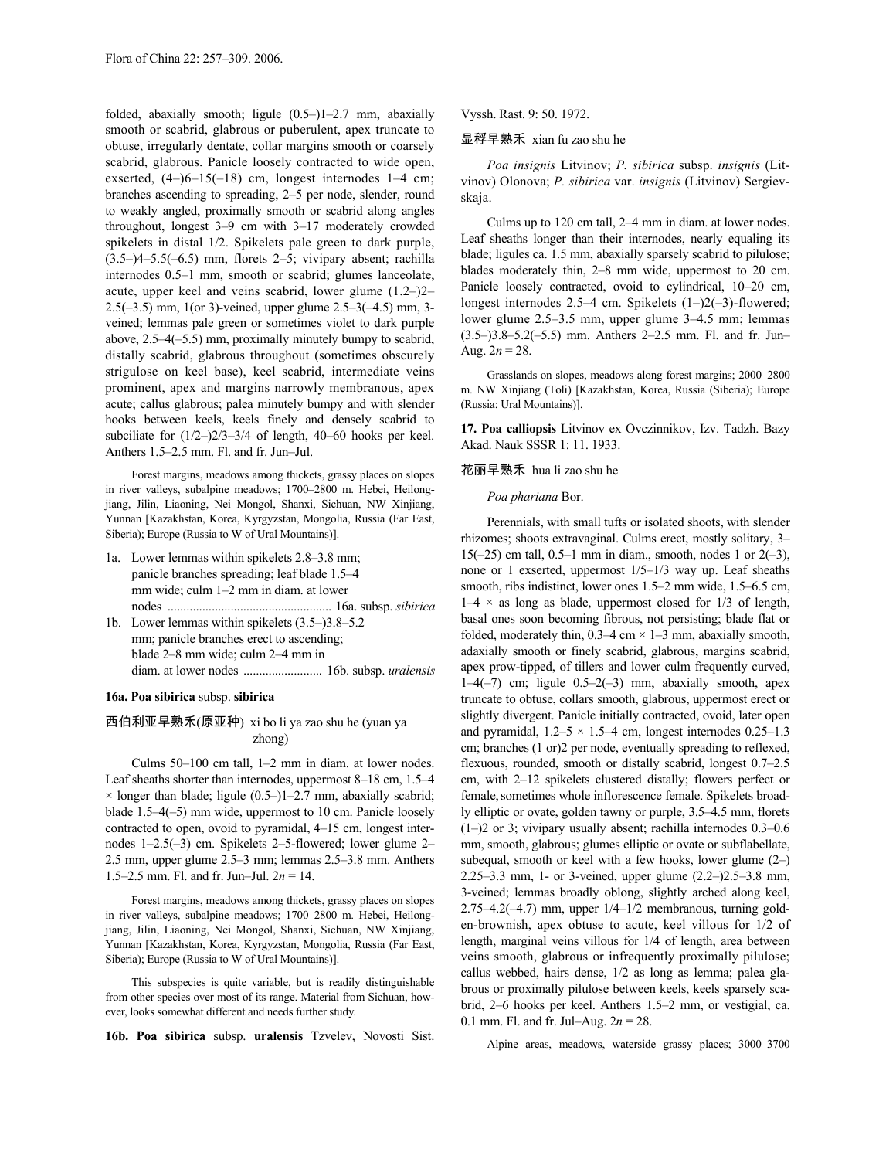folded, abaxially smooth; ligule (0.5–)1–2.7 mm, abaxially smooth or scabrid, glabrous or puberulent, apex truncate to obtuse, irregularly dentate, collar margins smooth or coarsely scabrid, glabrous. Panicle loosely contracted to wide open, exserted,  $(4-)6-15(-18)$  cm, longest internodes  $1-4$  cm; branches ascending to spreading, 2–5 per node, slender, round to weakly angled, proximally smooth or scabrid along angles throughout, longest 3–9 cm with 3–17 moderately crowded spikelets in distal 1/2. Spikelets pale green to dark purple,  $(3.5-4-5.5(-6.5)$  mm, florets 2-5; vivipary absent; rachilla internodes 0.5–1 mm, smooth or scabrid; glumes lanceolate, acute, upper keel and veins scabrid, lower glume (1.2–)2– 2.5(–3.5) mm, 1(or 3)-veined, upper glume 2.5–3(–4.5) mm, 3 veined; lemmas pale green or sometimes violet to dark purple above, 2.5–4(–5.5) mm, proximally minutely bumpy to scabrid, distally scabrid, glabrous throughout (sometimes obscurely strigulose on keel base), keel scabrid, intermediate veins prominent, apex and margins narrowly membranous, apex acute; callus glabrous; palea minutely bumpy and with slender hooks between keels, keels finely and densely scabrid to subciliate for (1/2–)2/3–3/4 of length, 40–60 hooks per keel. Anthers 1.5–2.5 mm. Fl. and fr. Jun–Jul.

Forest margins, meadows among thickets, grassy places on slopes in river valleys, subalpine meadows; 1700–2800 m. Hebei, Heilongjiang, Jilin, Liaoning, Nei Mongol, Shanxi, Sichuan, NW Xinjiang, Yunnan [Kazakhstan, Korea, Kyrgyzstan, Mongolia, Russia (Far East, Siberia); Europe (Russia to W of Ural Mountains)].

- 1a. Lower lemmas within spikelets 2.8–3.8 mm; panicle branches spreading; leaf blade 1.5–4 mm wide; culm 1–2 mm in diam. at lower nodes .................................................... 16a. subsp. *sibirica* 1b. Lower lemmas within spikelets (3.5–)3.8–5.2
- mm; panicle branches erect to ascending; blade 2–8 mm wide; culm 2–4 mm in diam. at lower nodes ......................... 16b. subsp. *uralensis*

# **16a. Poa sibirica** subsp. **sibirica**

# 西伯利亚早熟禾(原亚种) xi bo li ya zao shu he (yuan ya zhong)

Culms 50–100 cm tall, 1–2 mm in diam. at lower nodes. Leaf sheaths shorter than internodes, uppermost 8–18 cm, 1.5–4  $\times$  longer than blade; ligule (0.5–)1–2.7 mm, abaxially scabrid; blade 1.5–4(–5) mm wide, uppermost to 10 cm. Panicle loosely contracted to open, ovoid to pyramidal, 4–15 cm, longest internodes 1–2.5(–3) cm. Spikelets 2–5-flowered; lower glume 2– 2.5 mm, upper glume 2.5–3 mm; lemmas 2.5–3.8 mm. Anthers 1.5–2.5 mm. Fl. and fr. Jun–Jul. 2*n* = 14.

Forest margins, meadows among thickets, grassy places on slopes in river valleys, subalpine meadows; 1700–2800 m. Hebei, Heilongjiang, Jilin, Liaoning, Nei Mongol, Shanxi, Sichuan, NW Xinjiang, Yunnan [Kazakhstan, Korea, Kyrgyzstan, Mongolia, Russia (Far East, Siberia); Europe (Russia to W of Ural Mountains)].

This subspecies is quite variable, but is readily distinguishable from other species over most of its range. Material from Sichuan, however, looks somewhat different and needs further study.

**16b. Poa sibirica** subsp. **uralensis** Tzvelev, Novosti Sist.

Vyssh. Rast. 9: 50. 1972.

# 显稃早熟禾 xian fu zao shu he

*Poa insignis* Litvinov; *P. sibirica* subsp. *insignis* (Litvinov) Olonova; *P. sibirica* var. *insignis* (Litvinov) Sergievskaja.

Culms up to 120 cm tall, 2–4 mm in diam. at lower nodes. Leaf sheaths longer than their internodes, nearly equaling its blade; ligules ca. 1.5 mm, abaxially sparsely scabrid to pilulose; blades moderately thin, 2–8 mm wide, uppermost to 20 cm. Panicle loosely contracted, ovoid to cylindrical, 10–20 cm, longest internodes 2.5–4 cm. Spikelets (1–)2(–3)-flowered; lower glume 2.5–3.5 mm, upper glume 3–4.5 mm; lemmas (3.5–)3.8–5.2(–5.5) mm. Anthers 2–2.5 mm. Fl. and fr. Jun– Aug.  $2n = 28$ .

Grasslands on slopes, meadows along forest margins; 2000–2800 m. NW Xinjiang (Toli) [Kazakhstan, Korea, Russia (Siberia); Europe (Russia: Ural Mountains)].

**17. Poa calliopsis** Litvinov ex Ovczinnikov, Izv. Tadzh. Bazy Akad. Nauk SSSR 1: 11. 1933.

### 花丽早熟禾 hua li zao shu he

*Poa phariana* Bor.

Perennials, with small tufts or isolated shoots, with slender rhizomes; shoots extravaginal. Culms erect, mostly solitary, 3– 15( $-25$ ) cm tall, 0.5–1 mm in diam., smooth, nodes 1 or  $2(-3)$ , none or 1 exserted, uppermost 1/5–1/3 way up. Leaf sheaths smooth, ribs indistinct, lower ones 1.5–2 mm wide, 1.5–6.5 cm,  $1-4 \times$  as long as blade, uppermost closed for  $1/3$  of length, basal ones soon becoming fibrous, not persisting; blade flat or folded, moderately thin,  $0.3-4$  cm  $\times$  1-3 mm, abaxially smooth, adaxially smooth or finely scabrid, glabrous, margins scabrid, apex prow-tipped, of tillers and lower culm frequently curved,  $1-4(-7)$  cm; ligule  $0.5-2(-3)$  mm, abaxially smooth, apex truncate to obtuse, collars smooth, glabrous, uppermost erect or slightly divergent. Panicle initially contracted, ovoid, later open and pyramidal,  $1.2-5 \times 1.5-4$  cm, longest internodes 0.25-1.3 cm; branches (1 or)2 per node, eventually spreading to reflexed, flexuous, rounded, smooth or distally scabrid, longest 0.7–2.5 cm, with 2–12 spikelets clustered distally; flowers perfect or female, sometimes whole inflorescence female. Spikelets broadly elliptic or ovate, golden tawny or purple, 3.5–4.5 mm, florets (1–)2 or 3; vivipary usually absent; rachilla internodes 0.3–0.6 mm, smooth, glabrous; glumes elliptic or ovate or subflabellate, subequal, smooth or keel with a few hooks, lower glume (2–) 2.25–3.3 mm, 1- or 3-veined, upper glume (2.2–)2.5–3.8 mm, 3-veined; lemmas broadly oblong, slightly arched along keel, 2.75–4.2(–4.7) mm, upper 1/4–1/2 membranous, turning golden-brownish, apex obtuse to acute, keel villous for 1/2 of length, marginal veins villous for 1/4 of length, area between veins smooth, glabrous or infrequently proximally pilulose; callus webbed, hairs dense, 1/2 as long as lemma; palea glabrous or proximally pilulose between keels, keels sparsely scabrid, 2–6 hooks per keel. Anthers 1.5–2 mm, or vestigial, ca. 0.1 mm. Fl. and fr. Jul–Aug. 2*n* = 28.

Alpine areas, meadows, waterside grassy places; 3000–3700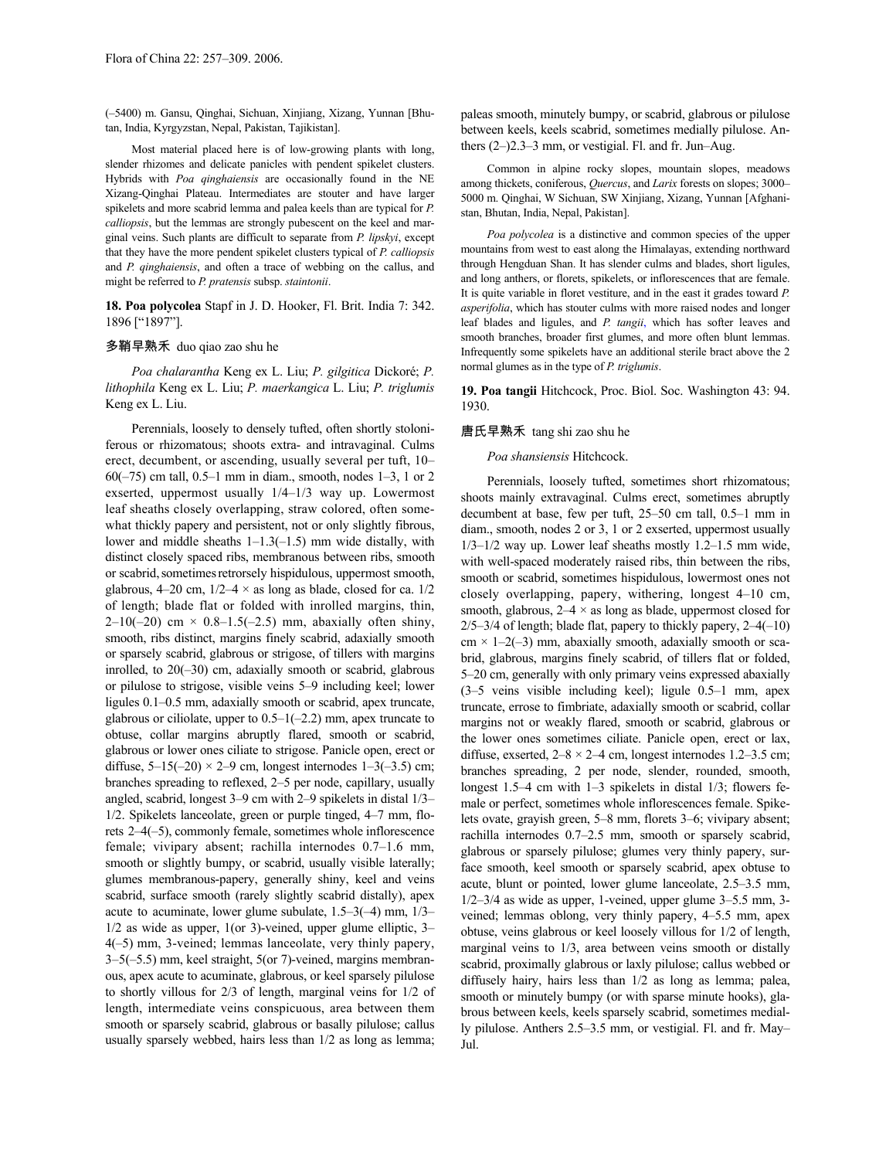(–5400) m. Gansu, Qinghai, Sichuan, Xinjiang, Xizang, Yunnan [Bhutan, India, Kyrgyzstan, Nepal, Pakistan, Tajikistan].

Most material placed here is of low-growing plants with long, slender rhizomes and delicate panicles with pendent spikelet clusters. Hybrids with *Poa qinghaiensis* are occasionally found in the NE Xizang-Qinghai Plateau. Intermediates are stouter and have larger spikelets and more scabrid lemma and palea keels than are typical for *P. calliopsis*, but the lemmas are strongly pubescent on the keel and marginal veins. Such plants are difficult to separate from *P. lipskyi*, except that they have the more pendent spikelet clusters typical of *P. calliopsis* and *P. qinghaiensis*, and often a trace of webbing on the callus, and might be referred to *P. pratensis* subsp. *staintonii*.

**18. Poa polycolea** Stapf in J. D. Hooker, Fl. Brit. India 7: 342. 1896 ["1897"].

# 多鞘早熟禾 duo qiao zao shu he

*Poa chalarantha* Keng ex L. Liu; *P. gilgitica* Dickoré; *P. lithophila* Keng ex L. Liu; *P. maerkangica* L. Liu; *P. triglumis* Keng ex L. Liu.

Perennials, loosely to densely tufted, often shortly stoloniferous or rhizomatous; shoots extra- and intravaginal. Culms erect, decumbent, or ascending, usually several per tuft, 10– 60(–75) cm tall, 0.5–1 mm in diam., smooth, nodes 1–3, 1 or 2 exserted, uppermost usually 1/4–1/3 way up. Lowermost leaf sheaths closely overlapping, straw colored, often somewhat thickly papery and persistent, not or only slightly fibrous, lower and middle sheaths 1–1.3(–1.5) mm wide distally, with distinct closely spaced ribs, membranous between ribs, smooth or scabrid, sometimes retrorsely hispidulous, uppermost smooth, glabrous, 4–20 cm,  $1/2$ –4  $\times$  as long as blade, closed for ca.  $1/2$ of length; blade flat or folded with inrolled margins, thin, 2–10(–20) cm  $\times$  0.8–1.5(–2.5) mm, abaxially often shiny, smooth, ribs distinct, margins finely scabrid, adaxially smooth or sparsely scabrid, glabrous or strigose, of tillers with margins inrolled, to 20(–30) cm, adaxially smooth or scabrid, glabrous or pilulose to strigose, visible veins 5–9 including keel; lower ligules 0.1–0.5 mm, adaxially smooth or scabrid, apex truncate, glabrous or ciliolate, upper to  $0.5-1(-2.2)$  mm, apex truncate to obtuse, collar margins abruptly flared, smooth or scabrid, glabrous or lower ones ciliate to strigose. Panicle open, erect or diffuse,  $5-15(-20) \times 2-9$  cm, longest internodes  $1-3(-3.5)$  cm; branches spreading to reflexed, 2–5 per node, capillary, usually angled, scabrid, longest 3–9 cm with 2–9 spikelets in distal 1/3– 1/2. Spikelets lanceolate, green or purple tinged, 4–7 mm, florets 2–4(–5), commonly female, sometimes whole inflorescence female; vivipary absent; rachilla internodes 0.7–1.6 mm, smooth or slightly bumpy, or scabrid, usually visible laterally; glumes membranous-papery, generally shiny, keel and veins scabrid, surface smooth (rarely slightly scabrid distally), apex acute to acuminate, lower glume subulate, 1.5–3(–4) mm, 1/3– 1/2 as wide as upper, 1(or 3)-veined, upper glume elliptic, 3– 4(–5) mm, 3-veined; lemmas lanceolate, very thinly papery, 3–5(–5.5) mm, keel straight, 5(or 7)-veined, margins membranous, apex acute to acuminate, glabrous, or keel sparsely pilulose to shortly villous for 2/3 of length, marginal veins for 1/2 of length, intermediate veins conspicuous, area between them smooth or sparsely scabrid, glabrous or basally pilulose; callus usually sparsely webbed, hairs less than 1/2 as long as lemma;

paleas smooth, minutely bumpy, or scabrid, glabrous or pilulose between keels, keels scabrid, sometimes medially pilulose. Anthers (2–)2.3–3 mm, or vestigial. Fl. and fr. Jun–Aug.

Common in alpine rocky slopes, mountain slopes, meadows among thickets, coniferous, *Quercus*, and *Larix* forests on slopes; 3000– 5000 m. Qinghai, W Sichuan, SW Xinjiang, Xizang, Yunnan [Afghanistan, Bhutan, India, Nepal, Pakistan].

*Poa polycolea* is a distinctive and common species of the upper mountains from west to east along the Himalayas, extending northward through Hengduan Shan. It has slender culms and blades, short ligules, and long anthers, or florets, spikelets, or inflorescences that are female. It is quite variable in floret vestiture, and in the east it grades toward *P. asperifolia*, which has stouter culms with more raised nodes and longer leaf blades and ligules, and *P. tangii*, which has softer leaves and smooth branches, broader first glumes, and more often blunt lemmas. Infrequently some spikelets have an additional sterile bract above the 2 normal glumes as in the type of *P. triglumis*.

**19. Poa tangii** Hitchcock, Proc. Biol. Soc. Washington 43: 94. 1930.

### 唐氏早熟禾 tang shi zao shu he

## *Poa shansiensis* Hitchcock.

Perennials, loosely tufted, sometimes short rhizomatous; shoots mainly extravaginal. Culms erect, sometimes abruptly decumbent at base, few per tuft, 25–50 cm tall, 0.5–1 mm in diam., smooth, nodes 2 or 3, 1 or 2 exserted, uppermost usually 1/3–1/2 way up. Lower leaf sheaths mostly 1.2–1.5 mm wide, with well-spaced moderately raised ribs, thin between the ribs, smooth or scabrid, sometimes hispidulous, lowermost ones not closely overlapping, papery, withering, longest 4–10 cm, smooth, glabrous,  $2-4 \times$  as long as blade, uppermost closed for  $2/5-3/4$  of length; blade flat, papery to thickly papery,  $2-4(-10)$  $cm \times 1-2(-3)$  mm, abaxially smooth, adaxially smooth or scabrid, glabrous, margins finely scabrid, of tillers flat or folded, 5–20 cm, generally with only primary veins expressed abaxially (3–5 veins visible including keel); ligule 0.5–1 mm, apex truncate, errose to fimbriate, adaxially smooth or scabrid, collar margins not or weakly flared, smooth or scabrid, glabrous or the lower ones sometimes ciliate. Panicle open, erect or lax, diffuse, exserted,  $2-8 \times 2-4$  cm, longest internodes 1.2–3.5 cm; branches spreading, 2 per node, slender, rounded, smooth, longest 1.5–4 cm with 1–3 spikelets in distal 1/3; flowers female or perfect, sometimes whole inflorescences female. Spikelets ovate, grayish green, 5–8 mm, florets 3–6; vivipary absent; rachilla internodes 0.7–2.5 mm, smooth or sparsely scabrid, glabrous or sparsely pilulose; glumes very thinly papery, surface smooth, keel smooth or sparsely scabrid, apex obtuse to acute, blunt or pointed, lower glume lanceolate, 2.5–3.5 mm,  $1/2-3/4$  as wide as upper, 1-veined, upper glume  $3-5.5$  mm, 3veined; lemmas oblong, very thinly papery, 4–5.5 mm, apex obtuse, veins glabrous or keel loosely villous for 1/2 of length, marginal veins to 1/3, area between veins smooth or distally scabrid, proximally glabrous or laxly pilulose; callus webbed or diffusely hairy, hairs less than 1/2 as long as lemma; palea, smooth or minutely bumpy (or with sparse minute hooks), glabrous between keels, keels sparsely scabrid, sometimes medially pilulose. Anthers 2.5–3.5 mm, or vestigial. Fl. and fr. May– Jul.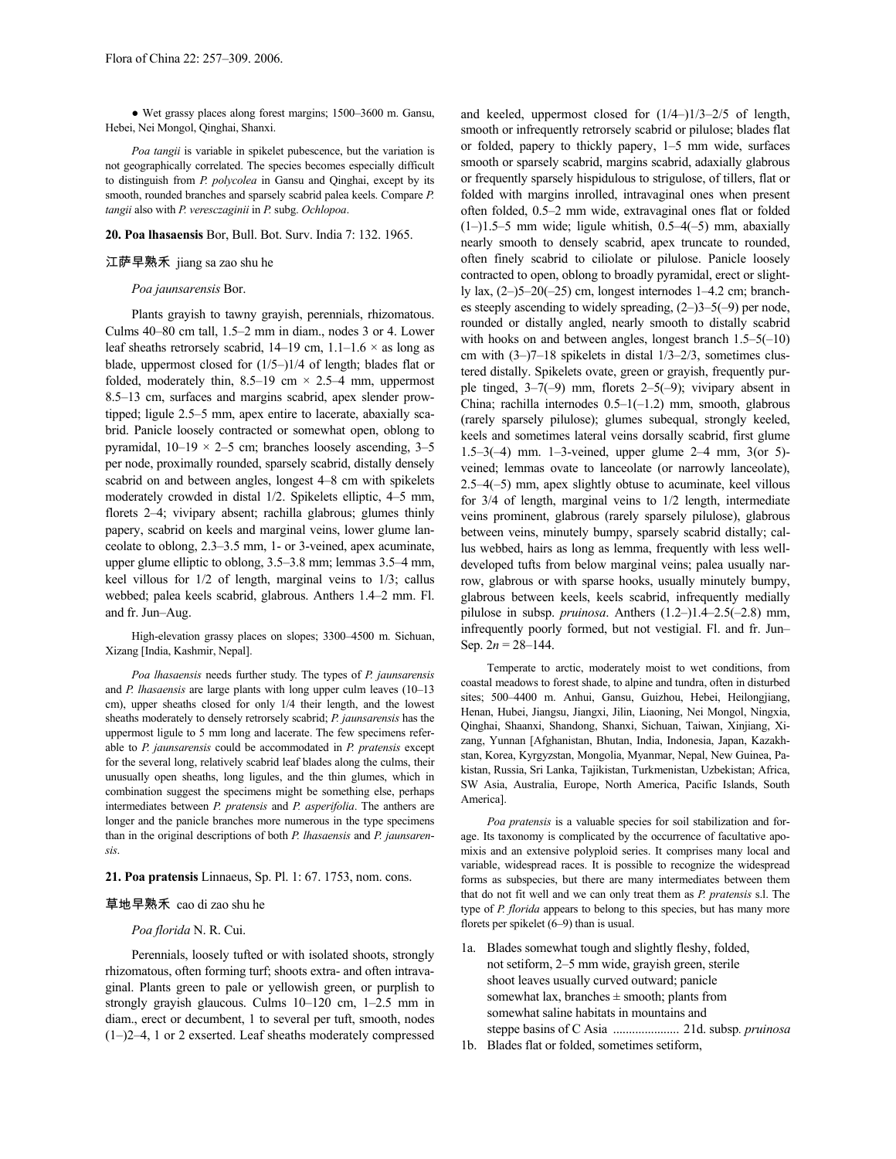● Wet grassy places along forest margins; 1500–3600 m. Gansu, Hebei, Nei Mongol, Qinghai, Shanxi.

*Poa tangii* is variable in spikelet pubescence, but the variation is not geographically correlated. The species becomes especially difficult to distinguish from *P. polycolea* in Gansu and Qinghai, except by its smooth, rounded branches and sparsely scabrid palea keels. Compare *P. tangii* also with *P. veresczaginii* in *P.* subg. *Ochlopoa*.

### **20. Poa lhasaensis** Bor, Bull. Bot. Surv. India 7: 132. 1965.

### 江萨早熟禾 jiang sa zao shu he

### *Poa jaunsarensis* Bor.

Plants grayish to tawny grayish, perennials, rhizomatous. Culms 40–80 cm tall, 1.5–2 mm in diam., nodes 3 or 4. Lower leaf sheaths retrorsely scabrid,  $14-19$  cm,  $1.1-1.6 \times$  as long as blade, uppermost closed for (1/5–)1/4 of length; blades flat or folded, moderately thin,  $8.5-19$  cm  $\times$  2.5-4 mm, uppermost 8.5–13 cm, surfaces and margins scabrid, apex slender prowtipped; ligule 2.5–5 mm, apex entire to lacerate, abaxially scabrid. Panicle loosely contracted or somewhat open, oblong to pyramidal,  $10-19 \times 2-5$  cm; branches loosely ascending,  $3-5$ per node, proximally rounded, sparsely scabrid, distally densely scabrid on and between angles, longest 4–8 cm with spikelets moderately crowded in distal 1/2. Spikelets elliptic, 4–5 mm, florets 2–4; vivipary absent; rachilla glabrous; glumes thinly papery, scabrid on keels and marginal veins, lower glume lanceolate to oblong, 2.3–3.5 mm, 1- or 3-veined, apex acuminate, upper glume elliptic to oblong, 3.5–3.8 mm; lemmas 3.5–4 mm, keel villous for 1/2 of length, marginal veins to 1/3; callus webbed; palea keels scabrid, glabrous. Anthers 1.4–2 mm. Fl. and fr. Jun–Aug.

High-elevation grassy places on slopes; 3300–4500 m. Sichuan, Xizang [India, Kashmir, Nepal].

*Poa lhasaensis* needs further study. The types of *P. jaunsarensis* and *P. lhasaensis* are large plants with long upper culm leaves (10–13 cm), upper sheaths closed for only 1/4 their length, and the lowest sheaths moderately to densely retrorsely scabrid; *P. jaunsarensis* has the uppermost ligule to 5 mm long and lacerate. The few specimens referable to *P. jaunsarensis* could be accommodated in *P. pratensis* except for the several long, relatively scabrid leaf blades along the culms, their unusually open sheaths, long ligules, and the thin glumes, which in combination suggest the specimens might be something else, perhaps intermediates between *P. pratensis* and *P. asperifolia*. The anthers are longer and the panicle branches more numerous in the type specimens than in the original descriptions of both *P. lhasaensis* and *P. jaunsarensis*.

# **21. Poa pratensis** Linnaeus, Sp. Pl. 1: 67. 1753, nom. cons.

# 草地早熟禾 cao di zao shu he

### *Poa florida* N. R. Cui.

Perennials, loosely tufted or with isolated shoots, strongly rhizomatous, often forming turf; shoots extra- and often intravaginal. Plants green to pale or yellowish green, or purplish to strongly grayish glaucous. Culms 10–120 cm, 1–2.5 mm in diam., erect or decumbent, 1 to several per tuft, smooth, nodes (1–)2–4, 1 or 2 exserted. Leaf sheaths moderately compressed and keeled, uppermost closed for (1/4–)1/3–2/5 of length, smooth or infrequently retrorsely scabrid or pilulose; blades flat or folded, papery to thickly papery, 1–5 mm wide, surfaces smooth or sparsely scabrid, margins scabrid, adaxially glabrous or frequently sparsely hispidulous to strigulose, of tillers, flat or folded with margins inrolled, intravaginal ones when present often folded, 0.5–2 mm wide, extravaginal ones flat or folded  $(1-)1.5-5$  mm wide; ligule whitish,  $0.5-4(-5)$  mm, abaxially nearly smooth to densely scabrid, apex truncate to rounded, often finely scabrid to ciliolate or pilulose. Panicle loosely contracted to open, oblong to broadly pyramidal, erect or slightly lax, (2–)5–20(–25) cm, longest internodes 1–4.2 cm; branches steeply ascending to widely spreading, (2–)3–5(–9) per node, rounded or distally angled, nearly smooth to distally scabrid with hooks on and between angles, longest branch  $1.5-5(-10)$ cm with (3–)7–18 spikelets in distal 1/3–2/3, sometimes clustered distally. Spikelets ovate, green or grayish, frequently purple tinged, 3–7(–9) mm, florets 2–5(–9); vivipary absent in China; rachilla internodes 0.5–1(–1.2) mm, smooth, glabrous (rarely sparsely pilulose); glumes subequal, strongly keeled, keels and sometimes lateral veins dorsally scabrid, first glume 1.5–3(–4) mm. 1–3-veined, upper glume 2–4 mm, 3(or 5) veined; lemmas ovate to lanceolate (or narrowly lanceolate), 2.5–4(–5) mm, apex slightly obtuse to acuminate, keel villous for 3/4 of length, marginal veins to 1/2 length, intermediate veins prominent, glabrous (rarely sparsely pilulose), glabrous between veins, minutely bumpy, sparsely scabrid distally; callus webbed, hairs as long as lemma, frequently with less welldeveloped tufts from below marginal veins; palea usually narrow, glabrous or with sparse hooks, usually minutely bumpy, glabrous between keels, keels scabrid, infrequently medially pilulose in subsp. *pruinosa*. Anthers (1.2–)1.4–2.5(–2.8) mm, infrequently poorly formed, but not vestigial. Fl. and fr. Jun– Sep.  $2n = 28 - 144$ .

Temperate to arctic, moderately moist to wet conditions, from coastal meadows to forest shade, to alpine and tundra, often in disturbed sites; 500–4400 m. Anhui, Gansu, Guizhou, Hebei, Heilongjiang, Henan, Hubei, Jiangsu, Jiangxi, Jilin, Liaoning, Nei Mongol, Ningxia, Qinghai, Shaanxi, Shandong, Shanxi, Sichuan, Taiwan, Xinjiang, Xizang, Yunnan [Afghanistan, Bhutan, India, Indonesia, Japan, Kazakhstan, Korea, Kyrgyzstan, Mongolia, Myanmar, Nepal, New Guinea, Pakistan, Russia, Sri Lanka, Tajikistan, Turkmenistan, Uzbekistan; Africa, SW Asia, Australia, Europe, North America, Pacific Islands, South America].

*Poa pratensis* is a valuable species for soil stabilization and forage. Its taxonomy is complicated by the occurrence of facultative apomixis and an extensive polyploid series. It comprises many local and variable, widespread races. It is possible to recognize the widespread forms as subspecies, but there are many intermediates between them that do not fit well and we can only treat them as *P. pratensis* s.l. The type of *P. florida* appears to belong to this species, but has many more florets per spikelet (6–9) than is usual.

- 1a. Blades somewhat tough and slightly fleshy, folded, not setiform, 2–5 mm wide, grayish green, sterile shoot leaves usually curved outward; panicle somewhat lax, branches  $\pm$  smooth; plants from somewhat saline habitats in mountains and steppe basins of C Asia ..................... 21d. subsp*. pruinosa*
- 1b. Blades flat or folded, sometimes setiform,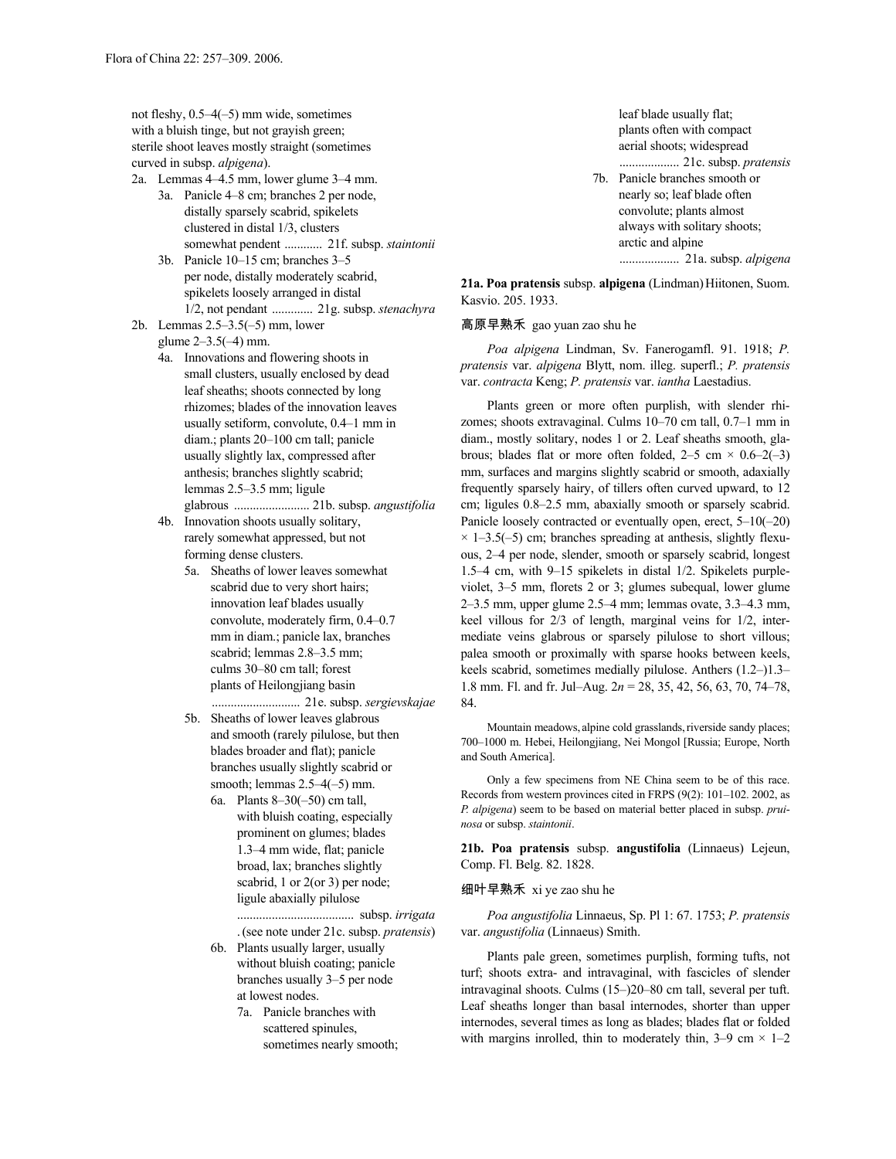not fleshy, 0.5–4(–5) mm wide, sometimes with a bluish tinge, but not grayish green; sterile shoot leaves mostly straight (sometimes curved in subsp. *alpigena*).

- 2a. Lemmas 4–4.5 mm, lower glume 3–4 mm.
	- 3a. Panicle 4–8 cm; branches 2 per node, distally sparsely scabrid, spikelets clustered in distal 1/3, clusters somewhat pendent ............ 21f. subsp. *staintonii*
- 3b. Panicle 10–15 cm; branches 3–5 per node, distally moderately scabrid, spikelets loosely arranged in distal 1/2, not pendant ............. 21g. subsp. *stenachyra* 2b. Lemmas 2.5–3.5(–5) mm, lower

glume 2–3.5(–4) mm.

- 4a. Innovations and flowering shoots in small clusters, usually enclosed by dead leaf sheaths; shoots connected by long rhizomes; blades of the innovation leaves usually setiform, convolute, 0.4–1 mm in diam.; plants 20–100 cm tall; panicle usually slightly lax, compressed after anthesis; branches slightly scabrid; lemmas 2.5–3.5 mm; ligule glabrous ........................ 21b. subsp. *angustifolia*
- 4b. Innovation shoots usually solitary, rarely somewhat appressed, but not forming dense clusters.
	- 5a. Sheaths of lower leaves somewhat scabrid due to very short hairs; innovation leaf blades usually convolute, moderately firm, 0.4–0.7 mm in diam.; panicle lax, branches scabrid; lemmas 2.8–3.5 mm; culms 30–80 cm tall; forest plants of Heilongjiang basin
	- ............................ 21e. subsp. *sergievskajae* 5b. Sheaths of lower leaves glabrous and smooth (rarely pilulose, but then blades broader and flat); panicle branches usually slightly scabrid or smooth; lemmas 2.5–4(–5) mm.
		- 6a. Plants 8–30(–50) cm tall, with bluish coating, especially prominent on glumes; blades 1.3–4 mm wide, flat; panicle broad, lax; branches slightly scabrid, 1 or 2(or 3) per node; ligule abaxially pilulose

..................................... subsp. *irrigata* . (see note under 21c. subsp. *pratensis*)

- 6b. Plants usually larger, usually without bluish coating; panicle branches usually 3–5 per node at lowest nodes.
	- 7a. Panicle branches with scattered spinules, sometimes nearly smooth;

leaf blade usually flat; plants often with compact aerial shoots; widespread ................... 21c. subsp. *pratensis*

7b. Panicle branches smooth or nearly so; leaf blade often convolute; plants almost always with solitary shoots; arctic and alpine ................... 21a. subsp. *alpigena*

**21a. Poa pratensis** subsp. **alpigena** (Lindman)Hiitonen, Suom. Kasvio. 205. 1933.

# 高原早熟禾 gao yuan zao shu he

*Poa alpigena* Lindman, Sv. Fanerogamfl. 91. 1918; *P. pratensis* var. *alpigena* Blytt, nom. illeg. superfl.; *P. pratensis* var. *contracta* Keng; *P. pratensis* var. *iantha* Laestadius.

Plants green or more often purplish, with slender rhizomes; shoots extravaginal. Culms 10–70 cm tall, 0.7–1 mm in diam., mostly solitary, nodes 1 or 2. Leaf sheaths smooth, glabrous; blades flat or more often folded,  $2-5$  cm  $\times$  0.6–2(–3) mm, surfaces and margins slightly scabrid or smooth, adaxially frequently sparsely hairy, of tillers often curved upward, to 12 cm; ligules 0.8–2.5 mm, abaxially smooth or sparsely scabrid. Panicle loosely contracted or eventually open, erect, 5–10(–20)  $\times$  1–3.5(–5) cm; branches spreading at anthesis, slightly flexuous, 2–4 per node, slender, smooth or sparsely scabrid, longest 1.5–4 cm, with 9–15 spikelets in distal 1/2. Spikelets purpleviolet, 3–5 mm, florets 2 or 3; glumes subequal, lower glume 2–3.5 mm, upper glume 2.5–4 mm; lemmas ovate, 3.3–4.3 mm, keel villous for 2/3 of length, marginal veins for 1/2, intermediate veins glabrous or sparsely pilulose to short villous; palea smooth or proximally with sparse hooks between keels, keels scabrid, sometimes medially pilulose. Anthers (1.2–)1.3– 1.8 mm. Fl. and fr. Jul–Aug. 2*n* = 28, 35, 42, 56, 63, 70, 74–78, 84.

Mountain meadows, alpine cold grasslands, riverside sandy places; 700–1000 m. Hebei, Heilongjiang, Nei Mongol [Russia; Europe, North and South America].

Only a few specimens from NE China seem to be of this race. Records from western provinces cited in FRPS (9(2): 101–102. 2002, as *P. alpigena*) seem to be based on material better placed in subsp. *pruinosa* or subsp. *staintonii*.

**21b. Poa pratensis** subsp. **angustifolia** (Linnaeus) Lejeun, Comp. Fl. Belg. 82. 1828.

# 细叶早熟禾 xi ye zao shu he

*Poa angustifolia* Linnaeus, Sp. Pl 1: 67. 1753; *P. pratensis* var. *angustifolia* (Linnaeus) Smith.

Plants pale green, sometimes purplish, forming tufts, not turf; shoots extra- and intravaginal, with fascicles of slender intravaginal shoots. Culms (15–)20–80 cm tall, several per tuft. Leaf sheaths longer than basal internodes, shorter than upper internodes, several times as long as blades; blades flat or folded with margins inrolled, thin to moderately thin,  $3-9$  cm  $\times$  1-2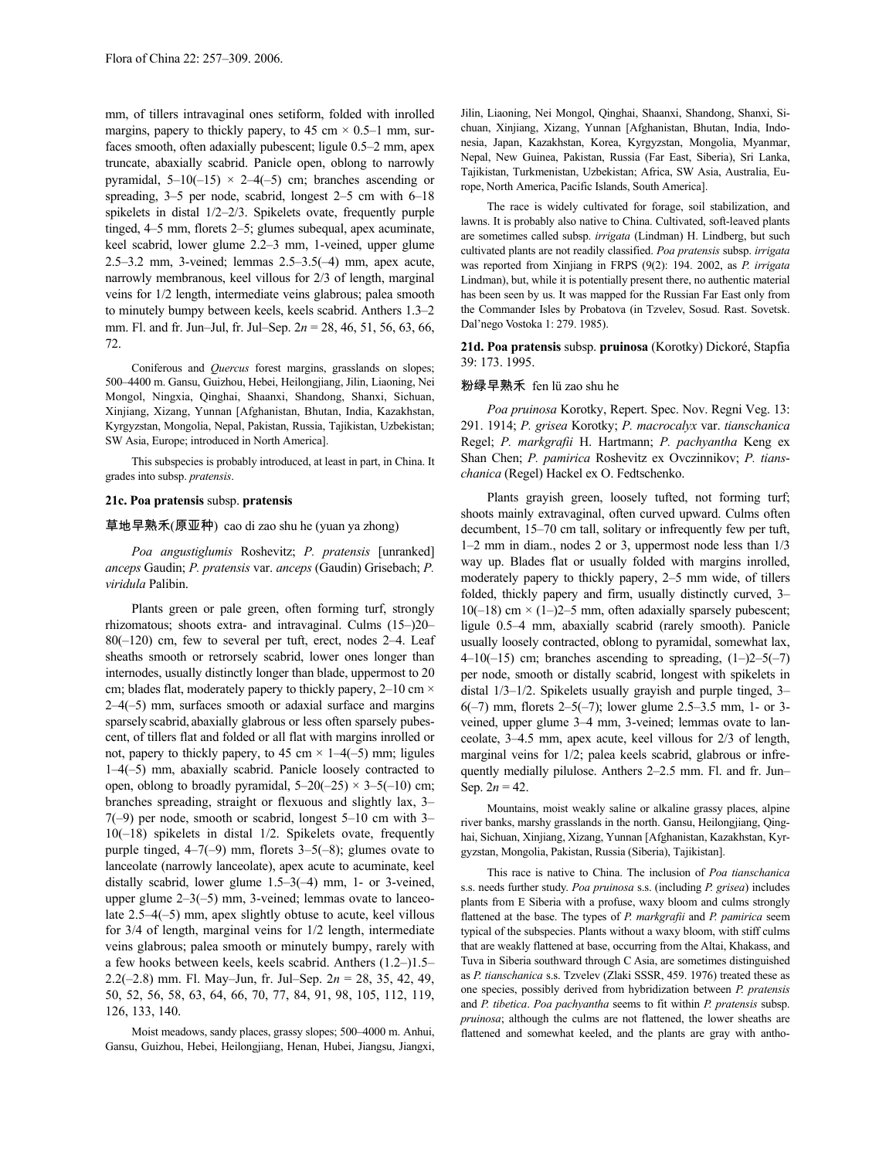mm, of tillers intravaginal ones setiform, folded with inrolled margins, papery to thickly papery, to 45 cm  $\times$  0.5–1 mm, surfaces smooth, often adaxially pubescent; ligule 0.5–2 mm, apex truncate, abaxially scabrid. Panicle open, oblong to narrowly pyramidal,  $5-10(-15) \times 2-4(-5)$  cm; branches ascending or spreading, 3–5 per node, scabrid, longest 2–5 cm with 6–18 spikelets in distal 1/2–2/3. Spikelets ovate, frequently purple tinged, 4–5 mm, florets 2–5; glumes subequal, apex acuminate, keel scabrid, lower glume 2.2–3 mm, 1-veined, upper glume 2.5–3.2 mm, 3-veined; lemmas 2.5–3.5(–4) mm, apex acute, narrowly membranous, keel villous for 2/3 of length, marginal veins for 1/2 length, intermediate veins glabrous; palea smooth to minutely bumpy between keels, keels scabrid. Anthers 1.3–2 mm. Fl. and fr. Jun–Jul, fr. Jul–Sep. 2*n* = 28, 46, 51, 56, 63, 66, 72.

Coniferous and *Quercus* forest margins, grasslands on slopes; 500–4400 m. Gansu, Guizhou, Hebei, Heilongjiang, Jilin, Liaoning, Nei Mongol, Ningxia, Qinghai, Shaanxi, Shandong, Shanxi, Sichuan, Xinjiang, Xizang, Yunnan [Afghanistan, Bhutan, India, Kazakhstan, Kyrgyzstan, Mongolia, Nepal, Pakistan, Russia, Tajikistan, Uzbekistan; SW Asia, Europe; introduced in North America].

This subspecies is probably introduced, at least in part, in China. It grades into subsp. *pratensis*.

## **21c. Poa pratensis** subsp. **pratensis**

# 草地早熟禾(原亚种) cao di zao shu he (yuan ya zhong)

*Poa angustiglumis* Roshevitz; *P. pratensis* [unranked] *anceps* Gaudin; *P. pratensis* var. *anceps* (Gaudin) Grisebach; *P. viridula* Palibin.

Plants green or pale green, often forming turf, strongly rhizomatous; shoots extra- and intravaginal. Culms (15–)20– 80(–120) cm, few to several per tuft, erect, nodes 2–4. Leaf sheaths smooth or retrorsely scabrid, lower ones longer than internodes, usually distinctly longer than blade, uppermost to 20 cm; blades flat, moderately papery to thickly papery, 2-10 cm  $\times$ 2–4(–5) mm, surfaces smooth or adaxial surface and margins sparsely scabrid, abaxially glabrous or less often sparsely pubescent, of tillers flat and folded or all flat with margins inrolled or not, papery to thickly papery, to 45 cm  $\times$  1–4(–5) mm; ligules 1–4(–5) mm, abaxially scabrid. Panicle loosely contracted to open, oblong to broadly pyramidal,  $5-20(-25) \times 3-5(-10)$  cm; branches spreading, straight or flexuous and slightly lax, 3– 7(–9) per node, smooth or scabrid, longest 5–10 cm with 3– 10(–18) spikelets in distal 1/2. Spikelets ovate, frequently purple tinged,  $4-7(-9)$  mm, florets  $3-5(-8)$ ; glumes ovate to lanceolate (narrowly lanceolate), apex acute to acuminate, keel distally scabrid, lower glume 1.5–3(–4) mm, 1- or 3-veined, upper glume 2–3(–5) mm, 3-veined; lemmas ovate to lanceolate 2.5–4(–5) mm, apex slightly obtuse to acute, keel villous for 3/4 of length, marginal veins for 1/2 length, intermediate veins glabrous; palea smooth or minutely bumpy, rarely with a few hooks between keels, keels scabrid. Anthers (1.2–)1.5– 2.2(–2.8) mm. Fl. May–Jun, fr. Jul–Sep. 2*n* = 28, 35, 42, 49, 50, 52, 56, 58, 63, 64, 66, 70, 77, 84, 91, 98, 105, 112, 119, 126, 133, 140.

Moist meadows, sandy places, grassy slopes; 500–4000 m. Anhui, Gansu, Guizhou, Hebei, Heilongjiang, Henan, Hubei, Jiangsu, Jiangxi, Jilin, Liaoning, Nei Mongol, Qinghai, Shaanxi, Shandong, Shanxi, Sichuan, Xinjiang, Xizang, Yunnan [Afghanistan, Bhutan, India, Indonesia, Japan, Kazakhstan, Korea, Kyrgyzstan, Mongolia, Myanmar, Nepal, New Guinea, Pakistan, Russia (Far East, Siberia), Sri Lanka, Tajikistan, Turkmenistan, Uzbekistan; Africa, SW Asia, Australia, Europe, North America, Pacific Islands, South America].

The race is widely cultivated for forage, soil stabilization, and lawns. It is probably also native to China. Cultivated, soft-leaved plants are sometimes called subsp. *irrigata* (Lindman) H. Lindberg, but such cultivated plants are not readily classified. *Poa pratensis* subsp. *irrigata* was reported from Xinjiang in FRPS (9(2): 194. 2002, as *P. irrigata* Lindman), but, while it is potentially present there, no authentic material has been seen by us. It was mapped for the Russian Far East only from the Commander Isles by Probatova (in Tzvelev, Sosud. Rast. Sovetsk. Dal'nego Vostoka 1: 279. 1985).

# **21d. Poa pratensis** subsp. **pruinosa** (Korotky) Dickoré, Stapfia 39: 173. 1995.

### 粉绿早熟禾 fen lü zao shu he

*Poa pruinosa* Korotky, Repert. Spec. Nov. Regni Veg. 13: 291. 1914; *P. grisea* Korotky; *P. macrocalyx* var. *tianschanica* Regel; *P. markgrafii* H. Hartmann; *P. pachyantha* Keng ex Shan Chen; *P. pamirica* Roshevitz ex Ovczinnikov; *P. tianschanica* (Regel) Hackel ex O. Fedtschenko.

Plants grayish green, loosely tufted, not forming turf; shoots mainly extravaginal, often curved upward. Culms often decumbent, 15–70 cm tall, solitary or infrequently few per tuft, 1–2 mm in diam., nodes 2 or 3, uppermost node less than 1/3 way up. Blades flat or usually folded with margins inrolled, moderately papery to thickly papery, 2–5 mm wide, of tillers folded, thickly papery and firm, usually distinctly curved, 3–  $10(-18)$  cm  $\times$  (1–)2–5 mm, often adaxially sparsely pubescent; ligule 0.5–4 mm, abaxially scabrid (rarely smooth). Panicle usually loosely contracted, oblong to pyramidal, somewhat lax,  $4-10(-15)$  cm; branches ascending to spreading,  $(1-2-5(-7))$ per node, smooth or distally scabrid, longest with spikelets in distal 1/3–1/2. Spikelets usually grayish and purple tinged, 3–  $6(-7)$  mm, florets  $2-5(-7)$ ; lower glume 2.5–3.5 mm, 1- or 3veined, upper glume 3–4 mm, 3-veined; lemmas ovate to lanceolate, 3–4.5 mm, apex acute, keel villous for 2/3 of length, marginal veins for 1/2; palea keels scabrid, glabrous or infrequently medially pilulose. Anthers 2–2.5 mm. Fl. and fr. Jun– Sep.  $2n = 42$ .

Mountains, moist weakly saline or alkaline grassy places, alpine river banks, marshy grasslands in the north. Gansu, Heilongjiang, Qinghai, Sichuan, Xinjiang, Xizang, Yunnan [Afghanistan, Kazakhstan, Kyrgyzstan, Mongolia, Pakistan, Russia (Siberia), Tajikistan].

This race is native to China. The inclusion of *Poa tianschanica* s.s. needs further study. *Poa pruinosa* s.s. (including *P. grisea*) includes plants from E Siberia with a profuse, waxy bloom and culms strongly flattened at the base. The types of *P. markgrafii* and *P. pamirica* seem typical of the subspecies. Plants without a waxy bloom, with stiff culms that are weakly flattened at base, occurring from the Altai, Khakass, and Tuva in Siberia southward through C Asia, are sometimes distinguished as *P. tianschanica* s.s. Tzvelev (Zlaki SSSR, 459. 1976) treated these as one species, possibly derived from hybridization between *P. pratensis* and *P. tibetica*. *Poa pachyantha* seems to fit within *P. pratensis* subsp. *pruinosa*; although the culms are not flattened, the lower sheaths are flattened and somewhat keeled, and the plants are gray with antho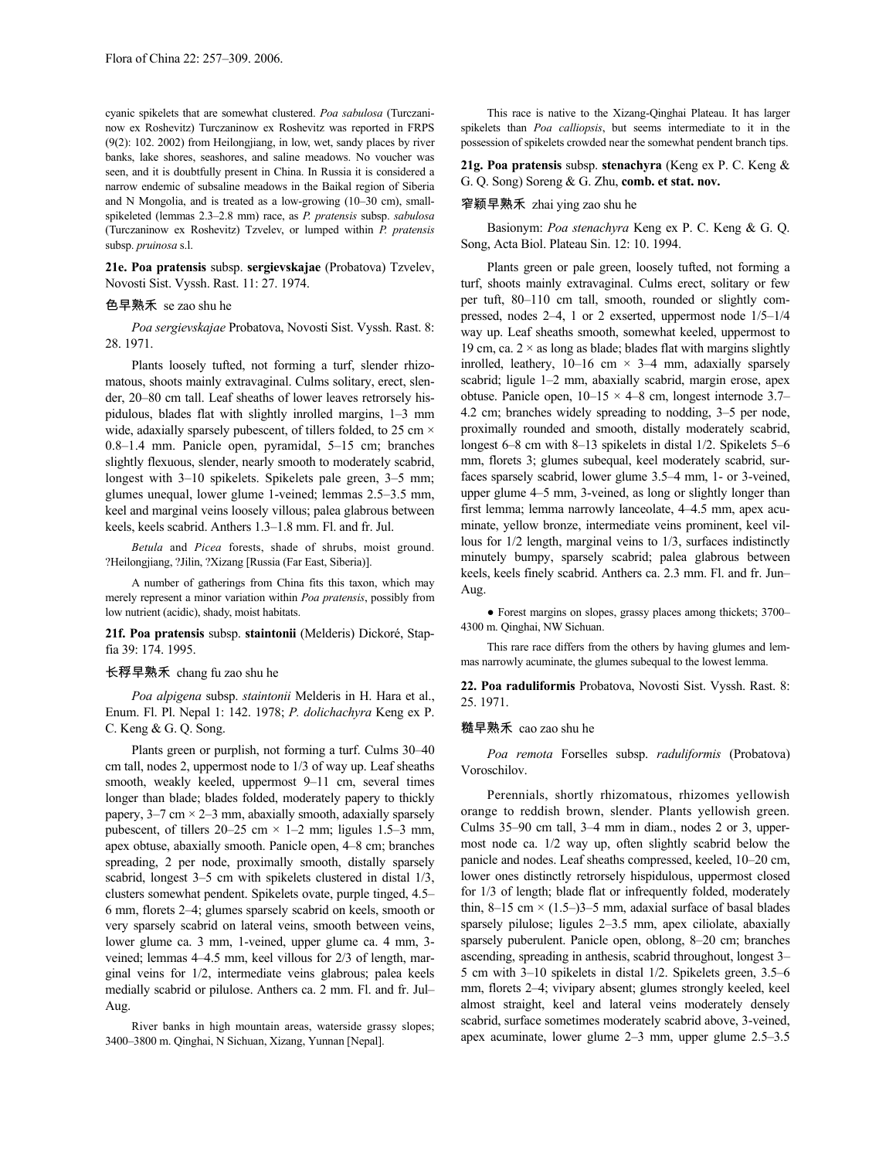cyanic spikelets that are somewhat clustered. *Poa sabulosa* (Turczaninow ex Roshevitz) Turczaninow ex Roshevitz was reported in FRPS (9(2): 102. 2002) from Heilongjiang, in low, wet, sandy places by river banks, lake shores, seashores, and saline meadows. No voucher was seen, and it is doubtfully present in China. In Russia it is considered a narrow endemic of subsaline meadows in the Baikal region of Siberia and N Mongolia, and is treated as a low-growing (10–30 cm), smallspikeleted (lemmas 2.3–2.8 mm) race, as *P. pratensis* subsp. *sabulosa* (Turczaninow ex Roshevitz) Tzvelev, or lumped within *P. pratensis* subsp. *pruinosa* s.l.

**21e. Poa pratensis** subsp. **sergievskajae** (Probatova) Tzvelev, Novosti Sist. Vyssh. Rast. 11: 27. 1974.

# 色早熟禾 se zao shu he

*Poa sergievskajae* Probatova, Novosti Sist. Vyssh. Rast. 8: 28. 1971.

Plants loosely tufted, not forming a turf, slender rhizomatous, shoots mainly extravaginal. Culms solitary, erect, slender, 20–80 cm tall. Leaf sheaths of lower leaves retrorsely hispidulous, blades flat with slightly inrolled margins, 1–3 mm wide, adaxially sparsely pubescent, of tillers folded, to 25 cm  $\times$ 0.8–1.4 mm. Panicle open, pyramidal, 5–15 cm; branches slightly flexuous, slender, nearly smooth to moderately scabrid, longest with 3–10 spikelets. Spikelets pale green, 3–5 mm; glumes unequal, lower glume 1-veined; lemmas 2.5–3.5 mm, keel and marginal veins loosely villous; palea glabrous between keels, keels scabrid. Anthers 1.3–1.8 mm. Fl. and fr. Jul.

*Betula* and *Picea* forests, shade of shrubs, moist ground. ?Heilongjiang, ?Jilin, ?Xizang [Russia (Far East, Siberia)].

A number of gatherings from China fits this taxon, which may merely represent a minor variation within *Poa pratensis*, possibly from low nutrient (acidic), shady, moist habitats.

**21f. Poa pratensis** subsp. **staintonii** (Melderis) Dickoré, Stapfia 39: 174. 1995.

## 长稃早熟禾 chang fu zao shu he

*Poa alpigena* subsp. *staintonii* Melderis in H. Hara et al., Enum. Fl. Pl. Nepal 1: 142. 1978; *P. dolichachyra* Keng ex P. C. Keng & G. Q. Song.

Plants green or purplish, not forming a turf. Culms 30–40 cm tall, nodes 2, uppermost node to 1/3 of way up. Leaf sheaths smooth, weakly keeled, uppermost 9–11 cm, several times longer than blade; blades folded, moderately papery to thickly papery,  $3-7$  cm  $\times$   $2-3$  mm, abaxially smooth, adaxially sparsely pubescent, of tillers  $20-25$  cm  $\times$  1-2 mm; ligules 1.5-3 mm, apex obtuse, abaxially smooth. Panicle open, 4–8 cm; branches spreading, 2 per node, proximally smooth, distally sparsely scabrid, longest 3–5 cm with spikelets clustered in distal 1/3, clusters somewhat pendent. Spikelets ovate, purple tinged, 4.5– 6 mm, florets 2–4; glumes sparsely scabrid on keels, smooth or very sparsely scabrid on lateral veins, smooth between veins, lower glume ca. 3 mm, 1-veined, upper glume ca. 4 mm, 3 veined; lemmas 4–4.5 mm, keel villous for 2/3 of length, marginal veins for 1/2, intermediate veins glabrous; palea keels medially scabrid or pilulose. Anthers ca. 2 mm. Fl. and fr. Jul– Aug.

River banks in high mountain areas, waterside grassy slopes; 3400–3800 m. Qinghai, N Sichuan, Xizang, Yunnan [Nepal].

This race is native to the Xizang-Qinghai Plateau. It has larger spikelets than *Poa calliopsis*, but seems intermediate to it in the possession of spikelets crowded near the somewhat pendent branch tips.

**21g. Poa pratensis** subsp. **stenachyra** (Keng ex P. C. Keng & G. Q. Song) Soreng & G. Zhu, **comb. et stat. nov.**

## 窄颖早熟禾 zhai ying zao shu he

Basionym: *Poa stenachyra* Keng ex P. C. Keng & G. Q. Song, Acta Biol. Plateau Sin. 12: 10. 1994.

Plants green or pale green, loosely tufted, not forming a turf, shoots mainly extravaginal. Culms erect, solitary or few per tuft, 80–110 cm tall, smooth, rounded or slightly compressed, nodes 2–4, 1 or 2 exserted, uppermost node 1/5–1/4 way up. Leaf sheaths smooth, somewhat keeled, uppermost to 19 cm, ca.  $2 \times$  as long as blade; blades flat with margins slightly inrolled, leathery,  $10-16$  cm  $\times$  3-4 mm, adaxially sparsely scabrid; ligule 1–2 mm, abaxially scabrid, margin erose, apex obtuse. Panicle open,  $10-15 \times 4-8$  cm, longest internode 3.7– 4.2 cm; branches widely spreading to nodding, 3–5 per node, proximally rounded and smooth, distally moderately scabrid, longest 6–8 cm with 8–13 spikelets in distal 1/2. Spikelets 5–6 mm, florets 3; glumes subequal, keel moderately scabrid, surfaces sparsely scabrid, lower glume 3.5–4 mm, 1- or 3-veined, upper glume 4–5 mm, 3-veined, as long or slightly longer than first lemma; lemma narrowly lanceolate, 4–4.5 mm, apex acuminate, yellow bronze, intermediate veins prominent, keel villous for 1/2 length, marginal veins to 1/3, surfaces indistinctly minutely bumpy, sparsely scabrid; palea glabrous between keels, keels finely scabrid. Anthers ca. 2.3 mm. Fl. and fr. Jun– Aug.

● Forest margins on slopes, grassy places among thickets; 3700– 4300 m. Qinghai, NW Sichuan.

This rare race differs from the others by having glumes and lemmas narrowly acuminate, the glumes subequal to the lowest lemma.

**22. Poa raduliformis** Probatova, Novosti Sist. Vyssh. Rast. 8: 25. 1971.

### 糙早熟禾 cao zao shu he

*Poa remota* Forselles subsp. *raduliformis* (Probatova) Voroschilov.

Perennials, shortly rhizomatous, rhizomes yellowish orange to reddish brown, slender. Plants yellowish green. Culms 35–90 cm tall, 3–4 mm in diam., nodes 2 or 3, uppermost node ca. 1/2 way up, often slightly scabrid below the panicle and nodes. Leaf sheaths compressed, keeled, 10–20 cm, lower ones distinctly retrorsely hispidulous, uppermost closed for 1/3 of length; blade flat or infrequently folded, moderately thin,  $8-15$  cm  $\times$  (1.5–)3–5 mm, adaxial surface of basal blades sparsely pilulose; ligules 2–3.5 mm, apex ciliolate, abaxially sparsely puberulent. Panicle open, oblong, 8–20 cm; branches ascending, spreading in anthesis, scabrid throughout, longest 3– 5 cm with 3–10 spikelets in distal 1/2. Spikelets green, 3.5–6 mm, florets 2–4; vivipary absent; glumes strongly keeled, keel almost straight, keel and lateral veins moderately densely scabrid, surface sometimes moderately scabrid above, 3-veined, apex acuminate, lower glume 2–3 mm, upper glume 2.5–3.5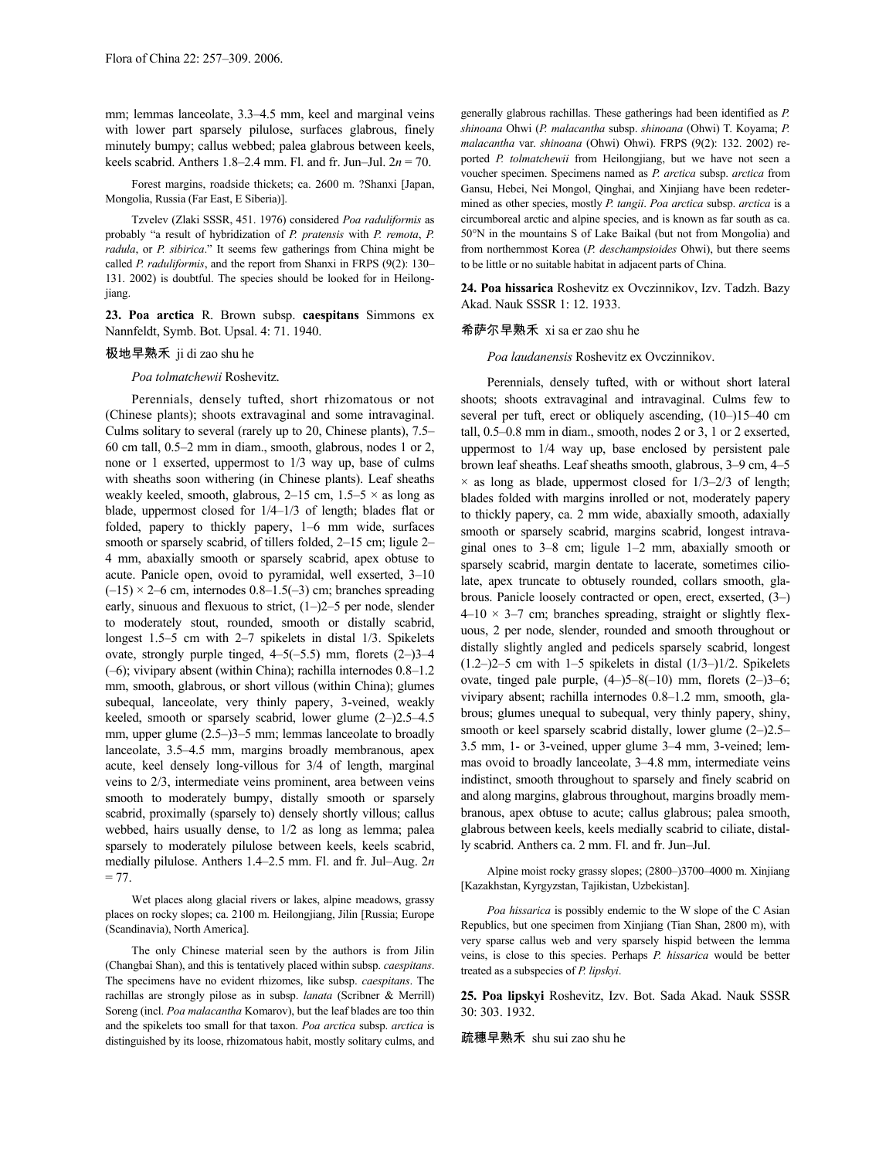mm; lemmas lanceolate, 3.3–4.5 mm, keel and marginal veins with lower part sparsely pilulose, surfaces glabrous, finely minutely bumpy; callus webbed; palea glabrous between keels, keels scabrid. Anthers 1.8–2.4 mm. Fl. and fr. Jun–Jul. 2*n* = 70.

Forest margins, roadside thickets; ca. 2600 m. ?Shanxi [Japan, Mongolia, Russia (Far East, E Siberia)].

Tzvelev (Zlaki SSSR, 451. 1976) considered *Poa raduliformis* as probably "a result of hybridization of *P. pratensis* with *P. remota*, *P. radula*, or *P. sibirica*." It seems few gatherings from China might be called *P. raduliformis*, and the report from Shanxi in FRPS (9(2): 130– 131. 2002) is doubtful. The species should be looked for in Heilongjiang.

**23. Poa arctica** R. Brown subsp. **caespitans** Simmons ex Nannfeldt, Symb. Bot. Upsal. 4: 71. 1940.

# 极地早熟禾 ji di zao shu he

*Poa tolmatchewii* Roshevitz.

Perennials, densely tufted, short rhizomatous or not (Chinese plants); shoots extravaginal and some intravaginal. Culms solitary to several (rarely up to 20, Chinese plants), 7.5– 60 cm tall, 0.5–2 mm in diam., smooth, glabrous, nodes 1 or 2, none or 1 exserted, uppermost to 1/3 way up, base of culms with sheaths soon withering (in Chinese plants). Leaf sheaths weakly keeled, smooth, glabrous, 2–15 cm,  $1.5-5 \times$  as long as blade, uppermost closed for 1/4–1/3 of length; blades flat or folded, papery to thickly papery, 1–6 mm wide, surfaces smooth or sparsely scabrid, of tillers folded, 2–15 cm; ligule 2– 4 mm, abaxially smooth or sparsely scabrid, apex obtuse to acute. Panicle open, ovoid to pyramidal, well exserted, 3–10  $(-15) \times 2-6$  cm, internodes 0.8–1.5(-3) cm; branches spreading early, sinuous and flexuous to strict, (1–)2–5 per node, slender to moderately stout, rounded, smooth or distally scabrid, longest 1.5–5 cm with 2–7 spikelets in distal 1/3. Spikelets ovate, strongly purple tinged, 4–5(–5.5) mm, florets (2–)3–4 (–6); vivipary absent (within China); rachilla internodes 0.8–1.2 mm, smooth, glabrous, or short villous (within China); glumes subequal, lanceolate, very thinly papery, 3-veined, weakly keeled, smooth or sparsely scabrid, lower glume (2–)2.5–4.5 mm, upper glume  $(2.5-3)$ <sup>-5</sup> mm; lemmas lanceolate to broadly lanceolate, 3.5–4.5 mm, margins broadly membranous, apex acute, keel densely long-villous for 3/4 of length, marginal veins to 2/3, intermediate veins prominent, area between veins smooth to moderately bumpy, distally smooth or sparsely scabrid, proximally (sparsely to) densely shortly villous; callus webbed, hairs usually dense, to 1/2 as long as lemma; palea sparsely to moderately pilulose between keels, keels scabrid, medially pilulose. Anthers 1.4–2.5 mm. Fl. and fr. Jul–Aug. 2*n*  $= 77.$ 

Wet places along glacial rivers or lakes, alpine meadows, grassy places on rocky slopes; ca. 2100 m. Heilongjiang, Jilin [Russia; Europe (Scandinavia), North America].

The only Chinese material seen by the authors is from Jilin (Changbai Shan), and this is tentatively placed within subsp. *caespitans*. The specimens have no evident rhizomes, like subsp. *caespitans*. The rachillas are strongly pilose as in subsp. *lanata* (Scribner & Merrill) Soreng (incl. *Poa malacantha* Komarov), but the leaf blades are too thin and the spikelets too small for that taxon. *Poa arctica* subsp. *arctica* is distinguished by its loose, rhizomatous habit, mostly solitary culms, and generally glabrous rachillas. These gatherings had been identified as *P. shinoana* Ohwi (*P. malacantha* subsp. *shinoana* (Ohwi) T. Koyama; *P. malacantha* var. *shinoana* (Ohwi) Ohwi). FRPS (9(2): 132. 2002) reported *P. tolmatchewii* from Heilongjiang, but we have not seen a voucher specimen. Specimens named as *P. arctica* subsp. *arctica* from Gansu, Hebei, Nei Mongol, Qinghai, and Xinjiang have been redetermined as other species, mostly *P. tangii*. *Poa arctica* subsp. *arctica* is a circumboreal arctic and alpine species, and is known as far south as ca. 50°N in the mountains S of Lake Baikal (but not from Mongolia) and from northernmost Korea (*P. deschampsioides* Ohwi), but there seems to be little or no suitable habitat in adjacent parts of China.

**24. Poa hissarica** Roshevitz ex Ovczinnikov, Izv. Tadzh. Bazy Akad. Nauk SSSR 1: 12. 1933.

## 希萨尔早熟禾 xi sa er zao shu he

# *Poa laudanensis* Roshevitz ex Ovczinnikov.

Perennials, densely tufted, with or without short lateral shoots; shoots extravaginal and intravaginal. Culms few to several per tuft, erect or obliquely ascending, (10–)15–40 cm tall, 0.5–0.8 mm in diam., smooth, nodes 2 or 3, 1 or 2 exserted, uppermost to 1/4 way up, base enclosed by persistent pale brown leaf sheaths. Leaf sheaths smooth, glabrous, 3–9 cm, 4–5  $\times$  as long as blade, uppermost closed for  $1/3-2/3$  of length; blades folded with margins inrolled or not, moderately papery to thickly papery, ca. 2 mm wide, abaxially smooth, adaxially smooth or sparsely scabrid, margins scabrid, longest intravaginal ones to 3–8 cm; ligule 1–2 mm, abaxially smooth or sparsely scabrid, margin dentate to lacerate, sometimes ciliolate, apex truncate to obtusely rounded, collars smooth, glabrous. Panicle loosely contracted or open, erect, exserted, (3–)  $4-10 \times 3-7$  cm; branches spreading, straight or slightly flexuous, 2 per node, slender, rounded and smooth throughout or distally slightly angled and pedicels sparsely scabrid, longest  $(1.2–)2–5$  cm with 1–5 spikelets in distal  $(1/3–)1/2$ . Spikelets ovate, tinged pale purple,  $(4-)5-8(-10)$  mm, florets  $(2-)3-6$ ; vivipary absent; rachilla internodes 0.8–1.2 mm, smooth, glabrous; glumes unequal to subequal, very thinly papery, shiny, smooth or keel sparsely scabrid distally, lower glume  $(2-)2.5-$ 3.5 mm, 1- or 3-veined, upper glume 3–4 mm, 3-veined; lemmas ovoid to broadly lanceolate, 3–4.8 mm, intermediate veins indistinct, smooth throughout to sparsely and finely scabrid on and along margins, glabrous throughout, margins broadly membranous, apex obtuse to acute; callus glabrous; palea smooth, glabrous between keels, keels medially scabrid to ciliate, distally scabrid. Anthers ca. 2 mm. Fl. and fr. Jun–Jul.

Alpine moist rocky grassy slopes; (2800–)3700–4000 m. Xinjiang [Kazakhstan, Kyrgyzstan, Tajikistan, Uzbekistan].

*Poa hissarica* is possibly endemic to the W slope of the C Asian Republics, but one specimen from Xinjiang (Tian Shan, 2800 m), with very sparse callus web and very sparsely hispid between the lemma veins, is close to this species. Perhaps *P. hissarica* would be better treated as a subspecies of *P. lipskyi*.

**25. Poa lipskyi** Roshevitz, Izv. Bot. Sada Akad. Nauk SSSR 30: 303. 1932.

疏穗早熟禾 shu sui zao shu he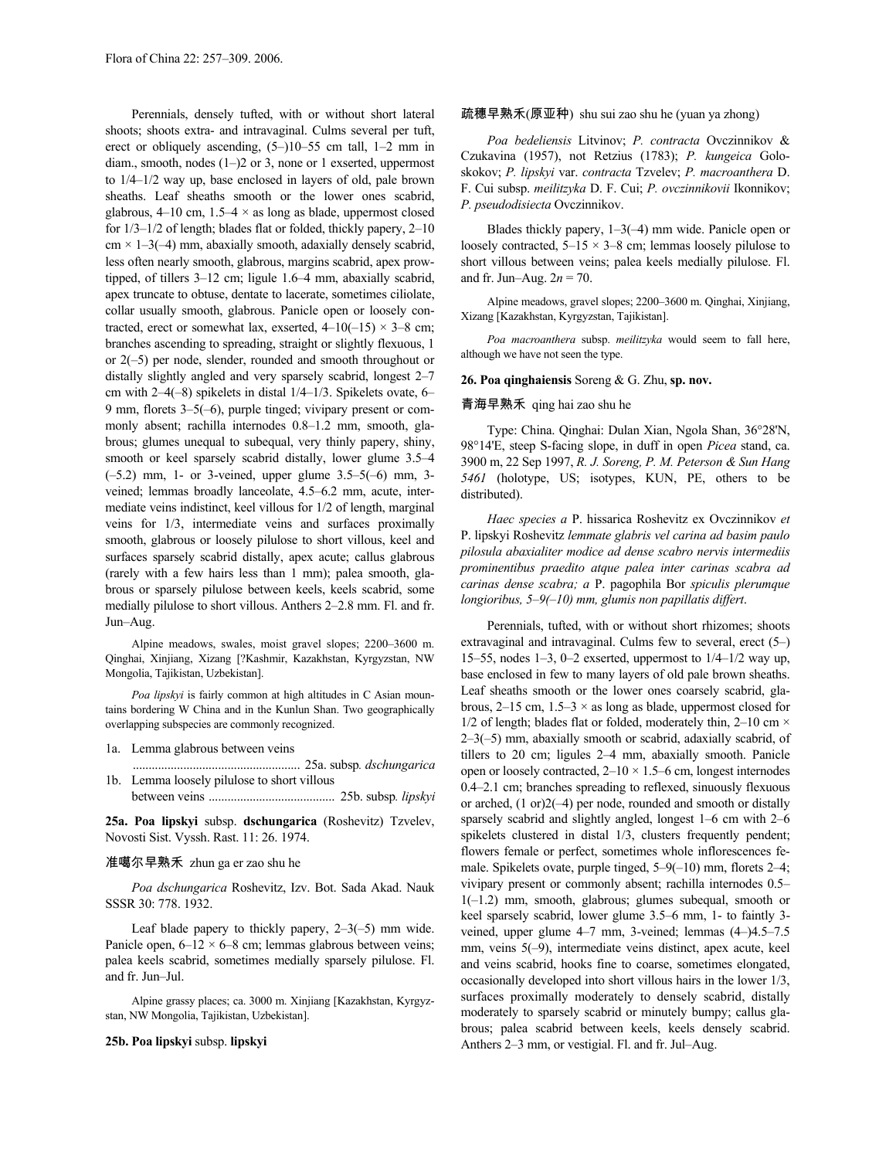Perennials, densely tufted, with or without short lateral shoots; shoots extra- and intravaginal. Culms several per tuft, erect or obliquely ascending, (5–)10–55 cm tall, 1–2 mm in diam., smooth, nodes (1–)2 or 3, none or 1 exserted, uppermost to 1/4–1/2 way up, base enclosed in layers of old, pale brown sheaths. Leaf sheaths smooth or the lower ones scabrid, glabrous,  $4-10$  cm,  $1.5-4 \times$  as long as blade, uppermost closed for 1/3–1/2 of length; blades flat or folded, thickly papery, 2–10  $cm \times 1-3(-4)$  mm, abaxially smooth, adaxially densely scabrid, less often nearly smooth, glabrous, margins scabrid, apex prowtipped, of tillers 3–12 cm; ligule 1.6–4 mm, abaxially scabrid, apex truncate to obtuse, dentate to lacerate, sometimes ciliolate, collar usually smooth, glabrous. Panicle open or loosely contracted, erect or somewhat lax, exserted,  $4-10(-15) \times 3-8$  cm; branches ascending to spreading, straight or slightly flexuous, 1 or 2(–5) per node, slender, rounded and smooth throughout or distally slightly angled and very sparsely scabrid, longest 2–7 cm with 2–4(–8) spikelets in distal 1/4–1/3. Spikelets ovate, 6– 9 mm, florets 3–5(–6), purple tinged; vivipary present or commonly absent; rachilla internodes 0.8–1.2 mm, smooth, glabrous; glumes unequal to subequal, very thinly papery, shiny, smooth or keel sparsely scabrid distally, lower glume 3.5–4  $(-5.2)$  mm, 1- or 3-veined, upper glume  $3.5-5(-6)$  mm, 3veined; lemmas broadly lanceolate, 4.5–6.2 mm, acute, intermediate veins indistinct, keel villous for 1/2 of length, marginal veins for 1/3, intermediate veins and surfaces proximally smooth, glabrous or loosely pilulose to short villous, keel and surfaces sparsely scabrid distally, apex acute; callus glabrous (rarely with a few hairs less than 1 mm); palea smooth, glabrous or sparsely pilulose between keels, keels scabrid, some medially pilulose to short villous. Anthers 2–2.8 mm. Fl. and fr. Jun–Aug.

Alpine meadows, swales, moist gravel slopes; 2200–3600 m. Qinghai, Xinjiang, Xizang [?Kashmir, Kazakhstan, Kyrgyzstan, NW Mongolia, Tajikistan, Uzbekistan].

*Poa lipskyi* is fairly common at high altitudes in C Asian mountains bordering W China and in the Kunlun Shan. Two geographically overlapping subspecies are commonly recognized.

### 1a. Lemma glabrous between veins

..................................................... 25a. subsp*. dschungarica* 1b. Lemma loosely pilulose to short villous between veins ........................................ 25b. subsp*. lipskyi*

**25a. Poa lipskyi** subsp. **dschungarica** (Roshevitz) Tzvelev, Novosti Sist. Vyssh. Rast. 11: 26. 1974.

# 准噶尔早熟禾 zhun ga er zao shu he

*Poa dschungarica* Roshevitz, Izv. Bot. Sada Akad. Nauk SSSR 30: 778. 1932.

Leaf blade papery to thickly papery,  $2-3(-5)$  mm wide. Panicle open,  $6-12 \times 6-8$  cm; lemmas glabrous between veins; palea keels scabrid, sometimes medially sparsely pilulose. Fl. and fr. Jun–Jul.

Alpine grassy places; ca. 3000 m. Xinjiang [Kazakhstan, Kyrgyzstan, NW Mongolia, Tajikistan, Uzbekistan].

### **25b. Poa lipskyi** subsp. **lipskyi**

# 疏穗早熟禾(原亚种) shu sui zao shu he (yuan ya zhong)

*Poa bedeliensis* Litvinov; *P. contracta* Ovczinnikov & Czukavina (1957), not Retzius (1783); *P. kungeica* Goloskokov; *P. lipskyi* var. *contracta* Tzvelev; *P. macroanthera* D. F. Cui subsp. *meilitzyka* D. F. Cui; *P. ovczinnikovii* Ikonnikov; *P. pseudodisiecta* Ovczinnikov.

Blades thickly papery, 1–3(–4) mm wide. Panicle open or loosely contracted,  $5-15 \times 3-8$  cm; lemmas loosely pilulose to short villous between veins; palea keels medially pilulose. Fl. and fr. Jun–Aug.  $2n = 70$ .

Alpine meadows, gravel slopes; 2200–3600 m. Qinghai, Xinjiang, Xizang [Kazakhstan, Kyrgyzstan, Tajikistan].

*Poa macroanthera* subsp. *meilitzyka* would seem to fall here, although we have not seen the type.

### **26. Poa qinghaiensis** Soreng & G. Zhu, **sp. nov.**

# 青海早熟禾 qing hai zao shu he

Type: China. Qinghai: Dulan Xian, Ngola Shan, 36°28'N, 98°14'E, steep S-facing slope, in duff in open *Picea* stand, ca. 3900 m, 22 Sep 1997, *R. J. Soreng, P. M. Peterson & Sun Hang 5461* (holotype, US; isotypes, KUN, PE, others to be distributed).

*Haec species a* P. hissarica Roshevitz ex Ovczinnikov *et*  P. lipskyi Roshevitz *lemmate glabris vel carina ad basim paulo pilosula abaxialiter modice ad dense scabro nervis intermediis prominentibus praedito atque palea inter carinas scabra ad carinas dense scabra; a* P. pagophila Bor *spiculis plerumque longioribus, 5–9(–10) mm, glumis non papillatis differt*.

Perennials, tufted, with or without short rhizomes; shoots extravaginal and intravaginal. Culms few to several, erect (5–) 15–55, nodes 1–3, 0–2 exserted, uppermost to 1/4–1/2 way up, base enclosed in few to many layers of old pale brown sheaths. Leaf sheaths smooth or the lower ones coarsely scabrid, glabrous,  $2-15$  cm,  $1.5-3 \times$  as long as blade, uppermost closed for 1/2 of length; blades flat or folded, moderately thin,  $2-10$  cm  $\times$ 2–3(–5) mm, abaxially smooth or scabrid, adaxially scabrid, of tillers to 20 cm; ligules 2–4 mm, abaxially smooth. Panicle open or loosely contracted,  $2-10 \times 1.5-6$  cm, longest internodes 0.4–2.1 cm; branches spreading to reflexed, sinuously flexuous or arched, (1 or)2(–4) per node, rounded and smooth or distally sparsely scabrid and slightly angled, longest 1–6 cm with 2–6 spikelets clustered in distal 1/3, clusters frequently pendent; flowers female or perfect, sometimes whole inflorescences female. Spikelets ovate, purple tinged, 5–9(–10) mm, florets 2–4; vivipary present or commonly absent; rachilla internodes 0.5– 1(–1.2) mm, smooth, glabrous; glumes subequal, smooth or keel sparsely scabrid, lower glume 3.5–6 mm, 1- to faintly 3 veined, upper glume 4–7 mm, 3-veined; lemmas (4–)4.5–7.5 mm, veins 5(–9), intermediate veins distinct, apex acute, keel and veins scabrid, hooks fine to coarse, sometimes elongated, occasionally developed into short villous hairs in the lower 1/3, surfaces proximally moderately to densely scabrid, distally moderately to sparsely scabrid or minutely bumpy; callus glabrous; palea scabrid between keels, keels densely scabrid. Anthers 2–3 mm, or vestigial. Fl. and fr. Jul–Aug.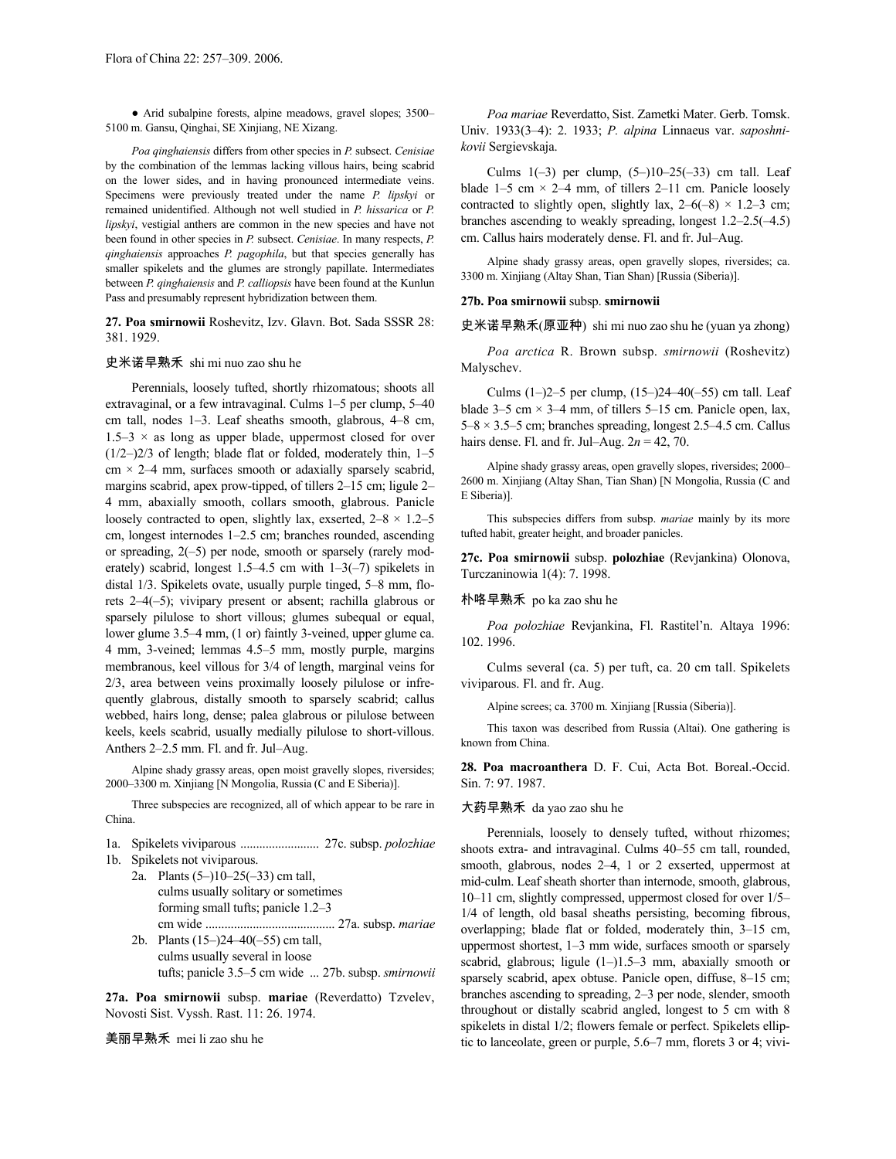● Arid subalpine forests, alpine meadows, gravel slopes; 3500– 5100 m. Gansu, Qinghai, SE Xinjiang, NE Xizang.

*Poa qinghaiensis* differs from other species in *P.* subsect. *Cenisiae* by the combination of the lemmas lacking villous hairs, being scabrid on the lower sides, and in having pronounced intermediate veins. Specimens were previously treated under the name *P. lipskyi* or remained unidentified. Although not well studied in *P. hissarica* or *P. lipskyi*, vestigial anthers are common in the new species and have not been found in other species in *P.* subsect. *Cenisiae*. In many respects, *P. qinghaiensis* approaches *P. pagophila*, but that species generally has smaller spikelets and the glumes are strongly papillate. Intermediates between *P. qinghaiensis* and *P. calliopsis* have been found at the Kunlun Pass and presumably represent hybridization between them.

**27. Poa smirnowii** Roshevitz, Izv. Glavn. Bot. Sada SSSR 28: 381. 1929.

# 史米诺早熟禾 shi mi nuo zao shu he

Perennials, loosely tufted, shortly rhizomatous; shoots all extravaginal, or a few intravaginal. Culms 1–5 per clump, 5–40 cm tall, nodes 1–3. Leaf sheaths smooth, glabrous, 4–8 cm,  $1.5-3 \times$  as long as upper blade, uppermost closed for over (1/2–)2/3 of length; blade flat or folded, moderately thin, 1–5  $cm \times 2-4$  mm, surfaces smooth or adaxially sparsely scabrid, margins scabrid, apex prow-tipped, of tillers 2–15 cm; ligule 2– 4 mm, abaxially smooth, collars smooth, glabrous. Panicle loosely contracted to open, slightly lax, exserted,  $2-8 \times 1.2-5$ cm, longest internodes 1–2.5 cm; branches rounded, ascending or spreading, 2(–5) per node, smooth or sparsely (rarely moderately) scabrid, longest  $1.5-4.5$  cm with  $1-3(-7)$  spikelets in distal 1/3. Spikelets ovate, usually purple tinged, 5–8 mm, florets 2–4(–5); vivipary present or absent; rachilla glabrous or sparsely pilulose to short villous; glumes subequal or equal, lower glume 3.5–4 mm, (1 or) faintly 3-veined, upper glume ca. 4 mm, 3-veined; lemmas 4.5–5 mm, mostly purple, margins membranous, keel villous for 3/4 of length, marginal veins for 2/3, area between veins proximally loosely pilulose or infrequently glabrous, distally smooth to sparsely scabrid; callus webbed, hairs long, dense; palea glabrous or pilulose between keels, keels scabrid, usually medially pilulose to short-villous. Anthers 2–2.5 mm. Fl. and fr. Jul–Aug.

Alpine shady grassy areas, open moist gravelly slopes, riversides; 2000–3300 m. Xinjiang [N Mongolia, Russia (C and E Siberia)].

Three subspecies are recognized, all of which appear to be rare in China.

1a. Spikelets viviparous ......................... 27c. subsp. *polozhiae*

- 1b. Spikelets not viviparous.
	- 2a. Plants (5–)10–25(–33) cm tall, culms usually solitary or sometimes forming small tufts; panicle 1.2–3 cm wide ......................................... 27a. subsp. *mariae* 2b. Plants (15–)24–40(–55) cm tall,
		- culms usually several in loose tufts; panicle 3.5–5 cm wide ... 27b. subsp. *smirnowii*

**27a. Poa smirnowii** subsp. **mariae** (Reverdatto) Tzvelev, Novosti Sist. Vyssh. Rast. 11: 26. 1974.

美丽早熟禾 mei li zao shu he

*Poa mariae* Reverdatto, Sist. Zametki Mater. Gerb. Tomsk. Univ. 1933(3–4): 2. 1933; *P. alpina* Linnaeus var. *saposhnikovii* Sergievskaja.

Culms  $1(-3)$  per clump,  $(5-)10-25(-33)$  cm tall. Leaf blade  $1-5$  cm  $\times$  2-4 mm, of tillers 2-11 cm. Panicle loosely contracted to slightly open, slightly lax,  $2-6(-8) \times 1.2-3$  cm; branches ascending to weakly spreading, longest 1.2–2.5(–4.5) cm. Callus hairs moderately dense. Fl. and fr. Jul–Aug.

Alpine shady grassy areas, open gravelly slopes, riversides; ca. 3300 m. Xinjiang (Altay Shan, Tian Shan) [Russia (Siberia)].

### **27b. Poa smirnowii** subsp. **smirnowii**

史米诺早熟禾(原亚种) shi mi nuo zao shu he (yuan ya zhong)

*Poa arctica* R. Brown subsp. *smirnowii* (Roshevitz) Malyschev.

Culms (1–)2–5 per clump, (15–)24–40(–55) cm tall. Leaf blade 3–5 cm  $\times$  3–4 mm, of tillers 5–15 cm. Panicle open, lax,  $5-8 \times 3.5-5$  cm; branches spreading, longest 2.5–4.5 cm. Callus hairs dense. Fl. and fr. Jul–Aug. 2*n* = 42, 70.

Alpine shady grassy areas, open gravelly slopes, riversides; 2000– 2600 m. Xinjiang (Altay Shan, Tian Shan) [N Mongolia, Russia (C and E Siberia)].

This subspecies differs from subsp. *mariae* mainly by its more tufted habit, greater height, and broader panicles.

**27c. Poa smirnowii** subsp. **polozhiae** (Revjankina) Olonova, Turczaninowia 1(4): 7. 1998.

# 朴咯早熟禾 po ka zao shu he

*Poa polozhiae* Revjankina, Fl. Rastitel'n. Altaya 1996: 102. 1996.

Culms several (ca. 5) per tuft, ca. 20 cm tall. Spikelets viviparous. Fl. and fr. Aug.

Alpine screes; ca. 3700 m. Xinjiang [Russia (Siberia)].

This taxon was described from Russia (Altai). One gathering is known from China.

**28. Poa macroanthera** D. F. Cui, Acta Bot. Boreal.-Occid. Sin. 7: 97. 1987.

# 大药早熟禾 da yao zao shu he

Perennials, loosely to densely tufted, without rhizomes; shoots extra- and intravaginal. Culms 40–55 cm tall, rounded, smooth, glabrous, nodes 2–4, 1 or 2 exserted, uppermost at mid-culm. Leaf sheath shorter than internode, smooth, glabrous, 10–11 cm, slightly compressed, uppermost closed for over 1/5– 1/4 of length, old basal sheaths persisting, becoming fibrous, overlapping; blade flat or folded, moderately thin, 3–15 cm, uppermost shortest, 1–3 mm wide, surfaces smooth or sparsely scabrid, glabrous; ligule (1–)1.5–3 mm, abaxially smooth or sparsely scabrid, apex obtuse. Panicle open, diffuse, 8–15 cm; branches ascending to spreading, 2–3 per node, slender, smooth throughout or distally scabrid angled, longest to 5 cm with 8 spikelets in distal 1/2; flowers female or perfect. Spikelets elliptic to lanceolate, green or purple, 5.6–7 mm, florets 3 or 4; vivi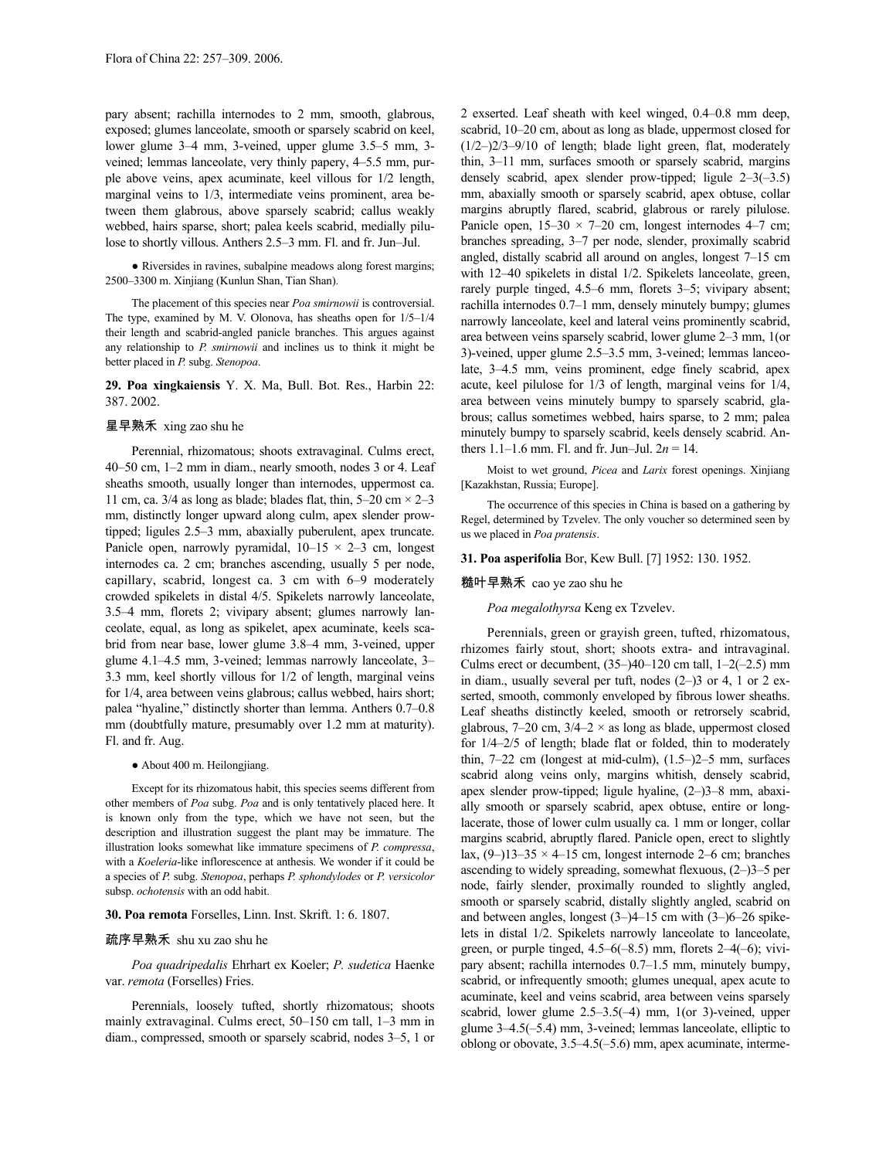pary absent; rachilla internodes to 2 mm, smooth, glabrous, exposed; glumes lanceolate, smooth or sparsely scabrid on keel, lower glume 3–4 mm, 3-veined, upper glume 3.5–5 mm, 3 veined; lemmas lanceolate, very thinly papery, 4–5.5 mm, purple above veins, apex acuminate, keel villous for 1/2 length, marginal veins to 1/3, intermediate veins prominent, area between them glabrous, above sparsely scabrid; callus weakly webbed, hairs sparse, short; palea keels scabrid, medially pilulose to shortly villous. Anthers 2.5–3 mm. Fl. and fr. Jun–Jul.

● Riversides in ravines, subalpine meadows along forest margins; 2500–3300 m. Xinjiang (Kunlun Shan, Tian Shan).

The placement of this species near *Poa smirnowii* is controversial. The type, examined by M. V. Olonova, has sheaths open for 1/5–1/4 their length and scabrid-angled panicle branches. This argues against any relationship to *P. smirnowii* and inclines us to think it might be better placed in *P.* subg. *Stenopoa*.

**29. Poa xingkaiensis** Y. X. Ma, Bull. Bot. Res., Harbin 22: 387. 2002.

# 星早熟禾 xing zao shu he

Perennial, rhizomatous; shoots extravaginal. Culms erect, 40–50 cm, 1–2 mm in diam., nearly smooth, nodes 3 or 4. Leaf sheaths smooth, usually longer than internodes, uppermost ca. 11 cm, ca.  $3/4$  as long as blade; blades flat, thin, 5–20 cm  $\times$  2–3 mm, distinctly longer upward along culm, apex slender prowtipped; ligules 2.5–3 mm, abaxially puberulent, apex truncate. Panicle open, narrowly pyramidal,  $10-15 \times 2-3$  cm, longest internodes ca. 2 cm; branches ascending, usually 5 per node, capillary, scabrid, longest ca. 3 cm with 6–9 moderately crowded spikelets in distal 4/5. Spikelets narrowly lanceolate, 3.5–4 mm, florets 2; vivipary absent; glumes narrowly lanceolate, equal, as long as spikelet, apex acuminate, keels scabrid from near base, lower glume 3.8–4 mm, 3-veined, upper glume 4.1–4.5 mm, 3-veined; lemmas narrowly lanceolate, 3– 3.3 mm, keel shortly villous for 1/2 of length, marginal veins for 1/4, area between veins glabrous; callus webbed, hairs short; palea "hyaline," distinctly shorter than lemma. Anthers 0.7–0.8 mm (doubtfully mature, presumably over 1.2 mm at maturity). Fl. and fr. Aug.

## ● About 400 m. Heilongjiang.

Except for its rhizomatous habit, this species seems different from other members of *Poa* subg. *Poa* and is only tentatively placed here. It is known only from the type, which we have not seen, but the description and illustration suggest the plant may be immature. The illustration looks somewhat like immature specimens of *P. compressa*, with a *Koeleria*-like inflorescence at anthesis. We wonder if it could be a species of *P.* subg. *Stenopoa*, perhaps *P. sphondylodes* or *P. versicolor* subsp. *ochotensis* with an odd habit.

# **30. Poa remota** Forselles, Linn. Inst. Skrift. 1: 6. 1807.

## 疏序早熟禾 shu xu zao shu he

*Poa quadripedalis* Ehrhart ex Koeler; *P. sudetica* Haenke var. *remota* (Forselles) Fries.

Perennials, loosely tufted, shortly rhizomatous; shoots mainly extravaginal. Culms erect, 50–150 cm tall, 1–3 mm in diam., compressed, smooth or sparsely scabrid, nodes 3–5, 1 or 2 exserted. Leaf sheath with keel winged, 0.4–0.8 mm deep, scabrid, 10–20 cm, about as long as blade, uppermost closed for (1/2–)2/3–9/10 of length; blade light green, flat, moderately thin, 3–11 mm, surfaces smooth or sparsely scabrid, margins densely scabrid, apex slender prow-tipped; ligule 2–3(–3.5) mm, abaxially smooth or sparsely scabrid, apex obtuse, collar margins abruptly flared, scabrid, glabrous or rarely pilulose. Panicle open,  $15-30 \times 7-20$  cm, longest internodes 4–7 cm; branches spreading, 3–7 per node, slender, proximally scabrid angled, distally scabrid all around on angles, longest 7–15 cm with 12–40 spikelets in distal 1/2. Spikelets lanceolate, green, rarely purple tinged, 4.5–6 mm, florets 3–5; vivipary absent; rachilla internodes 0.7–1 mm, densely minutely bumpy; glumes narrowly lanceolate, keel and lateral veins prominently scabrid, area between veins sparsely scabrid, lower glume 2–3 mm, 1(or 3)-veined, upper glume 2.5–3.5 mm, 3-veined; lemmas lanceolate, 3–4.5 mm, veins prominent, edge finely scabrid, apex acute, keel pilulose for 1/3 of length, marginal veins for 1/4, area between veins minutely bumpy to sparsely scabrid, glabrous; callus sometimes webbed, hairs sparse, to 2 mm; palea minutely bumpy to sparsely scabrid, keels densely scabrid. Anthers  $1.1-1.6$  mm. Fl. and fr. Jun–Jul.  $2n = 14$ .

Moist to wet ground, *Picea* and *Larix* forest openings. Xinjiang [Kazakhstan, Russia; Europe].

The occurrence of this species in China is based on a gathering by Regel, determined by Tzvelev. The only voucher so determined seen by us we placed in *Poa pratensis*.

### **31. Poa asperifolia** Bor, Kew Bull. [7] 1952: 130. 1952.

### 糙叶早熟禾 cao ye zao shu he

## *Poa megalothyrsa* Keng ex Tzvelev.

Perennials, green or grayish green, tufted, rhizomatous, rhizomes fairly stout, short; shoots extra- and intravaginal. Culms erect or decumbent,  $(35–)40–120$  cm tall,  $1–2(-2.5)$  mm in diam., usually several per tuft, nodes (2–)3 or 4, 1 or 2 exserted, smooth, commonly enveloped by fibrous lower sheaths. Leaf sheaths distinctly keeled, smooth or retrorsely scabrid, glabrous,  $7-20$  cm,  $3/4-2 \times$  as long as blade, uppermost closed for 1/4–2/5 of length; blade flat or folded, thin to moderately thin, 7–22 cm (longest at mid-culm), (1.5–)2–5 mm, surfaces scabrid along veins only, margins whitish, densely scabrid, apex slender prow-tipped; ligule hyaline, (2–)3–8 mm, abaxially smooth or sparsely scabrid, apex obtuse, entire or longlacerate, those of lower culm usually ca. 1 mm or longer, collar margins scabrid, abruptly flared. Panicle open, erect to slightly lax,  $(9-)13-35 \times 4-15$  cm, longest internode 2–6 cm; branches ascending to widely spreading, somewhat flexuous, (2–)3–5 per node, fairly slender, proximally rounded to slightly angled, smooth or sparsely scabrid, distally slightly angled, scabrid on and between angles, longest (3–)4–15 cm with (3–)6–26 spikelets in distal 1/2. Spikelets narrowly lanceolate to lanceolate, green, or purple tinged, 4.5–6(–8.5) mm, florets 2–4(–6); vivipary absent; rachilla internodes 0.7–1.5 mm, minutely bumpy, scabrid, or infrequently smooth; glumes unequal, apex acute to acuminate, keel and veins scabrid, area between veins sparsely scabrid, lower glume 2.5–3.5(–4) mm, 1(or 3)-veined, upper glume 3–4.5(–5.4) mm, 3-veined; lemmas lanceolate, elliptic to oblong or obovate, 3.5–4.5(–5.6) mm, apex acuminate, interme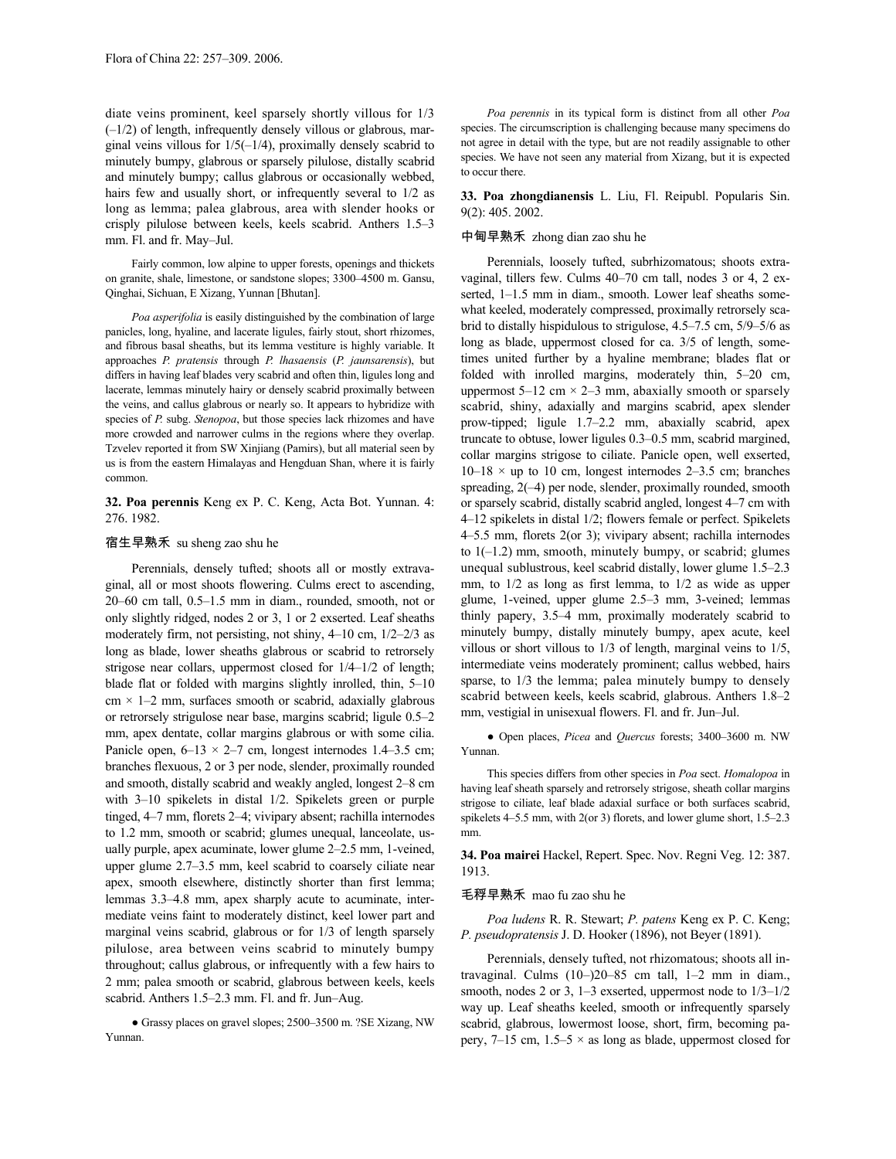diate veins prominent, keel sparsely shortly villous for 1/3 (–1/2) of length, infrequently densely villous or glabrous, marginal veins villous for 1/5(–1/4), proximally densely scabrid to minutely bumpy, glabrous or sparsely pilulose, distally scabrid and minutely bumpy; callus glabrous or occasionally webbed, hairs few and usually short, or infrequently several to 1/2 as long as lemma; palea glabrous, area with slender hooks or crisply pilulose between keels, keels scabrid. Anthers 1.5–3 mm. Fl. and fr. May–Jul.

Fairly common, low alpine to upper forests, openings and thickets on granite, shale, limestone, or sandstone slopes; 3300–4500 m. Gansu, Qinghai, Sichuan, E Xizang, Yunnan [Bhutan].

*Poa asperifolia* is easily distinguished by the combination of large panicles, long, hyaline, and lacerate ligules, fairly stout, short rhizomes, and fibrous basal sheaths, but its lemma vestiture is highly variable. It approaches *P. pratensis* through *P. lhasaensis* (*P. jaunsarensis*), but differs in having leaf blades very scabrid and often thin, ligules long and lacerate, lemmas minutely hairy or densely scabrid proximally between the veins, and callus glabrous or nearly so. It appears to hybridize with species of *P.* subg. *Stenopoa*, but those species lack rhizomes and have more crowded and narrower culms in the regions where they overlap. Tzvelev reported it from SW Xinjiang (Pamirs), but all material seen by us is from the eastern Himalayas and Hengduan Shan, where it is fairly common.

**32. Poa perennis** Keng ex P. C. Keng, Acta Bot. Yunnan. 4: 276. 1982.

# 宿生早熟禾 su sheng zao shu he

Perennials, densely tufted; shoots all or mostly extravaginal, all or most shoots flowering. Culms erect to ascending, 20–60 cm tall, 0.5–1.5 mm in diam., rounded, smooth, not or only slightly ridged, nodes 2 or 3, 1 or 2 exserted. Leaf sheaths moderately firm, not persisting, not shiny, 4–10 cm, 1/2–2/3 as long as blade, lower sheaths glabrous or scabrid to retrorsely strigose near collars, uppermost closed for 1/4–1/2 of length; blade flat or folded with margins slightly inrolled, thin, 5–10  $cm \times 1-2$  mm, surfaces smooth or scabrid, adaxially glabrous or retrorsely strigulose near base, margins scabrid; ligule 0.5–2 mm, apex dentate, collar margins glabrous or with some cilia. Panicle open,  $6-13 \times 2-7$  cm, longest internodes 1.4–3.5 cm; branches flexuous, 2 or 3 per node, slender, proximally rounded and smooth, distally scabrid and weakly angled, longest 2–8 cm with 3–10 spikelets in distal 1/2. Spikelets green or purple tinged, 4–7 mm, florets 2–4; vivipary absent; rachilla internodes to 1.2 mm, smooth or scabrid; glumes unequal, lanceolate, usually purple, apex acuminate, lower glume 2–2.5 mm, 1-veined, upper glume 2.7–3.5 mm, keel scabrid to coarsely ciliate near apex, smooth elsewhere, distinctly shorter than first lemma; lemmas 3.3–4.8 mm, apex sharply acute to acuminate, intermediate veins faint to moderately distinct, keel lower part and marginal veins scabrid, glabrous or for 1/3 of length sparsely pilulose, area between veins scabrid to minutely bumpy throughout; callus glabrous, or infrequently with a few hairs to 2 mm; palea smooth or scabrid, glabrous between keels, keels scabrid. Anthers 1.5–2.3 mm. Fl. and fr. Jun–Aug.

● Grassy places on gravel slopes; 2500–3500 m. ?SE Xizang, NW Yunnan.

*Poa perennis* in its typical form is distinct from all other *Poa* species. The circumscription is challenging because many specimens do not agree in detail with the type, but are not readily assignable to other species. We have not seen any material from Xizang, but it is expected to occur there.

**33. Poa zhongdianensis** L. Liu, Fl. Reipubl. Popularis Sin. 9(2): 405. 2002.

# 中甸早熟禾 zhong dian zao shu he

Perennials, loosely tufted, subrhizomatous; shoots extravaginal, tillers few. Culms 40–70 cm tall, nodes 3 or 4, 2 exserted, 1–1.5 mm in diam., smooth. Lower leaf sheaths somewhat keeled, moderately compressed, proximally retrorsely scabrid to distally hispidulous to strigulose, 4.5–7.5 cm, 5/9–5/6 as long as blade, uppermost closed for ca.  $3/5$  of length, sometimes united further by a hyaline membrane; blades flat or folded with inrolled margins, moderately thin, 5–20 cm, uppermost 5–12 cm  $\times$  2–3 mm, abaxially smooth or sparsely scabrid, shiny, adaxially and margins scabrid, apex slender prow-tipped; ligule 1.7–2.2 mm, abaxially scabrid, apex truncate to obtuse, lower ligules 0.3–0.5 mm, scabrid margined, collar margins strigose to ciliate. Panicle open, well exserted,  $10-18 \times$  up to 10 cm, longest internodes 2–3.5 cm; branches spreading, 2(–4) per node, slender, proximally rounded, smooth or sparsely scabrid, distally scabrid angled, longest 4–7 cm with 4–12 spikelets in distal 1/2; flowers female or perfect. Spikelets 4–5.5 mm, florets 2(or 3); vivipary absent; rachilla internodes to  $1(-1.2)$  mm, smooth, minutely bumpy, or scabrid; glumes unequal sublustrous, keel scabrid distally, lower glume 1.5–2.3 mm, to  $1/2$  as long as first lemma, to  $1/2$  as wide as upper glume, 1-veined, upper glume 2.5–3 mm, 3-veined; lemmas thinly papery, 3.5–4 mm, proximally moderately scabrid to minutely bumpy, distally minutely bumpy, apex acute, keel villous or short villous to 1/3 of length, marginal veins to 1/5, intermediate veins moderately prominent; callus webbed, hairs sparse, to 1/3 the lemma; palea minutely bumpy to densely scabrid between keels, keels scabrid, glabrous. Anthers 1.8–2 mm, vestigial in unisexual flowers. Fl. and fr. Jun–Jul.

● Open places, *Picea* and *Quercus* forests; 3400–3600 m. NW Yunnan.

This species differs from other species in *Poa* sect. *Homalopoa* in having leaf sheath sparsely and retrorsely strigose, sheath collar margins strigose to ciliate, leaf blade adaxial surface or both surfaces scabrid, spikelets 4–5.5 mm, with 2(or 3) florets, and lower glume short, 1.5–2.3 mm.

**34. Poa mairei** Hackel, Repert. Spec. Nov. Regni Veg. 12: 387. 1913.

### 毛稃早熟禾 mao fu zao shu he

*Poa ludens* R. R. Stewart; *P. patens* Keng ex P. C. Keng; *P. pseudopratensis* J. D. Hooker (1896), not Beyer (1891).

Perennials, densely tufted, not rhizomatous; shoots all intravaginal. Culms (10–)20–85 cm tall, 1–2 mm in diam., smooth, nodes 2 or 3, 1–3 exserted, uppermost node to  $1/3-1/2$ way up. Leaf sheaths keeled, smooth or infrequently sparsely scabrid, glabrous, lowermost loose, short, firm, becoming papery, 7–15 cm,  $1.5-5 \times$  as long as blade, uppermost closed for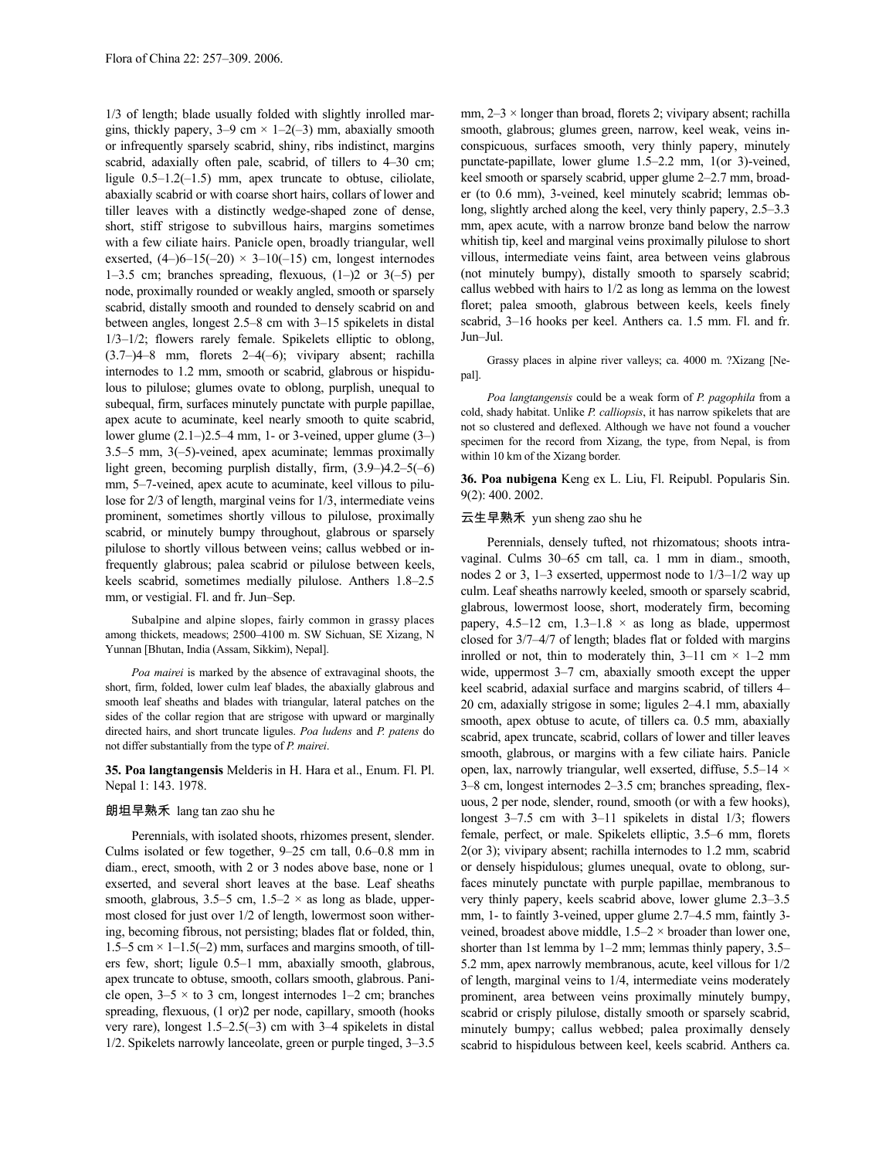1/3 of length; blade usually folded with slightly inrolled margins, thickly papery,  $3-9$  cm  $\times$   $1-2(-3)$  mm, abaxially smooth or infrequently sparsely scabrid, shiny, ribs indistinct, margins scabrid, adaxially often pale, scabrid, of tillers to 4–30 cm; ligule 0.5–1.2(–1.5) mm, apex truncate to obtuse, ciliolate, abaxially scabrid or with coarse short hairs, collars of lower and tiller leaves with a distinctly wedge-shaped zone of dense, short, stiff strigose to subvillous hairs, margins sometimes with a few ciliate hairs. Panicle open, broadly triangular, well exserted,  $(4-)6-15(-20) \times 3-10(-15)$  cm, longest internodes 1–3.5 cm; branches spreading, flexuous,  $(1–)2$  or  $3(-5)$  per node, proximally rounded or weakly angled, smooth or sparsely scabrid, distally smooth and rounded to densely scabrid on and between angles, longest 2.5–8 cm with 3–15 spikelets in distal 1/3–1/2; flowers rarely female. Spikelets elliptic to oblong, (3.7–)4–8 mm, florets 2–4(–6); vivipary absent; rachilla internodes to 1.2 mm, smooth or scabrid, glabrous or hispidulous to pilulose; glumes ovate to oblong, purplish, unequal to subequal, firm, surfaces minutely punctate with purple papillae, apex acute to acuminate, keel nearly smooth to quite scabrid, lower glume  $(2.1-)2.5-4$  mm, 1- or 3-veined, upper glume  $(3-)$ 3.5–5 mm, 3(–5)-veined, apex acuminate; lemmas proximally light green, becoming purplish distally, firm, (3.9–)4.2–5(–6) mm, 5–7-veined, apex acute to acuminate, keel villous to pilulose for 2/3 of length, marginal veins for 1/3, intermediate veins prominent, sometimes shortly villous to pilulose, proximally scabrid, or minutely bumpy throughout, glabrous or sparsely pilulose to shortly villous between veins; callus webbed or infrequently glabrous; palea scabrid or pilulose between keels, keels scabrid, sometimes medially pilulose. Anthers 1.8–2.5 mm, or vestigial. Fl. and fr. Jun–Sep.

Subalpine and alpine slopes, fairly common in grassy places among thickets, meadows; 2500–4100 m. SW Sichuan, SE Xizang, N Yunnan [Bhutan, India (Assam, Sikkim), Nepal].

*Poa mairei* is marked by the absence of extravaginal shoots, the short, firm, folded, lower culm leaf blades, the abaxially glabrous and smooth leaf sheaths and blades with triangular, lateral patches on the sides of the collar region that are strigose with upward or marginally directed hairs, and short truncate ligules. *Poa ludens* and *P. patens* do not differ substantially from the type of *P. mairei*.

# **35. Poa langtangensis** Melderis in H. Hara et al., Enum. Fl. Pl. Nepal 1: 143. 1978.

# 朗坦早熟禾 lang tan zao shu he

Perennials, with isolated shoots, rhizomes present, slender. Culms isolated or few together, 9–25 cm tall, 0.6–0.8 mm in diam., erect, smooth, with 2 or 3 nodes above base, none or 1 exserted, and several short leaves at the base. Leaf sheaths smooth, glabrous, 3.5–5 cm,  $1.5-2 \times$  as long as blade, uppermost closed for just over 1/2 of length, lowermost soon withering, becoming fibrous, not persisting; blades flat or folded, thin, 1.5–5 cm  $\times$  1–1.5(–2) mm, surfaces and margins smooth, of tillers few, short; ligule 0.5–1 mm, abaxially smooth, glabrous, apex truncate to obtuse, smooth, collars smooth, glabrous. Panicle open,  $3-5 \times$  to 3 cm, longest internodes 1–2 cm; branches spreading, flexuous, (1 or)2 per node, capillary, smooth (hooks very rare), longest 1.5–2.5(–3) cm with 3–4 spikelets in distal 1/2. Spikelets narrowly lanceolate, green or purple tinged, 3–3.5 mm, 2–3 × longer than broad, florets 2; vivipary absent; rachilla smooth, glabrous; glumes green, narrow, keel weak, veins inconspicuous, surfaces smooth, very thinly papery, minutely punctate-papillate, lower glume 1.5–2.2 mm, 1(or 3)-veined, keel smooth or sparsely scabrid, upper glume 2–2.7 mm, broader (to 0.6 mm), 3-veined, keel minutely scabrid; lemmas oblong, slightly arched along the keel, very thinly papery, 2.5–3.3 mm, apex acute, with a narrow bronze band below the narrow whitish tip, keel and marginal veins proximally pilulose to short villous, intermediate veins faint, area between veins glabrous (not minutely bumpy), distally smooth to sparsely scabrid; callus webbed with hairs to 1/2 as long as lemma on the lowest floret; palea smooth, glabrous between keels, keels finely scabrid, 3–16 hooks per keel. Anthers ca. 1.5 mm. Fl. and fr. Jun–Jul.

Grassy places in alpine river valleys; ca. 4000 m. ?Xizang [Nepal].

*Poa langtangensis* could be a weak form of *P. pagophila* from a cold, shady habitat. Unlike *P. calliopsis*, it has narrow spikelets that are not so clustered and deflexed. Although we have not found a voucher specimen for the record from Xizang, the type, from Nepal, is from within 10 km of the Xizang border.

**36. Poa nubigena** Keng ex L. Liu, Fl. Reipubl. Popularis Sin. 9(2): 400. 2002.

## 云生早熟禾 yun sheng zao shu he

Perennials, densely tufted, not rhizomatous; shoots intravaginal. Culms 30–65 cm tall, ca. 1 mm in diam., smooth, nodes 2 or 3, 1–3 exserted, uppermost node to 1/3–1/2 way up culm. Leaf sheaths narrowly keeled, smooth or sparsely scabrid, glabrous, lowermost loose, short, moderately firm, becoming papery, 4.5–12 cm,  $1.3$ – $1.8 \times$  as long as blade, uppermost closed for 3/7–4/7 of length; blades flat or folded with margins inrolled or not, thin to moderately thin,  $3-11$  cm  $\times$  1–2 mm wide, uppermost 3–7 cm, abaxially smooth except the upper keel scabrid, adaxial surface and margins scabrid, of tillers 4– 20 cm, adaxially strigose in some; ligules 2–4.1 mm, abaxially smooth, apex obtuse to acute, of tillers ca. 0.5 mm, abaxially scabrid, apex truncate, scabrid, collars of lower and tiller leaves smooth, glabrous, or margins with a few ciliate hairs. Panicle open, lax, narrowly triangular, well exserted, diffuse, 5.5–14 × 3–8 cm, longest internodes 2–3.5 cm; branches spreading, flexuous, 2 per node, slender, round, smooth (or with a few hooks), longest 3–7.5 cm with 3–11 spikelets in distal 1/3; flowers female, perfect, or male. Spikelets elliptic, 3.5–6 mm, florets 2(or 3); vivipary absent; rachilla internodes to 1.2 mm, scabrid or densely hispidulous; glumes unequal, ovate to oblong, surfaces minutely punctate with purple papillae, membranous to very thinly papery, keels scabrid above, lower glume 2.3–3.5 mm, 1- to faintly 3-veined, upper glume 2.7–4.5 mm, faintly 3 veined, broadest above middle,  $1.5-2 \times$  broader than lower one, shorter than 1st lemma by 1–2 mm; lemmas thinly papery, 3.5– 5.2 mm, apex narrowly membranous, acute, keel villous for 1/2 of length, marginal veins to 1/4, intermediate veins moderately prominent, area between veins proximally minutely bumpy, scabrid or crisply pilulose, distally smooth or sparsely scabrid, minutely bumpy; callus webbed; palea proximally densely scabrid to hispidulous between keel, keels scabrid. Anthers ca.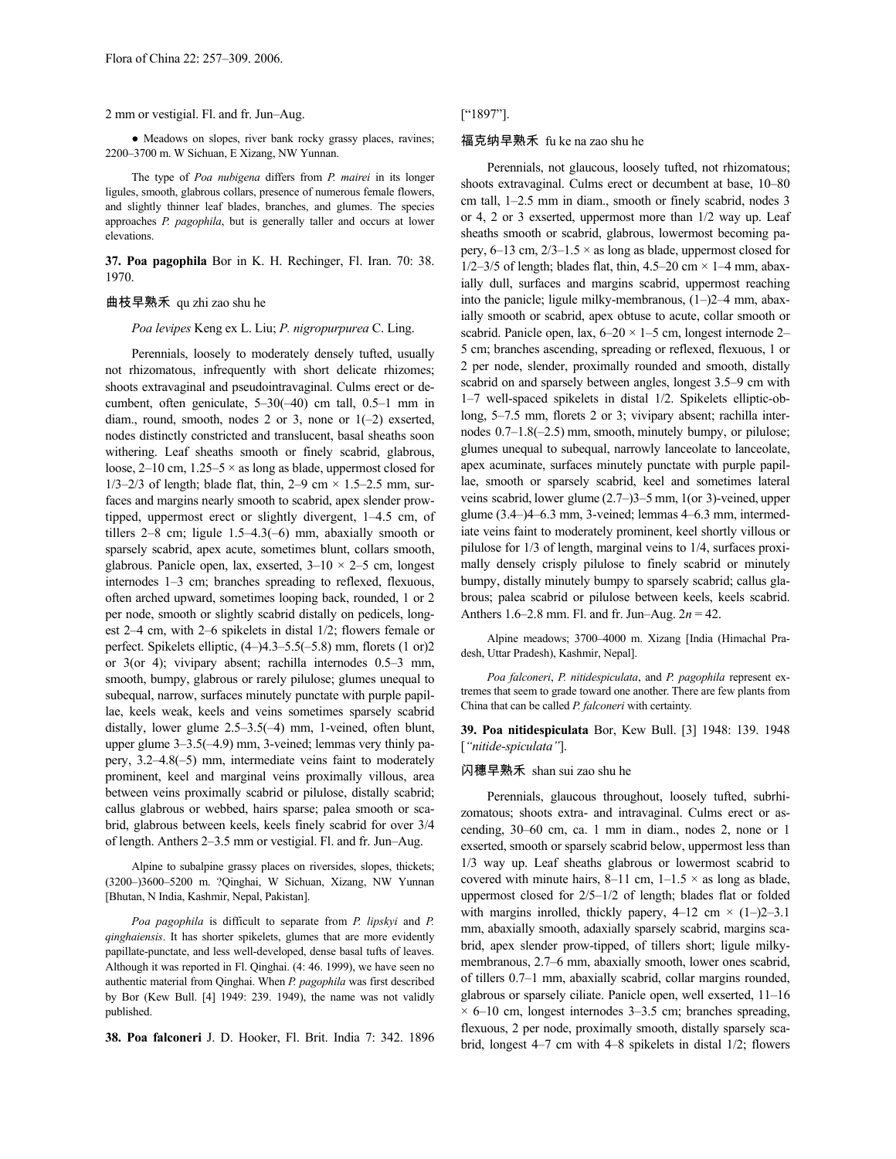## 2 mm or vestigial. Fl. and fr. Jun–Aug.

• Meadows on slopes, river bank rocky grassy places, ravines; 2200–3700 m. W Sichuan, E Xizang, NW Yunnan.

The type of *Poa nubigena* differs from *P. mairei* in its longer ligules, smooth, glabrous collars, presence of numerous female flowers, and slightly thinner leaf blades, branches, and glumes. The species approaches *P. pagophila*, but is generally taller and occurs at lower elevations.

**37. Poa pagophila** Bor in K. H. Rechinger, Fl. Iran. 70: 38. 1970.

# 曲枝早熟禾 qu zhi zao shu he

*Poa levipes* Keng ex L. Liu; *P. nigropurpurea* C. Ling.

Perennials, loosely to moderately densely tufted, usually not rhizomatous, infrequently with short delicate rhizomes; shoots extravaginal and pseudointravaginal. Culms erect or decumbent, often geniculate, 5–30(–40) cm tall, 0.5–1 mm in diam., round, smooth, nodes 2 or 3, none or 1(–2) exserted, nodes distinctly constricted and translucent, basal sheaths soon withering. Leaf sheaths smooth or finely scabrid, glabrous, loose,  $2-10$  cm,  $1.25-5 \times$  as long as blade, uppermost closed for 1/3–2/3 of length; blade flat, thin, 2–9 cm  $\times$  1.5–2.5 mm, surfaces and margins nearly smooth to scabrid, apex slender prowtipped, uppermost erect or slightly divergent, 1–4.5 cm, of tillers 2–8 cm; ligule 1.5–4.3(–6) mm, abaxially smooth or sparsely scabrid, apex acute, sometimes blunt, collars smooth, glabrous. Panicle open, lax, exserted,  $3-10 \times 2-5$  cm, longest internodes 1–3 cm; branches spreading to reflexed, flexuous, often arched upward, sometimes looping back, rounded, 1 or 2 per node, smooth or slightly scabrid distally on pedicels, longest 2–4 cm, with 2–6 spikelets in distal 1/2; flowers female or perfect. Spikelets elliptic, (4–)4.3–5.5(–5.8) mm, florets (1 or)2 or 3(or 4); vivipary absent; rachilla internodes 0.5–3 mm, smooth, bumpy, glabrous or rarely pilulose; glumes unequal to subequal, narrow, surfaces minutely punctate with purple papillae, keels weak, keels and veins sometimes sparsely scabrid distally, lower glume 2.5–3.5(–4) mm, 1-veined, often blunt, upper glume 3–3.5(–4.9) mm, 3-veined; lemmas very thinly papery, 3.2–4.8(–5) mm, intermediate veins faint to moderately prominent, keel and marginal veins proximally villous, area between veins proximally scabrid or pilulose, distally scabrid; callus glabrous or webbed, hairs sparse; palea smooth or scabrid, glabrous between keels, keels finely scabrid for over 3/4 of length. Anthers 2–3.5 mm or vestigial. Fl. and fr. Jun–Aug.

Alpine to subalpine grassy places on riversides, slopes, thickets; (3200–)3600–5200 m. ?Qinghai, W Sichuan, Xizang, NW Yunnan [Bhutan, N India, Kashmir, Nepal, Pakistan].

*Poa pagophila* is difficult to separate from *P. lipskyi* and *P. qinghaiensis*. It has shorter spikelets, glumes that are more evidently papillate-punctate, and less well-developed, dense basal tufts of leaves. Although it was reported in Fl. Qinghai. (4: 46. 1999), we have seen no authentic material from Qinghai. When *P. pagophila* was first described by Bor (Kew Bull. [4] 1949: 239. 1949), the name was not validly published.

**38. Poa falconeri** J. D. Hooker, Fl. Brit. India 7: 342. 1896

# ["1897"].

# 福克纳早熟禾 fu ke na zao shu he

Perennials, not glaucous, loosely tufted, not rhizomatous; shoots extravaginal. Culms erect or decumbent at base, 10–80 cm tall, 1–2.5 mm in diam., smooth or finely scabrid, nodes 3 or 4, 2 or 3 exserted, uppermost more than 1/2 way up. Leaf sheaths smooth or scabrid, glabrous, lowermost becoming papery,  $6-13$  cm,  $2/3-1.5 \times$  as long as blade, uppermost closed for  $1/2-3/5$  of length; blades flat, thin,  $4.5-20$  cm  $\times$  1-4 mm, abaxially dull, surfaces and margins scabrid, uppermost reaching into the panicle; ligule milky-membranous, (1–)2–4 mm, abaxially smooth or scabrid, apex obtuse to acute, collar smooth or scabrid. Panicle open, lax,  $6-20 \times 1-5$  cm, longest internode 2-5 cm; branches ascending, spreading or reflexed, flexuous, 1 or 2 per node, slender, proximally rounded and smooth, distally scabrid on and sparsely between angles, longest 3.5–9 cm with 1–7 well-spaced spikelets in distal 1/2. Spikelets elliptic-oblong, 5–7.5 mm, florets 2 or 3; vivipary absent; rachilla internodes 0.7–1.8(–2.5) mm, smooth, minutely bumpy, or pilulose; glumes unequal to subequal, narrowly lanceolate to lanceolate, apex acuminate, surfaces minutely punctate with purple papillae, smooth or sparsely scabrid, keel and sometimes lateral veins scabrid, lower glume (2.7–)3–5 mm, 1(or 3)-veined, upper glume (3.4–)4–6.3 mm, 3-veined; lemmas 4–6.3 mm, intermediate veins faint to moderately prominent, keel shortly villous or pilulose for 1/3 of length, marginal veins to 1/4, surfaces proximally densely crisply pilulose to finely scabrid or minutely bumpy, distally minutely bumpy to sparsely scabrid; callus glabrous; palea scabrid or pilulose between keels, keels scabrid. Anthers 1.6–2.8 mm. Fl. and fr. Jun–Aug. 2*n* = 42.

Alpine meadows; 3700–4000 m. Xizang [India (Himachal Pradesh, Uttar Pradesh), Kashmir, Nepal].

*Poa falconeri*, *P. nitidespiculata*, and *P. pagophila* represent extremes that seem to grade toward one another. There are few plants from China that can be called *P. falconeri* with certainty.

**39. Poa nitidespiculata** Bor, Kew Bull. [3] 1948: 139. 1948 [*"nitide-spiculata"*].

### 闪穗早熟禾 shan sui zao shu he

Perennials, glaucous throughout, loosely tufted, subrhizomatous; shoots extra- and intravaginal. Culms erect or ascending, 30–60 cm, ca. 1 mm in diam., nodes 2, none or 1 exserted, smooth or sparsely scabrid below, uppermost less than 1/3 way up. Leaf sheaths glabrous or lowermost scabrid to covered with minute hairs, 8–11 cm,  $1-1.5 \times$  as long as blade, uppermost closed for 2/5–1/2 of length; blades flat or folded with margins inrolled, thickly papery,  $4-12$  cm  $\times$   $(1-)2-3.1$ mm, abaxially smooth, adaxially sparsely scabrid, margins scabrid, apex slender prow-tipped, of tillers short; ligule milkymembranous, 2.7–6 mm, abaxially smooth, lower ones scabrid, of tillers 0.7–1 mm, abaxially scabrid, collar margins rounded, glabrous or sparsely ciliate. Panicle open, well exserted, 11–16  $\times$  6–10 cm, longest internodes 3–3.5 cm; branches spreading, flexuous, 2 per node, proximally smooth, distally sparsely scabrid, longest 4–7 cm with 4–8 spikelets in distal 1/2; flowers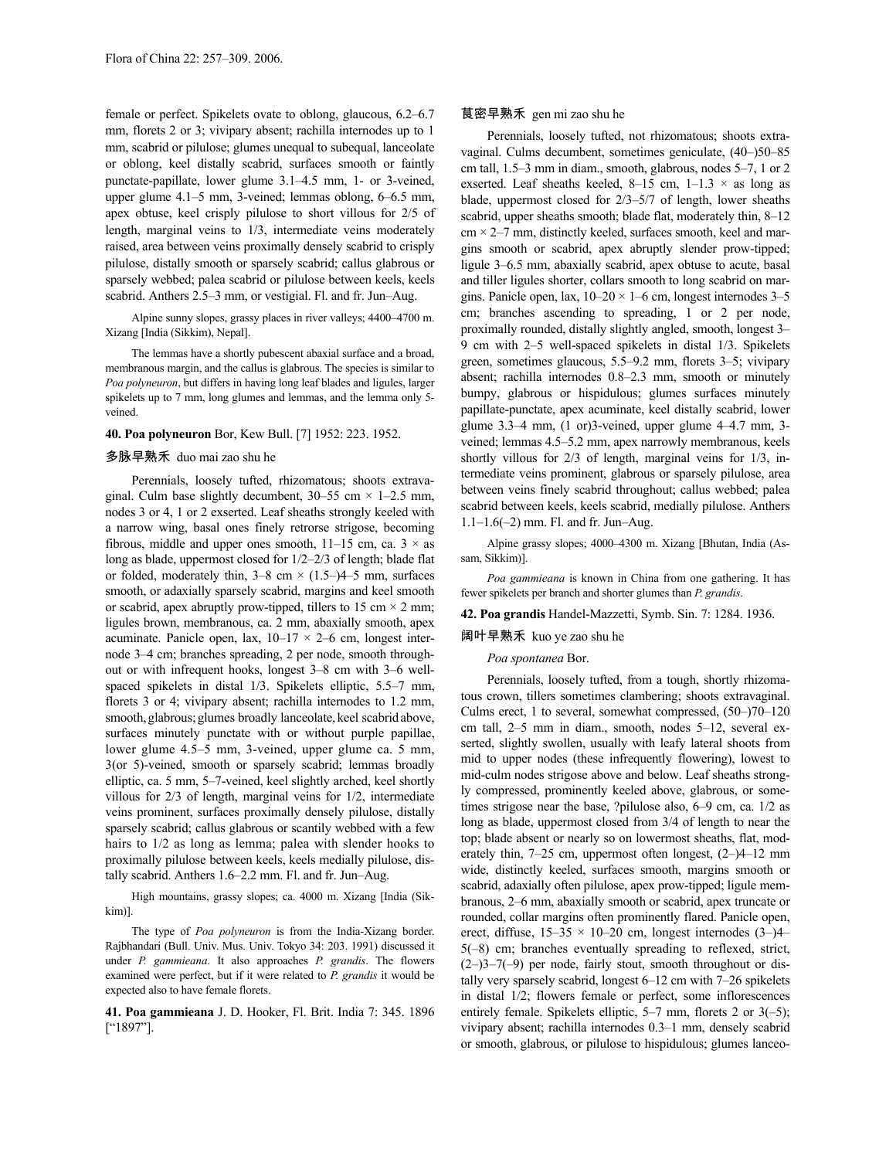female or perfect. Spikelets ovate to oblong, glaucous, 6.2–6.7 mm, florets 2 or 3; vivipary absent; rachilla internodes up to 1 mm, scabrid or pilulose; glumes unequal to subequal, lanceolate or oblong, keel distally scabrid, surfaces smooth or faintly punctate-papillate, lower glume 3.1–4.5 mm, 1- or 3-veined, upper glume 4.1–5 mm, 3-veined; lemmas oblong, 6–6.5 mm, apex obtuse, keel crisply pilulose to short villous for 2/5 of length, marginal veins to 1/3, intermediate veins moderately raised, area between veins proximally densely scabrid to crisply pilulose, distally smooth or sparsely scabrid; callus glabrous or sparsely webbed; palea scabrid or pilulose between keels, keels scabrid. Anthers 2.5–3 mm, or vestigial. Fl. and fr. Jun–Aug.

Alpine sunny slopes, grassy places in river valleys; 4400–4700 m. Xizang [India (Sikkim), Nepal].

The lemmas have a shortly pubescent abaxial surface and a broad, membranous margin, and the callus is glabrous. The species is similar to *Poa polyneuron*, but differs in having long leaf blades and ligules, larger spikelets up to 7 mm, long glumes and lemmas, and the lemma only 5 veined.

# **40. Poa polyneuron** Bor, Kew Bull. [7] 1952: 223. 1952.

## 多脉早熟禾 duo mai zao shu he

Perennials, loosely tufted, rhizomatous; shoots extravaginal. Culm base slightly decumbent,  $30-55$  cm  $\times$  1-2.5 mm, nodes 3 or 4, 1 or 2 exserted. Leaf sheaths strongly keeled with a narrow wing, basal ones finely retrorse strigose, becoming fibrous, middle and upper ones smooth,  $11-15$  cm, ca.  $3 \times$  as long as blade, uppermost closed for 1/2–2/3 of length; blade flat or folded, moderately thin,  $3-8$  cm  $\times$  (1.5–)4–5 mm, surfaces smooth, or adaxially sparsely scabrid, margins and keel smooth or scabrid, apex abruptly prow-tipped, tillers to 15 cm  $\times$  2 mm; ligules brown, membranous, ca. 2 mm, abaxially smooth, apex acuminate. Panicle open, lax,  $10-17 \times 2-6$  cm, longest internode 3–4 cm; branches spreading, 2 per node, smooth throughout or with infrequent hooks, longest 3–8 cm with 3–6 wellspaced spikelets in distal 1/3. Spikelets elliptic, 5.5–7 mm, florets 3 or 4; vivipary absent; rachilla internodes to 1.2 mm, smooth, glabrous; glumes broadly lanceolate, keel scabrid above, surfaces minutely punctate with or without purple papillae, lower glume 4.5–5 mm, 3-veined, upper glume ca. 5 mm, 3(or 5)-veined, smooth or sparsely scabrid; lemmas broadly elliptic, ca. 5 mm, 5–7-veined, keel slightly arched, keel shortly villous for 2/3 of length, marginal veins for 1/2, intermediate veins prominent, surfaces proximally densely pilulose, distally sparsely scabrid; callus glabrous or scantily webbed with a few hairs to 1/2 as long as lemma; palea with slender hooks to proximally pilulose between keels, keels medially pilulose, distally scabrid. Anthers 1.6–2.2 mm. Fl. and fr. Jun–Aug.

High mountains, grassy slopes; ca. 4000 m. Xizang [India (Sikkim)].

The type of *Poa polyneuron* is from the India-Xizang border. Rajbhandari (Bull. Univ. Mus. Univ. Tokyo 34: 203. 1991) discussed it under *P. gammieana*. It also approaches *P. grandis*. The flowers examined were perfect, but if it were related to *P. grandis* it would be expected also to have female florets.

**41. Poa gammieana** J. D. Hooker, Fl. Brit. India 7: 345. 1896 ["1897"].

# 茛密早熟禾 gen mi zao shu he

Perennials, loosely tufted, not rhizomatous; shoots extravaginal. Culms decumbent, sometimes geniculate, (40–)50–85 cm tall, 1.5–3 mm in diam., smooth, glabrous, nodes 5–7, 1 or 2 exserted. Leaf sheaths keeled, 8–15 cm,  $1-1.3 \times$  as long as blade, uppermost closed for 2/3–5/7 of length, lower sheaths scabrid, upper sheaths smooth; blade flat, moderately thin, 8–12  $cm \times 2-7$  mm, distinctly keeled, surfaces smooth, keel and margins smooth or scabrid, apex abruptly slender prow-tipped; ligule 3–6.5 mm, abaxially scabrid, apex obtuse to acute, basal and tiller ligules shorter, collars smooth to long scabrid on margins. Panicle open, lax,  $10-20 \times 1-6$  cm, longest internodes 3-5 cm; branches ascending to spreading, 1 or 2 per node, proximally rounded, distally slightly angled, smooth, longest 3– 9 cm with 2–5 well-spaced spikelets in distal 1/3. Spikelets green, sometimes glaucous, 5.5–9.2 mm, florets 3–5; vivipary absent; rachilla internodes 0.8–2.3 mm, smooth or minutely bumpy, glabrous or hispidulous; glumes surfaces minutely papillate-punctate, apex acuminate, keel distally scabrid, lower glume 3.3–4 mm, (1 or)3-veined, upper glume 4–4.7 mm, 3 veined; lemmas 4.5–5.2 mm, apex narrowly membranous, keels shortly villous for 2/3 of length, marginal veins for 1/3, intermediate veins prominent, glabrous or sparsely pilulose, area between veins finely scabrid throughout; callus webbed; palea scabrid between keels, keels scabrid, medially pilulose. Anthers 1.1–1.6(–2) mm. Fl. and fr. Jun–Aug.

Alpine grassy slopes; 4000–4300 m. Xizang [Bhutan, India (Assam, Sikkim)].

*Poa gammieana* is known in China from one gathering. It has fewer spikelets per branch and shorter glumes than *P. grandis*.

# **42. Poa grandis** Handel-Mazzetti, Symb. Sin. 7: 1284. 1936.

# 阔叶早熟禾 kuo ye zao shu he

# *Poa spontanea* Bor.

Perennials, loosely tufted, from a tough, shortly rhizomatous crown, tillers sometimes clambering; shoots extravaginal. Culms erect, 1 to several, somewhat compressed, (50–)70–120 cm tall, 2–5 mm in diam., smooth, nodes 5–12, several exserted, slightly swollen, usually with leafy lateral shoots from mid to upper nodes (these infrequently flowering), lowest to mid-culm nodes strigose above and below. Leaf sheaths strongly compressed, prominently keeled above, glabrous, or sometimes strigose near the base, ?pilulose also, 6–9 cm, ca. 1/2 as long as blade, uppermost closed from 3/4 of length to near the top; blade absent or nearly so on lowermost sheaths, flat, moderately thin, 7–25 cm, uppermost often longest, (2–)4–12 mm wide, distinctly keeled, surfaces smooth, margins smooth or scabrid, adaxially often pilulose, apex prow-tipped; ligule membranous, 2–6 mm, abaxially smooth or scabrid, apex truncate or rounded, collar margins often prominently flared. Panicle open, erect, diffuse,  $15-35 \times 10-20$  cm, longest internodes  $(3-)4-$ 5(–8) cm; branches eventually spreading to reflexed, strict,  $(2-)3-7(-9)$  per node, fairly stout, smooth throughout or distally very sparsely scabrid, longest 6–12 cm with 7–26 spikelets in distal 1/2; flowers female or perfect, some inflorescences entirely female. Spikelets elliptic, 5–7 mm, florets 2 or 3(-5); vivipary absent; rachilla internodes 0.3–1 mm, densely scabrid or smooth, glabrous, or pilulose to hispidulous; glumes lanceo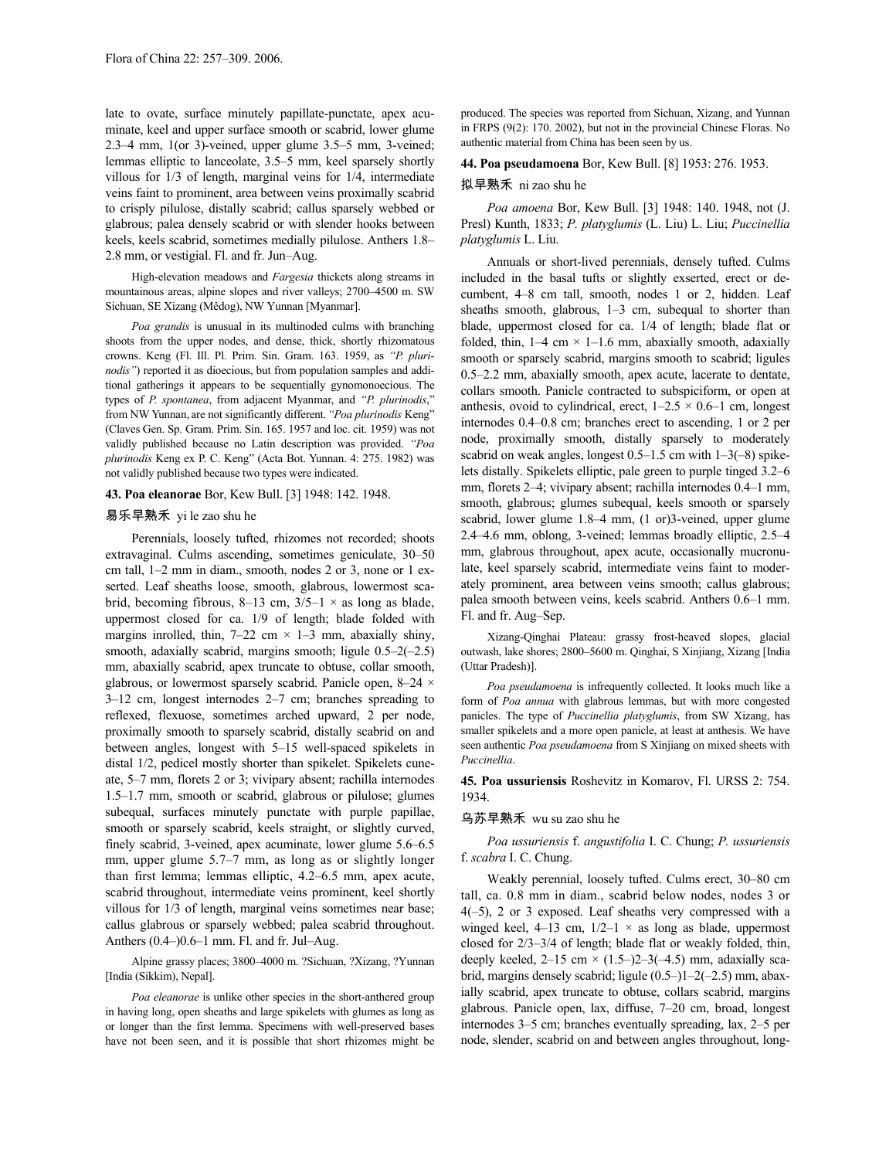late to ovate, surface minutely papillate-punctate, apex acuminate, keel and upper surface smooth or scabrid, lower glume 2.3–4 mm, 1(or 3)-veined, upper glume 3.5–5 mm, 3-veined; lemmas elliptic to lanceolate, 3.5–5 mm, keel sparsely shortly villous for 1/3 of length, marginal veins for 1/4, intermediate veins faint to prominent, area between veins proximally scabrid to crisply pilulose, distally scabrid; callus sparsely webbed or glabrous; palea densely scabrid or with slender hooks between keels, keels scabrid, sometimes medially pilulose. Anthers 1.8– 2.8 mm, or vestigial. Fl. and fr. Jun–Aug.

High-elevation meadows and *Fargesia* thickets along streams in mountainous areas, alpine slopes and river valleys; 2700–4500 m. SW Sichuan, SE Xizang (Mêdog), NW Yunnan [Myanmar].

*Poa grandis* is unusual in its multinoded culms with branching shoots from the upper nodes, and dense, thick, shortly rhizomatous crowns. Keng (Fl. Ill. Pl. Prim. Sin. Gram. 163. 1959, as *"P. plurinodis"*) reported it as dioecious, but from population samples and additional gatherings it appears to be sequentially gynomonoecious. The types of *P. spontanea*, from adjacent Myanmar, and *"P. plurinodis*," from NW Yunnan, are not significantly different.*"Poa plurinodis* Keng" (Claves Gen. Sp. Gram. Prim. Sin. 165. 1957 and loc. cit. 1959) was not validly published because no Latin description was provided. *"Poa plurinodis* Keng ex P. C. Keng" (Acta Bot. Yunnan. 4: 275. 1982) was not validly published because two types were indicated.

### **43. Poa eleanorae** Bor, Kew Bull. [3] 1948: 142. 1948.

# 易乐早熟禾 yi le zao shu he

Perennials, loosely tufted, rhizomes not recorded; shoots extravaginal. Culms ascending, sometimes geniculate, 30–50 cm tall, 1–2 mm in diam., smooth, nodes 2 or 3, none or 1 exserted. Leaf sheaths loose, smooth, glabrous, lowermost scabrid, becoming fibrous, 8–13 cm,  $3/5-1 \times$  as long as blade, uppermost closed for ca. 1/9 of length; blade folded with margins inrolled, thin,  $7-22$  cm  $\times$  1-3 mm, abaxially shiny, smooth, adaxially scabrid, margins smooth; ligule  $0.5-2(-2.5)$ mm, abaxially scabrid, apex truncate to obtuse, collar smooth, glabrous, or lowermost sparsely scabrid. Panicle open, 8–24 × 3–12 cm, longest internodes 2–7 cm; branches spreading to reflexed, flexuose, sometimes arched upward, 2 per node, proximally smooth to sparsely scabrid, distally scabrid on and between angles, longest with 5–15 well-spaced spikelets in distal  $1/2$ , pedicel mostly shorter than spikelet. Spikelets cuneate, 5–7 mm, florets 2 or 3; vivipary absent; rachilla internodes 1.5–1.7 mm, smooth or scabrid, glabrous or pilulose; glumes subequal, surfaces minutely punctate with purple papillae, smooth or sparsely scabrid, keels straight, or slightly curved, finely scabrid, 3-veined, apex acuminate, lower glume 5.6–6.5 mm, upper glume 5.7–7 mm, as long as or slightly longer than first lemma; lemmas elliptic, 4.2–6.5 mm, apex acute, scabrid throughout, intermediate veins prominent, keel shortly villous for 1/3 of length, marginal veins sometimes near base; callus glabrous or sparsely webbed; palea scabrid throughout. Anthers (0.4–)0.6–1 mm. Fl. and fr. Jul–Aug.

Alpine grassy places; 3800–4000 m. ?Sichuan, ?Xizang, ?Yunnan [India (Sikkim), Nepal].

*Poa eleanorae* is unlike other species in the short-anthered group in having long, open sheaths and large spikelets with glumes as long as or longer than the first lemma. Specimens with well-preserved bases have not been seen, and it is possible that short rhizomes might be produced. The species was reported from Sichuan, Xizang, and Yunnan in FRPS (9(2): 170. 2002), but not in the provincial Chinese Floras. No authentic material from China has been seen by us.

**44. Poa pseudamoena** Bor, Kew Bull. [8] 1953: 276. 1953.

### 拟早熟禾 ni zao shu he

*Poa amoena* Bor, Kew Bull. [3] 1948: 140. 1948, not (J. Presl) Kunth, 1833; *P. platyglumis* (L. Liu) L. Liu; *Puccinellia platyglumis* L. Liu.

Annuals or short-lived perennials, densely tufted. Culms included in the basal tufts or slightly exserted, erect or decumbent, 4–8 cm tall, smooth, nodes 1 or 2, hidden. Leaf sheaths smooth, glabrous, 1–3 cm, subequal to shorter than blade, uppermost closed for ca. 1/4 of length; blade flat or folded, thin,  $1-4$  cm  $\times$  1–1.6 mm, abaxially smooth, adaxially smooth or sparsely scabrid, margins smooth to scabrid; ligules 0.5–2.2 mm, abaxially smooth, apex acute, lacerate to dentate, collars smooth. Panicle contracted to subspiciform, or open at anthesis, ovoid to cylindrical, erect,  $1-2.5 \times 0.6-1$  cm, longest internodes 0.4–0.8 cm; branches erect to ascending, 1 or 2 per node, proximally smooth, distally sparsely to moderately scabrid on weak angles, longest  $0.5-1.5$  cm with  $1-3(-8)$  spikelets distally. Spikelets elliptic, pale green to purple tinged 3.2–6 mm, florets 2–4; vivipary absent; rachilla internodes 0.4–1 mm, smooth, glabrous; glumes subequal, keels smooth or sparsely scabrid, lower glume 1.8–4 mm, (1 or)3-veined, upper glume 2.4–4.6 mm, oblong, 3-veined; lemmas broadly elliptic, 2.5–4 mm, glabrous throughout, apex acute, occasionally mucronulate, keel sparsely scabrid, intermediate veins faint to moderately prominent, area between veins smooth; callus glabrous; palea smooth between veins, keels scabrid. Anthers 0.6–1 mm. Fl. and fr. Aug–Sep.

Xizang-Qinghai Plateau: grassy frost-heaved slopes, glacial outwash, lake shores; 2800–5600 m. Qinghai, S Xinjiang, Xizang [India (Uttar Pradesh)].

*Poa pseudamoena* is infrequently collected. It looks much like a form of *Poa annua* with glabrous lemmas, but with more congested panicles. The type of *Puccinellia platyglumis*, from SW Xizang, has smaller spikelets and a more open panicle, at least at anthesis. We have seen authentic *Poa pseudamoena* from S Xinjiang on mixed sheets with *Puccinellia*.

**45. Poa ussuriensis** Roshevitz in Komarov, Fl. URSS 2: 754. 1934.

## 乌苏早熟禾 wu su zao shu he

*Poa ussuriensis* f. *angustifolia* I. C. Chung; *P. ussuriensis* f. *scabra* I. C. Chung.

Weakly perennial, loosely tufted. Culms erect, 30–80 cm tall, ca. 0.8 mm in diam., scabrid below nodes, nodes 3 or 4(–5), 2 or 3 exposed. Leaf sheaths very compressed with a winged keel, 4–13 cm,  $1/2$ –1  $\times$  as long as blade, uppermost closed for 2/3–3/4 of length; blade flat or weakly folded, thin, deeply keeled,  $2-15$  cm  $\times$  (1.5–)2–3(-4.5) mm, adaxially scabrid, margins densely scabrid; ligule (0.5–)1–2(–2.5) mm, abaxially scabrid, apex truncate to obtuse, collars scabrid, margins glabrous. Panicle open, lax, diffuse, 7–20 cm, broad, longest internodes 3–5 cm; branches eventually spreading, lax, 2–5 per node, slender, scabrid on and between angles throughout, long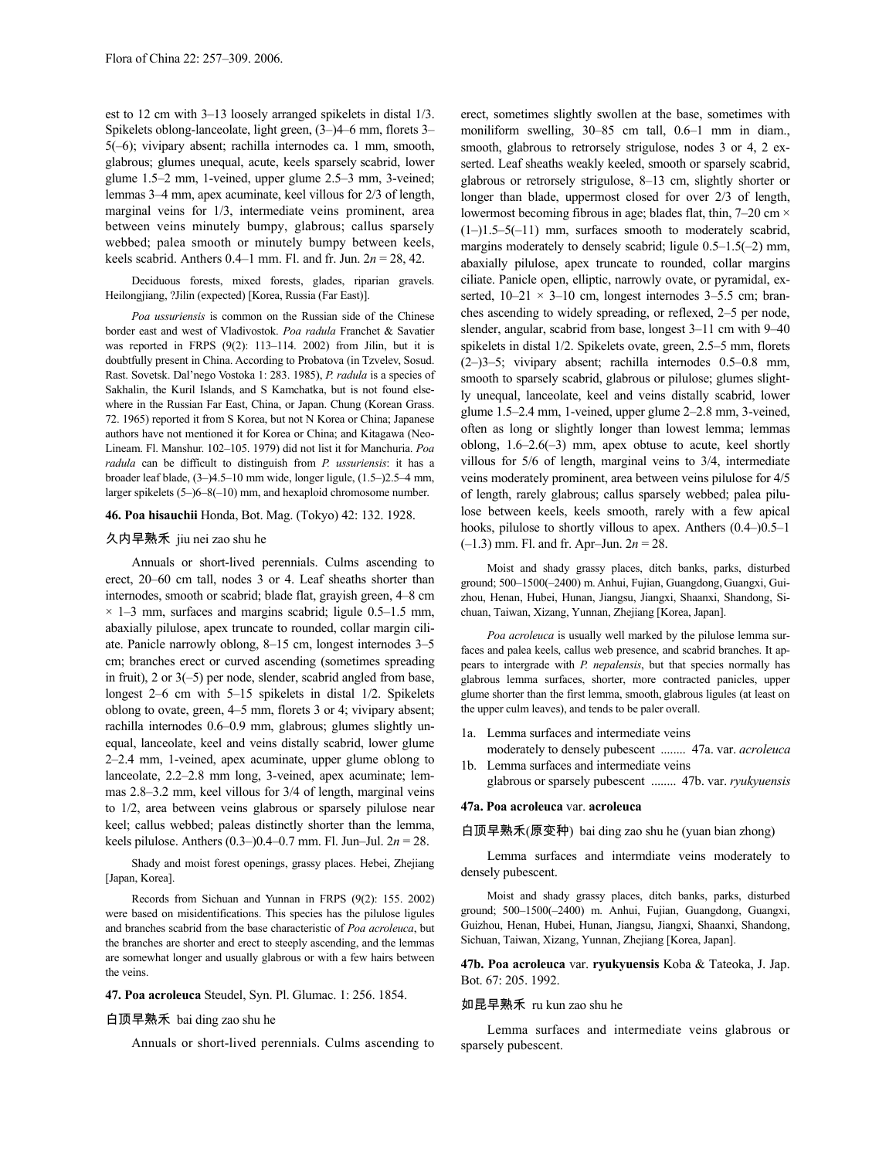est to 12 cm with 3–13 loosely arranged spikelets in distal 1/3. Spikelets oblong-lanceolate, light green, (3–)4–6 mm, florets 3– 5(–6); vivipary absent; rachilla internodes ca. 1 mm, smooth, glabrous; glumes unequal, acute, keels sparsely scabrid, lower glume 1.5–2 mm, 1-veined, upper glume 2.5–3 mm, 3-veined; lemmas 3–4 mm, apex acuminate, keel villous for 2/3 of length, marginal veins for 1/3, intermediate veins prominent, area between veins minutely bumpy, glabrous; callus sparsely webbed; palea smooth or minutely bumpy between keels, keels scabrid. Anthers 0.4–1 mm. Fl. and fr. Jun. 2*n* = 28, 42.

Deciduous forests, mixed forests, glades, riparian gravels. Heilongjiang, ?Jilin (expected) [Korea, Russia (Far East)].

*Poa ussuriensis* is common on the Russian side of the Chinese border east and west of Vladivostok. *Poa radula* Franchet & Savatier was reported in FRPS (9(2): 113–114. 2002) from Jilin, but it is doubtfully present in China. According to Probatova (in Tzvelev, Sosud. Rast. Sovetsk. Dal'nego Vostoka 1: 283. 1985), *P. radula* is a species of Sakhalin, the Kuril Islands, and S Kamchatka, but is not found elsewhere in the Russian Far East, China, or Japan. Chung (Korean Grass. 72. 1965) reported it from S Korea, but not N Korea or China; Japanese authors have not mentioned it for Korea or China; and Kitagawa (Neo-Lineam. Fl. Manshur. 102–105. 1979) did not list it for Manchuria. *Poa radula* can be difficult to distinguish from *P. ussuriensis*: it has a broader leaf blade, (3–)4.5–10 mm wide, longer ligule, (1.5–)2.5–4 mm, larger spikelets (5–)6–8(–10) mm, and hexaploid chromosome number.

### **46. Poa hisauchii** Honda, Bot. Mag. (Tokyo) 42: 132. 1928.

# 久内早熟禾 jiu nei zao shu he

Annuals or short-lived perennials. Culms ascending to erect, 20–60 cm tall, nodes 3 or 4. Leaf sheaths shorter than internodes, smooth or scabrid; blade flat, grayish green, 4–8 cm  $\times$  1–3 mm, surfaces and margins scabrid; ligule 0.5–1.5 mm, abaxially pilulose, apex truncate to rounded, collar margin ciliate. Panicle narrowly oblong, 8–15 cm, longest internodes 3–5 cm; branches erect or curved ascending (sometimes spreading in fruit), 2 or 3(–5) per node, slender, scabrid angled from base, longest 2–6 cm with 5–15 spikelets in distal 1/2. Spikelets oblong to ovate, green, 4–5 mm, florets 3 or 4; vivipary absent; rachilla internodes 0.6–0.9 mm, glabrous; glumes slightly unequal, lanceolate, keel and veins distally scabrid, lower glume 2–2.4 mm, 1-veined, apex acuminate, upper glume oblong to lanceolate, 2.2–2.8 mm long, 3-veined, apex acuminate; lemmas 2.8–3.2 mm, keel villous for 3/4 of length, marginal veins to 1/2, area between veins glabrous or sparsely pilulose near keel; callus webbed; paleas distinctly shorter than the lemma, keels pilulose. Anthers (0.3–)0.4–0.7 mm. Fl. Jun–Jul. 2*n* = 28.

Shady and moist forest openings, grassy places. Hebei, Zhejiang [Japan, Korea].

Records from Sichuan and Yunnan in FRPS (9(2): 155. 2002) were based on misidentifications. This species has the pilulose ligules and branches scabrid from the base characteristic of *Poa acroleuca*, but the branches are shorter and erect to steeply ascending, and the lemmas are somewhat longer and usually glabrous or with a few hairs between the veins.

### **47. Poa acroleuca** Steudel, Syn. Pl. Glumac. 1: 256. 1854.

## 白顶早熟禾 bai ding zao shu he

Annuals or short-lived perennials. Culms ascending to

erect, sometimes slightly swollen at the base, sometimes with moniliform swelling, 30–85 cm tall, 0.6–1 mm in diam., smooth, glabrous to retrorsely strigulose, nodes 3 or 4, 2 exserted. Leaf sheaths weakly keeled, smooth or sparsely scabrid, glabrous or retrorsely strigulose, 8–13 cm, slightly shorter or longer than blade, uppermost closed for over 2/3 of length, lowermost becoming fibrous in age; blades flat, thin, 7–20 cm ×  $(1-)1.5-5(-11)$  mm, surfaces smooth to moderately scabrid, margins moderately to densely scabrid; ligule  $0.5-1.5(-2)$  mm, abaxially pilulose, apex truncate to rounded, collar margins ciliate. Panicle open, elliptic, narrowly ovate, or pyramidal, exserted,  $10-21 \times 3-10$  cm, longest internodes  $3-5.5$  cm; branches ascending to widely spreading, or reflexed, 2–5 per node, slender, angular, scabrid from base, longest 3–11 cm with 9–40 spikelets in distal 1/2. Spikelets ovate, green, 2.5–5 mm, florets (2–)3–5; vivipary absent; rachilla internodes 0.5–0.8 mm, smooth to sparsely scabrid, glabrous or pilulose; glumes slightly unequal, lanceolate, keel and veins distally scabrid, lower glume 1.5–2.4 mm, 1-veined, upper glume 2–2.8 mm, 3-veined, often as long or slightly longer than lowest lemma; lemmas oblong,  $1.6-2.6(-3)$  mm, apex obtuse to acute, keel shortly villous for 5/6 of length, marginal veins to 3/4, intermediate veins moderately prominent, area between veins pilulose for 4/5 of length, rarely glabrous; callus sparsely webbed; palea pilulose between keels, keels smooth, rarely with a few apical hooks, pilulose to shortly villous to apex. Anthers (0.4–)0.5–1 (–1.3) mm. Fl. and fr. Apr–Jun. 2*n* = 28.

Moist and shady grassy places, ditch banks, parks, disturbed ground; 500–1500(–2400) m. Anhui, Fujian, Guangdong, Guangxi, Guizhou, Henan, Hubei, Hunan, Jiangsu, Jiangxi, Shaanxi, Shandong, Sichuan, Taiwan, Xizang, Yunnan, Zhejiang [Korea, Japan].

*Poa acroleuca* is usually well marked by the pilulose lemma surfaces and palea keels, callus web presence, and scabrid branches. It appears to intergrade with *P. nepalensis*, but that species normally has glabrous lemma surfaces, shorter, more contracted panicles, upper glume shorter than the first lemma, smooth, glabrous ligules (at least on the upper culm leaves), and tends to be paler overall.

- 1a. Lemma surfaces and intermediate veins
- moderately to densely pubescent ........ 47a. var. *acroleuca* 1b. Lemma surfaces and intermediate veins
	- glabrous or sparsely pubescent ........ 47b. var. *ryukyuensis*

# **47a. Poa acroleuca** var. **acroleuca**

白顶早熟禾(原变种) bai ding zao shu he (yuan bian zhong)

Lemma surfaces and intermdiate veins moderately to densely pubescent.

Moist and shady grassy places, ditch banks, parks, disturbed ground; 500–1500(–2400) m. Anhui, Fujian, Guangdong, Guangxi, Guizhou, Henan, Hubei, Hunan, Jiangsu, Jiangxi, Shaanxi, Shandong, Sichuan, Taiwan, Xizang, Yunnan, Zhejiang [Korea, Japan].

**47b. Poa acroleuca** var. **ryukyuensis** Koba & Tateoka, J. Jap. Bot. 67: 205. 1992.

### 如昆早熟禾 ru kun zao shu he

Lemma surfaces and intermediate veins glabrous or sparsely pubescent.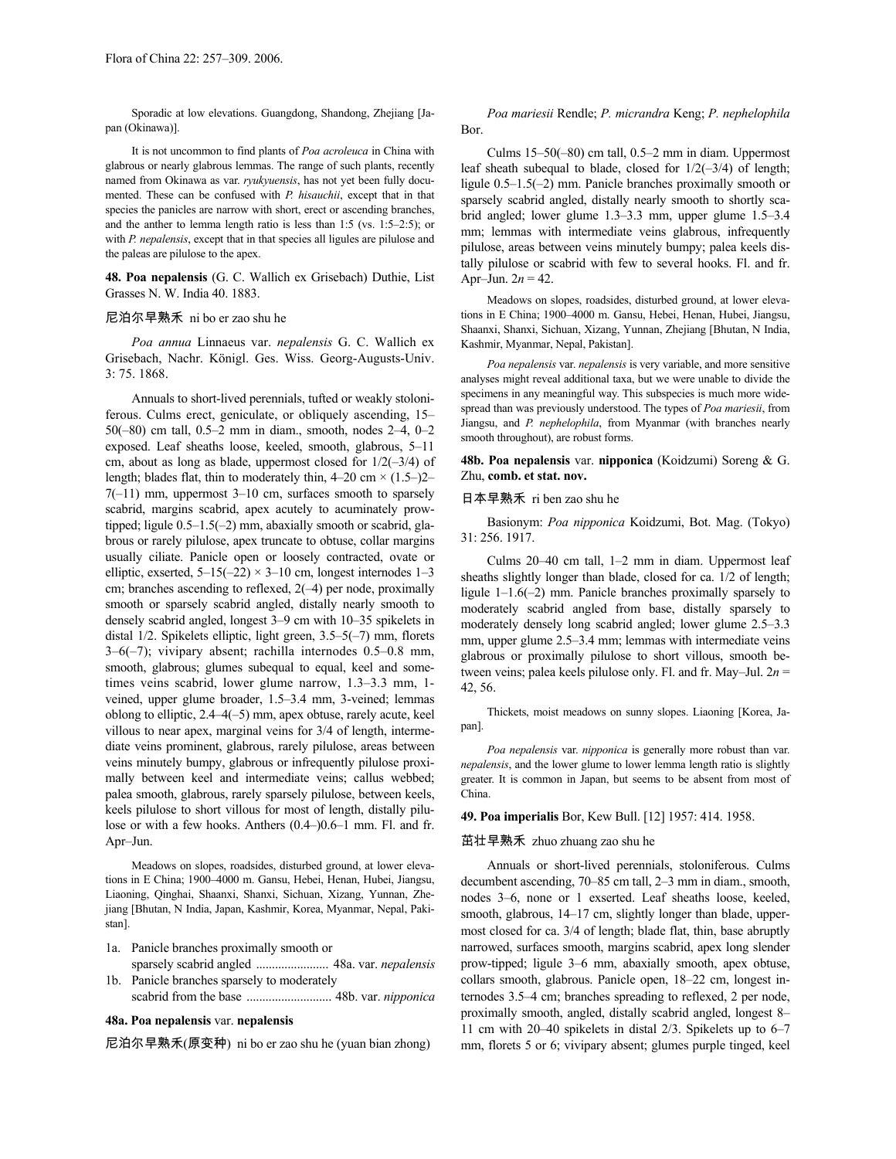Sporadic at low elevations. Guangdong, Shandong, Zhejiang [Japan (Okinawa)].

It is not uncommon to find plants of *Poa acroleuca* in China with glabrous or nearly glabrous lemmas. The range of such plants, recently named from Okinawa as var. *ryukyuensis*, has not yet been fully documented. These can be confused with *P. hisauchii*, except that in that species the panicles are narrow with short, erect or ascending branches, and the anther to lemma length ratio is less than 1:5 (vs. 1:5–2:5); or with *P. nepalensis*, except that in that species all ligules are pilulose and the paleas are pilulose to the apex.

**48. Poa nepalensis** (G. C. Wallich ex Grisebach) Duthie, List Grasses N. W. India 40. 1883.

# 尼泊尔早熟禾 ni bo er zao shu he

*Poa annua* Linnaeus var. *nepalensis* G. C. Wallich ex Grisebach, Nachr. Königl. Ges. Wiss. Georg-Augusts-Univ. 3: 75. 1868.

Annuals to short-lived perennials, tufted or weakly stoloniferous. Culms erect, geniculate, or obliquely ascending, 15– 50(–80) cm tall, 0.5–2 mm in diam., smooth, nodes 2–4, 0–2 exposed. Leaf sheaths loose, keeled, smooth, glabrous, 5–11 cm, about as long as blade, uppermost closed for  $1/2(-3/4)$  of length; blades flat, thin to moderately thin,  $4-20$  cm  $\times$   $(1.5-2)$  $7(-11)$  mm, uppermost  $3-10$  cm, surfaces smooth to sparsely scabrid, margins scabrid, apex acutely to acuminately prowtipped; ligule 0.5–1.5(–2) mm, abaxially smooth or scabrid, glabrous or rarely pilulose, apex truncate to obtuse, collar margins usually ciliate. Panicle open or loosely contracted, ovate or elliptic, exserted,  $5-15(-22) \times 3-10$  cm, longest internodes  $1-3$ cm; branches ascending to reflexed, 2(–4) per node, proximally smooth or sparsely scabrid angled, distally nearly smooth to densely scabrid angled, longest 3–9 cm with 10–35 spikelets in distal 1/2. Spikelets elliptic, light green, 3.5–5(–7) mm, florets 3–6(–7); vivipary absent; rachilla internodes 0.5–0.8 mm, smooth, glabrous; glumes subequal to equal, keel and sometimes veins scabrid, lower glume narrow, 1.3–3.3 mm, 1 veined, upper glume broader, 1.5–3.4 mm, 3-veined; lemmas oblong to elliptic, 2.4–4(–5) mm, apex obtuse, rarely acute, keel villous to near apex, marginal veins for 3/4 of length, intermediate veins prominent, glabrous, rarely pilulose, areas between veins minutely bumpy, glabrous or infrequently pilulose proximally between keel and intermediate veins; callus webbed; palea smooth, glabrous, rarely sparsely pilulose, between keels, keels pilulose to short villous for most of length, distally pilulose or with a few hooks. Anthers (0.4–)0.6–1 mm. Fl. and fr. Apr–Jun.

Meadows on slopes, roadsides, disturbed ground, at lower elevations in E China; 1900–4000 m. Gansu, Hebei, Henan, Hubei, Jiangsu, Liaoning, Qinghai, Shaanxi, Shanxi, Sichuan, Xizang, Yunnan, Zhejiang [Bhutan, N India, Japan, Kashmir, Korea, Myanmar, Nepal, Pakistan].

- 1a. Panicle branches proximally smooth or sparsely scabrid angled ....................... 48a. var. *nepalensis*
- 1b. Panicle branches sparsely to moderately scabrid from the base ........................... 48b. var. *nipponica*

# **48a. Poa nepalensis** var. **nepalensis**

尼泊尔早熟禾(原变种) ni bo er zao shu he (yuan bian zhong)

## *Poa mariesii* Rendle; *P. micrandra* Keng; *P. nephelophila* Bor.

Culms 15–50(–80) cm tall, 0.5–2 mm in diam. Uppermost leaf sheath subequal to blade, closed for  $1/2(-3/4)$  of length; ligule 0.5–1.5(–2) mm. Panicle branches proximally smooth or sparsely scabrid angled, distally nearly smooth to shortly scabrid angled; lower glume 1.3–3.3 mm, upper glume 1.5–3.4 mm; lemmas with intermediate veins glabrous, infrequently pilulose, areas between veins minutely bumpy; palea keels distally pilulose or scabrid with few to several hooks. Fl. and fr. Apr–Jun.  $2n = 42$ .

Meadows on slopes, roadsides, disturbed ground, at lower elevations in E China; 1900–4000 m. Gansu, Hebei, Henan, Hubei, Jiangsu, Shaanxi, Shanxi, Sichuan, Xizang, Yunnan, Zhejiang [Bhutan, N India, Kashmir, Myanmar, Nepal, Pakistan].

*Poa nepalensis* var. *nepalensis* is very variable, and more sensitive analyses might reveal additional taxa, but we were unable to divide the specimens in any meaningful way. This subspecies is much more widespread than was previously understood. The types of *Poa mariesii*, from Jiangsu, and *P. nephelophila*, from Myanmar (with branches nearly smooth throughout), are robust forms.

**48b. Poa nepalensis** var. **nipponica** (Koidzumi) Soreng & G. Zhu, **comb. et stat. nov.**

# 日本早熟禾 ri ben zao shu he

Basionym: *Poa nipponica* Koidzumi, Bot. Mag. (Tokyo) 31: 256. 1917.

Culms 20–40 cm tall, 1–2 mm in diam. Uppermost leaf sheaths slightly longer than blade, closed for ca. 1/2 of length; ligule 1–1.6(–2) mm. Panicle branches proximally sparsely to moderately scabrid angled from base, distally sparsely to moderately densely long scabrid angled; lower glume 2.5–3.3 mm, upper glume 2.5–3.4 mm; lemmas with intermediate veins glabrous or proximally pilulose to short villous, smooth between veins; palea keels pilulose only. Fl. and fr. May–Jul. 2*n* = 42, 56.

Thickets, moist meadows on sunny slopes. Liaoning [Korea, Japan].

*Poa nepalensis* var. *nipponica* is generally more robust than var. *nepalensis*, and the lower glume to lower lemma length ratio is slightly greater. It is common in Japan, but seems to be absent from most of China.

**49. Poa imperialis** Bor, Kew Bull. [12] 1957: 414. 1958.

#### 茁壮早熟禾 zhuo zhuang zao shu he

Annuals or short-lived perennials, stoloniferous. Culms decumbent ascending, 70–85 cm tall, 2–3 mm in diam., smooth, nodes 3–6, none or 1 exserted. Leaf sheaths loose, keeled, smooth, glabrous, 14–17 cm, slightly longer than blade, uppermost closed for ca. 3/4 of length; blade flat, thin, base abruptly narrowed, surfaces smooth, margins scabrid, apex long slender prow-tipped; ligule 3–6 mm, abaxially smooth, apex obtuse, collars smooth, glabrous. Panicle open, 18–22 cm, longest internodes 3.5–4 cm; branches spreading to reflexed, 2 per node, proximally smooth, angled, distally scabrid angled, longest 8– 11 cm with 20–40 spikelets in distal 2/3. Spikelets up to 6–7 mm, florets 5 or 6; vivipary absent; glumes purple tinged, keel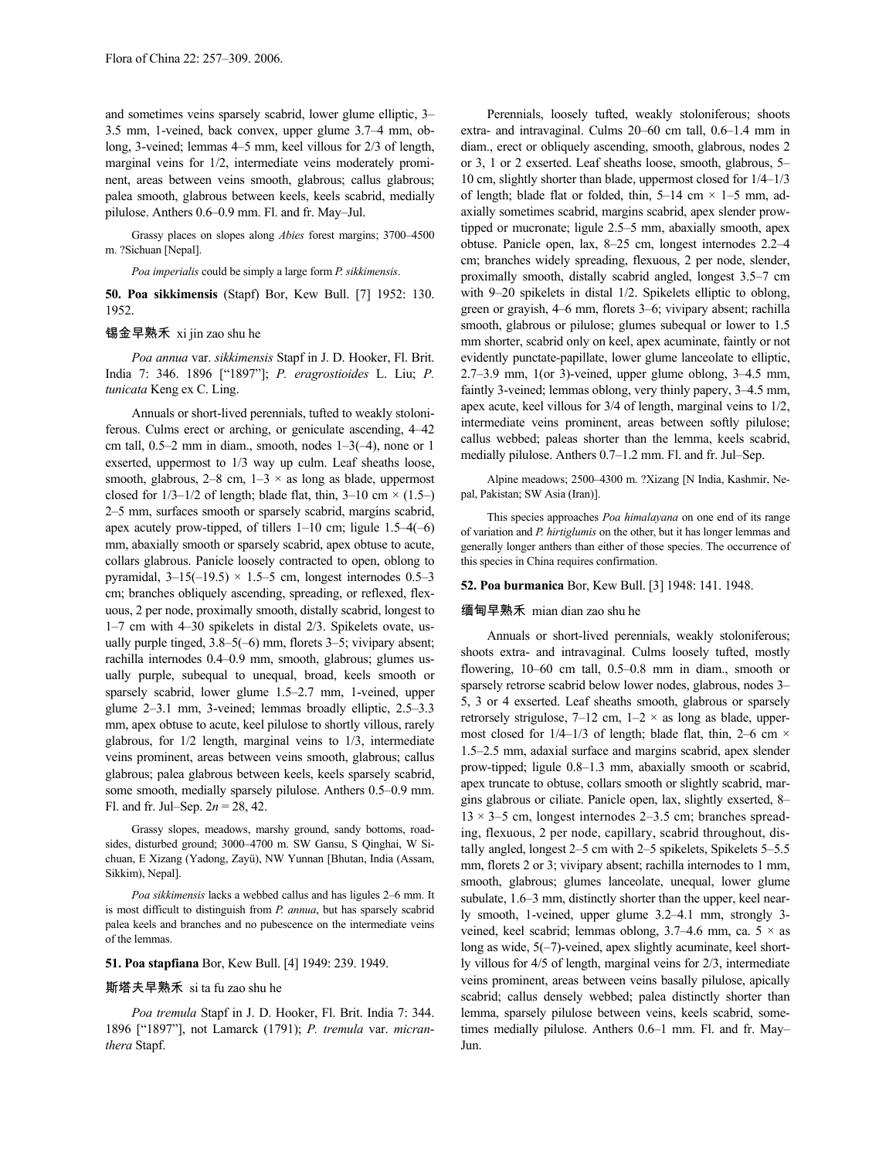and sometimes veins sparsely scabrid, lower glume elliptic, 3– 3.5 mm, 1-veined, back convex, upper glume 3.7–4 mm, oblong, 3-veined; lemmas 4–5 mm, keel villous for 2/3 of length, marginal veins for 1/2, intermediate veins moderately prominent, areas between veins smooth, glabrous; callus glabrous; palea smooth, glabrous between keels, keels scabrid, medially pilulose. Anthers 0.6–0.9 mm. Fl. and fr. May–Jul.

Grassy places on slopes along *Abies* forest margins; 3700–4500 m. ?Sichuan [Nepal].

*Poa imperialis* could be simply a large form *P. sikkimensis*.

**50. Poa sikkimensis** (Stapf) Bor, Kew Bull. [7] 1952: 130. 1952.

# 锡金早熟禾 xi jin zao shu he

*Poa annua* var. *sikkimensis* Stapf in J. D. Hooker, Fl. Brit. India 7: 346. 1896 ["1897"]; *P. eragrostioides* L. Liu; *P. tunicata* Keng ex C. Ling.

Annuals or short-lived perennials, tufted to weakly stoloniferous. Culms erect or arching, or geniculate ascending, 4–42 cm tall,  $0.5-2$  mm in diam., smooth, nodes  $1-3(-4)$ , none or 1 exserted, uppermost to 1/3 way up culm. Leaf sheaths loose, smooth, glabrous,  $2-8$  cm,  $1-3 \times$  as long as blade, uppermost closed for  $1/3-1/2$  of length; blade flat, thin,  $3-10$  cm  $\times$  (1.5–) 2–5 mm, surfaces smooth or sparsely scabrid, margins scabrid, apex acutely prow-tipped, of tillers 1–10 cm; ligule 1.5–4(–6) mm, abaxially smooth or sparsely scabrid, apex obtuse to acute, collars glabrous. Panicle loosely contracted to open, oblong to pyramidal,  $3-15(-19.5) \times 1.5-5$  cm, longest internodes 0.5-3 cm; branches obliquely ascending, spreading, or reflexed, flexuous, 2 per node, proximally smooth, distally scabrid, longest to 1–7 cm with 4–30 spikelets in distal 2/3. Spikelets ovate, usually purple tinged, 3.8–5(–6) mm, florets 3–5; vivipary absent; rachilla internodes 0.4–0.9 mm, smooth, glabrous; glumes usually purple, subequal to unequal, broad, keels smooth or sparsely scabrid, lower glume 1.5–2.7 mm, 1-veined, upper glume 2–3.1 mm, 3-veined; lemmas broadly elliptic, 2.5–3.3 mm, apex obtuse to acute, keel pilulose to shortly villous, rarely glabrous, for 1/2 length, marginal veins to 1/3, intermediate veins prominent, areas between veins smooth, glabrous; callus glabrous; palea glabrous between keels, keels sparsely scabrid, some smooth, medially sparsely pilulose. Anthers 0.5–0.9 mm. Fl. and fr. Jul–Sep.  $2n = 28, 42$ .

Grassy slopes, meadows, marshy ground, sandy bottoms, roadsides, disturbed ground; 3000–4700 m. SW Gansu, S Qinghai, W Sichuan, E Xizang (Yadong, Zayü), NW Yunnan [Bhutan, India (Assam, Sikkim), Nepal].

*Poa sikkimensis* lacks a webbed callus and has ligules 2–6 mm. It is most difficult to distinguish from *P. annua*, but has sparsely scabrid palea keels and branches and no pubescence on the intermediate veins of the lemmas.

### **51. Poa stapfiana** Bor, Kew Bull. [4] 1949: 239. 1949.

# 斯塔夫早熟禾 si ta fu zao shu he

*Poa tremula* Stapf in J. D. Hooker, Fl. Brit. India 7: 344. 1896 ["1897"], not Lamarck (1791); *P. tremula* var. *micranthera* Stapf.

Perennials, loosely tufted, weakly stoloniferous; shoots extra- and intravaginal. Culms 20–60 cm tall, 0.6–1.4 mm in diam., erect or obliquely ascending, smooth, glabrous, nodes 2 or 3, 1 or 2 exserted. Leaf sheaths loose, smooth, glabrous, 5– 10 cm, slightly shorter than blade, uppermost closed for 1/4–1/3 of length; blade flat or folded, thin,  $5-14$  cm  $\times$  1-5 mm, adaxially sometimes scabrid, margins scabrid, apex slender prowtipped or mucronate; ligule 2.5–5 mm, abaxially smooth, apex obtuse. Panicle open, lax, 8–25 cm, longest internodes 2.2–4 cm; branches widely spreading, flexuous, 2 per node, slender, proximally smooth, distally scabrid angled, longest 3.5–7 cm with 9–20 spikelets in distal 1/2. Spikelets elliptic to oblong, green or grayish, 4–6 mm, florets 3–6; vivipary absent; rachilla smooth, glabrous or pilulose; glumes subequal or lower to 1.5 mm shorter, scabrid only on keel, apex acuminate, faintly or not evidently punctate-papillate, lower glume lanceolate to elliptic, 2.7–3.9 mm, 1(or 3)-veined, upper glume oblong, 3–4.5 mm, faintly 3-veined; lemmas oblong, very thinly papery, 3–4.5 mm, apex acute, keel villous for 3/4 of length, marginal veins to 1/2, intermediate veins prominent, areas between softly pilulose; callus webbed; paleas shorter than the lemma, keels scabrid, medially pilulose. Anthers 0.7–1.2 mm. Fl. and fr. Jul–Sep.

Alpine meadows; 2500–4300 m. ?Xizang [N India, Kashmir, Nepal, Pakistan; SW Asia (Iran)].

This species approaches *Poa himalayana* on one end of its range of variation and *P. hirtiglumis* on the other, but it has longer lemmas and generally longer anthers than either of those species. The occurrence of this species in China requires confirmation.

### **52. Poa burmanica** Bor, Kew Bull. [3] 1948: 141. 1948.

## 缅甸早熟禾 mian dian zao shu he

Annuals or short-lived perennials, weakly stoloniferous; shoots extra- and intravaginal. Culms loosely tufted, mostly flowering, 10–60 cm tall, 0.5–0.8 mm in diam., smooth or sparsely retrorse scabrid below lower nodes, glabrous, nodes 3– 5, 3 or 4 exserted. Leaf sheaths smooth, glabrous or sparsely retrorsely strigulose, 7–12 cm,  $1-2 \times$  as long as blade, uppermost closed for  $1/4-1/3$  of length; blade flat, thin, 2–6 cm  $\times$ 1.5–2.5 mm, adaxial surface and margins scabrid, apex slender prow-tipped; ligule 0.8–1.3 mm, abaxially smooth or scabrid, apex truncate to obtuse, collars smooth or slightly scabrid, margins glabrous or ciliate. Panicle open, lax, slightly exserted, 8–  $13 \times 3$ –5 cm, longest internodes 2–3.5 cm; branches spreading, flexuous, 2 per node, capillary, scabrid throughout, distally angled, longest 2–5 cm with 2–5 spikelets, Spikelets 5–5.5 mm, florets 2 or 3; vivipary absent; rachilla internodes to 1 mm, smooth, glabrous; glumes lanceolate, unequal, lower glume subulate, 1.6–3 mm, distinctly shorter than the upper, keel nearly smooth, 1-veined, upper glume 3.2–4.1 mm, strongly 3 veined, keel scabrid; lemmas oblong, 3.7–4.6 mm, ca.  $5 \times$  as long as wide, 5(-7)-veined, apex slightly acuminate, keel shortly villous for 4/5 of length, marginal veins for 2/3, intermediate veins prominent, areas between veins basally pilulose, apically scabrid; callus densely webbed; palea distinctly shorter than lemma, sparsely pilulose between veins, keels scabrid, sometimes medially pilulose. Anthers 0.6-1 mm. Fl. and fr. May-Jun.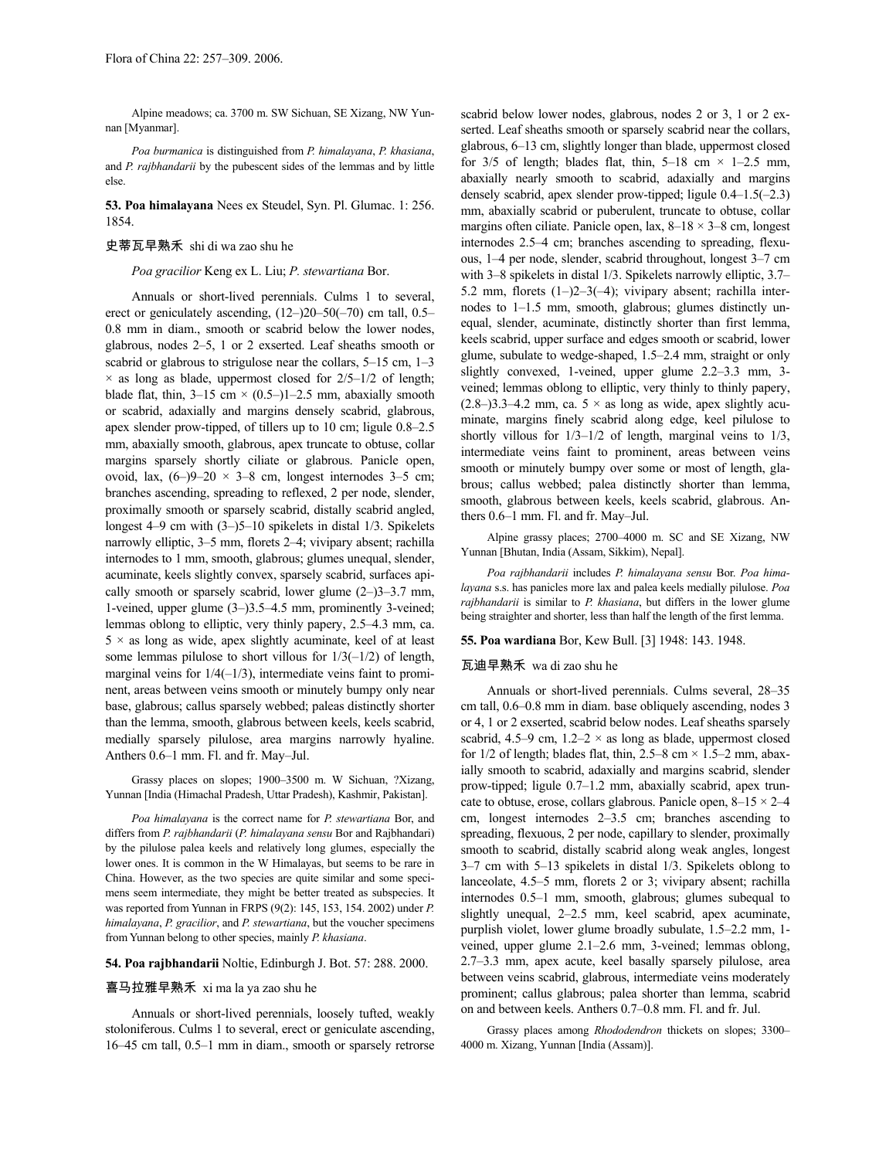Alpine meadows; ca. 3700 m. SW Sichuan, SE Xizang, NW Yunnan [Myanmar].

*Poa burmanica* is distinguished from *P. himalayana*, *P. khasiana*, and *P. rajbhandarii* by the pubescent sides of the lemmas and by little else.

**53. Poa himalayana** Nees ex Steudel, Syn. Pl. Glumac. 1: 256. 1854.

### 史蒂瓦早熟禾 shi di wa zao shu he

*Poa gracilior* Keng ex L. Liu; *P. stewartiana* Bor.

Annuals or short-lived perennials. Culms 1 to several, erect or geniculately ascending, (12–)20–50(–70) cm tall, 0.5– 0.8 mm in diam., smooth or scabrid below the lower nodes, glabrous, nodes 2–5, 1 or 2 exserted. Leaf sheaths smooth or scabrid or glabrous to strigulose near the collars, 5–15 cm, 1–3  $\times$  as long as blade, uppermost closed for  $2/5-1/2$  of length; blade flat, thin,  $3-15$  cm  $\times$  (0.5–)1–2.5 mm, abaxially smooth or scabrid, adaxially and margins densely scabrid, glabrous, apex slender prow-tipped, of tillers up to 10 cm; ligule 0.8–2.5 mm, abaxially smooth, glabrous, apex truncate to obtuse, collar margins sparsely shortly ciliate or glabrous. Panicle open, ovoid, lax,  $(6-9-20 \times 3-8$  cm, longest internodes 3-5 cm; branches ascending, spreading to reflexed, 2 per node, slender, proximally smooth or sparsely scabrid, distally scabrid angled, longest 4–9 cm with (3–)5–10 spikelets in distal 1/3. Spikelets narrowly elliptic, 3–5 mm, florets 2–4; vivipary absent; rachilla internodes to 1 mm, smooth, glabrous; glumes unequal, slender, acuminate, keels slightly convex, sparsely scabrid, surfaces apically smooth or sparsely scabrid, lower glume  $(2-)3-3.7$  mm, 1-veined, upper glume (3–)3.5–4.5 mm, prominently 3-veined; lemmas oblong to elliptic, very thinly papery, 2.5–4.3 mm, ca.  $5 \times$  as long as wide, apex slightly acuminate, keel of at least some lemmas pilulose to short villous for  $1/3(-1/2)$  of length, marginal veins for  $1/4(-1/3)$ , intermediate veins faint to prominent, areas between veins smooth or minutely bumpy only near base, glabrous; callus sparsely webbed; paleas distinctly shorter than the lemma, smooth, glabrous between keels, keels scabrid, medially sparsely pilulose, area margins narrowly hyaline. Anthers 0.6–1 mm. Fl. and fr. May–Jul.

Grassy places on slopes; 1900–3500 m. W Sichuan, ?Xizang, Yunnan [India (Himachal Pradesh, Uttar Pradesh), Kashmir, Pakistan].

*Poa himalayana* is the correct name for *P. stewartiana* Bor, and differs from *P. rajbhandarii* (*P. himalayana sensu* Bor and Rajbhandari) by the pilulose palea keels and relatively long glumes, especially the lower ones. It is common in the W Himalayas, but seems to be rare in China. However, as the two species are quite similar and some specimens seem intermediate, they might be better treated as subspecies. It was reported from Yunnan in FRPS (9(2): 145, 153, 154. 2002) under *P. himalayana*, *P. gracilior*, and *P. stewartiana*, but the voucher specimens from Yunnan belong to other species, mainly *P. khasiana*.

# **54. Poa rajbhandarii** Noltie, Edinburgh J. Bot. 57: 288. 2000.

# 喜马拉雅早熟禾 xi ma la ya zao shu he

Annuals or short-lived perennials, loosely tufted, weakly stoloniferous. Culms 1 to several, erect or geniculate ascending, 16–45 cm tall, 0.5–1 mm in diam., smooth or sparsely retrorse scabrid below lower nodes, glabrous, nodes 2 or 3, 1 or 2 exserted. Leaf sheaths smooth or sparsely scabrid near the collars, glabrous, 6–13 cm, slightly longer than blade, uppermost closed for  $3/5$  of length; blades flat, thin,  $5-18$  cm  $\times$  1-2.5 mm, abaxially nearly smooth to scabrid, adaxially and margins densely scabrid, apex slender prow-tipped; ligule 0.4–1.5(–2.3) mm, abaxially scabrid or puberulent, truncate to obtuse, collar margins often ciliate. Panicle open, lax,  $8-18 \times 3-8$  cm, longest internodes 2.5–4 cm; branches ascending to spreading, flexuous, 1–4 per node, slender, scabrid throughout, longest 3–7 cm with 3–8 spikelets in distal 1/3. Spikelets narrowly elliptic, 3.7– 5.2 mm, florets  $(1–)2–3(-4)$ ; vivipary absent; rachilla internodes to 1–1.5 mm, smooth, glabrous; glumes distinctly unequal, slender, acuminate, distinctly shorter than first lemma, keels scabrid, upper surface and edges smooth or scabrid, lower glume, subulate to wedge-shaped, 1.5–2.4 mm, straight or only slightly convexed, 1-veined, upper glume 2.2–3.3 mm, 3 veined; lemmas oblong to elliptic, very thinly to thinly papery,  $(2.8-)3.3-4.2$  mm, ca.  $5 \times$  as long as wide, apex slightly acuminate, margins finely scabrid along edge, keel pilulose to shortly villous for  $1/3-1/2$  of length, marginal veins to  $1/3$ , intermediate veins faint to prominent, areas between veins smooth or minutely bumpy over some or most of length, glabrous; callus webbed; palea distinctly shorter than lemma, smooth, glabrous between keels, keels scabrid, glabrous. Anthers 0.6–1 mm. Fl. and fr. May–Jul.

Alpine grassy places; 2700–4000 m. SC and SE Xizang, NW Yunnan [Bhutan, India (Assam, Sikkim), Nepal].

*Poa rajbhandarii* includes *P. himalayana sensu* Bor. *Poa himalayana* s.s. has panicles more lax and palea keels medially pilulose. *Poa rajbhandarii* is similar to *P. khasiana*, but differs in the lower glume being straighter and shorter, less than half the length of the first lemma.

### **55. Poa wardiana** Bor, Kew Bull. [3] 1948: 143. 1948.

# 瓦迪早熟禾 wa di zao shu he

Annuals or short-lived perennials. Culms several, 28–35 cm tall, 0.6–0.8 mm in diam. base obliquely ascending, nodes 3 or 4, 1 or 2 exserted, scabrid below nodes. Leaf sheaths sparsely scabrid, 4.5–9 cm,  $1.2-2 \times$  as long as blade, uppermost closed for  $1/2$  of length; blades flat, thin,  $2.5-8$  cm  $\times$  1.5–2 mm, abaxially smooth to scabrid, adaxially and margins scabrid, slender prow-tipped; ligule 0.7–1.2 mm, abaxially scabrid, apex truncate to obtuse, erose, collars glabrous. Panicle open, 8–15 × 2–4 cm, longest internodes 2–3.5 cm; branches ascending to spreading, flexuous, 2 per node, capillary to slender, proximally smooth to scabrid, distally scabrid along weak angles, longest 3–7 cm with 5–13 spikelets in distal 1/3. Spikelets oblong to lanceolate, 4.5–5 mm, florets 2 or 3; vivipary absent; rachilla internodes 0.5–1 mm, smooth, glabrous; glumes subequal to slightly unequal, 2–2.5 mm, keel scabrid, apex acuminate, purplish violet, lower glume broadly subulate, 1.5–2.2 mm, 1 veined, upper glume 2.1–2.6 mm, 3-veined; lemmas oblong, 2.7–3.3 mm, apex acute, keel basally sparsely pilulose, area between veins scabrid, glabrous, intermediate veins moderately prominent; callus glabrous; palea shorter than lemma, scabrid on and between keels. Anthers 0.7–0.8 mm. Fl. and fr. Jul.

Grassy places among *Rhododendron* thickets on slopes; 3300– 4000 m. Xizang, Yunnan [India (Assam)].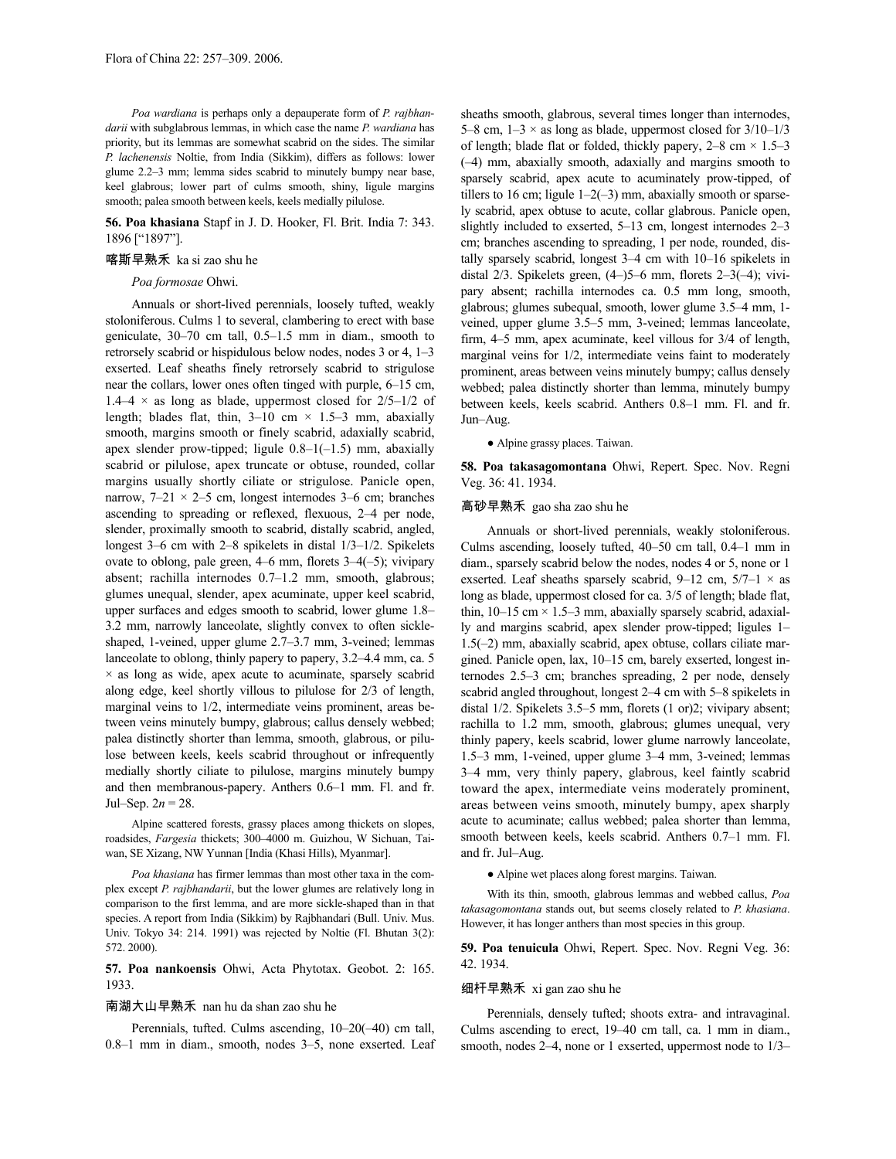*Poa wardiana* is perhaps only a depauperate form of *P. rajbhandarii* with subglabrous lemmas, in which case the name *P. wardiana* has priority, but its lemmas are somewhat scabrid on the sides. The similar *P. lachenensis* Noltie, from India (Sikkim), differs as follows: lower glume 2.2–3 mm; lemma sides scabrid to minutely bumpy near base, keel glabrous; lower part of culms smooth, shiny, ligule margins smooth; palea smooth between keels, keels medially pilulose.

# **56. Poa khasiana** Stapf in J. D. Hooker, Fl. Brit. India 7: 343. 1896 ["1897"].

# 喀斯早熟禾 ka si zao shu he

# *Poa formosae* Ohwi.

Annuals or short-lived perennials, loosely tufted, weakly stoloniferous. Culms 1 to several, clambering to erect with base geniculate, 30–70 cm tall, 0.5–1.5 mm in diam., smooth to retrorsely scabrid or hispidulous below nodes, nodes 3 or 4, 1–3 exserted. Leaf sheaths finely retrorsely scabrid to strigulose near the collars, lower ones often tinged with purple, 6–15 cm, 1.4–4  $\times$  as long as blade, uppermost closed for 2/5–1/2 of length; blades flat, thin,  $3-10$  cm  $\times$  1.5–3 mm, abaxially smooth, margins smooth or finely scabrid, adaxially scabrid, apex slender prow-tipped; ligule  $0.8-1(-1.5)$  mm, abaxially scabrid or pilulose, apex truncate or obtuse, rounded, collar margins usually shortly ciliate or strigulose. Panicle open, narrow, 7–21 × 2–5 cm, longest internodes 3–6 cm; branches ascending to spreading or reflexed, flexuous, 2–4 per node, slender, proximally smooth to scabrid, distally scabrid, angled, longest 3–6 cm with 2–8 spikelets in distal 1/3–1/2. Spikelets ovate to oblong, pale green, 4–6 mm, florets 3–4(–5); vivipary absent; rachilla internodes 0.7–1.2 mm, smooth, glabrous; glumes unequal, slender, apex acuminate, upper keel scabrid, upper surfaces and edges smooth to scabrid, lower glume 1.8– 3.2 mm, narrowly lanceolate, slightly convex to often sickleshaped, 1-veined, upper glume 2.7–3.7 mm, 3-veined; lemmas lanceolate to oblong, thinly papery to papery, 3.2–4.4 mm, ca. 5  $\times$  as long as wide, apex acute to acuminate, sparsely scabrid along edge, keel shortly villous to pilulose for 2/3 of length, marginal veins to 1/2, intermediate veins prominent, areas between veins minutely bumpy, glabrous; callus densely webbed; palea distinctly shorter than lemma, smooth, glabrous, or pilulose between keels, keels scabrid throughout or infrequently medially shortly ciliate to pilulose, margins minutely bumpy and then membranous-papery. Anthers 0.6–1 mm. Fl. and fr. Jul–Sep. 2*n* = 28.

Alpine scattered forests, grassy places among thickets on slopes, roadsides, *Fargesia* thickets; 300–4000 m. Guizhou, W Sichuan, Taiwan, SE Xizang, NW Yunnan [India (Khasi Hills), Myanmar].

*Poa khasiana* has firmer lemmas than most other taxa in the complex except *P. rajbhandarii*, but the lower glumes are relatively long in comparison to the first lemma, and are more sickle-shaped than in that species. A report from India (Sikkim) by Rajbhandari (Bull. Univ. Mus. Univ. Tokyo 34: 214. 1991) was rejected by Noltie (Fl. Bhutan 3(2): 572. 2000).

**57. Poa nankoensis** Ohwi, Acta Phytotax. Geobot. 2: 165. 1933.

# 南湖大山早熟禾 nan hu da shan zao shu he

Perennials, tufted. Culms ascending, 10–20(–40) cm tall, 0.8–1 mm in diam., smooth, nodes 3–5, none exserted. Leaf sheaths smooth, glabrous, several times longer than internodes, 5–8 cm,  $1-3 \times$  as long as blade, uppermost closed for  $3/10-1/3$ of length; blade flat or folded, thickly papery,  $2-8$  cm  $\times$  1.5–3 (–4) mm, abaxially smooth, adaxially and margins smooth to sparsely scabrid, apex acute to acuminately prow-tipped, of tillers to 16 cm; ligule  $1-2(-3)$  mm, abaxially smooth or sparsely scabrid, apex obtuse to acute, collar glabrous. Panicle open, slightly included to exserted, 5–13 cm, longest internodes 2–3 cm; branches ascending to spreading, 1 per node, rounded, distally sparsely scabrid, longest 3–4 cm with 10–16 spikelets in distal 2/3. Spikelets green, (4–)5–6 mm, florets 2–3(–4); vivipary absent; rachilla internodes ca. 0.5 mm long, smooth, glabrous; glumes subequal, smooth, lower glume 3.5–4 mm, 1 veined, upper glume 3.5–5 mm, 3-veined; lemmas lanceolate, firm, 4–5 mm, apex acuminate, keel villous for 3/4 of length, marginal veins for 1/2, intermediate veins faint to moderately prominent, areas between veins minutely bumpy; callus densely webbed; palea distinctly shorter than lemma, minutely bumpy between keels, keels scabrid. Anthers 0.8–1 mm. Fl. and fr. Jun–Aug.

● Alpine grassy places. Taiwan.

**58. Poa takasagomontana** Ohwi, Repert. Spec. Nov. Regni Veg. 36: 41. 1934.

# 高砂早熟禾 gao sha zao shu he

Annuals or short-lived perennials, weakly stoloniferous. Culms ascending, loosely tufted, 40–50 cm tall, 0.4–1 mm in diam., sparsely scabrid below the nodes, nodes 4 or 5, none or 1 exserted. Leaf sheaths sparsely scabrid, 9–12 cm,  $5/7-1 \times$  as long as blade, uppermost closed for ca. 3/5 of length; blade flat, thin,  $10-15$  cm  $\times$  1.5–3 mm, abaxially sparsely scabrid, adaxially and margins scabrid, apex slender prow-tipped; ligules 1– 1.5(–2) mm, abaxially scabrid, apex obtuse, collars ciliate margined. Panicle open, lax, 10–15 cm, barely exserted, longest internodes 2.5–3 cm; branches spreading, 2 per node, densely scabrid angled throughout, longest 2–4 cm with 5–8 spikelets in distal 1/2. Spikelets 3.5–5 mm, florets (1 or)2; vivipary absent; rachilla to 1.2 mm, smooth, glabrous; glumes unequal, very thinly papery, keels scabrid, lower glume narrowly lanceolate, 1.5–3 mm, 1-veined, upper glume 3–4 mm, 3-veined; lemmas 3–4 mm, very thinly papery, glabrous, keel faintly scabrid toward the apex, intermediate veins moderately prominent, areas between veins smooth, minutely bumpy, apex sharply acute to acuminate; callus webbed; palea shorter than lemma, smooth between keels, keels scabrid. Anthers 0.7–1 mm. Fl. and fr. Jul–Aug.

● Alpine wet places along forest margins. Taiwan.

With its thin, smooth, glabrous lemmas and webbed callus, *Poa takasagomontana* stands out, but seems closely related to *P. khasiana*. However, it has longer anthers than most species in this group.

**59. Poa tenuicula** Ohwi, Repert. Spec. Nov. Regni Veg. 36: 42. 1934.

# 细杆早熟禾 xi gan zao shu he

Perennials, densely tufted; shoots extra- and intravaginal. Culms ascending to erect, 19–40 cm tall, ca. 1 mm in diam., smooth, nodes 2–4, none or 1 exserted, uppermost node to  $1/3$ –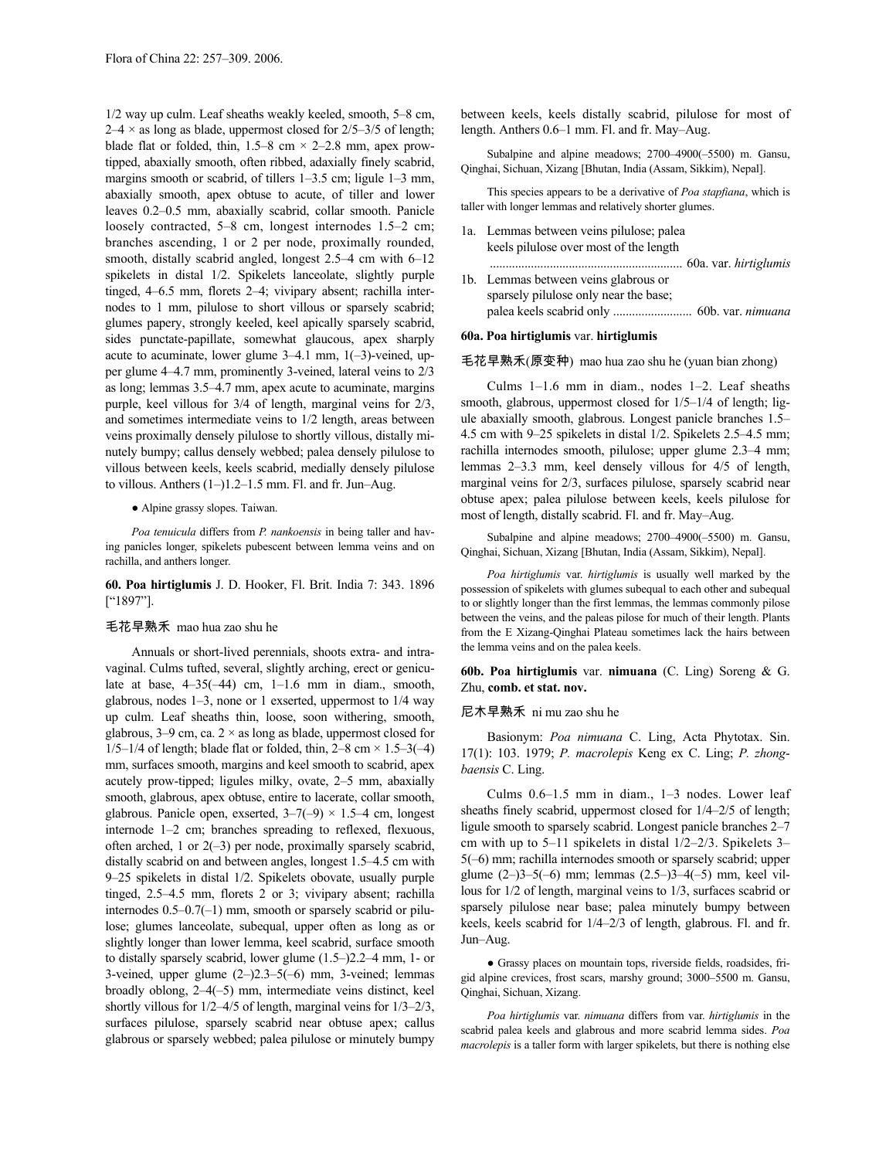1/2 way up culm. Leaf sheaths weakly keeled, smooth, 5–8 cm,  $2-4 \times$  as long as blade, uppermost closed for  $2/5-3/5$  of length; blade flat or folded, thin,  $1.5-8$  cm  $\times$  2-2.8 mm, apex prowtipped, abaxially smooth, often ribbed, adaxially finely scabrid, margins smooth or scabrid, of tillers 1–3.5 cm; ligule 1–3 mm, abaxially smooth, apex obtuse to acute, of tiller and lower leaves 0.2–0.5 mm, abaxially scabrid, collar smooth. Panicle loosely contracted, 5–8 cm, longest internodes 1.5–2 cm; branches ascending, 1 or 2 per node, proximally rounded, smooth, distally scabrid angled, longest 2.5–4 cm with 6–12 spikelets in distal 1/2. Spikelets lanceolate, slightly purple tinged, 4–6.5 mm, florets 2–4; vivipary absent; rachilla internodes to 1 mm, pilulose to short villous or sparsely scabrid; glumes papery, strongly keeled, keel apically sparsely scabrid, sides punctate-papillate, somewhat glaucous, apex sharply acute to acuminate, lower glume 3–4.1 mm, 1(–3)-veined, upper glume 4–4.7 mm, prominently 3-veined, lateral veins to 2/3 as long; lemmas 3.5–4.7 mm, apex acute to acuminate, margins purple, keel villous for 3/4 of length, marginal veins for 2/3, and sometimes intermediate veins to 1/2 length, areas between veins proximally densely pilulose to shortly villous, distally minutely bumpy; callus densely webbed; palea densely pilulose to villous between keels, keels scabrid, medially densely pilulose to villous. Anthers (1–)1.2–1.5 mm. Fl. and fr. Jun–Aug.

● Alpine grassy slopes. Taiwan.

*Poa tenuicula* differs from *P. nankoensis* in being taller and having panicles longer, spikelets pubescent between lemma veins and on rachilla, and anthers longer.

# **60. Poa hirtiglumis** J. D. Hooker, Fl. Brit. India 7: 343. 1896 ["1897"].

# 毛花早熟禾 mao hua zao shu he

Annuals or short-lived perennials, shoots extra- and intravaginal. Culms tufted, several, slightly arching, erect or geniculate at base,  $4-35(-44)$  cm,  $1-1.6$  mm in diam., smooth, glabrous, nodes 1–3, none or 1 exserted, uppermost to 1/4 way up culm. Leaf sheaths thin, loose, soon withering, smooth, glabrous,  $3-9$  cm, ca.  $2 \times$  as long as blade, uppermost closed for  $1/5-1/4$  of length; blade flat or folded, thin,  $2-8$  cm  $\times$  1.5-3(-4) mm, surfaces smooth, margins and keel smooth to scabrid, apex acutely prow-tipped; ligules milky, ovate, 2–5 mm, abaxially smooth, glabrous, apex obtuse, entire to lacerate, collar smooth, glabrous. Panicle open, exserted,  $3-7(-9) \times 1.5-4$  cm, longest internode 1–2 cm; branches spreading to reflexed, flexuous, often arched, 1 or 2(–3) per node, proximally sparsely scabrid, distally scabrid on and between angles, longest 1.5–4.5 cm with 9–25 spikelets in distal 1/2. Spikelets obovate, usually purple tinged, 2.5–4.5 mm, florets 2 or 3; vivipary absent; rachilla internodes 0.5–0.7(–1) mm, smooth or sparsely scabrid or pilulose; glumes lanceolate, subequal, upper often as long as or slightly longer than lower lemma, keel scabrid, surface smooth to distally sparsely scabrid, lower glume (1.5–)2.2–4 mm, 1- or 3-veined, upper glume (2–)2.3–5(–6) mm, 3-veined; lemmas broadly oblong, 2–4(–5) mm, intermediate veins distinct, keel shortly villous for 1/2–4/5 of length, marginal veins for 1/3–2/3, surfaces pilulose, sparsely scabrid near obtuse apex; callus glabrous or sparsely webbed; palea pilulose or minutely bumpy between keels, keels distally scabrid, pilulose for most of length. Anthers 0.6–1 mm. Fl. and fr. May–Aug.

Subalpine and alpine meadows; 2700–4900(–5500) m. Gansu, Qinghai, Sichuan, Xizang [Bhutan, India (Assam, Sikkim), Nepal].

This species appears to be a derivative of *Poa stapfiana*, which is taller with longer lemmas and relatively shorter glumes.

- 1a. Lemmas between veins pilulose; palea keels pilulose over most of the length
- ............................................................. 60a. var. *hirtiglumis* 1b. Lemmas between veins glabrous or sparsely pilulose only near the base; palea keels scabrid only ......................... 60b. var. *nimuana*

# **60a. Poa hirtiglumis** var. **hirtiglumis**

# 毛花早熟禾(原变种) mao hua zao shu he (yuan bian zhong)

Culms 1–1.6 mm in diam., nodes 1–2. Leaf sheaths smooth, glabrous, uppermost closed for  $1/5-1/4$  of length; ligule abaxially smooth, glabrous. Longest panicle branches 1.5– 4.5 cm with 9–25 spikelets in distal 1/2. Spikelets 2.5–4.5 mm; rachilla internodes smooth, pilulose; upper glume 2.3–4 mm; lemmas 2–3.3 mm, keel densely villous for 4/5 of length, marginal veins for 2/3, surfaces pilulose, sparsely scabrid near obtuse apex; palea pilulose between keels, keels pilulose for most of length, distally scabrid. Fl. and fr. May–Aug.

Subalpine and alpine meadows; 2700–4900(–5500) m. Gansu, Qinghai, Sichuan, Xizang [Bhutan, India (Assam, Sikkim), Nepal].

*Poa hirtiglumis* var. *hirtiglumis* is usually well marked by the possession of spikelets with glumes subequal to each other and subequal to or slightly longer than the first lemmas, the lemmas commonly pilose between the veins, and the paleas pilose for much of their length. Plants from the E Xizang-Qinghai Plateau sometimes lack the hairs between the lemma veins and on the palea keels.

**60b. Poa hirtiglumis** var. **nimuana** (C. Ling) Soreng & G. Zhu, **comb. et stat. nov.**

# 尼木早熟禾 ni mu zao shu he

Basionym: *Poa nimuana* C. Ling, Acta Phytotax. Sin. 17(1): 103. 1979; *P. macrolepis* Keng ex C. Ling; *P. zhongbaensis* C. Ling.

Culms 0.6–1.5 mm in diam., 1–3 nodes. Lower leaf sheaths finely scabrid, uppermost closed for 1/4–2/5 of length; ligule smooth to sparsely scabrid. Longest panicle branches 2–7 cm with up to 5–11 spikelets in distal 1/2–2/3. Spikelets 3– 5(–6) mm; rachilla internodes smooth or sparsely scabrid; upper glume (2–)3–5(–6) mm; lemmas (2.5–)3–4(–5) mm, keel villous for 1/2 of length, marginal veins to 1/3, surfaces scabrid or sparsely pilulose near base; palea minutely bumpy between keels, keels scabrid for 1/4–2/3 of length, glabrous. Fl. and fr. Jun–Aug.

● Grassy places on mountain tops, riverside fields, roadsides, frigid alpine crevices, frost scars, marshy ground; 3000–5500 m. Gansu, Qinghai, Sichuan, Xizang.

*Poa hirtiglumis* var. *nimuana* differs from var. *hirtiglumis* in the scabrid palea keels and glabrous and more scabrid lemma sides. *Poa macrolepis* is a taller form with larger spikelets, but there is nothing else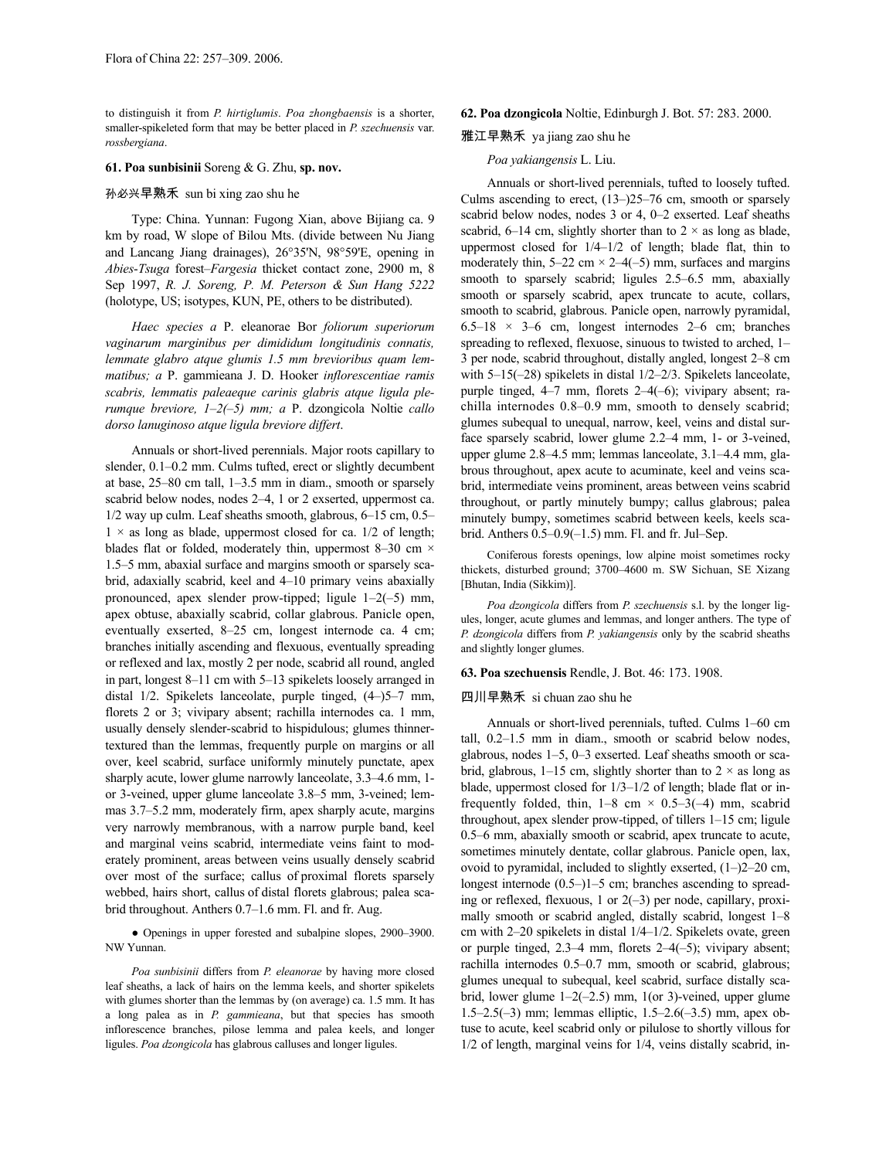to distinguish it from *P. hirtiglumis*. *Poa zhongbaensis* is a shorter, smaller-spikeleted form that may be better placed in *P. szechuensis* var. *rossbergiana*.

# **61. Poa sunbisinii** Soreng & G. Zhu, **sp. nov.**

# 孙必兴早熟禾 sun bi xing zao shu he

Type: China. Yunnan: Fugong Xian, above Bijiang ca. 9 km by road, W slope of Bilou Mts. (divide between Nu Jiang and Lancang Jiang drainages), 26°35'N, 98°59'E, opening in *Abies*-*Tsuga* forest–*Fargesia* thicket contact zone, 2900 m, 8 Sep 1997, *R. J. Soreng, P. M. Peterson & Sun Hang 5222* (holotype, US; isotypes, KUN, PE, others to be distributed).

*Haec species a* P. eleanorae Bor *foliorum superiorum vaginarum marginibus per dimididum longitudinis connatis, lemmate glabro atque glumis 1.5 mm brevioribus quam lemmatibus; a* P. gammieana J. D. Hooker *inflorescentiae ramis scabris, lemmatis paleaeque carinis glabris atque ligula plerumque breviore, 1–2(–5) mm; a* P. dzongicola Noltie *callo dorso lanuginoso atque ligula breviore differt*.

Annuals or short-lived perennials. Major roots capillary to slender,  $0.1-0.2$  mm. Culms tufted, erect or slightly decumbent at base, 25–80 cm tall, 1–3.5 mm in diam., smooth or sparsely scabrid below nodes, nodes 2–4, 1 or 2 exserted, uppermost ca. 1/2 way up culm. Leaf sheaths smooth, glabrous, 6–15 cm, 0.5–  $1 \times$  as long as blade, uppermost closed for ca.  $1/2$  of length; blades flat or folded, moderately thin, uppermost 8–30 cm  $\times$ 1.5–5 mm, abaxial surface and margins smooth or sparsely scabrid, adaxially scabrid, keel and 4–10 primary veins abaxially pronounced, apex slender prow-tipped; ligule 1–2(–5) mm, apex obtuse, abaxially scabrid, collar glabrous. Panicle open, eventually exserted, 8–25 cm, longest internode ca. 4 cm; branches initially ascending and flexuous, eventually spreading or reflexed and lax, mostly 2 per node, scabrid all round, angled in part, longest 8–11 cm with 5–13 spikelets loosely arranged in distal 1/2. Spikelets lanceolate, purple tinged, (4–)5–7 mm, florets 2 or 3; vivipary absent; rachilla internodes ca. 1 mm, usually densely slender-scabrid to hispidulous; glumes thinnertextured than the lemmas, frequently purple on margins or all over, keel scabrid, surface uniformly minutely punctate, apex sharply acute, lower glume narrowly lanceolate, 3.3–4.6 mm, 1 or 3-veined, upper glume lanceolate 3.8–5 mm, 3-veined; lemmas 3.7–5.2 mm, moderately firm, apex sharply acute, margins very narrowly membranous, with a narrow purple band, keel and marginal veins scabrid, intermediate veins faint to moderately prominent, areas between veins usually densely scabrid over most of the surface; callus of proximal florets sparsely webbed, hairs short, callus of distal florets glabrous; palea scabrid throughout. Anthers 0.7–1.6 mm. Fl. and fr. Aug.

● Openings in upper forested and subalpine slopes, 2900–3900. NW Yunnan.

*Poa sunbisinii* differs from *P. eleanorae* by having more closed leaf sheaths, a lack of hairs on the lemma keels, and shorter spikelets with glumes shorter than the lemmas by (on average) ca. 1.5 mm. It has a long palea as in *P. gammieana*, but that species has smooth inflorescence branches, pilose lemma and palea keels, and longer ligules. *Poa dzongicola* has glabrous calluses and longer ligules.

# **62. Poa dzongicola** Noltie, Edinburgh J. Bot. 57: 283. 2000.

# 雅江早熟禾 ya jiang zao shu he

# *Poa yakiangensis* L. Liu.

Annuals or short-lived perennials, tufted to loosely tufted. Culms ascending to erect, (13–)25–76 cm, smooth or sparsely scabrid below nodes, nodes 3 or 4, 0–2 exserted. Leaf sheaths scabrid, 6–14 cm, slightly shorter than to  $2 \times$  as long as blade, uppermost closed for 1/4–1/2 of length; blade flat, thin to moderately thin,  $5-22$  cm  $\times$  2-4(-5) mm, surfaces and margins smooth to sparsely scabrid; ligules  $2.5-6.5$  mm, abaxially smooth or sparsely scabrid, apex truncate to acute, collars, smooth to scabrid, glabrous. Panicle open, narrowly pyramidal,  $6.5-18 \times 3-6$  cm, longest internodes 2-6 cm; branches spreading to reflexed, flexuose, sinuous to twisted to arched, 1– 3 per node, scabrid throughout, distally angled, longest 2–8 cm with 5–15(–28) spikelets in distal 1/2–2/3. Spikelets lanceolate, purple tinged, 4–7 mm, florets 2–4(–6); vivipary absent; rachilla internodes 0.8–0.9 mm, smooth to densely scabrid; glumes subequal to unequal, narrow, keel, veins and distal surface sparsely scabrid, lower glume 2.2–4 mm, 1- or 3-veined, upper glume 2.8–4.5 mm; lemmas lanceolate, 3.1–4.4 mm, glabrous throughout, apex acute to acuminate, keel and veins scabrid, intermediate veins prominent, areas between veins scabrid throughout, or partly minutely bumpy; callus glabrous; palea minutely bumpy, sometimes scabrid between keels, keels scabrid. Anthers 0.5–0.9(–1.5) mm. Fl. and fr. Jul–Sep.

Coniferous forests openings, low alpine moist sometimes rocky thickets, disturbed ground; 3700–4600 m. SW Sichuan, SE Xizang [Bhutan, India (Sikkim)].

*Poa dzongicola* differs from *P. szechuensis* s.l. by the longer ligules, longer, acute glumes and lemmas, and longer anthers. The type of *P. dzongicola* differs from *P. yakiangensis* only by the scabrid sheaths and slightly longer glumes.

## **63. Poa szechuensis** Rendle, J. Bot. 46: 173. 1908.

# 四川早熟禾 si chuan zao shu he

Annuals or short-lived perennials, tufted. Culms 1–60 cm tall, 0.2–1.5 mm in diam., smooth or scabrid below nodes, glabrous, nodes 1–5, 0–3 exserted. Leaf sheaths smooth or scabrid, glabrous, 1–15 cm, slightly shorter than to  $2 \times$  as long as blade, uppermost closed for 1/3–1/2 of length; blade flat or infrequently folded, thin,  $1-8$  cm  $\times$  0.5-3(-4) mm, scabrid throughout, apex slender prow-tipped, of tillers 1–15 cm; ligule 0.5–6 mm, abaxially smooth or scabrid, apex truncate to acute, sometimes minutely dentate, collar glabrous. Panicle open, lax, ovoid to pyramidal, included to slightly exserted, (1–)2–20 cm, longest internode (0.5–)1–5 cm; branches ascending to spreading or reflexed, flexuous, 1 or 2(–3) per node, capillary, proximally smooth or scabrid angled, distally scabrid, longest 1–8 cm with 2–20 spikelets in distal 1/4–1/2. Spikelets ovate, green or purple tinged, 2.3–4 mm, florets 2–4(–5); vivipary absent; rachilla internodes 0.5–0.7 mm, smooth or scabrid, glabrous; glumes unequal to subequal, keel scabrid, surface distally scabrid, lower glume  $1-2(-2.5)$  mm,  $1$ (or 3)-veined, upper glume 1.5–2.5(–3) mm; lemmas elliptic, 1.5–2.6(–3.5) mm, apex obtuse to acute, keel scabrid only or pilulose to shortly villous for 1/2 of length, marginal veins for 1/4, veins distally scabrid, in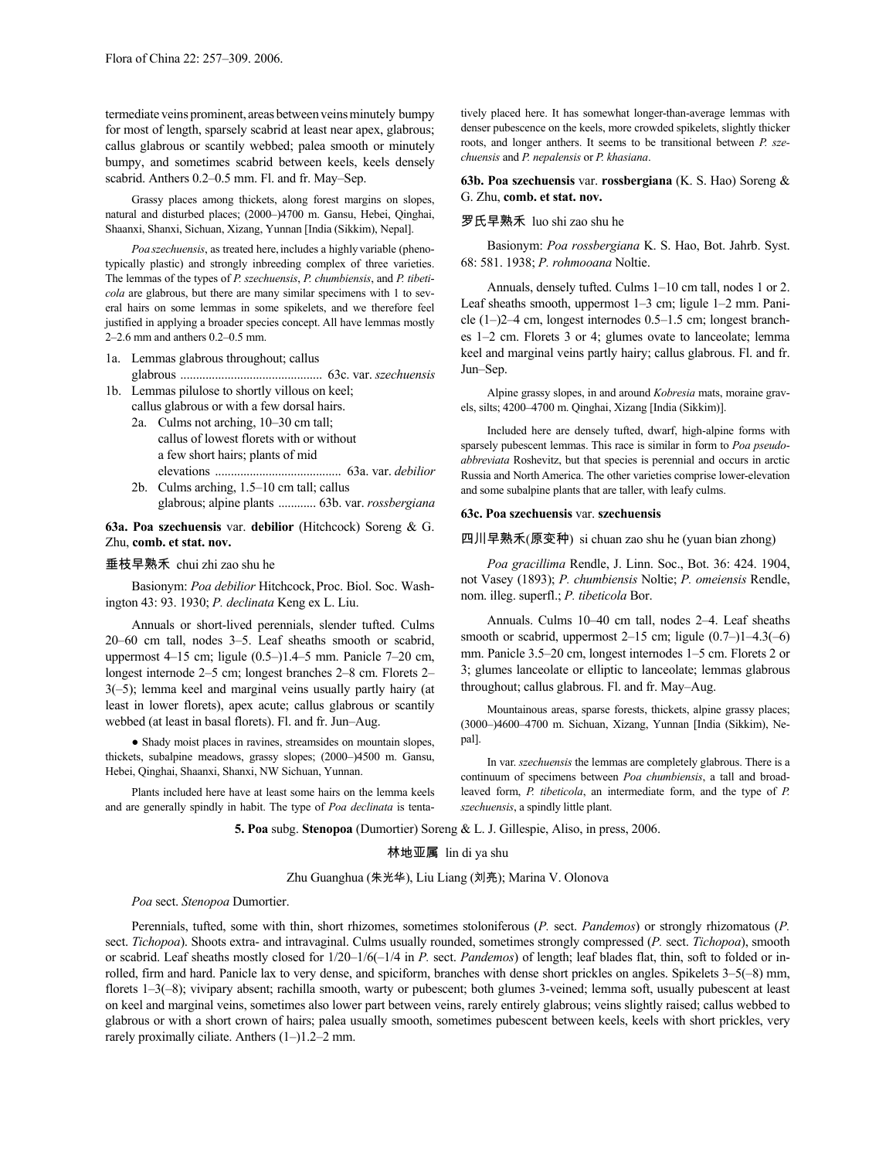termediate veins prominent, areas between veins minutely bumpy for most of length, sparsely scabrid at least near apex, glabrous; callus glabrous or scantily webbed; palea smooth or minutely bumpy, and sometimes scabrid between keels, keels densely scabrid. Anthers 0.2–0.5 mm. Fl. and fr. May–Sep.

Grassy places among thickets, along forest margins on slopes, natural and disturbed places; (2000–)4700 m. Gansu, Hebei, Qinghai, Shaanxi, Shanxi, Sichuan, Xizang, Yunnan [India (Sikkim), Nepal].

Poa szechuensis, as treated here, includes a highly variable (phenotypically plastic) and strongly inbreeding complex of three varieties. The lemmas of the types of *P. szechuensis*, *P. chumbiensis*, and *P. tibeticola* are glabrous, but there are many similar specimens with 1 to several hairs on some lemmas in some spikelets, and we therefore feel justified in applying a broader species concept. All have lemmas mostly 2–2.6 mm and anthers 0.2–0.5 mm.

- 1a. Lemmas glabrous throughout; callus glabrous ............................................. 63c. var. *szechuensis*
- 1b. Lemmas pilulose to shortly villous on keel; callus glabrous or with a few dorsal hairs.
	- 2a. Culms not arching, 10–30 cm tall; callus of lowest florets with or without a few short hairs; plants of mid elevations ........................................ 63a. var. *debilior*
	- 2b. Culms arching, 1.5–10 cm tall; callus glabrous; alpine plants ............ 63b. var. *rossbergiana*

**63a. Poa szechuensis** var. **debilior** (Hitchcock) Soreng & G. Zhu, **comb. et stat. nov.**

# 垂枝早熟禾 chui zhi zao shu he

Basionym: *Poa debilior* Hitchcock,Proc. Biol. Soc. Washington 43: 93. 1930; *P. declinata* Keng ex L. Liu.

Annuals or short-lived perennials, slender tufted. Culms 20–60 cm tall, nodes 3–5. Leaf sheaths smooth or scabrid, uppermost 4–15 cm; ligule (0.5–)1.4–5 mm. Panicle 7–20 cm, longest internode 2–5 cm; longest branches 2–8 cm. Florets 2–  $3(-5)$ ; lemma keel and marginal veins usually partly hairy (at least in lower florets), apex acute; callus glabrous or scantily webbed (at least in basal florets). Fl. and fr. Jun–Aug.

● Shady moist places in ravines, streamsides on mountain slopes, thickets, subalpine meadows, grassy slopes; (2000–)4500 m. Gansu, Hebei, Qinghai, Shaanxi, Shanxi, NW Sichuan, Yunnan.

Plants included here have at least some hairs on the lemma keels and are generally spindly in habit. The type of *Poa declinata* is tenta-

**5. Poa** subg. **Stenopoa** (Dumortier) Soreng & L. J. Gillespie, Aliso, in press, 2006.

# 林地亚属 lin di ya shu

# Zhu Guanghua (朱光华), Liu Liang (刘亮); Marina V. Olonova

*Poa* sect. *Stenopoa* Dumortier.

Perennials, tufted, some with thin, short rhizomes, sometimes stoloniferous (*P.* sect. *Pandemos*) or strongly rhizomatous (*P.* sect. *Tichopoa*). Shoots extra- and intravaginal. Culms usually rounded, sometimes strongly compressed (*P.* sect. *Tichopoa*), smooth or scabrid. Leaf sheaths mostly closed for 1/20–1/6(–1/4 in *P.* sect. *Pandemos*) of length; leaf blades flat, thin, soft to folded or inrolled, firm and hard. Panicle lax to very dense, and spiciform, branches with dense short prickles on angles. Spikelets 3–5(–8) mm, florets 1–3(–8); vivipary absent; rachilla smooth, warty or pubescent; both glumes 3-veined; lemma soft, usually pubescent at least on keel and marginal veins, sometimes also lower part between veins, rarely entirely glabrous; veins slightly raised; callus webbed to glabrous or with a short crown of hairs; palea usually smooth, sometimes pubescent between keels, keels with short prickles, very rarely proximally ciliate. Anthers (1–)1.2–2 mm.

tively placed here. It has somewhat longer-than-average lemmas with denser pubescence on the keels, more crowded spikelets, slightly thicker roots, and longer anthers. It seems to be transitional between *P. szechuensis* and *P. nepalensis* or *P. khasiana*.

# **63b. Poa szechuensis** var. **rossbergiana** (K. S. Hao) Soreng & G. Zhu, **comb. et stat. nov.**

# 罗氏早熟禾 luo shi zao shu he

Basionym: *Poa rossbergiana* K. S. Hao, Bot. Jahrb. Syst. 68: 581. 1938; *P. rohmooana* Noltie.

Annuals, densely tufted. Culms 1–10 cm tall, nodes 1 or 2. Leaf sheaths smooth, uppermost 1–3 cm; ligule 1–2 mm. Panicle (1–)2–4 cm, longest internodes 0.5–1.5 cm; longest branches 1–2 cm. Florets 3 or 4; glumes ovate to lanceolate; lemma keel and marginal veins partly hairy; callus glabrous. Fl. and fr. Jun–Sep.

Alpine grassy slopes, in and around *Kobresia* mats, moraine gravels, silts; 4200–4700 m. Qinghai, Xizang [India (Sikkim)].

Included here are densely tufted, dwarf, high-alpine forms with sparsely pubescent lemmas. This race is similar in form to *Poa pseudoabbreviata* Roshevitz, but that species is perennial and occurs in arctic Russia and North America. The other varieties comprise lower-elevation and some subalpine plants that are taller, with leafy culms.

# **63c. Poa szechuensis** var. **szechuensis**

四川早熟禾(原变种) si chuan zao shu he (yuan bian zhong)

*Poa gracillima* Rendle, J. Linn. Soc., Bot. 36: 424. 1904, not Vasey (1893); *P. chumbiensis* Noltie; *P. omeiensis* Rendle, nom. illeg. superfl.; *P. tibeticola* Bor.

Annuals. Culms 10–40 cm tall, nodes 2–4. Leaf sheaths smooth or scabrid, uppermost  $2-15$  cm; ligule  $(0.7-1)$  $-4.3(-6)$ mm. Panicle 3.5–20 cm, longest internodes 1–5 cm. Florets 2 or 3; glumes lanceolate or elliptic to lanceolate; lemmas glabrous throughout; callus glabrous. Fl. and fr. May–Aug.

Mountainous areas, sparse forests, thickets, alpine grassy places; (3000–)4600–4700 m. Sichuan, Xizang, Yunnan [India (Sikkim), Nepal].

In var. *szechuensis* the lemmas are completely glabrous. There is a continuum of specimens between *Poa chumbiensis*, a tall and broadleaved form, *P. tibeticola*, an intermediate form, and the type of *P. szechuensis*, a spindly little plant.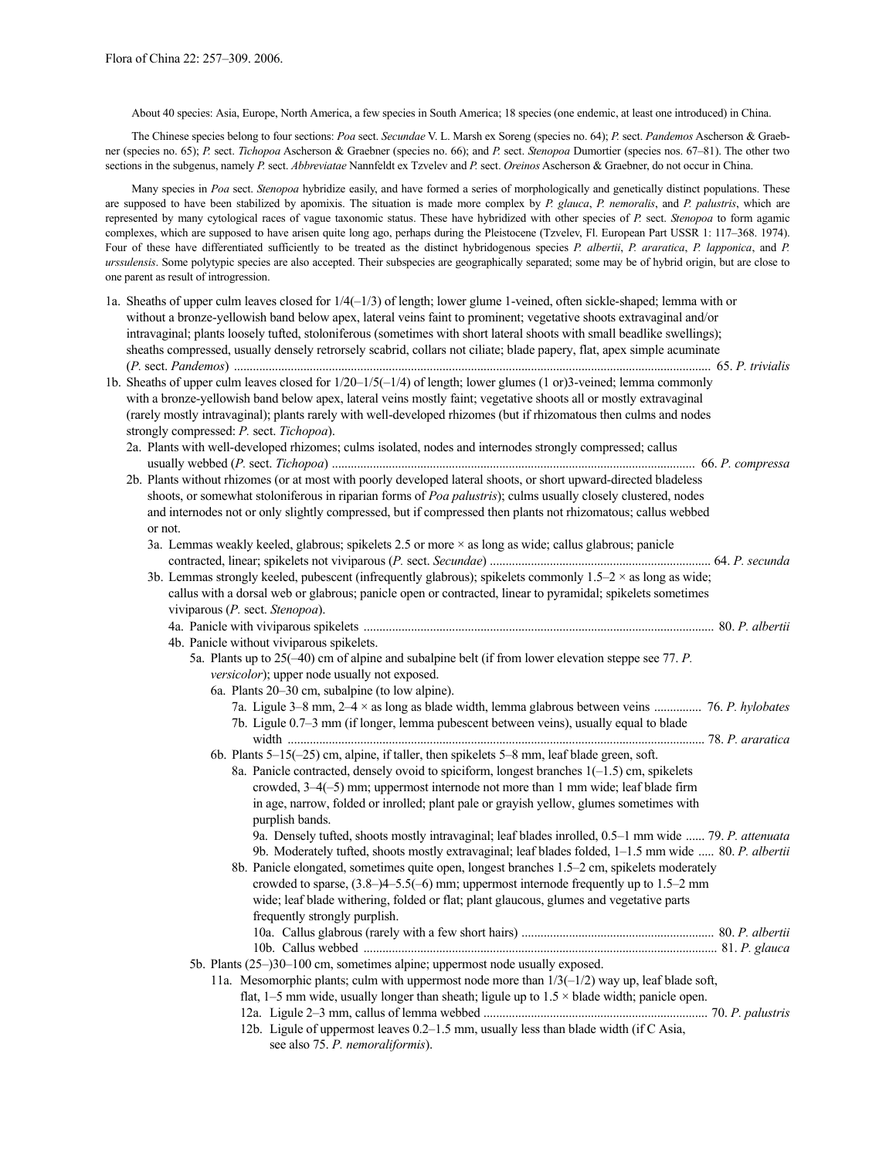About 40 species: Asia, Europe, North America, a few species in South America; 18 species (one endemic, at least one introduced) in China.

The Chinese species belong to four sections: *Poa* sect. *Secundae* V. L. Marsh ex Soreng (species no. 64); *P.* sect. *Pandemos* Ascherson & Graebner (species no. 65); *P.* sect. *Tichopoa* Ascherson & Graebner (species no. 66); and *P.* sect. *Stenopoa* Dumortier (species nos. 67–81). The other two sections in the subgenus, namely *P.* sect. *Abbreviatae* Nannfeldt ex Tzvelev and *P.* sect. *Oreinos* Ascherson & Graebner, do not occur in China.

Many species in *Poa* sect. *Stenopoa* hybridize easily, and have formed a series of morphologically and genetically distinct populations. These are supposed to have been stabilized by apomixis. The situation is made more complex by *P. glauca*, *P. nemoralis*, and *P. palustris*, which are represented by many cytological races of vague taxonomic status. These have hybridized with other species of *P.* sect. *Stenopoa* to form agamic complexes, which are supposed to have arisen quite long ago, perhaps during the Pleistocene (Tzvelev, Fl. European Part USSR 1: 117–368. 1974). Four of these have differentiated sufficiently to be treated as the distinct hybridogenous species *P. albertii*, *P. araratica*, *P. lapponica*, and *P. urssulensis*. Some polytypic species are also accepted. Their subspecies are geographically separated; some may be of hybrid origin, but are close to one parent as result of introgression.

| 1a. Sheaths of upper culm leaves closed for $1/4(-1/3)$ of length; lower glume 1-veined, often sickle-shaped; lemma with or<br>without a bronze-yellowish band below apex, lateral veins faint to prominent; vegetative shoots extravaginal and/or<br>intravaginal; plants loosely tufted, stoloniferous (sometimes with short lateral shoots with small beadlike swellings);<br>sheaths compressed, usually densely retrorsely scabrid, collars not ciliate; blade papery, flat, apex simple acuminate |
|---------------------------------------------------------------------------------------------------------------------------------------------------------------------------------------------------------------------------------------------------------------------------------------------------------------------------------------------------------------------------------------------------------------------------------------------------------------------------------------------------------|
| 1b. Sheaths of upper culm leaves closed for $1/20-1/5(-1/4)$ of length; lower glumes $(1 \text{ or } 3)$ -veined; lemma commonly<br>with a bronze-yellowish band below apex, lateral veins mostly faint; vegetative shoots all or mostly extravaginal<br>(rarely mostly intravaginal); plants rarely with well-developed rhizomes (but if rhizomatous then culms and nodes                                                                                                                              |
| strongly compressed: P. sect. Tichopoa).                                                                                                                                                                                                                                                                                                                                                                                                                                                                |
| 2a. Plants with well-developed rhizomes; culms isolated, nodes and internodes strongly compressed; callus                                                                                                                                                                                                                                                                                                                                                                                               |
|                                                                                                                                                                                                                                                                                                                                                                                                                                                                                                         |
| 2b. Plants without rhizomes (or at most with poorly developed lateral shoots, or short upward-directed bladeless                                                                                                                                                                                                                                                                                                                                                                                        |
| shoots, or somewhat stoloniferous in riparian forms of Poa palustris); culms usually closely clustered, nodes                                                                                                                                                                                                                                                                                                                                                                                           |
| and internodes not or only slightly compressed, but if compressed then plants not rhizomatous; callus webbed                                                                                                                                                                                                                                                                                                                                                                                            |
| or not.                                                                                                                                                                                                                                                                                                                                                                                                                                                                                                 |
| 3a. Lemmas weakly keeled, glabrous; spikelets $2.5$ or more $\times$ as long as wide; callus glabrous; panicle                                                                                                                                                                                                                                                                                                                                                                                          |
|                                                                                                                                                                                                                                                                                                                                                                                                                                                                                                         |
| 3b. Lemmas strongly keeled, pubescent (infrequently glabrous); spikelets commonly $1.5-2 \times$ as long as wide;                                                                                                                                                                                                                                                                                                                                                                                       |
| callus with a dorsal web or glabrous; panicle open or contracted, linear to pyramidal; spikelets sometimes                                                                                                                                                                                                                                                                                                                                                                                              |
| viviparous (P. sect. Stenopoa).                                                                                                                                                                                                                                                                                                                                                                                                                                                                         |
|                                                                                                                                                                                                                                                                                                                                                                                                                                                                                                         |
| 4b. Panicle without viviparous spikelets.                                                                                                                                                                                                                                                                                                                                                                                                                                                               |
| 5a. Plants up to 25(-40) cm of alpine and subalpine belt (if from lower elevation steppe see 77. P.                                                                                                                                                                                                                                                                                                                                                                                                     |
| <i>versicolor</i> ); upper node usually not exposed.                                                                                                                                                                                                                                                                                                                                                                                                                                                    |
| 6a. Plants 20–30 cm, subalpine (to low alpine).                                                                                                                                                                                                                                                                                                                                                                                                                                                         |
| 7a. Ligule 3–8 mm, $2-4 \times$ as long as blade width, lemma glabrous between veins  76. P. hylobates                                                                                                                                                                                                                                                                                                                                                                                                  |
| 7b. Ligule 0.7-3 mm (if longer, lemma pubescent between veins), usually equal to blade                                                                                                                                                                                                                                                                                                                                                                                                                  |
|                                                                                                                                                                                                                                                                                                                                                                                                                                                                                                         |
| 6b. Plants 5–15(-25) cm, alpine, if taller, then spikelets 5–8 mm, leaf blade green, soft.                                                                                                                                                                                                                                                                                                                                                                                                              |
| 8a. Panicle contracted, densely ovoid to spiciform, longest branches $1(-1.5)$ cm, spikelets                                                                                                                                                                                                                                                                                                                                                                                                            |
| crowded, $3-4(-5)$ mm; uppermost internode not more than 1 mm wide; leaf blade firm                                                                                                                                                                                                                                                                                                                                                                                                                     |
| in age, narrow, folded or inrolled; plant pale or grayish yellow, glumes sometimes with                                                                                                                                                                                                                                                                                                                                                                                                                 |
| purplish bands.                                                                                                                                                                                                                                                                                                                                                                                                                                                                                         |
| 9a. Densely tufted, shoots mostly intravaginal; leaf blades inrolled, 0.5-1 mm wide  79. P. attenuata                                                                                                                                                                                                                                                                                                                                                                                                   |
| 9b. Moderately tufted, shoots mostly extravaginal; leaf blades folded, 1-1.5 mm wide  80. P. albertii                                                                                                                                                                                                                                                                                                                                                                                                   |
| 8b. Panicle elongated, sometimes quite open, longest branches 1.5-2 cm, spikelets moderately                                                                                                                                                                                                                                                                                                                                                                                                            |
| crowded to sparse, $(3.8-)4-5.5(-6)$ mm; uppermost internode frequently up to 1.5-2 mm                                                                                                                                                                                                                                                                                                                                                                                                                  |
| wide; leaf blade withering, folded or flat; plant glaucous, glumes and vegetative parts                                                                                                                                                                                                                                                                                                                                                                                                                 |
| frequently strongly purplish.                                                                                                                                                                                                                                                                                                                                                                                                                                                                           |
|                                                                                                                                                                                                                                                                                                                                                                                                                                                                                                         |
|                                                                                                                                                                                                                                                                                                                                                                                                                                                                                                         |
| 5b. Plants (25-)30-100 cm, sometimes alpine; uppermost node usually exposed.                                                                                                                                                                                                                                                                                                                                                                                                                            |
| 11a. Mesomorphic plants; culm with uppermost node more than $1/3(-1/2)$ way up, leaf blade soft,                                                                                                                                                                                                                                                                                                                                                                                                        |
| flat, 1–5 mm wide, usually longer than sheath; ligule up to $1.5 \times$ blade width; panicle open.                                                                                                                                                                                                                                                                                                                                                                                                     |
|                                                                                                                                                                                                                                                                                                                                                                                                                                                                                                         |
| 12b. Ligule of uppermost leaves 0.2–1.5 mm, usually less than blade width (if C Asia,                                                                                                                                                                                                                                                                                                                                                                                                                   |
| see also 75. P. nemoraliformis).                                                                                                                                                                                                                                                                                                                                                                                                                                                                        |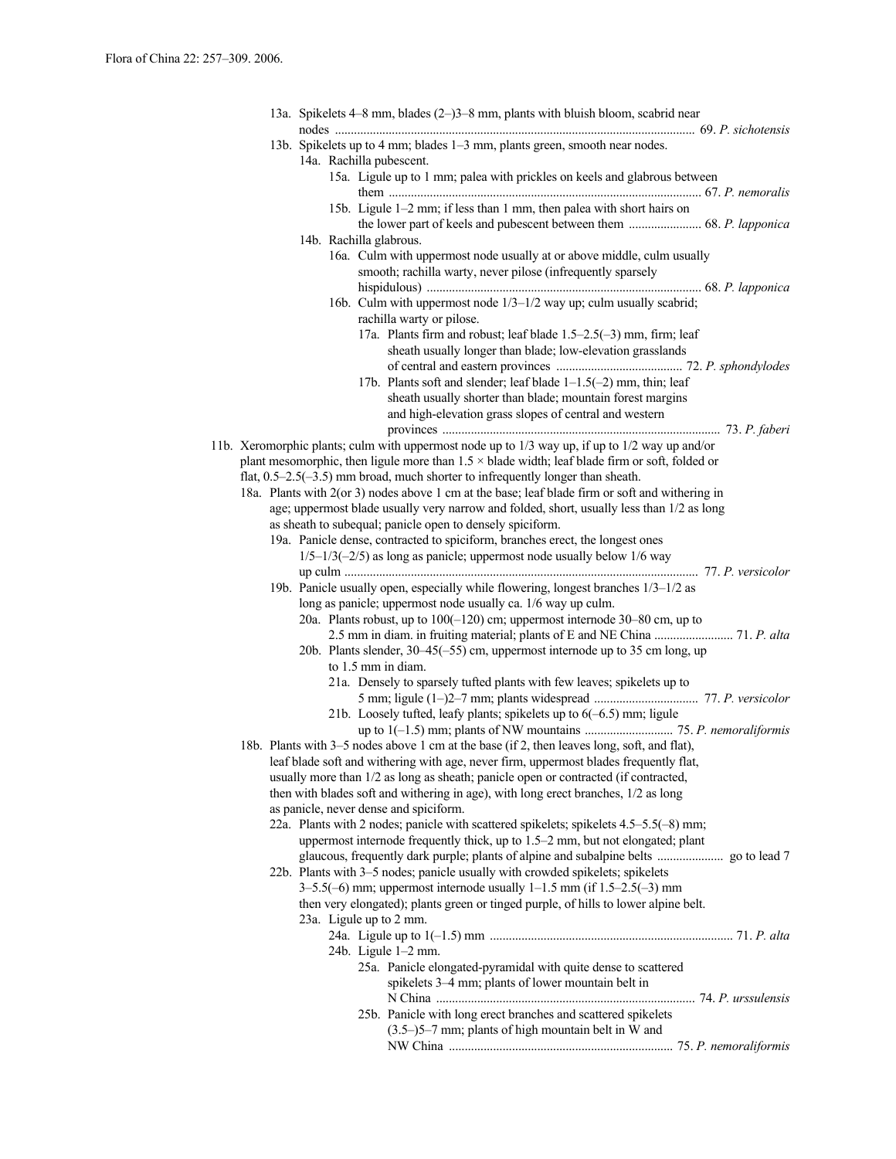|  |  | 13a. Spikelets 4–8 mm, blades (2–)3–8 mm, plants with bluish bloom, scabrid near                                                                                                                        |
|--|--|---------------------------------------------------------------------------------------------------------------------------------------------------------------------------------------------------------|
|  |  | 13b. Spikelets up to 4 mm; blades 1–3 mm, plants green, smooth near nodes.<br>14a. Rachilla pubescent.                                                                                                  |
|  |  | 15a. Ligule up to 1 mm; palea with prickles on keels and glabrous between                                                                                                                               |
|  |  | 15b. Ligule 1–2 mm; if less than 1 mm, then palea with short hairs on                                                                                                                                   |
|  |  | 14b. Rachilla glabrous.                                                                                                                                                                                 |
|  |  | 16a. Culm with uppermost node usually at or above middle, culm usually<br>smooth; rachilla warty, never pilose (infrequently sparsely                                                                   |
|  |  | 16b. Culm with uppermost node 1/3-1/2 way up; culm usually scabrid;                                                                                                                                     |
|  |  | rachilla warty or pilose.<br>17a. Plants firm and robust; leaf blade 1.5–2.5(–3) mm, firm; leaf                                                                                                         |
|  |  | sheath usually longer than blade; low-elevation grasslands                                                                                                                                              |
|  |  | 17b. Plants soft and slender; leaf blade 1–1.5(-2) mm, thin; leaf<br>sheath usually shorter than blade; mountain forest margins                                                                         |
|  |  | and high-elevation grass slopes of central and western                                                                                                                                                  |
|  |  | 11b. Xeromorphic plants; culm with uppermost node up to 1/3 way up, if up to 1/2 way up and/or<br>plant mesomorphic, then ligule more than $1.5 \times$ blade width; leaf blade firm or soft, folded or |
|  |  | flat, $0.5-2.5(-3.5)$ mm broad, much shorter to infrequently longer than sheath.<br>18a. Plants with 2(or 3) nodes above 1 cm at the base; leaf blade firm or soft and withering in                     |
|  |  | age; uppermost blade usually very narrow and folded, short, usually less than 1/2 as long                                                                                                               |
|  |  | as sheath to subequal; panicle open to densely spiciform.                                                                                                                                               |
|  |  | 19a. Panicle dense, contracted to spiciform, branches erect, the longest ones                                                                                                                           |
|  |  | $1/5-1/3(-2/5)$ as long as panicle; uppermost node usually below $1/6$ way                                                                                                                              |
|  |  |                                                                                                                                                                                                         |
|  |  | 19b. Panicle usually open, especially while flowering, longest branches 1/3-1/2 as<br>long as panicle; uppermost node usually ca. 1/6 way up culm.                                                      |
|  |  | 20a. Plants robust, up to $100(-120)$ cm; uppermost internode 30–80 cm, up to                                                                                                                           |
|  |  | 2.5 mm in diam. in fruiting material; plants of E and NE China  71. P. alta                                                                                                                             |
|  |  | 20b. Plants slender, 30–45(-55) cm, uppermost internode up to 35 cm long, up                                                                                                                            |
|  |  | to 1.5 mm in diam.                                                                                                                                                                                      |
|  |  | 21a. Densely to sparsely tufted plants with few leaves; spikelets up to                                                                                                                                 |
|  |  |                                                                                                                                                                                                         |
|  |  | 21b. Loosely tufted, leafy plants; spikelets up to $6(-6.5)$ mm; ligule                                                                                                                                 |
|  |  | 18b. Plants with 3–5 nodes above 1 cm at the base (if 2, then leaves long, soft, and flat),                                                                                                             |
|  |  | leaf blade soft and withering with age, never firm, uppermost blades frequently flat,                                                                                                                   |
|  |  | usually more than 1/2 as long as sheath; panicle open or contracted (if contracted,                                                                                                                     |
|  |  | then with blades soft and withering in age), with long erect branches, 1/2 as long                                                                                                                      |
|  |  | as panicle, never dense and spiciform.                                                                                                                                                                  |
|  |  | 22a. Plants with 2 nodes; panicle with scattered spikelets; spikelets 4.5–5.5(-8) mm;                                                                                                                   |
|  |  | uppermost internode frequently thick, up to 1.5–2 mm, but not elongated; plant                                                                                                                          |
|  |  |                                                                                                                                                                                                         |
|  |  | 22b. Plants with 3-5 nodes; panicle usually with crowded spikelets; spikelets<br>$3-5.5(-6)$ mm; uppermost internode usually $1-1.5$ mm (if $1.5-2.5(-3)$ mm                                            |
|  |  | then very elongated); plants green or tinged purple, of hills to lower alpine belt.                                                                                                                     |
|  |  | 23a. Ligule up to 2 mm.                                                                                                                                                                                 |
|  |  |                                                                                                                                                                                                         |
|  |  | 24b. Ligule 1-2 mm.                                                                                                                                                                                     |
|  |  | 25a. Panicle elongated-pyramidal with quite dense to scattered                                                                                                                                          |
|  |  | spikelets 3-4 mm; plants of lower mountain belt in                                                                                                                                                      |
|  |  |                                                                                                                                                                                                         |
|  |  | 25b. Panicle with long erect branches and scattered spikelets                                                                                                                                           |
|  |  | $(3.5-)5-7$ mm; plants of high mountain belt in W and                                                                                                                                                   |
|  |  |                                                                                                                                                                                                         |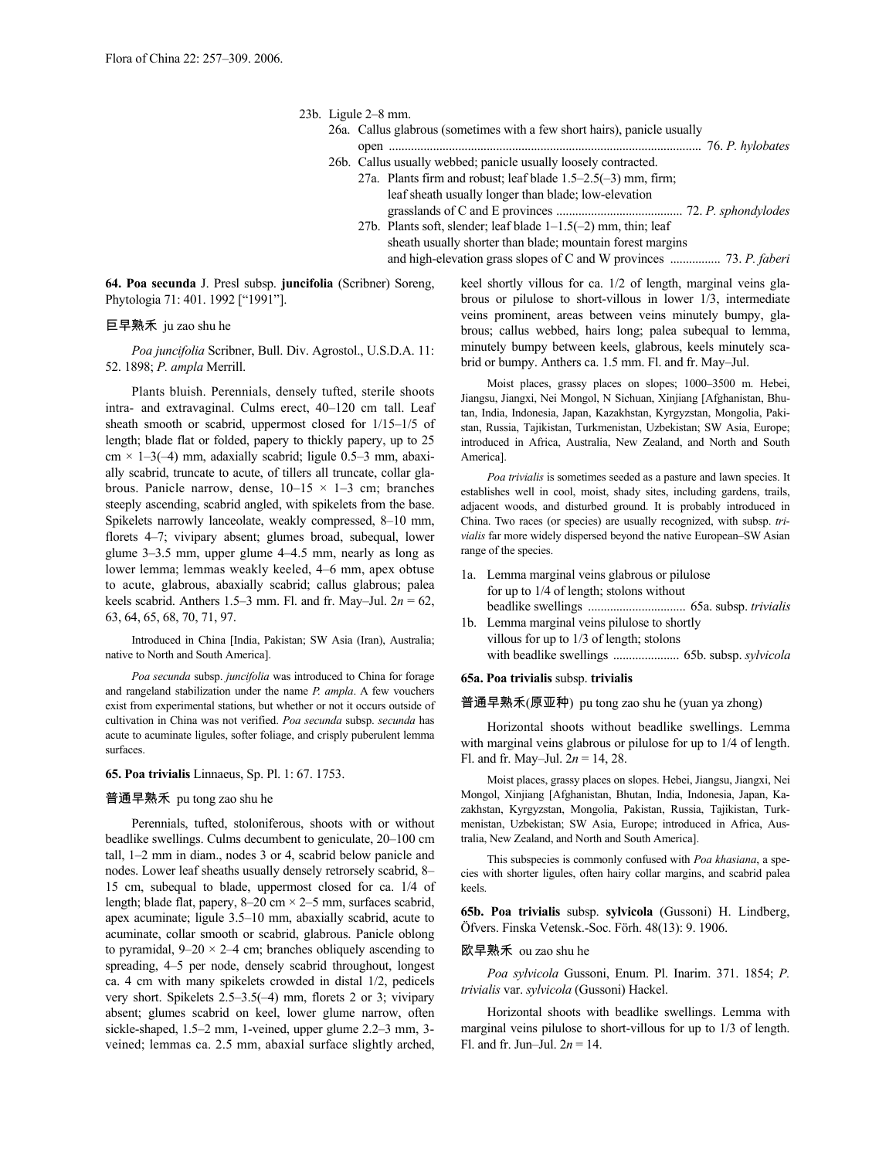### 23b. Ligule 2–8 mm.

- 26a. Callus glabrous (sometimes with a few short hairs), panicle usually
	- open ................................................................................................... 76. *P. hylobates*
- 26b. Callus usually webbed; panicle usually loosely contracted.
	- 27a. Plants firm and robust; leaf blade 1.5–2.5(–3) mm, firm; leaf sheath usually longer than blade; low-elevation grasslands of C and E provinces ........................................ 72. *P. sphondylodes*
		- 27b. Plants soft, slender; leaf blade 1–1.5(–2) mm, thin; leaf sheath usually shorter than blade; mountain forest margins and high-elevation grass slopes of C and W provinces ................ 73. *P. faberi*

**64. Poa secunda** J. Presl subsp. **juncifolia** (Scribner) Soreng, Phytologia 71: 401. 1992 ["1991"].

# 巨早熟禾 ju zao shu he

*Poa juncifolia* Scribner, Bull. Div. Agrostol., U.S.D.A. 11: 52. 1898; *P. ampla* Merrill.

Plants bluish. Perennials, densely tufted, sterile shoots intra- and extravaginal. Culms erect, 40–120 cm tall. Leaf sheath smooth or scabrid, uppermost closed for 1/15–1/5 of length; blade flat or folded, papery to thickly papery, up to 25  $cm \times 1-3(-4)$  mm, adaxially scabrid; ligule 0.5-3 mm, abaxially scabrid, truncate to acute, of tillers all truncate, collar glabrous. Panicle narrow, dense,  $10-15 \times 1-3$  cm; branches steeply ascending, scabrid angled, with spikelets from the base. Spikelets narrowly lanceolate, weakly compressed, 8–10 mm, florets 4–7; vivipary absent; glumes broad, subequal, lower glume 3–3.5 mm, upper glume 4–4.5 mm, nearly as long as lower lemma; lemmas weakly keeled, 4–6 mm, apex obtuse to acute, glabrous, abaxially scabrid; callus glabrous; palea keels scabrid. Anthers 1.5–3 mm. Fl. and fr. May–Jul.  $2n = 62$ , 63, 64, 65, 68, 70, 71, 97.

Introduced in China [India, Pakistan; SW Asia (Iran), Australia; native to North and South America].

*Poa secunda* subsp. *juncifolia* was introduced to China for forage and rangeland stabilization under the name *P. ampla*. A few vouchers exist from experimental stations, but whether or not it occurs outside of cultivation in China was not verified. *Poa secunda* subsp. *secunda* has acute to acuminate ligules, softer foliage, and crisply puberulent lemma surfaces.

# **65. Poa trivialis** Linnaeus, Sp. Pl. 1: 67. 1753.

### 普通早熟禾 pu tong zao shu he

Perennials, tufted, stoloniferous, shoots with or without beadlike swellings. Culms decumbent to geniculate, 20–100 cm tall, 1–2 mm in diam., nodes 3 or 4, scabrid below panicle and nodes. Lower leaf sheaths usually densely retrorsely scabrid, 8– 15 cm, subequal to blade, uppermost closed for ca. 1/4 of length; blade flat, papery, 8–20 cm × 2–5 mm, surfaces scabrid, apex acuminate; ligule 3.5–10 mm, abaxially scabrid, acute to acuminate, collar smooth or scabrid, glabrous. Panicle oblong to pyramidal,  $9-20 \times 2-4$  cm; branches obliquely ascending to spreading, 4–5 per node, densely scabrid throughout, longest ca. 4 cm with many spikelets crowded in distal 1/2, pedicels very short. Spikelets 2.5–3.5(–4) mm, florets 2 or 3; vivipary absent; glumes scabrid on keel, lower glume narrow, often sickle-shaped, 1.5–2 mm, 1-veined, upper glume 2.2–3 mm, 3 veined; lemmas ca. 2.5 mm, abaxial surface slightly arched, keel shortly villous for ca. 1/2 of length, marginal veins glabrous or pilulose to short-villous in lower 1/3, intermediate veins prominent, areas between veins minutely bumpy, glabrous; callus webbed, hairs long; palea subequal to lemma, minutely bumpy between keels, glabrous, keels minutely scabrid or bumpy. Anthers ca. 1.5 mm. Fl. and fr. May–Jul.

Moist places, grassy places on slopes; 1000–3500 m. Hebei, Jiangsu, Jiangxi, Nei Mongol, N Sichuan, Xinjiang [Afghanistan, Bhutan, India, Indonesia, Japan, Kazakhstan, Kyrgyzstan, Mongolia, Pakistan, Russia, Tajikistan, Turkmenistan, Uzbekistan; SW Asia, Europe; introduced in Africa, Australia, New Zealand, and North and South America].

*Poa trivialis* is sometimes seeded as a pasture and lawn species. It establishes well in cool, moist, shady sites, including gardens, trails, adjacent woods, and disturbed ground. It is probably introduced in China. Two races (or species) are usually recognized, with subsp. *trivialis* far more widely dispersed beyond the native European–SW Asian range of the species.

| 1a. Lemma marginal veins glabrous or pilulose |  |  |  |  |  |  |  |  |
|-----------------------------------------------|--|--|--|--|--|--|--|--|
| for up to $1/4$ of length; stolons without    |  |  |  |  |  |  |  |  |
|                                               |  |  |  |  |  |  |  |  |
| 1b. Lemma marginal veins pilulose to shortly  |  |  |  |  |  |  |  |  |
|                                               |  |  |  |  |  |  |  |  |

villous for up to 1/3 of length; stolons with beadlike swellings ..................... 65b. subsp. *sylvicola*

# **65a. Poa trivialis** subsp. **trivialis**

普通早熟禾(原亚种) pu tong zao shu he (yuan ya zhong)

Horizontal shoots without beadlike swellings. Lemma with marginal veins glabrous or pilulose for up to 1/4 of length. Fl. and fr. May–Jul. 2*n* = 14, 28.

Moist places, grassy places on slopes. Hebei, Jiangsu, Jiangxi, Nei Mongol, Xinjiang [Afghanistan, Bhutan, India, Indonesia, Japan, Kazakhstan, Kyrgyzstan, Mongolia, Pakistan, Russia, Tajikistan, Turkmenistan, Uzbekistan; SW Asia, Europe; introduced in Africa, Australia, New Zealand, and North and South America].

This subspecies is commonly confused with *Poa khasiana*, a species with shorter ligules, often hairy collar margins, and scabrid palea keels.

**65b. Poa trivialis** subsp. **sylvicola** (Gussoni) H. Lindberg, Öfvers. Finska Vetensk.-Soc. Förh. 48(13): 9. 1906.

# 欧早熟禾 ou zao shu he

*Poa sylvicola* Gussoni, Enum. Pl. Inarim. 371. 1854; *P. trivialis* var. *sylvicola* (Gussoni) Hackel.

Horizontal shoots with beadlike swellings. Lemma with marginal veins pilulose to short-villous for up to 1/3 of length. Fl. and fr. Jun–Jul. 2*n* = 14.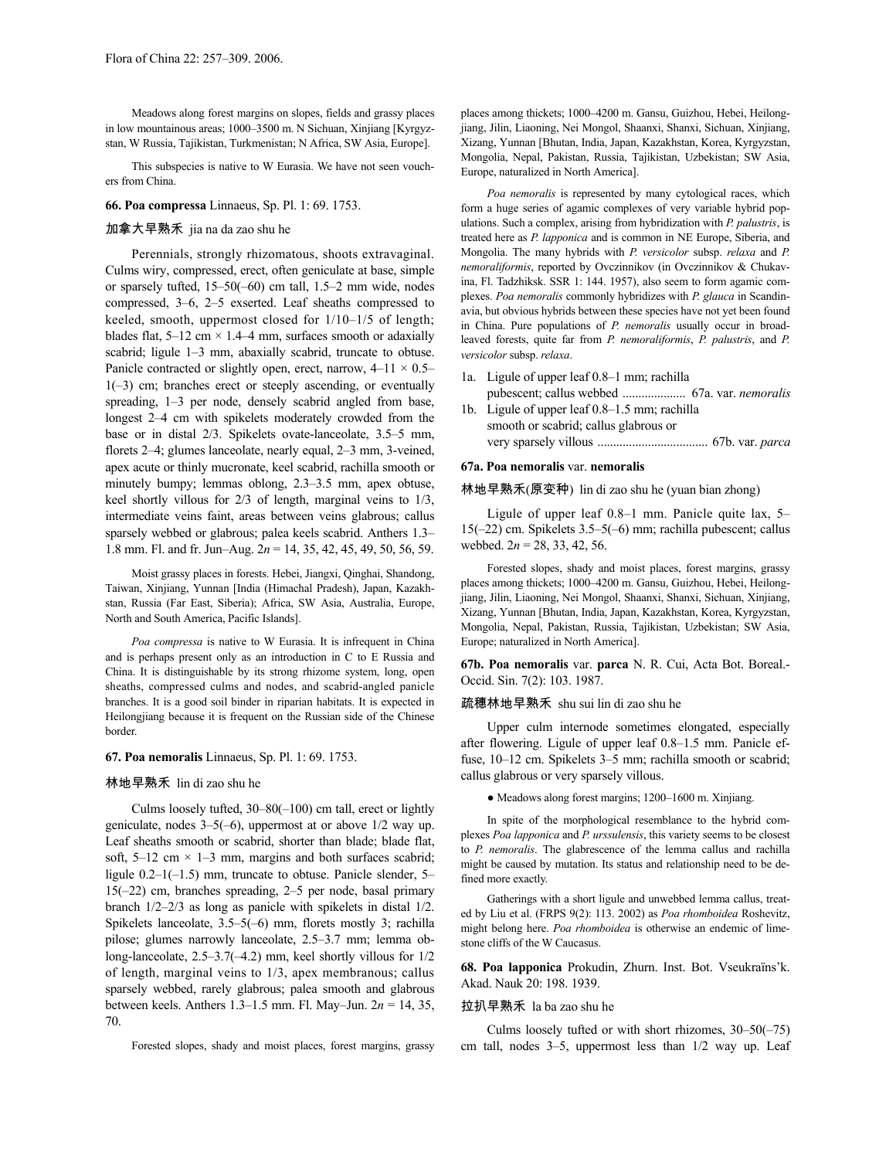Meadows along forest margins on slopes, fields and grassy places in low mountainous areas; 1000–3500 m. N Sichuan, Xinjiang [Kyrgyzstan, W Russia, Tajikistan, Turkmenistan; N Africa, SW Asia, Europe].

This subspecies is native to W Eurasia. We have not seen vouchers from China.

**66. Poa compressa** Linnaeus, Sp. Pl. 1: 69. 1753.

# 加拿大早熟禾 jia na da zao shu he

Perennials, strongly rhizomatous, shoots extravaginal. Culms wiry, compressed, erect, often geniculate at base, simple or sparsely tufted, 15–50(–60) cm tall, 1.5–2 mm wide, nodes compressed, 3–6, 2–5 exserted. Leaf sheaths compressed to keeled, smooth, uppermost closed for 1/10–1/5 of length; blades flat,  $5-12$  cm  $\times$  1.4–4 mm, surfaces smooth or adaxially scabrid; ligule 1–3 mm, abaxially scabrid, truncate to obtuse. Panicle contracted or slightly open, erect, narrow,  $4-11 \times 0.5-$ 1(–3) cm; branches erect or steeply ascending, or eventually spreading, 1–3 per node, densely scabrid angled from base, longest 2–4 cm with spikelets moderately crowded from the base or in distal 2/3. Spikelets ovate-lanceolate, 3.5–5 mm, florets 2–4; glumes lanceolate, nearly equal, 2–3 mm, 3-veined, apex acute or thinly mucronate, keel scabrid, rachilla smooth or minutely bumpy; lemmas oblong, 2.3–3.5 mm, apex obtuse, keel shortly villous for 2/3 of length, marginal veins to 1/3, intermediate veins faint, areas between veins glabrous; callus sparsely webbed or glabrous; palea keels scabrid. Anthers 1.3– 1.8 mm. Fl. and fr. Jun–Aug. 2*n* = 14, 35, 42, 45, 49, 50, 56, 59.

Moist grassy places in forests. Hebei, Jiangxi, Qinghai, Shandong, Taiwan, Xinjiang, Yunnan [India (Himachal Pradesh), Japan, Kazakhstan, Russia (Far East, Siberia); Africa, SW Asia, Australia, Europe, North and South America, Pacific Islands].

*Poa compressa* is native to W Eurasia. It is infrequent in China and is perhaps present only as an introduction in C to E Russia and China. It is distinguishable by its strong rhizome system, long, open sheaths, compressed culms and nodes, and scabrid-angled panicle branches. It is a good soil binder in riparian habitats. It is expected in Heilongjiang because it is frequent on the Russian side of the Chinese border.

## **67. Poa nemoralis** Linnaeus, Sp. Pl. 1: 69. 1753.

### 林地早熟禾 lin di zao shu he

Culms loosely tufted, 30–80(–100) cm tall, erect or lightly geniculate, nodes 3–5(–6), uppermost at or above 1/2 way up. Leaf sheaths smooth or scabrid, shorter than blade; blade flat, soft, 5–12 cm  $\times$  1–3 mm, margins and both surfaces scabrid; ligule  $0.2-1(-1.5)$  mm, truncate to obtuse. Panicle slender, 5– 15(–22) cm, branches spreading, 2–5 per node, basal primary branch 1/2–2/3 as long as panicle with spikelets in distal 1/2. Spikelets lanceolate, 3.5–5(–6) mm, florets mostly 3; rachilla pilose; glumes narrowly lanceolate, 2.5–3.7 mm; lemma oblong-lanceolate, 2.5–3.7(–4.2) mm, keel shortly villous for 1/2 of length, marginal veins to 1/3, apex membranous; callus sparsely webbed, rarely glabrous; palea smooth and glabrous between keels. Anthers 1.3–1.5 mm. Fl. May–Jun. 2*n* = 14, 35, 70.

Forested slopes, shady and moist places, forest margins, grassy

places among thickets; 1000–4200 m. Gansu, Guizhou, Hebei, Heilongjiang, Jilin, Liaoning, Nei Mongol, Shaanxi, Shanxi, Sichuan, Xinjiang, Xizang, Yunnan [Bhutan, India, Japan, Kazakhstan, Korea, Kyrgyzstan, Mongolia, Nepal, Pakistan, Russia, Tajikistan, Uzbekistan; SW Asia, Europe, naturalized in North America].

*Poa nemoralis* is represented by many cytological races, which form a huge series of agamic complexes of very variable hybrid populations. Such a complex, arising from hybridization with *P. palustris*, is treated here as *P. lapponica* and is common in NE Europe, Siberia, and Mongolia. The many hybrids with *P. versicolor* subsp. *relaxa* and *P. nemoraliformis*, reported by Ovczinnikov (in Ovczinnikov & Chukavina, Fl. Tadzhiksk. SSR 1: 144. 1957), also seem to form agamic complexes. *Poa nemoralis* commonly hybridizes with *P. glauca* in Scandinavia, but obvious hybrids between these species have not yet been found in China. Pure populations of *P. nemoralis* usually occur in broadleaved forests, quite far from *P. nemoraliformis*, *P. palustris*, and *P. versicolor* subsp. *relaxa*.

- 1a. Ligule of upper leaf 0.8–1 mm; rachilla pubescent; callus webbed .................... 67a. var. *nemoralis*
- 1b. Ligule of upper leaf 0.8–1.5 mm; rachilla smooth or scabrid; callus glabrous or very sparsely villous ................................... 67b. var. *parca*

### **67a. Poa nemoralis** var. **nemoralis**

林地早熟禾(原变种) lin di zao shu he (yuan bian zhong)

Ligule of upper leaf 0.8–1 mm. Panicle quite lax, 5– 15(–22) cm. Spikelets 3.5–5(–6) mm; rachilla pubescent; callus webbed. 2*n* = 28, 33, 42, 56.

Forested slopes, shady and moist places, forest margins, grassy places among thickets; 1000–4200 m. Gansu, Guizhou, Hebei, Heilongjiang, Jilin, Liaoning, Nei Mongol, Shaanxi, Shanxi, Sichuan, Xinjiang, Xizang, Yunnan [Bhutan, India, Japan, Kazakhstan, Korea, Kyrgyzstan, Mongolia, Nepal, Pakistan, Russia, Tajikistan, Uzbekistan; SW Asia, Europe; naturalized in North America].

**67b. Poa nemoralis** var. **parca** N. R. Cui, Acta Bot. Boreal.- Occid. Sin. 7(2): 103. 1987.

# 疏穗林地早熟禾 shu sui lin di zao shu he

Upper culm internode sometimes elongated, especially after flowering. Ligule of upper leaf 0.8–1.5 mm. Panicle effuse,  $10-12$  cm. Spikelets  $3-5$  mm; rachilla smooth or scabrid; callus glabrous or very sparsely villous.

● Meadows along forest margins; 1200–1600 m. Xinjiang.

In spite of the morphological resemblance to the hybrid complexes *Poa lapponica* and *P. urssulensis*, this variety seems to be closest to *P. nemoralis*. The glabrescence of the lemma callus and rachilla might be caused by mutation. Its status and relationship need to be defined more exactly.

Gatherings with a short ligule and unwebbed lemma callus, treated by Liu et al. (FRPS 9(2): 113. 2002) as *Poa rhomboidea* Roshevitz, might belong here. *Poa rhomboidea* is otherwise an endemic of limestone cliffs of the W Caucasus.

**68. Poa lapponica** Prokudin, Zhurn. Inst. Bot. Vseukraïns'k. Akad. Nauk 20: 198. 1939.

### 拉扒早熟禾 la ba zao shu he

Culms loosely tufted or with short rhizomes, 30–50(–75) cm tall, nodes 3–5, uppermost less than 1/2 way up. Leaf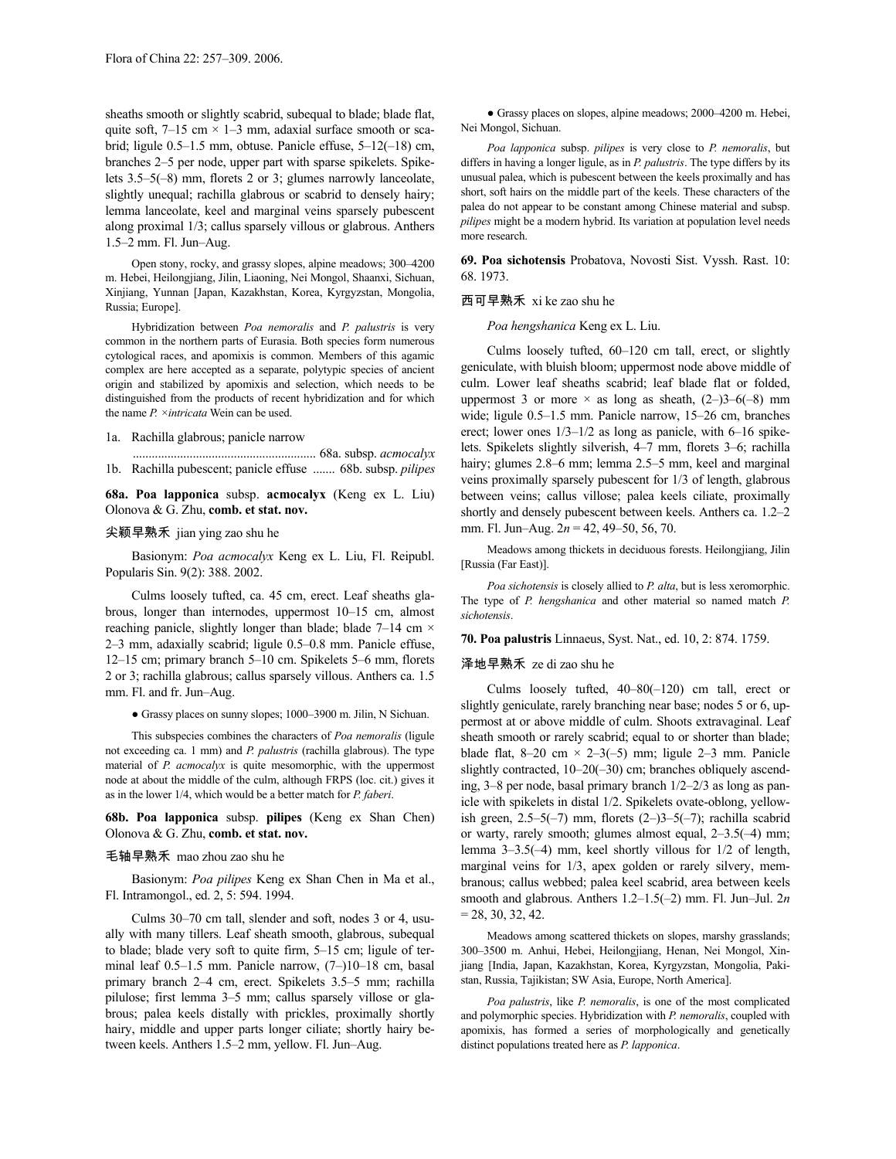sheaths smooth or slightly scabrid, subequal to blade; blade flat, quite soft,  $7-15$  cm  $\times$  1-3 mm, adaxial surface smooth or scabrid; ligule 0.5–1.5 mm, obtuse. Panicle effuse, 5–12(–18) cm, branches 2–5 per node, upper part with sparse spikelets. Spikelets 3.5–5(–8) mm, florets 2 or 3; glumes narrowly lanceolate, slightly unequal; rachilla glabrous or scabrid to densely hairy; lemma lanceolate, keel and marginal veins sparsely pubescent along proximal 1/3; callus sparsely villous or glabrous. Anthers 1.5–2 mm. Fl. Jun–Aug.

Open stony, rocky, and grassy slopes, alpine meadows; 300–4200 m. Hebei, Heilongjiang, Jilin, Liaoning, Nei Mongol, Shaanxi, Sichuan, Xinjiang, Yunnan [Japan, Kazakhstan, Korea, Kyrgyzstan, Mongolia, Russia; Europe].

Hybridization between *Poa nemoralis* and *P. palustris* is very common in the northern parts of Eurasia. Both species form numerous cytological races, and apomixis is common. Members of this agamic complex are here accepted as a separate, polytypic species of ancient origin and stabilized by apomixis and selection, which needs to be distinguished from the products of recent hybridization and for which the name *P. ×intricata* Wein can be used.

### 1a. Rachilla glabrous; panicle narrow

.......................................................... 68a. subsp. *acmocalyx* 1b. Rachilla pubescent; panicle effuse ....... 68b. subsp. *pilipes*

**68a. Poa lapponica** subsp. **acmocalyx** (Keng ex L. Liu) Olonova & G. Zhu, **comb. et stat. nov.**

# 尖颖早熟禾 jian ying zao shu he

Basionym: *Poa acmocalyx* Keng ex L. Liu, Fl. Reipubl. Popularis Sin. 9(2): 388. 2002.

Culms loosely tufted, ca. 45 cm, erect. Leaf sheaths glabrous, longer than internodes, uppermost 10–15 cm, almost reaching panicle, slightly longer than blade; blade 7–14 cm  $\times$ 2–3 mm, adaxially scabrid; ligule 0.5–0.8 mm. Panicle effuse, 12–15 cm; primary branch 5–10 cm. Spikelets 5–6 mm, florets 2 or 3; rachilla glabrous; callus sparsely villous. Anthers ca. 1.5 mm. Fl. and fr. Jun–Aug.

● Grassy places on sunny slopes; 1000–3900 m. Jilin, N Sichuan.

This subspecies combines the characters of *Poa nemoralis* (ligule not exceeding ca. 1 mm) and *P. palustris* (rachilla glabrous). The type material of *P. acmocalyx* is quite mesomorphic, with the uppermost node at about the middle of the culm, although FRPS (loc. cit.) gives it as in the lower 1/4, which would be a better match for *P. faberi*.

# **68b. Poa lapponica** subsp. **pilipes** (Keng ex Shan Chen) Olonova & G. Zhu, **comb. et stat. nov.**

## 毛轴早熟禾 mao zhou zao shu he

Basionym: *Poa pilipes* Keng ex Shan Chen in Ma et al., Fl. Intramongol., ed. 2, 5: 594. 1994.

Culms 30–70 cm tall, slender and soft, nodes 3 or 4, usually with many tillers. Leaf sheath smooth, glabrous, subequal to blade; blade very soft to quite firm, 5–15 cm; ligule of terminal leaf 0.5–1.5 mm. Panicle narrow, (7–)10–18 cm, basal primary branch 2–4 cm, erect. Spikelets 3.5–5 mm; rachilla pilulose; first lemma 3–5 mm; callus sparsely villose or glabrous; palea keels distally with prickles, proximally shortly hairy, middle and upper parts longer ciliate; shortly hairy between keels. Anthers 1.5–2 mm, yellow. Fl. Jun–Aug.

● Grassy places on slopes, alpine meadows; 2000–4200 m. Hebei, Nei Mongol, Sichuan.

*Poa lapponica* subsp. *pilipes* is very close to *P. nemoralis*, but differs in having a longer ligule, as in *P. palustris*. The type differs by its unusual palea, which is pubescent between the keels proximally and has short, soft hairs on the middle part of the keels. These characters of the palea do not appear to be constant among Chinese material and subsp. *pilipes* might be a modern hybrid. Its variation at population level needs more research.

**69. Poa sichotensis** Probatova, Novosti Sist. Vyssh. Rast. 10: 68. 1973.

## 西可早熟禾 xi ke zao shu he

*Poa hengshanica* Keng ex L. Liu.

Culms loosely tufted, 60–120 cm tall, erect, or slightly geniculate, with bluish bloom; uppermost node above middle of culm. Lower leaf sheaths scabrid; leaf blade flat or folded, uppermost 3 or more  $\times$  as long as sheath, (2–)3–6(–8) mm wide; ligule 0.5–1.5 mm. Panicle narrow, 15–26 cm, branches erect; lower ones 1/3–1/2 as long as panicle, with 6–16 spikelets. Spikelets slightly silverish, 4–7 mm, florets 3–6; rachilla hairy; glumes 2.8–6 mm; lemma 2.5–5 mm, keel and marginal veins proximally sparsely pubescent for 1/3 of length, glabrous between veins; callus villose; palea keels ciliate, proximally shortly and densely pubescent between keels. Anthers ca. 1.2–2 mm. Fl. Jun–Aug. 2*n* = 42, 49–50, 56, 70.

Meadows among thickets in deciduous forests. Heilongjiang, Jilin [Russia (Far East)].

*Poa sichotensis* is closely allied to *P. alta*, but is less xeromorphic. The type of *P. hengshanica* and other material so named match *P. sichotensis*.

**70. Poa palustris** Linnaeus, Syst. Nat., ed. 10, 2: 874. 1759.

### 泽地早熟禾 ze di zao shu he

Culms loosely tufted, 40–80(–120) cm tall, erect or slightly geniculate, rarely branching near base; nodes 5 or 6, uppermost at or above middle of culm. Shoots extravaginal. Leaf sheath smooth or rarely scabrid; equal to or shorter than blade; blade flat,  $8-20$  cm  $\times$  2-3(-5) mm; ligule 2-3 mm. Panicle slightly contracted, 10–20(–30) cm; branches obliquely ascending, 3–8 per node, basal primary branch 1/2–2/3 as long as panicle with spikelets in distal 1/2. Spikelets ovate-oblong, yellowish green,  $2.5-5(-7)$  mm, florets  $(2-)3-5(-7)$ ; rachilla scabrid or warty, rarely smooth; glumes almost equal, 2–3.5(–4) mm; lemma 3–3.5(–4) mm, keel shortly villous for 1/2 of length, marginal veins for 1/3, apex golden or rarely silvery, membranous; callus webbed; palea keel scabrid, area between keels smooth and glabrous. Anthers 1.2–1.5(–2) mm. Fl. Jun–Jul. 2*n*  $= 28, 30, 32, 42.$ 

Meadows among scattered thickets on slopes, marshy grasslands; 300–3500 m. Anhui, Hebei, Heilongjiang, Henan, Nei Mongol, Xinjiang [India, Japan, Kazakhstan, Korea, Kyrgyzstan, Mongolia, Pakistan, Russia, Tajikistan; SW Asia, Europe, North America].

*Poa palustris*, like *P. nemoralis*, is one of the most complicated and polymorphic species. Hybridization with *P. nemoralis*, coupled with apomixis, has formed a series of morphologically and genetically distinct populations treated here as *P. lapponica*.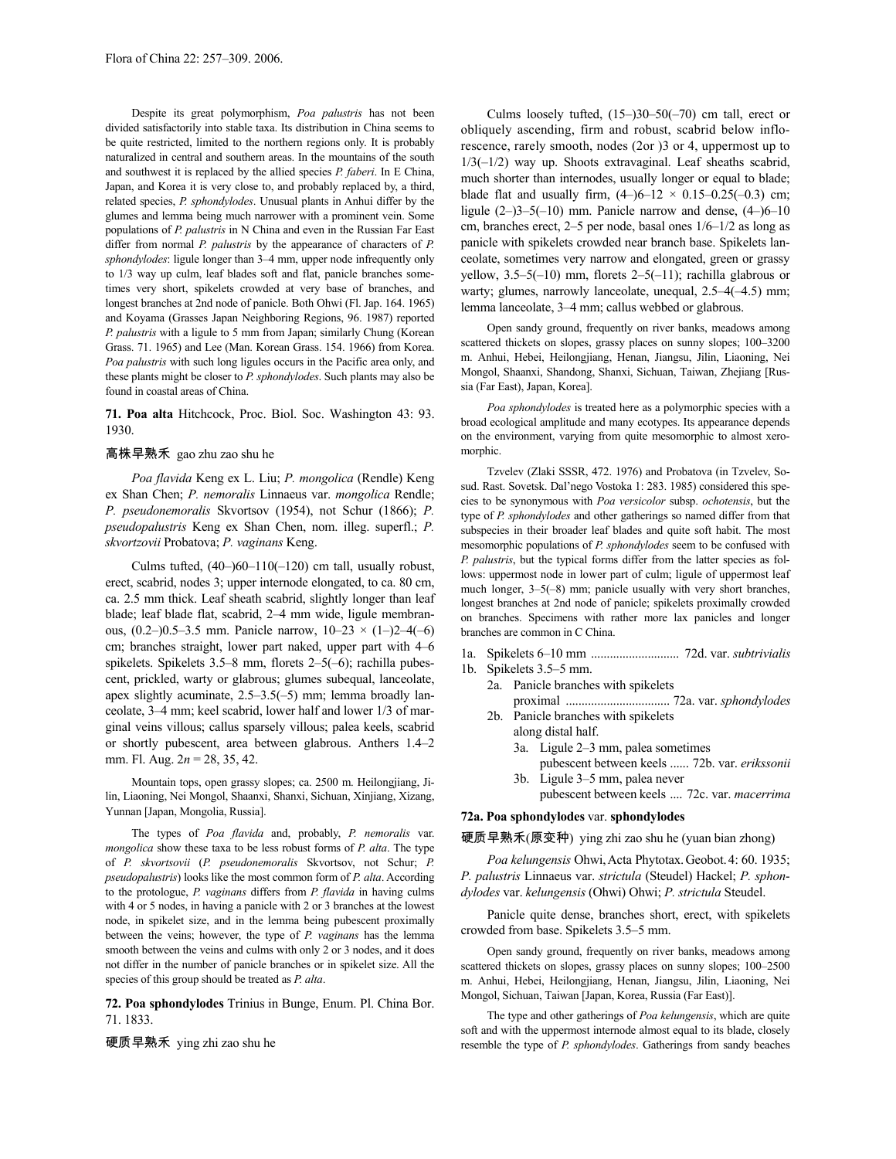Despite its great polymorphism, *Poa palustris* has not been divided satisfactorily into stable taxa. Its distribution in China seems to be quite restricted, limited to the northern regions only. It is probably naturalized in central and southern areas. In the mountains of the south and southwest it is replaced by the allied species *P. faberi*. In E China, Japan, and Korea it is very close to, and probably replaced by, a third, related species, *P. sphondylodes*. Unusual plants in Anhui differ by the glumes and lemma being much narrower with a prominent vein. Some populations of *P. palustris* in N China and even in the Russian Far East differ from normal *P. palustris* by the appearance of characters of *P. sphondylodes*: ligule longer than 3–4 mm, upper node infrequently only to 1/3 way up culm, leaf blades soft and flat, panicle branches sometimes very short, spikelets crowded at very base of branches, and longest branches at 2nd node of panicle. Both Ohwi (Fl. Jap. 164. 1965) and Koyama (Grasses Japan Neighboring Regions, 96. 1987) reported *P. palustris* with a ligule to 5 mm from Japan; similarly Chung (Korean Grass. 71. 1965) and Lee (Man. Korean Grass. 154. 1966) from Korea. *Poa palustris* with such long ligules occurs in the Pacific area only, and these plants might be closer to *P. sphondylodes*. Such plants may also be found in coastal areas of China.

**71. Poa alta** Hitchcock, Proc. Biol. Soc. Washington 43: 93. 1930.

# 高株早熟禾 gao zhu zao shu he

*Poa flavida* Keng ex L. Liu; *P. mongolica* (Rendle) Keng ex Shan Chen; *P. nemoralis* Linnaeus var. *mongolica* Rendle; *P. pseudonemoralis* Skvortsov (1954), not Schur (1866); *P. pseudopalustris* Keng ex Shan Chen, nom. illeg. superfl.; *P. skvortzovii* Probatova; *P. vaginans* Keng.

Culms tufted,  $(40-)60-110(-120)$  cm tall, usually robust, erect, scabrid, nodes 3; upper internode elongated, to ca. 80 cm, ca. 2.5 mm thick. Leaf sheath scabrid, slightly longer than leaf blade; leaf blade flat, scabrid, 2–4 mm wide, ligule membranous,  $(0.2-)0.5-3.5$  mm. Panicle narrow,  $10-23 \times (1-)2-4(-6)$ cm; branches straight, lower part naked, upper part with 4–6 spikelets. Spikelets 3.5–8 mm, florets 2–5(–6); rachilla pubescent, prickled, warty or glabrous; glumes subequal, lanceolate, apex slightly acuminate, 2.5–3.5(–5) mm; lemma broadly lanceolate, 3–4 mm; keel scabrid, lower half and lower 1/3 of marginal veins villous; callus sparsely villous; palea keels, scabrid or shortly pubescent, area between glabrous. Anthers 1.4–2 mm. Fl. Aug. 2*n* = 28, 35, 42.

Mountain tops, open grassy slopes; ca. 2500 m. Heilongjiang, Jilin, Liaoning, Nei Mongol, Shaanxi, Shanxi, Sichuan, Xinjiang, Xizang, Yunnan [Japan, Mongolia, Russia].

The types of *Poa flavida* and, probably, *P. nemoralis* var. *mongolica* show these taxa to be less robust forms of *P. alta*. The type of *P. skvortsovii* (*P. pseudonemoralis* Skvortsov, not Schur; *P. pseudopalustris*) looks like the most common form of *P. alta*. According to the protologue, *P. vaginans* differs from *P. flavida* in having culms with 4 or 5 nodes, in having a panicle with 2 or 3 branches at the lowest node, in spikelet size, and in the lemma being pubescent proximally between the veins; however, the type of *P. vaginans* has the lemma smooth between the veins and culms with only 2 or 3 nodes, and it does not differ in the number of panicle branches or in spikelet size. All the species of this group should be treated as *P. alta*.

**72. Poa sphondylodes** Trinius in Bunge, Enum. Pl. China Bor. 71. 1833.

硬质早熟禾 ying zhi zao shu he

Culms loosely tufted,  $(15–)30–50(-70)$  cm tall, erect or obliquely ascending, firm and robust, scabrid below inflorescence, rarely smooth, nodes (2or )3 or 4, uppermost up to  $1/3(-1/2)$  way up. Shoots extravaginal. Leaf sheaths scabrid, much shorter than internodes, usually longer or equal to blade; blade flat and usually firm,  $(4-)6-12 \times 0.15-0.25(-0.3)$  cm; ligule  $(2-)3-5(-10)$  mm. Panicle narrow and dense,  $(4-)6-10$ cm, branches erect, 2–5 per node, basal ones 1/6–1/2 as long as panicle with spikelets crowded near branch base. Spikelets lanceolate, sometimes very narrow and elongated, green or grassy yellow, 3.5–5(–10) mm, florets 2–5(–11); rachilla glabrous or warty; glumes, narrowly lanceolate, unequal,  $2.5-4(-4.5)$  mm; lemma lanceolate, 3–4 mm; callus webbed or glabrous.

Open sandy ground, frequently on river banks, meadows among scattered thickets on slopes, grassy places on sunny slopes; 100–3200 m. Anhui, Hebei, Heilongjiang, Henan, Jiangsu, Jilin, Liaoning, Nei Mongol, Shaanxi, Shandong, Shanxi, Sichuan, Taiwan, Zhejiang [Russia (Far East), Japan, Korea].

*Poa sphondylodes* is treated here as a polymorphic species with a broad ecological amplitude and many ecotypes. Its appearance depends on the environment, varying from quite mesomorphic to almost xeromorphic.

Tzvelev (Zlaki SSSR, 472. 1976) and Probatova (in Tzvelev, Sosud. Rast. Sovetsk. Dal'nego Vostoka 1: 283. 1985) considered this species to be synonymous with *Poa versicolor* subsp. *ochotensis*, but the type of *P. sphondylodes* and other gatherings so named differ from that subspecies in their broader leaf blades and quite soft habit. The most mesomorphic populations of *P. sphondylodes* seem to be confused with *P. palustris*, but the typical forms differ from the latter species as follows: uppermost node in lower part of culm; ligule of uppermost leaf much longer, 3–5(–8) mm; panicle usually with very short branches, longest branches at 2nd node of panicle; spikelets proximally crowded on branches. Specimens with rather more lax panicles and longer branches are common in C China.

- 1a. Spikelets 6–10 mm ............................ 72d. var. *subtrivialis*
- 1b. Spikelets 3.5–5 mm.
	- 2a. Panicle branches with spikelets
	- proximal ................................. 72a. var. *sphondylodes* 2b. Panicle branches with spikelets
		- along distal half. 3a. Ligule 2–3 mm, palea sometimes
		- pubescent between keels ...... 72b. var. *erikssonii* 3b. Ligule 3–5 mm, palea never
		- pubescent between keels .... 72c. var. *macerrima*

# **72a. Poa sphondylodes** var. **sphondylodes**

硬质早熟禾(原变种) ying zhi zao shu he (yuan bian zhong)

*Poa kelungensis* Ohwi,Acta Phytotax.Geobot.4: 60. 1935; *P. palustris* Linnaeus var. *strictula* (Steudel) Hackel; *P. sphondylodes* var. *kelungensis* (Ohwi) Ohwi; *P. strictula* Steudel.

Panicle quite dense, branches short, erect, with spikelets crowded from base. Spikelets 3.5–5 mm.

Open sandy ground, frequently on river banks, meadows among scattered thickets on slopes, grassy places on sunny slopes; 100–2500 m. Anhui, Hebei, Heilongjiang, Henan, Jiangsu, Jilin, Liaoning, Nei Mongol, Sichuan, Taiwan [Japan, Korea, Russia (Far East)].

The type and other gatherings of *Poa kelungensis*, which are quite soft and with the uppermost internode almost equal to its blade, closely resemble the type of *P. sphondylodes*. Gatherings from sandy beaches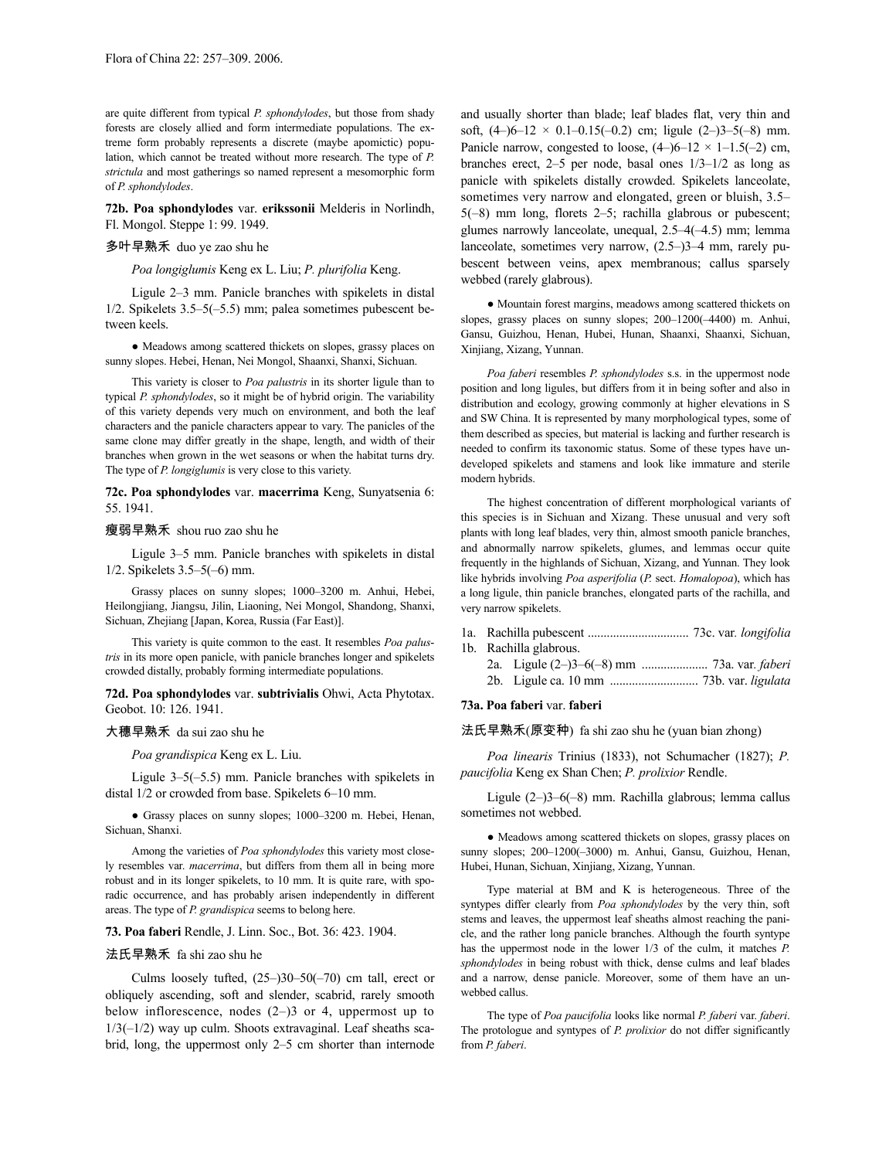are quite different from typical *P. sphondylodes*, but those from shady forests are closely allied and form intermediate populations. The extreme form probably represents a discrete (maybe apomictic) population, which cannot be treated without more research. The type of *P. strictula* and most gatherings so named represent a mesomorphic form of *P. sphondylodes*.

**72b. Poa sphondylodes** var. **erikssonii** Melderis in Norlindh, Fl. Mongol. Steppe 1: 99. 1949.

## 多叶早熟禾 duo ye zao shu he

*Poa longiglumis* Keng ex L. Liu; *P. plurifolia* Keng.

Ligule 2–3 mm. Panicle branches with spikelets in distal 1/2. Spikelets 3.5–5(–5.5) mm; palea sometimes pubescent between keels.

● Meadows among scattered thickets on slopes, grassy places on sunny slopes. Hebei, Henan, Nei Mongol, Shaanxi, Shanxi, Sichuan.

This variety is closer to *Poa palustris* in its shorter ligule than to typical *P. sphondylodes*, so it might be of hybrid origin. The variability of this variety depends very much on environment, and both the leaf characters and the panicle characters appear to vary. The panicles of the same clone may differ greatly in the shape, length, and width of their branches when grown in the wet seasons or when the habitat turns dry. The type of *P. longiglumis* is very close to this variety.

**72c. Poa sphondylodes** var. **macerrima** Keng, Sunyatsenia 6: 55. 1941.

# 瘦弱早熟禾 shou ruo zao shu he

Ligule 3–5 mm. Panicle branches with spikelets in distal 1/2. Spikelets 3.5–5(–6) mm.

Grassy places on sunny slopes; 1000–3200 m. Anhui, Hebei, Heilongjiang, Jiangsu, Jilin, Liaoning, Nei Mongol, Shandong, Shanxi, Sichuan, Zhejiang [Japan, Korea, Russia (Far East)].

This variety is quite common to the east. It resembles *Poa palustris* in its more open panicle, with panicle branches longer and spikelets crowded distally, probably forming intermediate populations.

**72d. Poa sphondylodes** var. **subtrivialis** Ohwi, Acta Phytotax. Geobot. 10: 126. 1941.

# 大穗早熟禾 da sui zao shu he

*Poa grandispica* Keng ex L. Liu.

Ligule 3–5(–5.5) mm. Panicle branches with spikelets in distal 1/2 or crowded from base. Spikelets 6–10 mm.

● Grassy places on sunny slopes; 1000–3200 m. Hebei, Henan, Sichuan, Shanxi.

Among the varieties of *Poa sphondylodes* this variety most closely resembles var. *macerrima*, but differs from them all in being more robust and in its longer spikelets, to 10 mm. It is quite rare, with sporadic occurrence, and has probably arisen independently in different areas. The type of *P. grandispica* seems to belong here.

# **73. Poa faberi** Rendle, J. Linn. Soc., Bot. 36: 423. 1904.

# 法氏早熟禾 fa shi zao shu he

Culms loosely tufted,  $(25-)30-50(-70)$  cm tall, erect or obliquely ascending, soft and slender, scabrid, rarely smooth below inflorescence, nodes  $(2-)3$  or 4, uppermost up to 1/3(–1/2) way up culm. Shoots extravaginal. Leaf sheaths scabrid, long, the uppermost only 2–5 cm shorter than internode and usually shorter than blade; leaf blades flat, very thin and soft,  $(4-6-12 \times 0.1-0.15(-0.2))$  cm; ligule  $(2-3-5(-8))$  mm. Panicle narrow, congested to loose,  $(4-)6-12 \times 1-1.5(-2)$  cm, branches erect, 2–5 per node, basal ones 1/3–1/2 as long as panicle with spikelets distally crowded. Spikelets lanceolate, sometimes very narrow and elongated, green or bluish, 3.5– 5(–8) mm long, florets 2–5; rachilla glabrous or pubescent; glumes narrowly lanceolate, unequal, 2.5–4(–4.5) mm; lemma lanceolate, sometimes very narrow, (2.5–)3–4 mm, rarely pubescent between veins, apex membranous; callus sparsely webbed (rarely glabrous).

● Mountain forest margins, meadows among scattered thickets on slopes, grassy places on sunny slopes; 200–1200(–4400) m. Anhui, Gansu, Guizhou, Henan, Hubei, Hunan, Shaanxi, Shaanxi, Sichuan, Xinjiang, Xizang, Yunnan.

*Poa faberi* resembles *P. sphondylodes* s.s. in the uppermost node position and long ligules, but differs from it in being softer and also in distribution and ecology, growing commonly at higher elevations in S and SW China. It is represented by many morphological types, some of them described as species, but material is lacking and further research is needed to confirm its taxonomic status. Some of these types have undeveloped spikelets and stamens and look like immature and sterile modern hybrids.

The highest concentration of different morphological variants of this species is in Sichuan and Xizang. These unusual and very soft plants with long leaf blades, very thin, almost smooth panicle branches, and abnormally narrow spikelets, glumes, and lemmas occur quite frequently in the highlands of Sichuan, Xizang, and Yunnan. They look like hybrids involving *Poa asperifolia* (*P.* sect. *Homalopoa*), which has a long ligule, thin panicle branches, elongated parts of the rachilla, and very narrow spikelets.

|  | 1b. Rachilla glabrous. |  |  |  |  |  |  |
|--|------------------------|--|--|--|--|--|--|
|  |                        |  |  |  |  |  |  |
|  |                        |  |  |  |  |  |  |

#### **73a. Poa faberi** var. **faberi**

法氏早熟禾(原变种) fa shi zao shu he (yuan bian zhong)

*Poa linearis* Trinius (1833), not Schumacher (1827); *P. paucifolia* Keng ex Shan Chen; *P. prolixior* Rendle.

Ligule (2–)3–6(–8) mm. Rachilla glabrous; lemma callus sometimes not webbed.

● Meadows among scattered thickets on slopes, grassy places on sunny slopes; 200–1200(–3000) m. Anhui, Gansu, Guizhou, Henan, Hubei, Hunan, Sichuan, Xinjiang, Xizang, Yunnan.

Type material at BM and K is heterogeneous. Three of the syntypes differ clearly from *Poa sphondylodes* by the very thin, soft stems and leaves, the uppermost leaf sheaths almost reaching the panicle, and the rather long panicle branches. Although the fourth syntype has the uppermost node in the lower 1/3 of the culm, it matches *P. sphondylodes* in being robust with thick, dense culms and leaf blades and a narrow, dense panicle. Moreover, some of them have an unwebbed callus.

The type of *Poa paucifolia* looks like normal *P. faberi* var. *faberi*. The protologue and syntypes of *P. prolixior* do not differ significantly from *P. faberi*.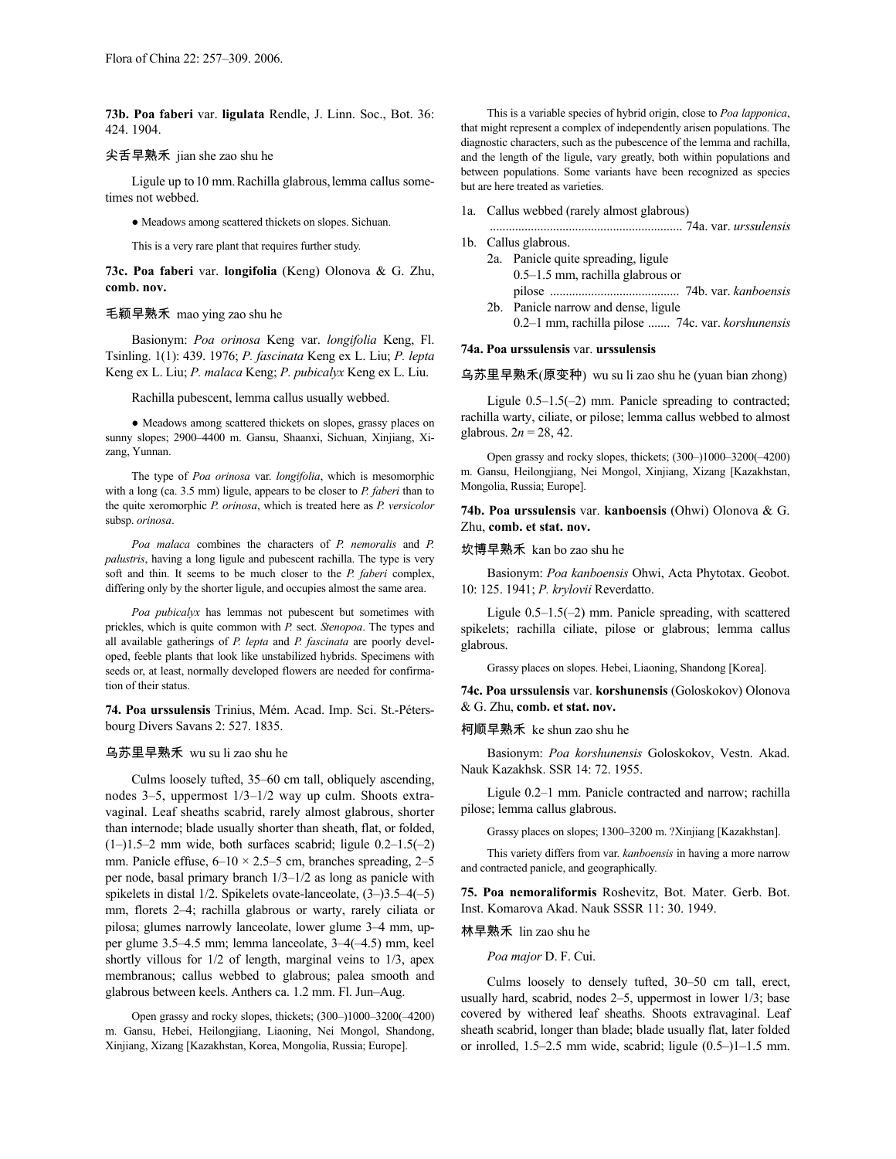**73b. Poa faberi** var. **ligulata** Rendle, J. Linn. Soc., Bot. 36: 424. 1904.

# 尖舌早熟禾 jian she zao shu he

Ligule up to 10 mm. Rachilla glabrous, lemma callus sometimes not webbed.

● Meadows among scattered thickets on slopes. Sichuan.

This is a very rare plant that requires further study.

**73c. Poa faberi** var. **longifolia** (Keng) Olonova & G. Zhu, **comb. nov.**

# 毛颖早熟禾 mao ying zao shu he

Basionym: *Poa orinosa* Keng var. *longifolia* Keng, Fl. Tsinling. 1(1): 439. 1976; *P. fascinata* Keng ex L. Liu; *P. lepta* Keng ex L. Liu; *P. malaca* Keng; *P. pubicalyx* Keng ex L. Liu.

Rachilla pubescent, lemma callus usually webbed.

● Meadows among scattered thickets on slopes, grassy places on sunny slopes; 2900–4400 m. Gansu, Shaanxi, Sichuan, Xinjiang, Xizang, Yunnan.

The type of *Poa orinosa* var. *longifolia*, which is mesomorphic with a long (ca. 3.5 mm) ligule, appears to be closer to *P. faberi* than to the quite xeromorphic *P. orinosa*, which is treated here as *P. versicolor* subsp. *orinosa*.

*Poa malaca* combines the characters of *P. nemoralis* and *P. palustris*, having a long ligule and pubescent rachilla. The type is very soft and thin. It seems to be much closer to the *P. faberi* complex, differing only by the shorter ligule, and occupies almost the same area.

*Poa pubicalyx* has lemmas not pubescent but sometimes with prickles, which is quite common with *P.* sect. *Stenopoa*. The types and all available gatherings of *P. lepta* and *P. fascinata* are poorly developed, feeble plants that look like unstabilized hybrids. Specimens with seeds or, at least, normally developed flowers are needed for confirmation of their status.

**74. Poa urssulensis** Trinius, Mém. Acad. Imp. Sci. St.-Pétersbourg Divers Savans 2: 527. 1835.

## 乌苏里早熟禾 wu su li zao shu he

Culms loosely tufted, 35–60 cm tall, obliquely ascending, nodes 3–5, uppermost 1/3–1/2 way up culm. Shoots extravaginal. Leaf sheaths scabrid, rarely almost glabrous, shorter than internode; blade usually shorter than sheath, flat, or folded,  $(1-)1.5-2$  mm wide, both surfaces scabrid; ligule  $0.2-1.5(-2)$ mm. Panicle effuse,  $6-10 \times 2.5-5$  cm, branches spreading, 2-5 per node, basal primary branch 1/3–1/2 as long as panicle with spikelets in distal 1/2. Spikelets ovate-lanceolate, (3–)3.5–4(–5) mm, florets 2–4; rachilla glabrous or warty, rarely ciliata or pilosa; glumes narrowly lanceolate, lower glume 3–4 mm, upper glume 3.5–4.5 mm; lemma lanceolate, 3–4(–4.5) mm, keel shortly villous for 1/2 of length, marginal veins to 1/3, apex membranous; callus webbed to glabrous; palea smooth and glabrous between keels. Anthers ca. 1.2 mm. Fl. Jun–Aug.

Open grassy and rocky slopes, thickets; (300–)1000–3200(–4200) m. Gansu, Hebei, Heilongjiang, Liaoning, Nei Mongol, Shandong, Xinjiang, Xizang [Kazakhstan, Korea, Mongolia, Russia; Europe].

This is a variable species of hybrid origin, close to *Poa lapponica*, that might represent a complex of independently arisen populations. The diagnostic characters, such as the pubescence of the lemma and rachilla, and the length of the ligule, vary greatly, both within populations and between populations. Some variants have been recognized as species but are here treated as varieties.

1a. Callus webbed (rarely almost glabrous)

............................................................. 74a. var. *urssulensis*

- 1b. Callus glabrous.
	- 2a. Panicle quite spreading, ligule 0.5–1.5 mm, rachilla glabrous or pilose ......................................... 74b. var. *kanboensis*
	- 2b. Panicle narrow and dense, ligule 0.2–1 mm, rachilla pilose ....... 74c. var. *korshunensis*

## **74a. Poa urssulensis** var. **urssulensis**

乌苏里早熟禾(原变种) wu su li zao shu he (yuan bian zhong)

Ligule 0.5–1.5(–2) mm. Panicle spreading to contracted; rachilla warty, ciliate, or pilose; lemma callus webbed to almost glabrous.  $2n = 28, 42$ .

Open grassy and rocky slopes, thickets; (300–)1000–3200(–4200) m. Gansu, Heilongjiang, Nei Mongol, Xinjiang, Xizang [Kazakhstan, Mongolia, Russia; Europe].

**74b. Poa urssulensis** var. **kanboensis** (Ohwi) Olonova & G. Zhu, **comb. et stat. nov.**

坎博早熟禾 kan bo zao shu he

Basionym: *Poa kanboensis* Ohwi, Acta Phytotax. Geobot. 10: 125. 1941; *P. krylovii* Reverdatto.

Ligule 0.5–1.5(–2) mm. Panicle spreading, with scattered spikelets; rachilla ciliate, pilose or glabrous; lemma callus glabrous.

Grassy places on slopes. Hebei, Liaoning, Shandong [Korea].

**74c. Poa urssulensis** var. **korshunensis** (Goloskokov) Olonova & G. Zhu, **comb. et stat. nov.**

柯顺早熟禾 ke shun zao shu he

Basionym: *Poa korshunensis* Goloskokov, Vestn. Akad. Nauk Kazakhsk. SSR 14: 72. 1955.

Ligule 0.2–1 mm. Panicle contracted and narrow; rachilla pilose; lemma callus glabrous.

Grassy places on slopes; 1300–3200 m. ?Xinjiang [Kazakhstan].

This variety differs from var. *kanboensis* in having a more narrow and contracted panicle, and geographically.

**75. Poa nemoraliformis** Roshevitz, Bot. Mater. Gerb. Bot. Inst. Komarova Akad. Nauk SSSR 11: 30. 1949.

林早熟禾 lin zao shu he

*Poa major* D. F. Cui.

Culms loosely to densely tufted, 30–50 cm tall, erect, usually hard, scabrid, nodes 2–5, uppermost in lower 1/3; base covered by withered leaf sheaths. Shoots extravaginal. Leaf sheath scabrid, longer than blade; blade usually flat, later folded or inrolled, 1.5–2.5 mm wide, scabrid; ligule (0.5–)1–1.5 mm.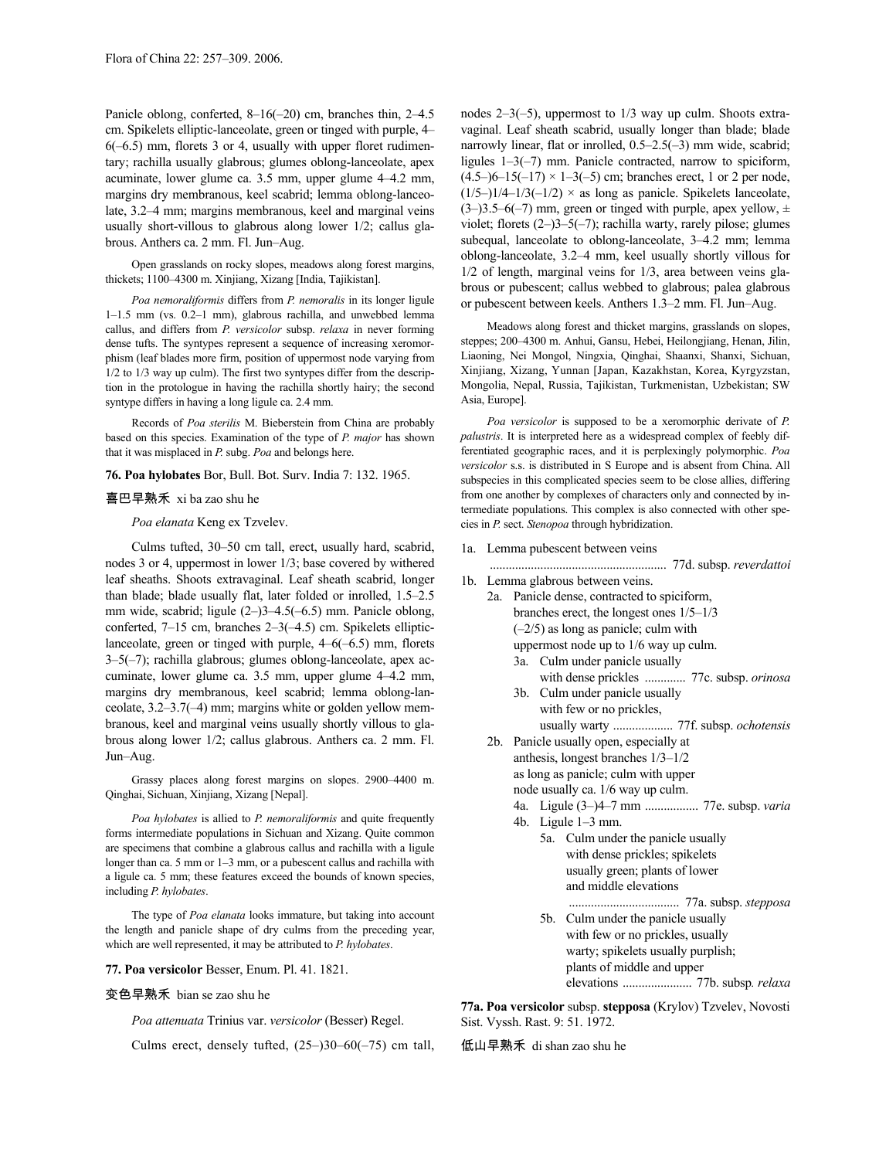Panicle oblong, conferted, 8–16(–20) cm, branches thin, 2–4.5 cm. Spikelets elliptic-lanceolate, green or tinged with purple, 4– 6(–6.5) mm, florets 3 or 4, usually with upper floret rudimentary; rachilla usually glabrous; glumes oblong-lanceolate, apex acuminate, lower glume ca. 3.5 mm, upper glume 4–4.2 mm, margins dry membranous, keel scabrid; lemma oblong-lanceolate, 3.2–4 mm; margins membranous, keel and marginal veins usually short-villous to glabrous along lower 1/2; callus glabrous. Anthers ca. 2 mm. Fl. Jun–Aug.

Open grasslands on rocky slopes, meadows along forest margins, thickets; 1100–4300 m. Xinjiang, Xizang [India, Tajikistan].

*Poa nemoraliformis* differs from *P. nemoralis* in its longer ligule 1–1.5 mm (vs. 0.2–1 mm), glabrous rachilla, and unwebbed lemma callus, and differs from *P. versicolor* subsp. *relaxa* in never forming dense tufts. The syntypes represent a sequence of increasing xeromorphism (leaf blades more firm, position of uppermost node varying from 1/2 to 1/3 way up culm). The first two syntypes differ from the description in the protologue in having the rachilla shortly hairy; the second syntype differs in having a long ligule ca. 2.4 mm.

Records of *Poa sterilis* M. Bieberstein from China are probably based on this species. Examination of the type of *P. major* has shown that it was misplaced in *P.* subg. *Poa* and belongs here.

# **76. Poa hylobates** Bor, Bull. Bot. Surv. India 7: 132. 1965.

# 喜巴早熟禾 xi ba zao shu he

*Poa elanata* Keng ex Tzvelev.

Culms tufted, 30–50 cm tall, erect, usually hard, scabrid, nodes 3 or 4, uppermost in lower 1/3; base covered by withered leaf sheaths. Shoots extravaginal. Leaf sheath scabrid, longer than blade; blade usually flat, later folded or inrolled, 1.5–2.5 mm wide, scabrid; ligule (2–)3–4.5(–6.5) mm. Panicle oblong, conferted, 7–15 cm, branches 2–3(–4.5) cm. Spikelets ellipticlanceolate, green or tinged with purple, 4–6(–6.5) mm, florets 3–5(–7); rachilla glabrous; glumes oblong-lanceolate, apex accuminate, lower glume ca. 3.5 mm, upper glume 4–4.2 mm, margins dry membranous, keel scabrid; lemma oblong-lanceolate, 3.2–3.7(–4) mm; margins white or golden yellow membranous, keel and marginal veins usually shortly villous to glabrous along lower 1/2; callus glabrous. Anthers ca. 2 mm. Fl. Jun–Aug.

Grassy places along forest margins on slopes. 2900–4400 m. Qinghai, Sichuan, Xinjiang, Xizang [Nepal].

*Poa hylobates* is allied to *P. nemoraliformis* and quite frequently forms intermediate populations in Sichuan and Xizang. Quite common are specimens that combine a glabrous callus and rachilla with a ligule longer than ca. 5 mm or 1–3 mm, or a pubescent callus and rachilla with a ligule ca. 5 mm; these features exceed the bounds of known species, including *P. hylobates*.

The type of *Poa elanata* looks immature, but taking into account the length and panicle shape of dry culms from the preceding year, which are well represented, it may be attributed to *P. hylobates*.

### **77. Poa versicolor** Besser, Enum. Pl. 41. 1821.

# 变色早熟禾 bian se zao shu he

*Poa attenuata* Trinius var. *versicolor* (Besser) Regel.

Culms erect, densely tufted,  $(25-)30-60(-75)$  cm tall,

nodes 2–3(–5), uppermost to 1/3 way up culm. Shoots extravaginal. Leaf sheath scabrid, usually longer than blade; blade narrowly linear, flat or inrolled, 0.5–2.5(–3) mm wide, scabrid; ligules 1–3(–7) mm. Panicle contracted, narrow to spiciform,  $(4.5-6-15(-17) \times 1-3(-5)$  cm; branches erect, 1 or 2 per node,  $(1/5-1/4-1/3(-1/2) \times$  as long as panicle. Spikelets lanceolate,  $(3-)3.5-6(-7)$  mm, green or tinged with purple, apex yellow,  $\pm$ violet; florets (2–)3–5(–7); rachilla warty, rarely pilose; glumes subequal, lanceolate to oblong-lanceolate, 3–4.2 mm; lemma oblong-lanceolate, 3.2–4 mm, keel usually shortly villous for 1/2 of length, marginal veins for 1/3, area between veins glabrous or pubescent; callus webbed to glabrous; palea glabrous or pubescent between keels. Anthers 1.3–2 mm. Fl. Jun–Aug.

Meadows along forest and thicket margins, grasslands on slopes, steppes; 200–4300 m. Anhui, Gansu, Hebei, Heilongjiang, Henan, Jilin, Liaoning, Nei Mongol, Ningxia, Qinghai, Shaanxi, Shanxi, Sichuan, Xinjiang, Xizang, Yunnan [Japan, Kazakhstan, Korea, Kyrgyzstan, Mongolia, Nepal, Russia, Tajikistan, Turkmenistan, Uzbekistan; SW Asia, Europe].

*Poa versicolor* is supposed to be a xeromorphic derivate of *P. palustris*. It is interpreted here as a widespread complex of feebly differentiated geographic races, and it is perplexingly polymorphic. *Poa versicolor* s.s. is distributed in S Europe and is absent from China. All subspecies in this complicated species seem to be close allies, differing from one another by complexes of characters only and connected by intermediate populations. This complex is also connected with other species in *P.* sect. *Stenopoa* through hybridization.

1a. Lemma pubescent between veins

........................................................ 77d. subsp. *reverdattoi*

- 1b. Lemma glabrous between veins.
	- 2a. Panicle dense, contracted to spiciform, branches erect, the longest ones 1/5–1/3  $(-2/5)$  as long as panicle; culm with uppermost node up to 1/6 way up culm. 3a. Culm under panicle usually
		- with dense prickles ............. 77c. subsp. *orinosa* 3b. Culm under panicle usually
		- with few or no prickles, usually warty ................... 77f. subsp. *ochotensis*
	- 2b. Panicle usually open, especially at anthesis, longest branches 1/3–1/2 as long as panicle; culm with upper node usually ca. 1/6 way up culm.
		-
		- 4a. Ligule (3–)4–7 mm ................. 77e. subsp. *varia* 4b. Ligule 1–3 mm.
			- 5a. Culm under the panicle usually with dense prickles; spikelets usually green; plants of lower and middle elevations ................................... 77a. subsp. *stepposa*
			- 5b. Culm under the panicle usually with few or no prickles, usually warty; spikelets usually purplish; plants of middle and upper elevations ...................... 77b. subsp*. relaxa*

**77a. Poa versicolor** subsp. **stepposa** (Krylov) Tzvelev, Novosti Sist. Vyssh. Rast. 9: 51. 1972.

低山早熟禾 di shan zao shu he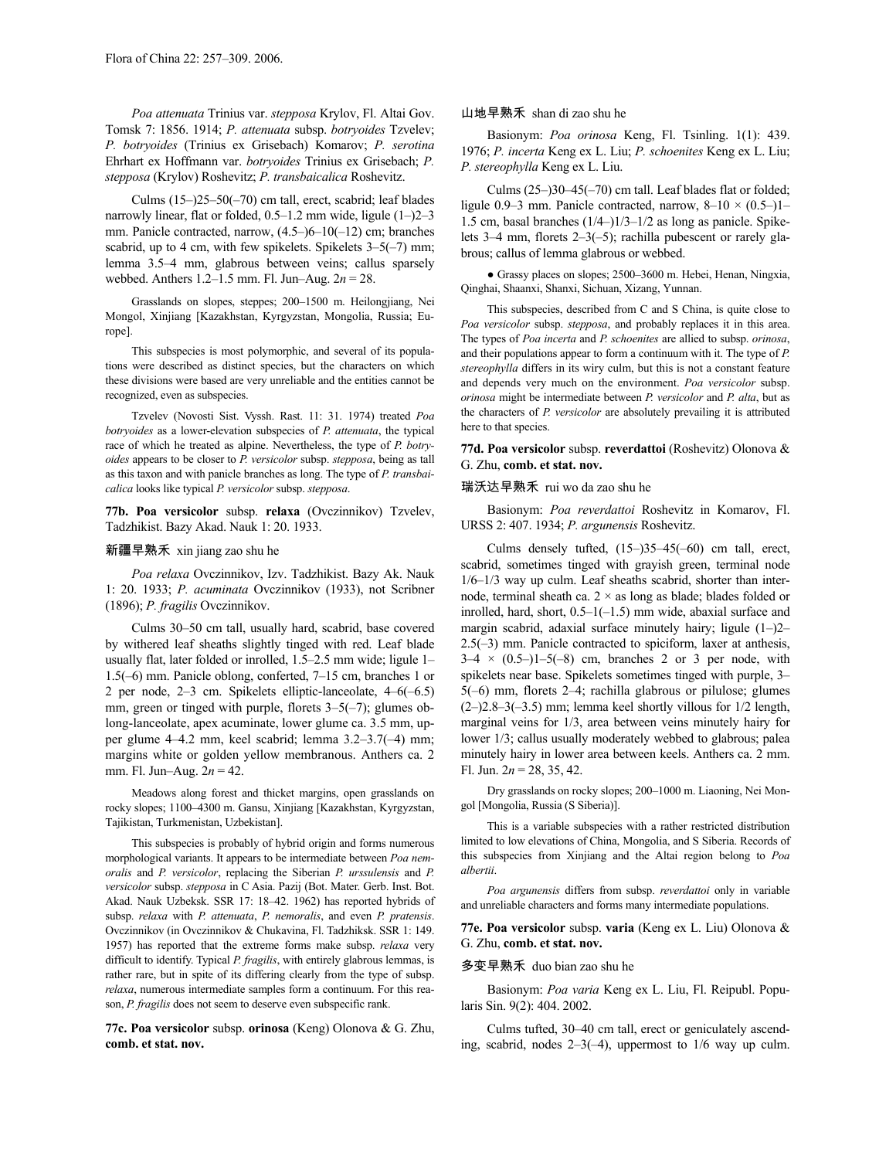*Poa attenuata* Trinius var. *stepposa* Krylov, Fl. Altai Gov. Tomsk 7: 1856. 1914; *P. attenuata* subsp. *botryoides* Tzvelev; *P. botryoides* (Trinius ex Grisebach) Komarov; *P. serotina* Ehrhart ex Hoffmann var. *botryoides* Trinius ex Grisebach; *P. stepposa* (Krylov) Roshevitz; *P. transbaicalica* Roshevitz.

Culms (15–)25–50(–70) cm tall, erect, scabrid; leaf blades narrowly linear, flat or folded, 0.5–1.2 mm wide, ligule (1–)2–3 mm. Panicle contracted, narrow, (4.5–)6–10(–12) cm; branches scabrid, up to 4 cm, with few spikelets. Spikelets  $3-5(-7)$  mm; lemma 3.5–4 mm, glabrous between veins; callus sparsely webbed. Anthers 1.2–1.5 mm. Fl. Jun–Aug. 2*n* = 28.

Grasslands on slopes, steppes; 200–1500 m. Heilongjiang, Nei Mongol, Xinjiang [Kazakhstan, Kyrgyzstan, Mongolia, Russia; Europe].

This subspecies is most polymorphic, and several of its populations were described as distinct species, but the characters on which these divisions were based are very unreliable and the entities cannot be recognized, even as subspecies.

Tzvelev (Novosti Sist. Vyssh. Rast. 11: 31. 1974) treated *Poa botryoides* as a lower-elevation subspecies of *P. attenuata*, the typical race of which he treated as alpine. Nevertheless, the type of *P. botryoides* appears to be closer to *P. versicolor* subsp. *stepposa*, being as tall as this taxon and with panicle branches as long. The type of *P. transbaicalica* looks like typical *P. versicolor* subsp. *stepposa*.

**77b. Poa versicolor** subsp. **relaxa** (Ovczinnikov) Tzvelev, Tadzhikist. Bazy Akad. Nauk 1: 20. 1933.

### 新疆早熟禾 xin jiang zao shu he

*Poa relaxa* Ovczinnikov, Izv. Tadzhikist. Bazy Ak. Nauk 1: 20. 1933; *P. acuminata* Ovczinnikov (1933), not Scribner (1896); *P. fragilis* Ovczinnikov.

Culms 30–50 cm tall, usually hard, scabrid, base covered by withered leaf sheaths slightly tinged with red. Leaf blade usually flat, later folded or inrolled, 1.5–2.5 mm wide; ligule 1– 1.5(–6) mm. Panicle oblong, conferted, 7–15 cm, branches 1 or 2 per node, 2–3 cm. Spikelets elliptic-lanceolate, 4–6(–6.5) mm, green or tinged with purple, florets 3–5(–7); glumes oblong-lanceolate, apex acuminate, lower glume ca. 3.5 mm, upper glume 4–4.2 mm, keel scabrid; lemma 3.2–3.7(–4) mm; margins white or golden yellow membranous. Anthers ca. 2 mm. Fl. Jun–Aug. 2*n* = 42.

Meadows along forest and thicket margins, open grasslands on rocky slopes; 1100–4300 m. Gansu, Xinjiang [Kazakhstan, Kyrgyzstan, Tajikistan, Turkmenistan, Uzbekistan].

This subspecies is probably of hybrid origin and forms numerous morphological variants. It appears to be intermediate between *Poa nemoralis* and *P. versicolor*, replacing the Siberian *P. urssulensis* and *P. versicolor* subsp. *stepposa* in C Asia. Pazij (Bot. Mater. Gerb. Inst. Bot. Akad. Nauk Uzbeksk. SSR 17: 18–42. 1962) has reported hybrids of subsp. *relaxa* with *P. attenuata*, *P. nemoralis*, and even *P. pratensis*. Ovczinnikov (in Ovczinnikov & Chukavina, Fl. Tadzhiksk. SSR 1: 149. 1957) has reported that the extreme forms make subsp. *relaxa* very difficult to identify. Typical *P. fragilis*, with entirely glabrous lemmas, is rather rare, but in spite of its differing clearly from the type of subsp. *relaxa*, numerous intermediate samples form a continuum. For this reason, *P. fragilis* does not seem to deserve even subspecific rank.

**77c. Poa versicolor** subsp. **orinosa** (Keng) Olonova & G. Zhu, **comb. et stat. nov.**

### 山地早熟禾 shan di zao shu he

Basionym: *Poa orinosa* Keng, Fl. Tsinling. 1(1): 439. 1976; *P. incerta* Keng ex L. Liu; *P. schoenites* Keng ex L. Liu; *P. stereophylla* Keng ex L. Liu.

Culms (25–)30–45(–70) cm tall. Leaf blades flat or folded; ligule 0.9–3 mm. Panicle contracted, narrow,  $8-10 \times (0.5-1)$ 1.5 cm, basal branches (1/4–)1/3–1/2 as long as panicle. Spikelets 3–4 mm, florets 2–3(–5); rachilla pubescent or rarely glabrous; callus of lemma glabrous or webbed.

● Grassy places on slopes; 2500–3600 m. Hebei, Henan, Ningxia, Qinghai, Shaanxi, Shanxi, Sichuan, Xizang, Yunnan.

This subspecies, described from C and S China, is quite close to *Poa versicolor* subsp. *stepposa*, and probably replaces it in this area. The types of *Poa incerta* and *P. schoenites* are allied to subsp. *orinosa*, and their populations appear to form a continuum with it. The type of *P. stereophylla* differs in its wiry culm, but this is not a constant feature and depends very much on the environment. *Poa versicolor* subsp. *orinosa* might be intermediate between *P. versicolor* and *P. alta*, but as the characters of *P. versicolor* are absolutely prevailing it is attributed here to that species.

**77d. Poa versicolor** subsp. **reverdattoi** (Roshevitz) Olonova & G. Zhu, **comb. et stat. nov.**

# 瑞沃达早熟禾 rui wo da zao shu he

Basionym: *Poa reverdattoi* Roshevitz in Komarov, Fl. URSS 2: 407. 1934; *P. argunensis* Roshevitz.

Culms densely tufted, (15–)35–45(–60) cm tall, erect, scabrid, sometimes tinged with grayish green, terminal node 1/6–1/3 way up culm. Leaf sheaths scabrid, shorter than internode, terminal sheath ca.  $2 \times$  as long as blade; blades folded or inrolled, hard, short, 0.5–1(–1.5) mm wide, abaxial surface and margin scabrid, adaxial surface minutely hairy; ligule (1–)2– 2.5(–3) mm. Panicle contracted to spiciform, laxer at anthesis,  $3-4 \times (0.5-)1-5(-8)$  cm, branches 2 or 3 per node, with spikelets near base. Spikelets sometimes tinged with purple, 3– 5(–6) mm, florets 2–4; rachilla glabrous or pilulose; glumes  $(2-)2.8-3(-3.5)$  mm; lemma keel shortly villous for  $1/2$  length, marginal veins for 1/3, area between veins minutely hairy for lower 1/3; callus usually moderately webbed to glabrous; palea minutely hairy in lower area between keels. Anthers ca. 2 mm. Fl. Jun.  $2n = 28, 35, 42$ .

Dry grasslands on rocky slopes; 200–1000 m. Liaoning, Nei Mongol [Mongolia, Russia (S Siberia)].

This is a variable subspecies with a rather restricted distribution limited to low elevations of China, Mongolia, and S Siberia. Records of this subspecies from Xinjiang and the Altai region belong to *Poa albertii*.

*Poa argunensis* differs from subsp. *reverdattoi* only in variable and unreliable characters and forms many intermediate populations.

**77e. Poa versicolor** subsp. **varia** (Keng ex L. Liu) Olonova & G. Zhu, **comb. et stat. nov.**

# 多变早熟禾 duo bian zao shu he

Basionym: *Poa varia* Keng ex L. Liu, Fl. Reipubl. Popularis Sin. 9(2): 404. 2002.

Culms tufted, 30–40 cm tall, erect or geniculately ascending, scabrid, nodes 2–3(–4), uppermost to 1/6 way up culm.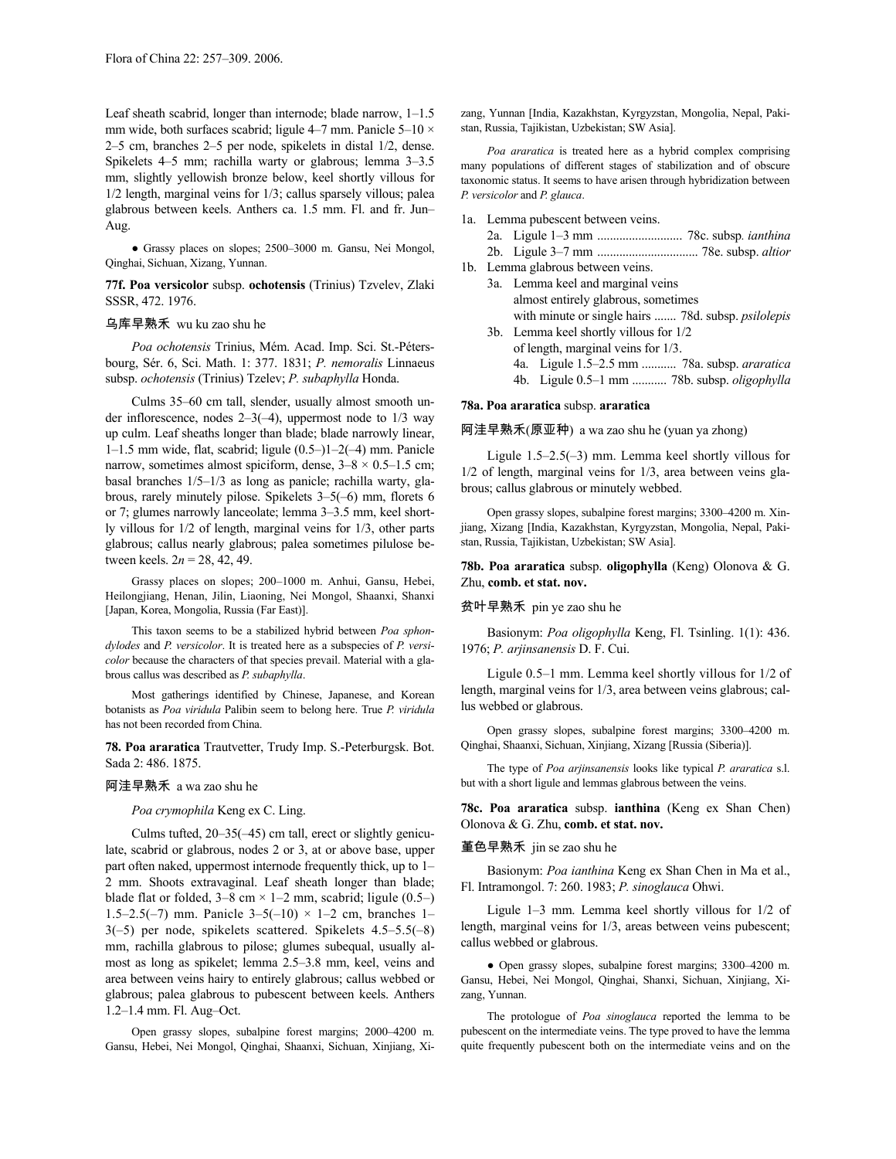Leaf sheath scabrid, longer than internode; blade narrow, 1–1.5 mm wide, both surfaces scabrid; ligule 4–7 mm. Panicle 5–10 × 2–5 cm, branches 2–5 per node, spikelets in distal 1/2, dense. Spikelets 4–5 mm; rachilla warty or glabrous; lemma 3–3.5 mm, slightly yellowish bronze below, keel shortly villous for 1/2 length, marginal veins for 1/3; callus sparsely villous; palea glabrous between keels. Anthers ca. 1.5 mm. Fl. and fr. Jun– Aug.

● Grassy places on slopes; 2500–3000 m. Gansu, Nei Mongol, Qinghai, Sichuan, Xizang, Yunnan.

**77f. Poa versicolor** subsp. **ochotensis** (Trinius) Tzvelev, Zlaki SSSR, 472. 1976.

# 乌库早熟禾 wu ku zao shu he

*Poa ochotensis* Trinius, Mém. Acad. Imp. Sci. St.-Pétersbourg, Sér. 6, Sci. Math. 1: 377. 1831; *P. nemoralis* Linnaeus subsp. *ochotensis* (Trinius) Tzelev; *P. subaphylla* Honda.

Culms 35–60 cm tall, slender, usually almost smooth under inflorescence, nodes 2–3(–4), uppermost node to 1/3 way up culm. Leaf sheaths longer than blade; blade narrowly linear, 1–1.5 mm wide, flat, scabrid; ligule (0.5–)1–2(–4) mm. Panicle narrow, sometimes almost spiciform, dense,  $3-8 \times 0.5-1.5$  cm; basal branches 1/5–1/3 as long as panicle; rachilla warty, glabrous, rarely minutely pilose. Spikelets 3–5(–6) mm, florets 6 or 7; glumes narrowly lanceolate; lemma 3–3.5 mm, keel shortly villous for 1/2 of length, marginal veins for 1/3, other parts glabrous; callus nearly glabrous; palea sometimes pilulose between keels.  $2n = 28, 42, 49$ .

Grassy places on slopes; 200–1000 m. Anhui, Gansu, Hebei, Heilongjiang, Henan, Jilin, Liaoning, Nei Mongol, Shaanxi, Shanxi [Japan, Korea, Mongolia, Russia (Far East)].

This taxon seems to be a stabilized hybrid between *Poa sphondylodes* and *P. versicolor*. It is treated here as a subspecies of *P. versicolor* because the characters of that species prevail. Material with a glabrous callus was described as *P. subaphylla*.

Most gatherings identified by Chinese, Japanese, and Korean botanists as *Poa viridula* Palibin seem to belong here. True *P. viridula* has not been recorded from China.

**78. Poa araratica** Trautvetter, Trudy Imp. S.-Peterburgsk. Bot. Sada 2: 486. 1875.

# 阿洼早熟禾 a wa zao shu he

## *Poa crymophila* Keng ex C. Ling.

Culms tufted, 20–35(–45) cm tall, erect or slightly geniculate, scabrid or glabrous, nodes 2 or 3, at or above base, upper part often naked, uppermost internode frequently thick, up to 1– 2 mm. Shoots extravaginal. Leaf sheath longer than blade; blade flat or folded,  $3-8$  cm  $\times$  1-2 mm, scabrid; ligule (0.5-) 1.5–2.5(–7) mm. Panicle  $3-5(-10) \times 1-2$  cm, branches 1– 3(–5) per node, spikelets scattered. Spikelets 4.5–5.5(–8) mm, rachilla glabrous to pilose; glumes subequal, usually almost as long as spikelet; lemma 2.5–3.8 mm, keel, veins and area between veins hairy to entirely glabrous; callus webbed or glabrous; palea glabrous to pubescent between keels. Anthers 1.2–1.4 mm. Fl. Aug–Oct.

Open grassy slopes, subalpine forest margins; 2000–4200 m. Gansu, Hebei, Nei Mongol, Qinghai, Shaanxi, Sichuan, Xinjiang, Xizang, Yunnan [India, Kazakhstan, Kyrgyzstan, Mongolia, Nepal, Pakistan, Russia, Tajikistan, Uzbekistan; SW Asia].

*Poa araratica* is treated here as a hybrid complex comprising many populations of different stages of stabilization and of obscure taxonomic status. It seems to have arisen through hybridization between *P. versicolor* and *P. glauca*.

- 1a. Lemma pubescent between veins.
	- 2a. Ligule 1–3 mm ........................... 78c. subsp*. ianthina*
	- 2b. Ligule 3–7 mm ................................ 78e. subsp. *altior*
- 1b. Lemma glabrous between veins.
	- 3a. Lemma keel and marginal veins almost entirely glabrous, sometimes with minute or single hairs ....... 78d. subsp. *psilolepis*
	- 3b. Lemma keel shortly villous for 1/2 of length, marginal veins for 1/3.
		- 4a. Ligule 1.5–2.5 mm ........... 78a. subsp. *araratica*
			- 4b. Ligule 0.5–1 mm ........... 78b. subsp. *oligophylla*

### **78a. Poa araratica** subsp. **araratica**

阿洼早熟禾(原亚种) a wa zao shu he (yuan ya zhong)

Ligule 1.5–2.5(–3) mm. Lemma keel shortly villous for 1/2 of length, marginal veins for 1/3, area between veins glabrous; callus glabrous or minutely webbed.

Open grassy slopes, subalpine forest margins; 3300–4200 m. Xinjiang, Xizang [India, Kazakhstan, Kyrgyzstan, Mongolia, Nepal, Pakistan, Russia, Tajikistan, Uzbekistan; SW Asia].

**78b. Poa araratica** subsp. **oligophylla** (Keng) Olonova & G. Zhu, **comb. et stat. nov.**

# 贫叶早熟禾 pin ye zao shu he

Basionym: *Poa oligophylla* Keng, Fl. Tsinling. 1(1): 436. 1976; *P. arjinsanensis* D. F. Cui.

Ligule 0.5–1 mm. Lemma keel shortly villous for 1/2 of length, marginal veins for 1/3, area between veins glabrous; callus webbed or glabrous.

Open grassy slopes, subalpine forest margins; 3300–4200 m. Qinghai, Shaanxi, Sichuan, Xinjiang, Xizang [Russia (Siberia)].

The type of *Poa arjinsanensis* looks like typical *P. araratica* s.l. but with a short ligule and lemmas glabrous between the veins.

**78c. Poa araratica** subsp. **ianthina** (Keng ex Shan Chen) Olonova & G. Zhu, **comb. et stat. nov.**

## 堇色早熟禾 jin se zao shu he

Basionym: *Poa ianthina* Keng ex Shan Chen in Ma et al., Fl. Intramongol. 7: 260. 1983; *P. sinoglauca* Ohwi.

Ligule 1–3 mm. Lemma keel shortly villous for 1/2 of length, marginal veins for 1/3, areas between veins pubescent; callus webbed or glabrous.

● Open grassy slopes, subalpine forest margins; 3300–4200 m. Gansu, Hebei, Nei Mongol, Qinghai, Shanxi, Sichuan, Xinjiang, Xizang, Yunnan.

The protologue of *Poa sinoglauca* reported the lemma to be pubescent on the intermediate veins. The type proved to have the lemma quite frequently pubescent both on the intermediate veins and on the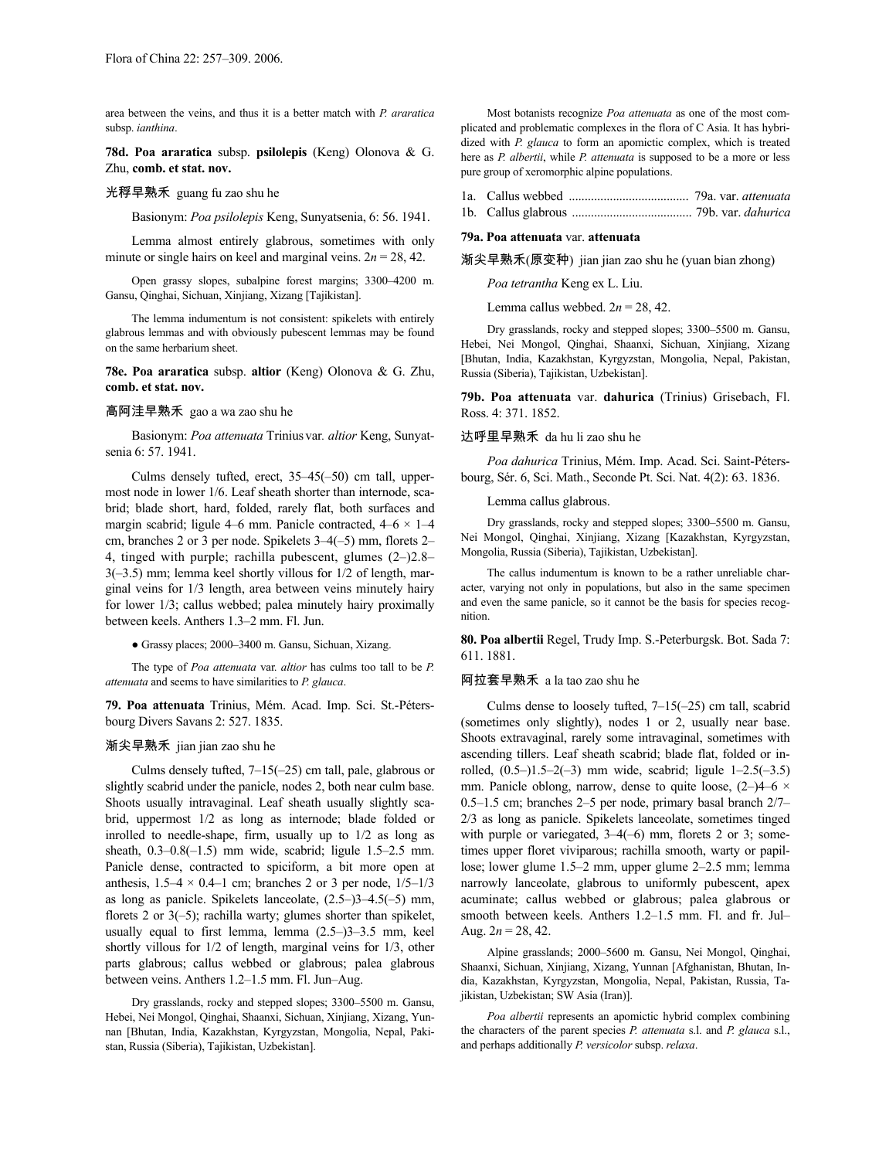area between the veins, and thus it is a better match with *P. araratica* subsp. *ianthina*.

**78d. Poa araratica** subsp. **psilolepis** (Keng) Olonova & G. Zhu, **comb. et stat. nov.**

# 光稃早熟禾 guang fu zao shu he

Basionym: *Poa psilolepis* Keng, Sunyatsenia, 6: 56. 1941.

Lemma almost entirely glabrous, sometimes with only minute or single hairs on keel and marginal veins.  $2n = 28, 42$ .

Open grassy slopes, subalpine forest margins; 3300–4200 m. Gansu, Qinghai, Sichuan, Xinjiang, Xizang [Tajikistan].

The lemma indumentum is not consistent: spikelets with entirely glabrous lemmas and with obviously pubescent lemmas may be found on the same herbarium sheet.

**78e. Poa araratica** subsp. **altior** (Keng) Olonova & G. Zhu, **comb. et stat. nov.**

# 高阿洼早熟禾 gao a wa zao shu he

Basionym: *Poa attenuata* Trinius var*. altior* Keng, Sunyatsenia 6: 57. 1941.

Culms densely tufted, erect, 35–45(–50) cm tall, uppermost node in lower 1/6. Leaf sheath shorter than internode, scabrid; blade short, hard, folded, rarely flat, both surfaces and margin scabrid; ligule 4–6 mm. Panicle contracted,  $4-6 \times 1-4$ cm, branches 2 or 3 per node. Spikelets 3–4(–5) mm, florets 2– 4, tinged with purple; rachilla pubescent, glumes (2–)2.8– 3(–3.5) mm; lemma keel shortly villous for 1/2 of length, marginal veins for 1/3 length, area between veins minutely hairy for lower 1/3; callus webbed; palea minutely hairy proximally between keels. Anthers 1.3–2 mm. Fl. Jun.

● Grassy places; 2000–3400 m. Gansu, Sichuan, Xizang.

The type of *Poa attenuata* var. *altior* has culms too tall to be *P. attenuata* and seems to have similarities to *P. glauca*.

**79. Poa attenuata** Trinius, Mém. Acad. Imp. Sci. St.-Pétersbourg Divers Savans 2: 527. 1835.

# 渐尖早熟禾 jian jian zao shu he

Culms densely tufted, 7–15(–25) cm tall, pale, glabrous or slightly scabrid under the panicle, nodes 2, both near culm base. Shoots usually intravaginal. Leaf sheath usually slightly scabrid, uppermost 1/2 as long as internode; blade folded or inrolled to needle-shape, firm, usually up to 1/2 as long as sheath, 0.3–0.8(–1.5) mm wide, scabrid; ligule 1.5–2.5 mm. Panicle dense, contracted to spiciform, a bit more open at anthesis,  $1.5-4 \times 0.4-1$  cm; branches 2 or 3 per node,  $1/5-1/3$ as long as panicle. Spikelets lanceolate, (2.5–)3–4.5(–5) mm, florets 2 or 3(-5); rachilla warty; glumes shorter than spikelet, usually equal to first lemma, lemma (2.5–)3–3.5 mm, keel shortly villous for 1/2 of length, marginal veins for 1/3, other parts glabrous; callus webbed or glabrous; palea glabrous between veins. Anthers 1.2–1.5 mm. Fl. Jun–Aug.

Dry grasslands, rocky and stepped slopes; 3300–5500 m. Gansu, Hebei, Nei Mongol, Qinghai, Shaanxi, Sichuan, Xinjiang, Xizang, Yunnan [Bhutan, India, Kazakhstan, Kyrgyzstan, Mongolia, Nepal, Pakistan, Russia (Siberia), Tajikistan, Uzbekistan].

Most botanists recognize *Poa attenuata* as one of the most complicated and problematic complexes in the flora of C Asia. It has hybridized with *P. glauca* to form an apomictic complex, which is treated here as *P. albertii*, while *P. attenuata* is supposed to be a more or less pure group of xeromorphic alpine populations.

#### **79a. Poa attenuata** var. **attenuata**

渐尖早熟禾(原变种) jian jian zao shu he (yuan bian zhong)

*Poa tetrantha* Keng ex L. Liu.

Lemma callus webbed.  $2n = 28, 42$ .

Dry grasslands, rocky and stepped slopes; 3300–5500 m. Gansu, Hebei, Nei Mongol, Qinghai, Shaanxi, Sichuan, Xinjiang, Xizang [Bhutan, India, Kazakhstan, Kyrgyzstan, Mongolia, Nepal, Pakistan, Russia (Siberia), Tajikistan, Uzbekistan].

**79b. Poa attenuata** var. **dahurica** (Trinius) Grisebach, Fl. Ross. 4: 371. 1852.

## 达呼里早熟禾 da hu li zao shu he

*Poa dahurica* Trinius, Mém. Imp. Acad. Sci. Saint-Pétersbourg, Sér. 6, Sci. Math., Seconde Pt. Sci. Nat. 4(2): 63. 1836.

Lemma callus glabrous.

Dry grasslands, rocky and stepped slopes; 3300–5500 m. Gansu, Nei Mongol, Qinghai, Xinjiang, Xizang [Kazakhstan, Kyrgyzstan, Mongolia, Russia (Siberia), Tajikistan, Uzbekistan].

The callus indumentum is known to be a rather unreliable character, varying not only in populations, but also in the same specimen and even the same panicle, so it cannot be the basis for species recognition.

**80. Poa albertii** Regel, Trudy Imp. S.-Peterburgsk. Bot. Sada 7: 611. 1881.

### 阿拉套早熟禾 a la tao zao shu he

Culms dense to loosely tufted, 7–15(–25) cm tall, scabrid (sometimes only slightly), nodes 1 or 2, usually near base. Shoots extravaginal, rarely some intravaginal, sometimes with ascending tillers. Leaf sheath scabrid; blade flat, folded or inrolled, (0.5–)1.5–2(–3) mm wide, scabrid; ligule 1–2.5(–3.5) mm. Panicle oblong, narrow, dense to quite loose,  $(2-)4-6 \times$ 0.5–1.5 cm; branches 2–5 per node, primary basal branch 2/7– 2/3 as long as panicle. Spikelets lanceolate, sometimes tinged with purple or variegated,  $3-4(-6)$  mm, florets 2 or 3; sometimes upper floret viviparous; rachilla smooth, warty or papillose; lower glume 1.5–2 mm, upper glume 2–2.5 mm; lemma narrowly lanceolate, glabrous to uniformly pubescent, apex acuminate; callus webbed or glabrous; palea glabrous or smooth between keels. Anthers 1.2–1.5 mm. Fl. and fr. Jul– Aug.  $2n = 28, 42$ .

Alpine grasslands; 2000–5600 m. Gansu, Nei Mongol, Qinghai, Shaanxi, Sichuan, Xinjiang, Xizang, Yunnan [Afghanistan, Bhutan, India, Kazakhstan, Kyrgyzstan, Mongolia, Nepal, Pakistan, Russia, Tajikistan, Uzbekistan; SW Asia (Iran)].

*Poa albertii* represents an apomictic hybrid complex combining the characters of the parent species *P. attenuata* s.l. and *P. glauca* s.l., and perhaps additionally *P. versicolor* subsp. *relaxa*.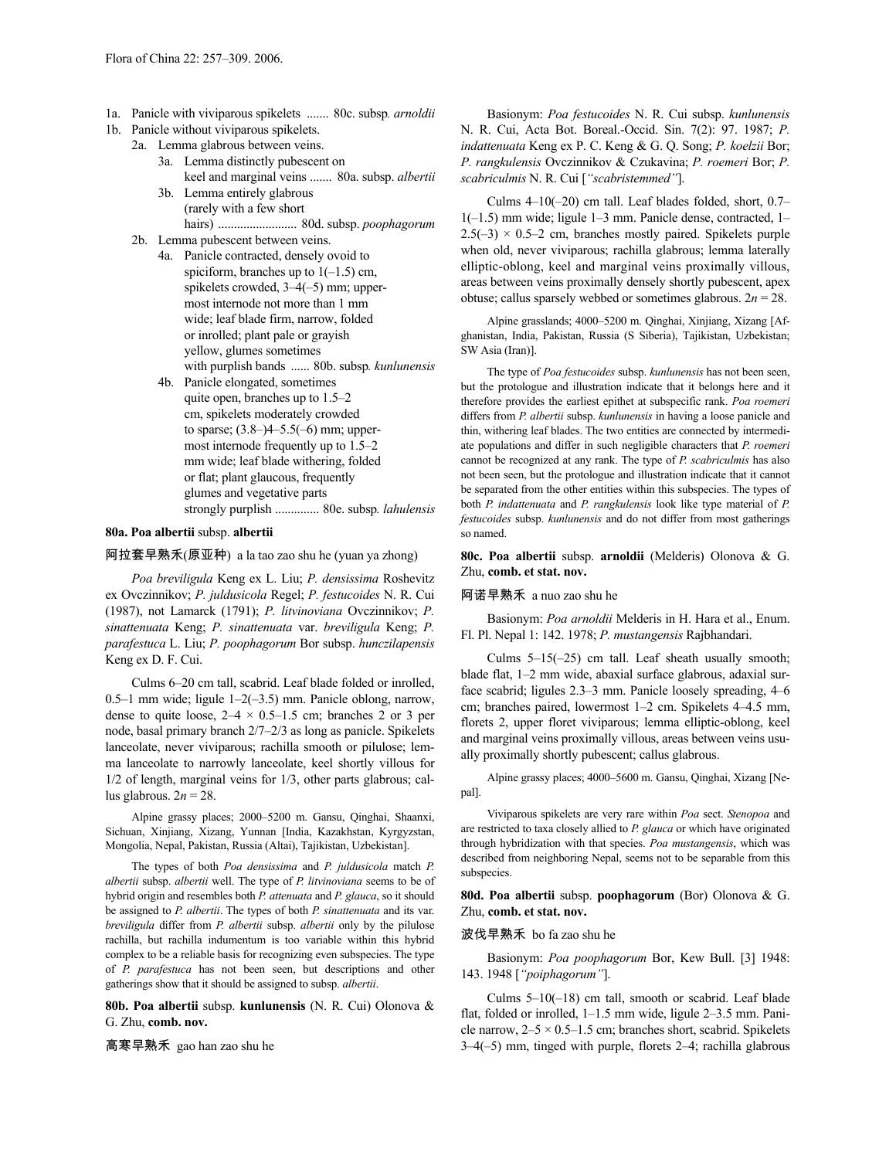- 1a. Panicle with viviparous spikelets ....... 80c. subsp*. arnoldii*
- 1b. Panicle without viviparous spikelets.
	- 2a. Lemma glabrous between veins.
		- 3a. Lemma distinctly pubescent on keel and marginal veins ....... 80a. subsp. *albertii*
		- 3b. Lemma entirely glabrous (rarely with a few short hairs) ......................... 80d. subsp. *poophagorum*
		- 2b. Lemma pubescent between veins.
			- 4a. Panicle contracted, densely ovoid to spiciform, branches up to  $1(-1.5)$  cm, spikelets crowded, 3–4(–5) mm; uppermost internode not more than 1 mm wide; leaf blade firm, narrow, folded or inrolled; plant pale or grayish yellow, glumes sometimes with purplish bands ...... 80b. subsp*. kunlunensis*
			- 4b. Panicle elongated, sometimes quite open, branches up to 1.5–2 cm, spikelets moderately crowded to sparse; (3.8–)4–5.5(–6) mm; uppermost internode frequently up to 1.5–2 mm wide; leaf blade withering, folded or flat; plant glaucous, frequently glumes and vegetative parts strongly purplish .............. 80e. subsp*. lahulensis*

# **80a. Poa albertii** subsp. **albertii**

# 阿拉套早熟禾(原亚种) a la tao zao shu he (yuan ya zhong)

*Poa breviligula* Keng ex L. Liu; *P. densissima* Roshevitz ex Ovczinnikov; *P. juldusicola* Regel; *P. festucoides* N. R. Cui (1987), not Lamarck (1791); *P. litvinoviana* Ovczinnikov; *P. sinattenuata* Keng; *P. sinattenuata* var. *breviligula* Keng; *P. parafestuca* L. Liu; *P. poophagorum* Bor subsp. *hunczilapensis* Keng ex D. F. Cui.

Culms 6–20 cm tall, scabrid. Leaf blade folded or inrolled, 0.5–1 mm wide; ligule 1–2(–3.5) mm. Panicle oblong, narrow, dense to quite loose,  $2-4 \times 0.5-1.5$  cm; branches 2 or 3 per node, basal primary branch 2/7–2/3 as long as panicle. Spikelets lanceolate, never viviparous; rachilla smooth or pilulose; lemma lanceolate to narrowly lanceolate, keel shortly villous for 1/2 of length, marginal veins for 1/3, other parts glabrous; callus glabrous.  $2n = 28$ .

Alpine grassy places; 2000–5200 m. Gansu, Qinghai, Shaanxi, Sichuan, Xinjiang, Xizang, Yunnan [India, Kazakhstan, Kyrgyzstan, Mongolia, Nepal, Pakistan, Russia (Altai), Tajikistan, Uzbekistan].

The types of both *Poa densissima* and *P. juldusicola* match *P. albertii* subsp. *albertii* well. The type of *P. litvinoviana* seems to be of hybrid origin and resembles both *P. attenuata* and *P. glauca*, so it should be assigned to *P. albertii*. The types of both *P. sinattenuata* and its var. *breviligula* differ from *P. albertii* subsp. *albertii* only by the pilulose rachilla, but rachilla indumentum is too variable within this hybrid complex to be a reliable basis for recognizing even subspecies. The type of *P. parafestuca* has not been seen, but descriptions and other gatherings show that it should be assigned to subsp. *albertii*.

**80b. Poa albertii** subsp. **kunlunensis** (N. R. Cui) Olonova & G. Zhu, **comb. nov.**

高寒早熟禾 gao han zao shu he

Basionym: *Poa festucoides* N. R. Cui subsp. *kunlunensis* N. R. Cui, Acta Bot. Boreal.-Occid. Sin. 7(2): 97. 1987; *P. indattenuata* Keng ex P. C. Keng & G. Q. Song; *P. koelzii* Bor; *P. rangkulensis* Ovczinnikov & Czukavina; *P. roemeri* Bor; *P. scabriculmis* N. R. Cui [*"scabristemmed"*].

Culms 4–10(–20) cm tall. Leaf blades folded, short, 0.7– 1(–1.5) mm wide; ligule 1–3 mm. Panicle dense, contracted, 1–  $2.5(-3) \times 0.5-2$  cm, branches mostly paired. Spikelets purple when old, never viviparous; rachilla glabrous; lemma laterally elliptic-oblong, keel and marginal veins proximally villous, areas between veins proximally densely shortly pubescent, apex obtuse; callus sparsely webbed or sometimes glabrous.  $2n = 28$ .

Alpine grasslands; 4000–5200 m. Qinghai, Xinjiang, Xizang [Afghanistan, India, Pakistan, Russia (S Siberia), Tajikistan, Uzbekistan; SW Asia (Iran)].

The type of *Poa festucoides* subsp. *kunlunensis* has not been seen, but the protologue and illustration indicate that it belongs here and it therefore provides the earliest epithet at subspecific rank. *Poa roemeri* differs from *P. albertii* subsp. *kunlunensis* in having a loose panicle and thin, withering leaf blades. The two entities are connected by intermediate populations and differ in such negligible characters that *P. roemeri* cannot be recognized at any rank. The type of *P. scabriculmis* has also not been seen, but the protologue and illustration indicate that it cannot be separated from the other entities within this subspecies. The types of both *P. indattenuata* and *P. rangkulensis* look like type material of *P. festucoides* subsp. *kunlunensis* and do not differ from most gatherings so named.

**80c. Poa albertii** subsp. **arnoldii** (Melderis) Olonova & G. Zhu, **comb. et stat. nov.**

## 阿诺早熟禾 a nuo zao shu he

Basionym: *Poa arnoldii* Melderis in H. Hara et al., Enum. Fl. Pl. Nepal 1: 142. 1978; *P. mustangensis* Rajbhandari.

Culms 5–15(–25) cm tall. Leaf sheath usually smooth; blade flat, 1–2 mm wide, abaxial surface glabrous, adaxial surface scabrid; ligules 2.3–3 mm. Panicle loosely spreading, 4–6 cm; branches paired, lowermost 1–2 cm. Spikelets 4–4.5 mm, florets 2, upper floret viviparous; lemma elliptic-oblong, keel and marginal veins proximally villous, areas between veins usually proximally shortly pubescent; callus glabrous.

Alpine grassy places; 4000–5600 m. Gansu, Qinghai, Xizang [Nepal].

Viviparous spikelets are very rare within *Poa* sect. *Stenopoa* and are restricted to taxa closely allied to *P. glauca* or which have originated through hybridization with that species. *Poa mustangensis*, which was described from neighboring Nepal, seems not to be separable from this subspecies.

**80d. Poa albertii** subsp. **poophagorum** (Bor) Olonova & G. Zhu, **comb. et stat. nov.**

# 波伐早熟禾 bo fa zao shu he

Basionym: *Poa poophagorum* Bor, Kew Bull. [3] 1948: 143. 1948 [*"poiphagorum"*].

Culms 5–10(–18) cm tall, smooth or scabrid. Leaf blade flat, folded or inrolled, 1–1.5 mm wide, ligule 2–3.5 mm. Panicle narrow,  $2-5 \times 0.5-1.5$  cm; branches short, scabrid. Spikelets 3–4(–5) mm, tinged with purple, florets 2–4; rachilla glabrous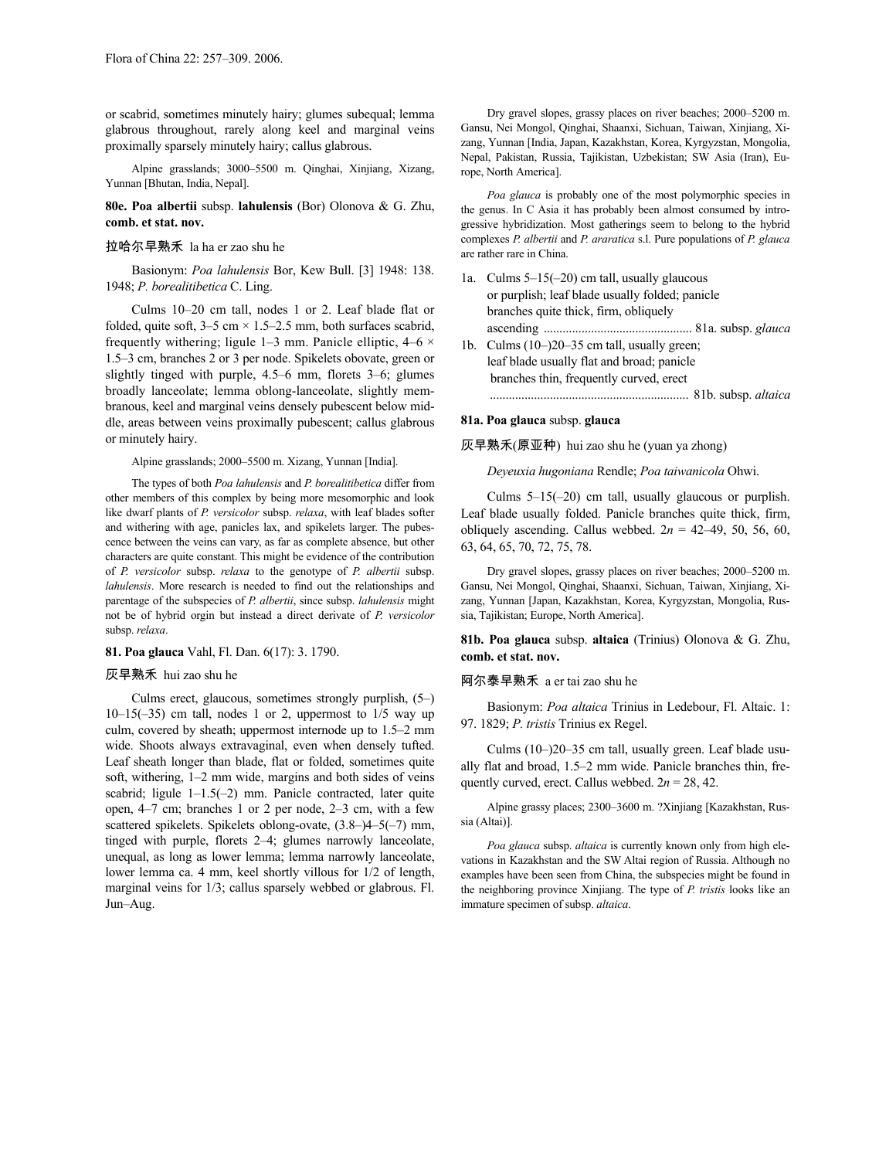or scabrid, sometimes minutely hairy; glumes subequal; lemma glabrous throughout, rarely along keel and marginal veins proximally sparsely minutely hairy; callus glabrous.

Alpine grasslands; 3000–5500 m. Qinghai, Xinjiang, Xizang, Yunnan [Bhutan, India, Nepal].

**80e. Poa albertii** subsp. **lahulensis** (Bor) Olonova & G. Zhu, **comb. et stat. nov.**

### 拉哈尔早熟禾 la ha er zao shu he

Basionym: *Poa lahulensis* Bor, Kew Bull. [3] 1948: 138. 1948; *P. borealitibetica* C. Ling.

Culms 10–20 cm tall, nodes 1 or 2. Leaf blade flat or folded, quite soft,  $3-5$  cm  $\times$  1.5–2.5 mm, both surfaces scabrid, frequently withering; ligule 1–3 mm. Panicle elliptic,  $4-6 \times$ 1.5–3 cm, branches 2 or 3 per node. Spikelets obovate, green or slightly tinged with purple, 4.5–6 mm, florets 3–6; glumes broadly lanceolate; lemma oblong-lanceolate, slightly membranous, keel and marginal veins densely pubescent below middle, areas between veins proximally pubescent; callus glabrous or minutely hairy.

### Alpine grasslands; 2000–5500 m. Xizang, Yunnan [India].

The types of both *Poa lahulensis* and *P. borealitibetica* differ from other members of this complex by being more mesomorphic and look like dwarf plants of *P. versicolor* subsp. *relaxa*, with leaf blades softer and withering with age, panicles lax, and spikelets larger. The pubescence between the veins can vary, as far as complete absence, but other characters are quite constant. This might be evidence of the contribution of *P. versicolor* subsp. *relaxa* to the genotype of *P. albertii* subsp. *lahulensis*. More research is needed to find out the relationships and parentage of the subspecies of *P. albertii*, since subsp. *lahulensis* might not be of hybrid orgin but instead a direct derivate of *P. versicolor* subsp. *relaxa*.

# **81. Poa glauca** Vahl, Fl. Dan. 6(17): 3. 1790.

## 灰早熟禾 hui zao shu he

Culms erect, glaucous, sometimes strongly purplish, (5–)  $10-15(-35)$  cm tall, nodes 1 or 2, uppermost to  $1/5$  way up culm, covered by sheath; uppermost internode up to 1.5–2 mm wide. Shoots always extravaginal, even when densely tufted. Leaf sheath longer than blade, flat or folded, sometimes quite soft, withering, 1–2 mm wide, margins and both sides of veins scabrid; ligule 1–1.5(–2) mm. Panicle contracted, later quite open, 4–7 cm; branches 1 or 2 per node, 2–3 cm, with a few scattered spikelets. Spikelets oblong-ovate, (3.8–)4–5(–7) mm, tinged with purple, florets 2–4; glumes narrowly lanceolate, unequal, as long as lower lemma; lemma narrowly lanceolate, lower lemma ca. 4 mm, keel shortly villous for 1/2 of length, marginal veins for 1/3; callus sparsely webbed or glabrous. Fl. Jun–Aug.

Dry gravel slopes, grassy places on river beaches; 2000–5200 m. Gansu, Nei Mongol, Qinghai, Shaanxi, Sichuan, Taiwan, Xinjiang, Xizang, Yunnan [India, Japan, Kazakhstan, Korea, Kyrgyzstan, Mongolia, Nepal, Pakistan, Russia, Tajikistan, Uzbekistan; SW Asia (Iran), Europe, North America].

*Poa glauca* is probably one of the most polymorphic species in the genus. In C Asia it has probably been almost consumed by introgressive hybridization. Most gatherings seem to belong to the hybrid complexes *P. albertii* and *P. araratica* s.l. Pure populations of *P. glauca* are rather rare in China.

1a. Culms 5–15(–20) cm tall, usually glaucous or purplish; leaf blade usually folded; panicle branches quite thick, firm, obliquely ascending ............................................... 81a. subsp. *glauca* 1b. Culms (10–)20–35 cm tall, usually green; leaf blade usually flat and broad; panicle branches thin, frequently curved, erect ............................................................... 81b. subsp. *altaica*

## **81a. Poa glauca** subsp. **glauca**

灰早熟禾(原亚种) hui zao shu he (yuan ya zhong)

*Deyeuxia hugoniana* Rendle; *Poa taiwanicola* Ohwi.

Culms 5–15(–20) cm tall, usually glaucous or purplish. Leaf blade usually folded. Panicle branches quite thick, firm, obliquely ascending. Callus webbed.  $2n = 42-49, 50, 56, 60,$ 63, 64, 65, 70, 72, 75, 78.

Dry gravel slopes, grassy places on river beaches; 2000–5200 m. Gansu, Nei Mongol, Qinghai, Shaanxi, Sichuan, Taiwan, Xinjiang, Xizang, Yunnan [Japan, Kazakhstan, Korea, Kyrgyzstan, Mongolia, Russia, Tajikistan; Europe, North America].

**81b. Poa glauca** subsp. **altaica** (Trinius) Olonova & G. Zhu, **comb. et stat. nov.**

# 阿尔泰早熟禾 a er tai zao shu he

Basionym: *Poa altaica* Trinius in Ledebour, Fl. Altaic. 1: 97. 1829; *P. tristis* Trinius ex Regel.

Culms (10–)20–35 cm tall, usually green. Leaf blade usually flat and broad, 1.5–2 mm wide. Panicle branches thin, frequently curved, erect. Callus webbed.  $2n = 28, 42$ .

Alpine grassy places; 2300–3600 m. ?Xinjiang [Kazakhstan, Russia (Altai)].

*Poa glauca* subsp. *altaica* is currently known only from high elevations in Kazakhstan and the SW Altai region of Russia. Although no examples have been seen from China, the subspecies might be found in the neighboring province Xinjiang. The type of *P. tristis* looks like an immature specimen of subsp. *altaica*.